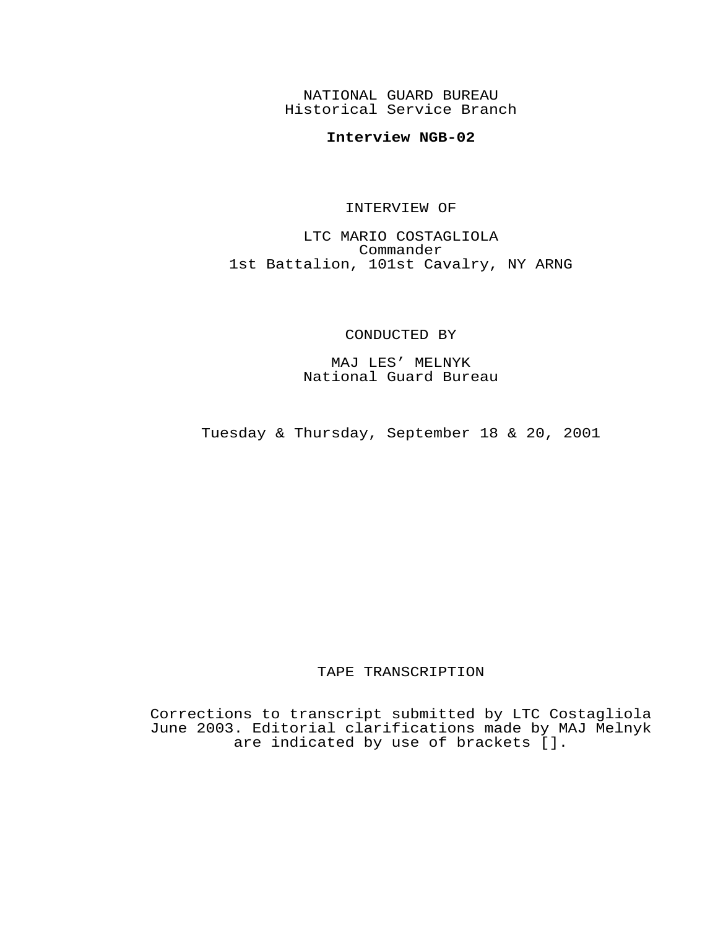NATIONAL GUARD BUREAU Historical Service Branch

## **Interview NGB-02**

## INTERVIEW OF

LTC MARIO COSTAGLIOLA Commander 1st Battalion, 101st Cavalry, NY ARNG

## CONDUCTED BY

MAJ LES' MELNYK National Guard Bureau

Tuesday & Thursday, September 18 & 20, 2001

## TAPE TRANSCRIPTION

Corrections to transcript submitted by LTC Costagliola June 2003. Editorial clarifications made by MAJ Melnyk are indicated by use of brackets [].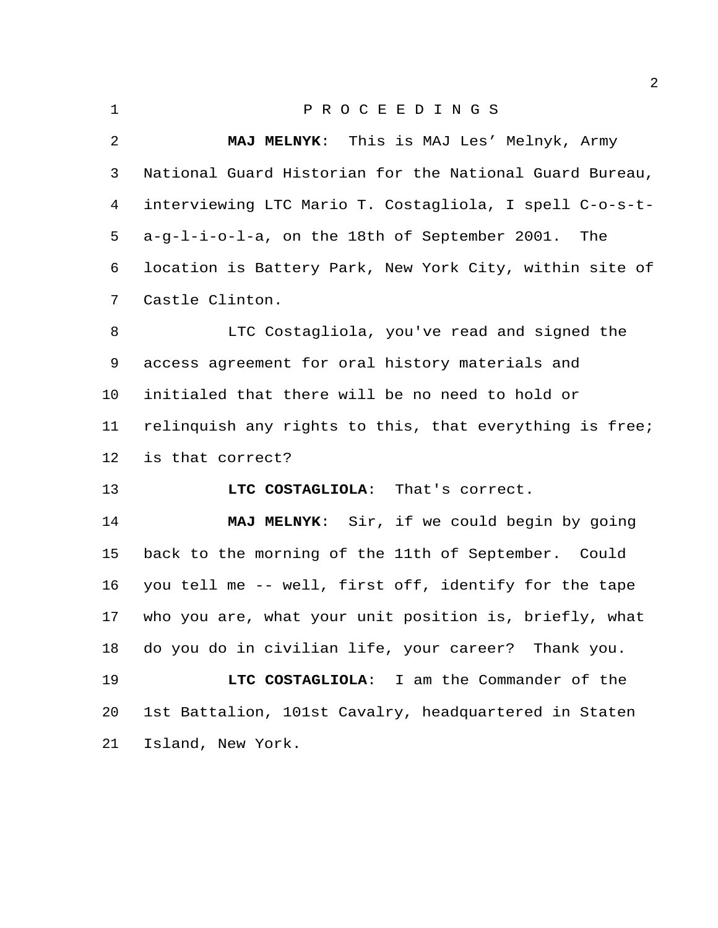| $\mathbf 1$    | PROCEEDINGS                                             |
|----------------|---------------------------------------------------------|
| $\overline{a}$ | MAJ MELNYK: This is MAJ Les' Melnyk, Army               |
| 3              | National Guard Historian for the National Guard Bureau, |
| 4              | interviewing LTC Mario T. Costagliola, I spell C-o-s-t- |
| 5              | a-g-l-i-o-l-a, on the 18th of September 2001.<br>The    |
| 6              | location is Battery Park, New York City, within site of |
| 7              | Castle Clinton.                                         |
| 8              | LTC Costagliola, you've read and signed the             |
| 9              | access agreement for oral history materials and         |
| $10 \,$        | initialed that there will be no need to hold or         |
| 11             | relinquish any rights to this, that everything is free; |
| 12             | is that correct?                                        |
| 13             | LTC COSTAGLIOLA: That's correct.                        |
| 14             | MAJ MELNYK: Sir, if we could begin by going             |
| 15             | back to the morning of the 11th of September. Could     |
| 16             | you tell me -- well, first off, identify for the tape   |
| 17             | who you are, what your unit position is, briefly, what  |
| 18             | do you do in civilian life, your career?<br>Thank you.  |

 **LTC COSTAGLIOLA**: I am the Commander of the 1st Battalion, 101st Cavalry, headquartered in Staten Island, New York.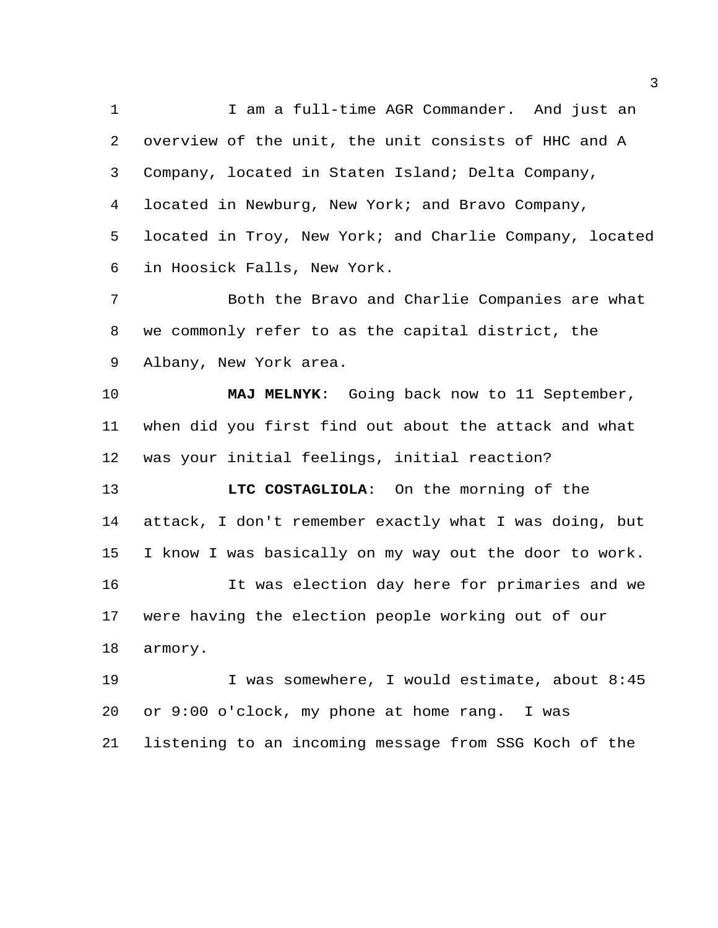1 I am a full-time AGR Commander. And just an overview of the unit, the unit consists of HHC and A Company, located in Staten Island; Delta Company, located in Newburg, New York; and Bravo Company, located in Troy, New York; and Charlie Company, located in Hoosick Falls, New York. Both the Bravo and Charlie Companies are what we commonly refer to as the capital district, the Albany, New York area. **MAJ MELNYK**: Going back now to 11 September, when did you first find out about the attack and what was your initial feelings, initial reaction? **LTC COSTAGLIOLA**: On the morning of the attack, I don't remember exactly what I was doing, but I know I was basically on my way out the door to work. It was election day here for primaries and we

were having the election people working out of our

armory.

 I was somewhere, I would estimate, about 8:45 or 9:00 o'clock, my phone at home rang. I was listening to an incoming message from SSG Koch of the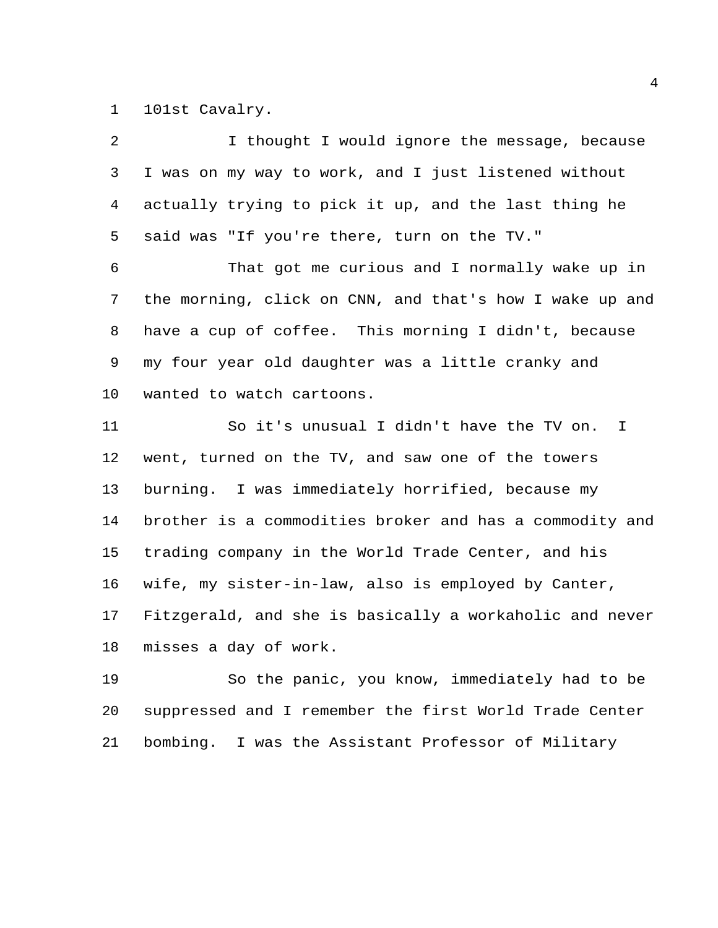101st Cavalry.

| 2  | I thought I would ignore the message, because           |
|----|---------------------------------------------------------|
| 3  | I was on my way to work, and I just listened without    |
| 4  | actually trying to pick it up, and the last thing he    |
| 5  | said was "If you're there, turn on the TV."             |
| б  | That got me curious and I normally wake up in           |
| 7  | the morning, click on CNN, and that's how I wake up and |
| 8  | have a cup of coffee. This morning I didn't, because    |
| 9  | my four year old daughter was a little cranky and       |
| 10 | wanted to watch cartoons.                               |
| 11 | So it's unusual I didn't have the TV on.<br>I.          |
| 12 | went, turned on the TV, and saw one of the towers       |
| 13 | burning. I was immediately horrified, because my        |
| 14 | brother is a commodities broker and has a commodity and |
| 15 | trading company in the World Trade Center, and his      |
| 16 | wife, my sister-in-law, also is employed by Canter,     |
| 17 | Fitzgerald, and she is basically a workaholic and never |
| 18 | misses a day of work.                                   |

 So the panic, you know, immediately had to be suppressed and I remember the first World Trade Center bombing. I was the Assistant Professor of Military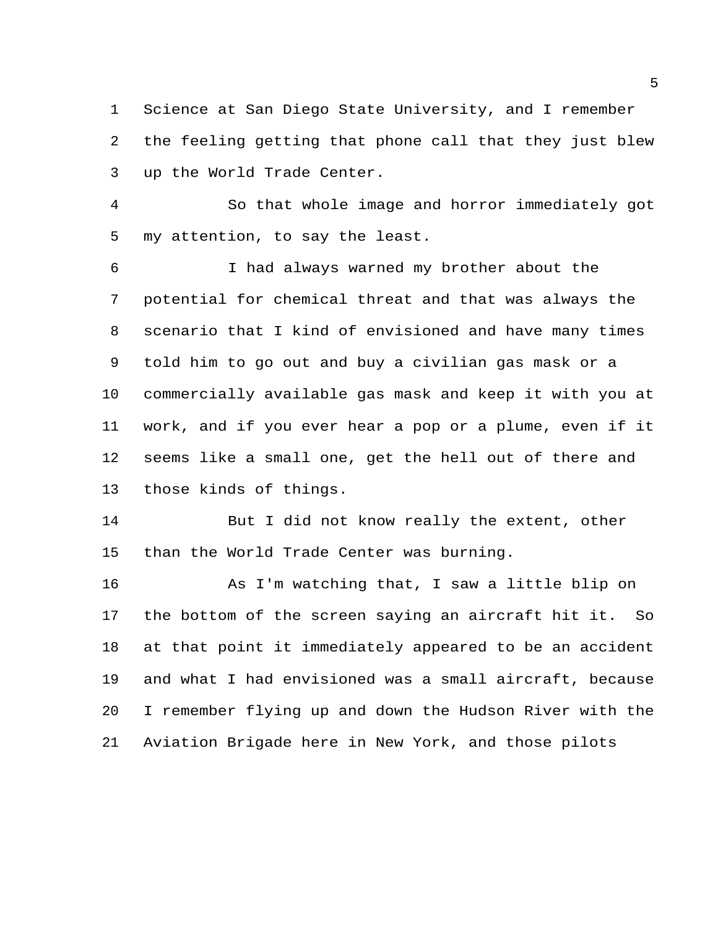Science at San Diego State University, and I remember the feeling getting that phone call that they just blew up the World Trade Center.

 So that whole image and horror immediately got my attention, to say the least.

 I had always warned my brother about the potential for chemical threat and that was always the scenario that I kind of envisioned and have many times told him to go out and buy a civilian gas mask or a commercially available gas mask and keep it with you at work, and if you ever hear a pop or a plume, even if it seems like a small one, get the hell out of there and those kinds of things.

14 But I did not know really the extent, other than the World Trade Center was burning.

 As I'm watching that, I saw a little blip on the bottom of the screen saying an aircraft hit it. So at that point it immediately appeared to be an accident and what I had envisioned was a small aircraft, because I remember flying up and down the Hudson River with the Aviation Brigade here in New York, and those pilots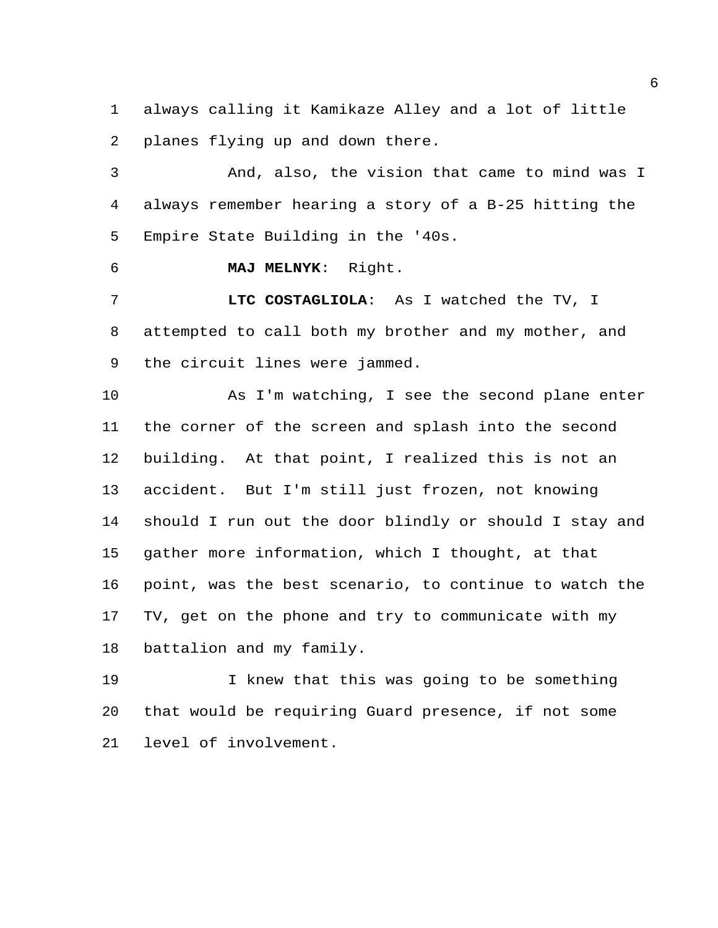always calling it Kamikaze Alley and a lot of little planes flying up and down there.

 And, also, the vision that came to mind was I always remember hearing a story of a B-25 hitting the Empire State Building in the '40s.

**MAJ MELNYK**: Right.

 **LTC COSTAGLIOLA**: As I watched the TV, I attempted to call both my brother and my mother, and the circuit lines were jammed.

 As I'm watching, I see the second plane enter the corner of the screen and splash into the second building. At that point, I realized this is not an accident. But I'm still just frozen, not knowing should I run out the door blindly or should I stay and gather more information, which I thought, at that point, was the best scenario, to continue to watch the TV, get on the phone and try to communicate with my battalion and my family.

 I knew that this was going to be something that would be requiring Guard presence, if not some level of involvement.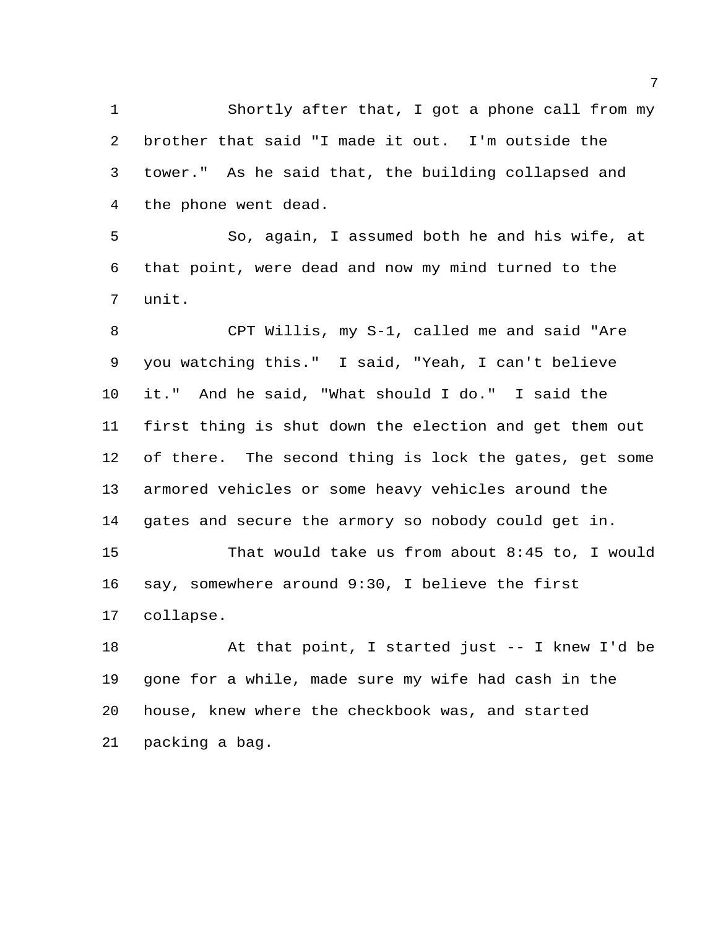Shortly after that, I got a phone call from my brother that said "I made it out. I'm outside the tower." As he said that, the building collapsed and the phone went dead.

 So, again, I assumed both he and his wife, at that point, were dead and now my mind turned to the unit.

 CPT Willis, my S-1, called me and said "Are you watching this." I said, "Yeah, I can't believe it." And he said, "What should I do." I said the first thing is shut down the election and get them out of there. The second thing is lock the gates, get some armored vehicles or some heavy vehicles around the gates and secure the armory so nobody could get in.

 That would take us from about 8:45 to, I would say, somewhere around 9:30, I believe the first collapse.

 At that point, I started just -- I knew I'd be gone for a while, made sure my wife had cash in the house, knew where the checkbook was, and started packing a bag.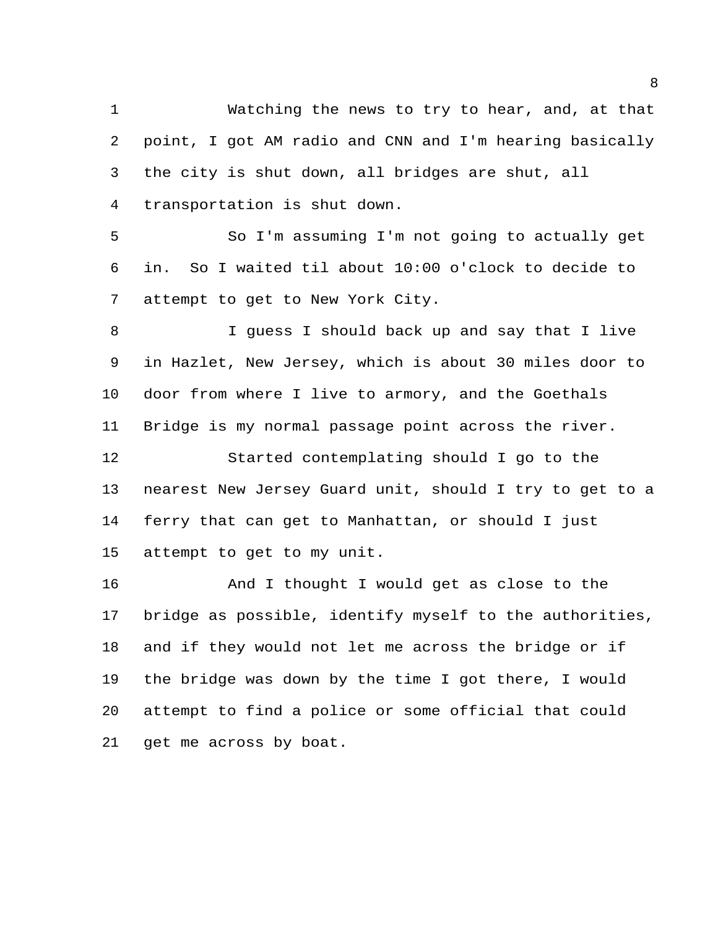Watching the news to try to hear, and, at that point, I got AM radio and CNN and I'm hearing basically the city is shut down, all bridges are shut, all transportation is shut down.

 So I'm assuming I'm not going to actually get in. So I waited til about 10:00 o'clock to decide to attempt to get to New York City.

 I guess I should back up and say that I live in Hazlet, New Jersey, which is about 30 miles door to door from where I live to armory, and the Goethals Bridge is my normal passage point across the river.

 Started contemplating should I go to the nearest New Jersey Guard unit, should I try to get to a ferry that can get to Manhattan, or should I just attempt to get to my unit.

 And I thought I would get as close to the bridge as possible, identify myself to the authorities, and if they would not let me across the bridge or if the bridge was down by the time I got there, I would attempt to find a police or some official that could get me across by boat.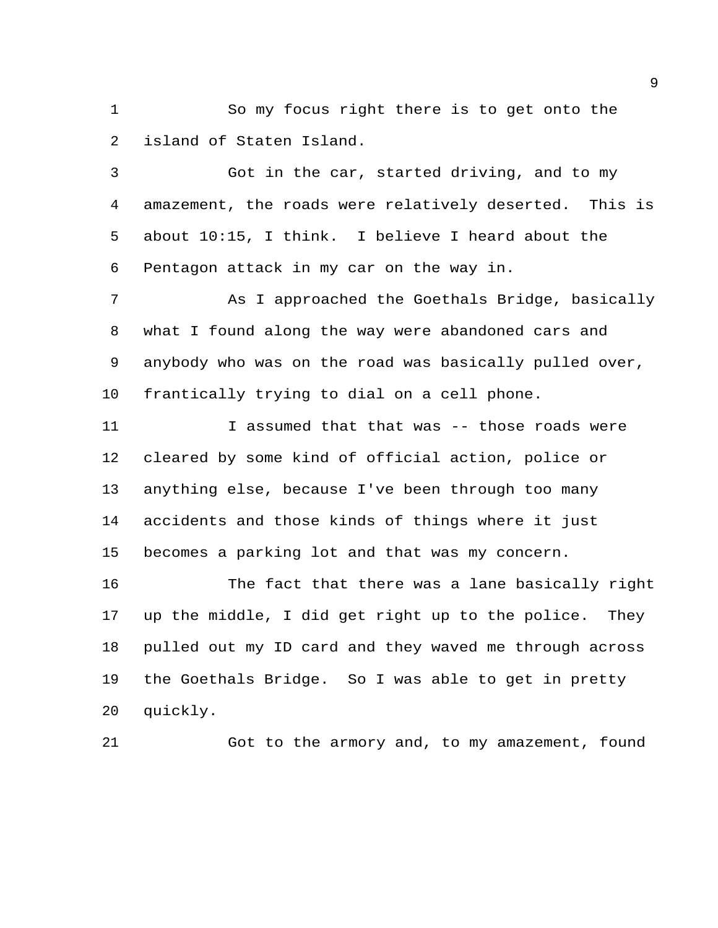So my focus right there is to get onto the island of Staten Island.

 Got in the car, started driving, and to my amazement, the roads were relatively deserted. This is about 10:15, I think. I believe I heard about the Pentagon attack in my car on the way in.

 As I approached the Goethals Bridge, basically what I found along the way were abandoned cars and anybody who was on the road was basically pulled over, frantically trying to dial on a cell phone.

11 1 I assumed that that was -- those roads were cleared by some kind of official action, police or anything else, because I've been through too many accidents and those kinds of things where it just becomes a parking lot and that was my concern.

 The fact that there was a lane basically right up the middle, I did get right up to the police. They pulled out my ID card and they waved me through across the Goethals Bridge. So I was able to get in pretty quickly.

Got to the armory and, to my amazement, found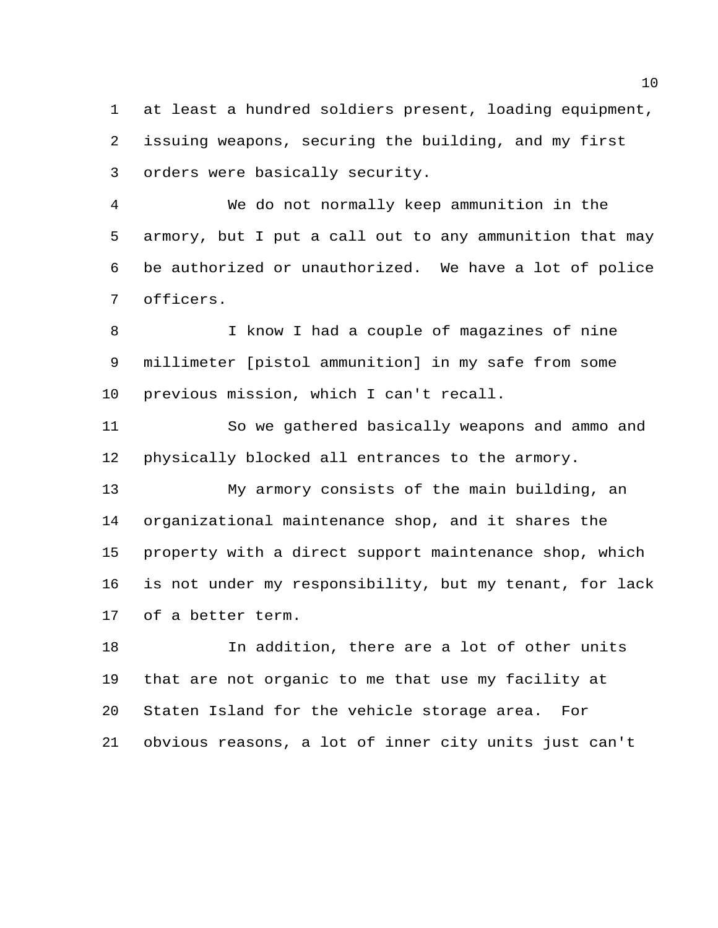at least a hundred soldiers present, loading equipment, issuing weapons, securing the building, and my first orders were basically security.

 We do not normally keep ammunition in the armory, but I put a call out to any ammunition that may be authorized or unauthorized. We have a lot of police officers.

 I know I had a couple of magazines of nine millimeter [pistol ammunition] in my safe from some previous mission, which I can't recall.

 So we gathered basically weapons and ammo and physically blocked all entrances to the armory.

 My armory consists of the main building, an organizational maintenance shop, and it shares the property with a direct support maintenance shop, which is not under my responsibility, but my tenant, for lack of a better term.

 In addition, there are a lot of other units that are not organic to me that use my facility at Staten Island for the vehicle storage area. For obvious reasons, a lot of inner city units just can't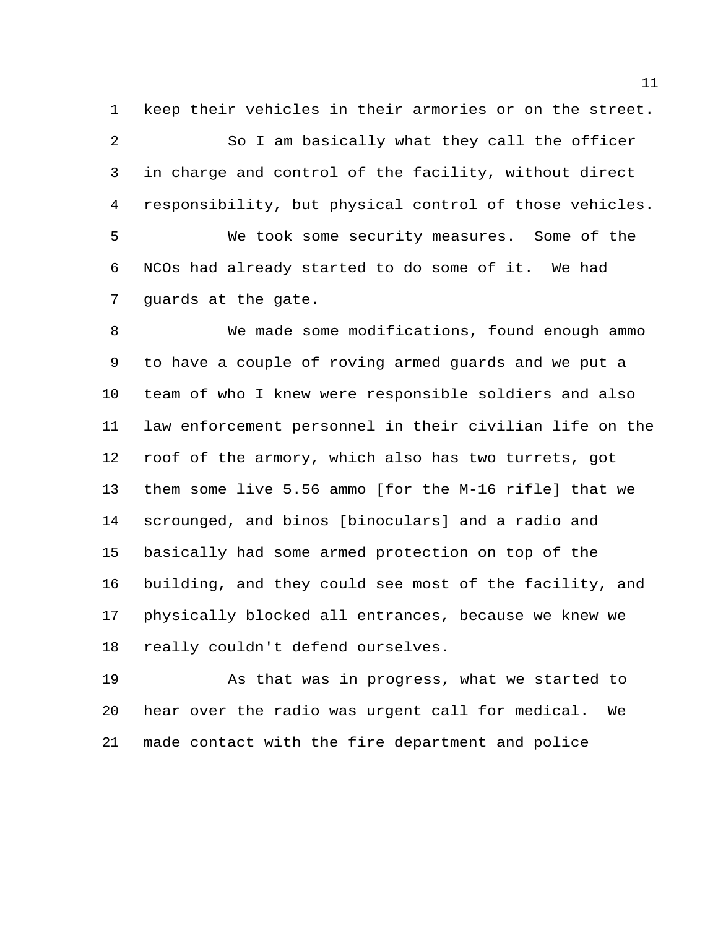keep their vehicles in their armories or on the street. So I am basically what they call the officer in charge and control of the facility, without direct responsibility, but physical control of those vehicles. We took some security measures. Some of the NCOs had already started to do some of it. We had guards at the gate.

 We made some modifications, found enough ammo to have a couple of roving armed guards and we put a team of who I knew were responsible soldiers and also law enforcement personnel in their civilian life on the roof of the armory, which also has two turrets, got them some live 5.56 ammo [for the M-16 rifle] that we scrounged, and binos [binoculars] and a radio and basically had some armed protection on top of the building, and they could see most of the facility, and physically blocked all entrances, because we knew we really couldn't defend ourselves.

 As that was in progress, what we started to hear over the radio was urgent call for medical. We made contact with the fire department and police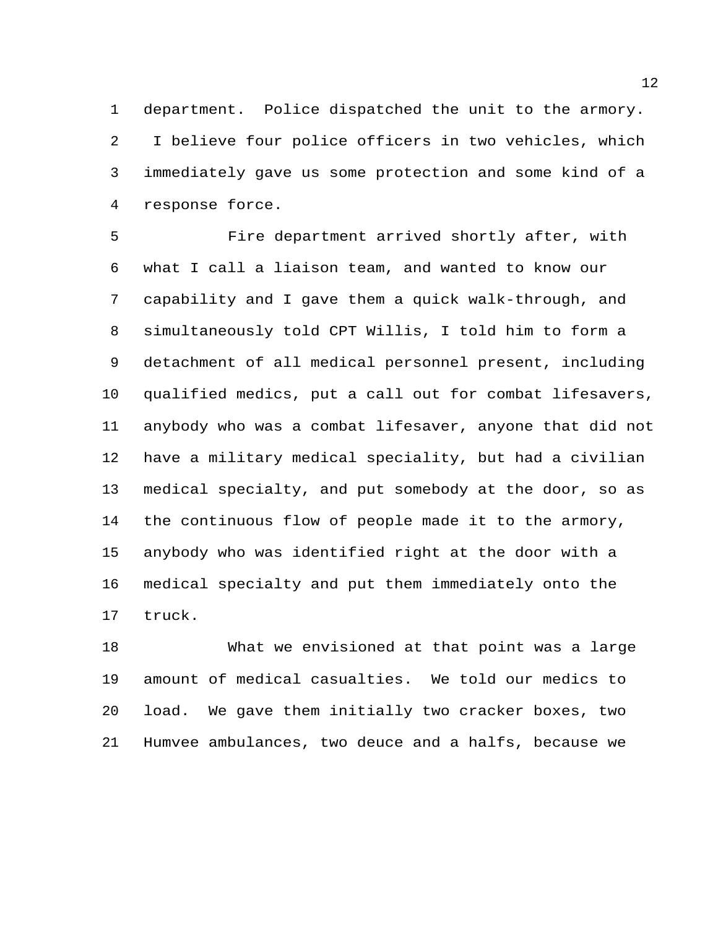department. Police dispatched the unit to the armory. I believe four police officers in two vehicles, which immediately gave us some protection and some kind of a response force.

 Fire department arrived shortly after, with what I call a liaison team, and wanted to know our capability and I gave them a quick walk-through, and simultaneously told CPT Willis, I told him to form a detachment of all medical personnel present, including qualified medics, put a call out for combat lifesavers, anybody who was a combat lifesaver, anyone that did not have a military medical speciality, but had a civilian medical specialty, and put somebody at the door, so as the continuous flow of people made it to the armory, anybody who was identified right at the door with a medical specialty and put them immediately onto the truck.

 What we envisioned at that point was a large amount of medical casualties. We told our medics to load. We gave them initially two cracker boxes, two Humvee ambulances, two deuce and a halfs, because we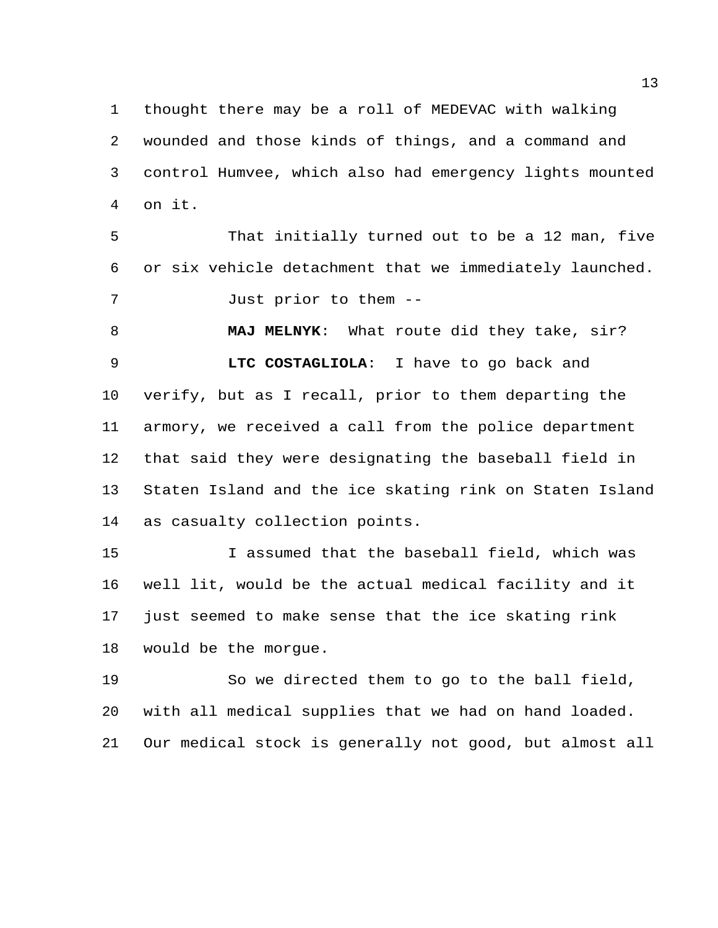thought there may be a roll of MEDEVAC with walking wounded and those kinds of things, and a command and control Humvee, which also had emergency lights mounted on it.

 That initially turned out to be a 12 man, five or six vehicle detachment that we immediately launched. Just prior to them --

 **MAJ MELNYK**: What route did they take, sir? **LTC COSTAGLIOLA**: I have to go back and verify, but as I recall, prior to them departing the armory, we received a call from the police department that said they were designating the baseball field in Staten Island and the ice skating rink on Staten Island as casualty collection points.

 I assumed that the baseball field, which was well lit, would be the actual medical facility and it just seemed to make sense that the ice skating rink would be the morgue.

 So we directed them to go to the ball field, with all medical supplies that we had on hand loaded. Our medical stock is generally not good, but almost all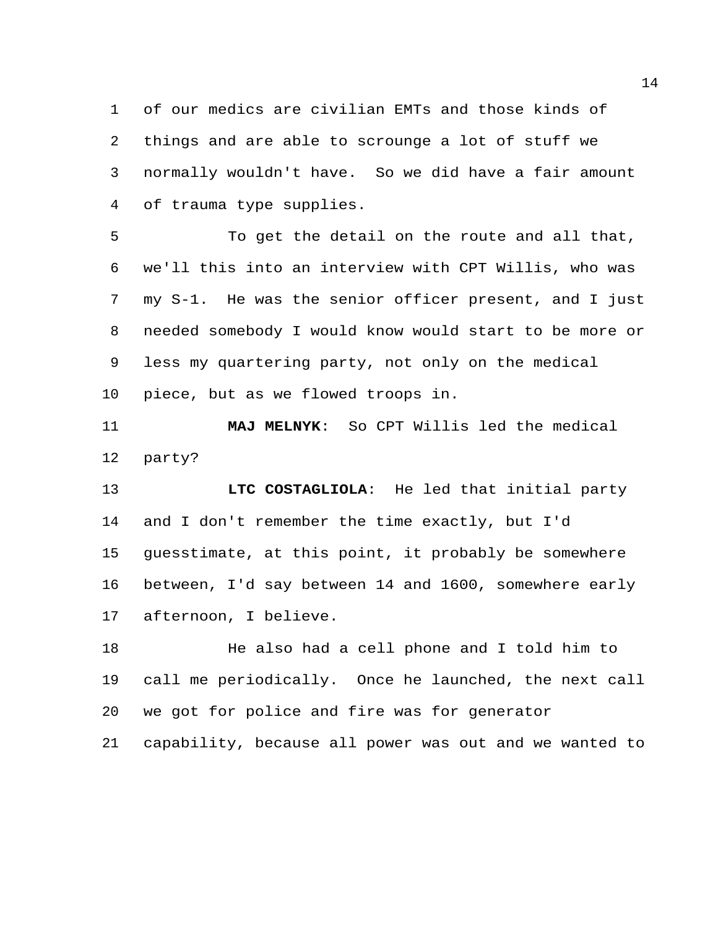of our medics are civilian EMTs and those kinds of things and are able to scrounge a lot of stuff we normally wouldn't have. So we did have a fair amount of trauma type supplies.

 To get the detail on the route and all that, we'll this into an interview with CPT Willis, who was my S-1. He was the senior officer present, and I just needed somebody I would know would start to be more or less my quartering party, not only on the medical piece, but as we flowed troops in.

 **MAJ MELNYK**: So CPT Willis led the medical party?

 **LTC COSTAGLIOLA**: He led that initial party and I don't remember the time exactly, but I'd guesstimate, at this point, it probably be somewhere between, I'd say between 14 and 1600, somewhere early afternoon, I believe.

18 He also had a cell phone and I told him to call me periodically. Once he launched, the next call we got for police and fire was for generator capability, because all power was out and we wanted to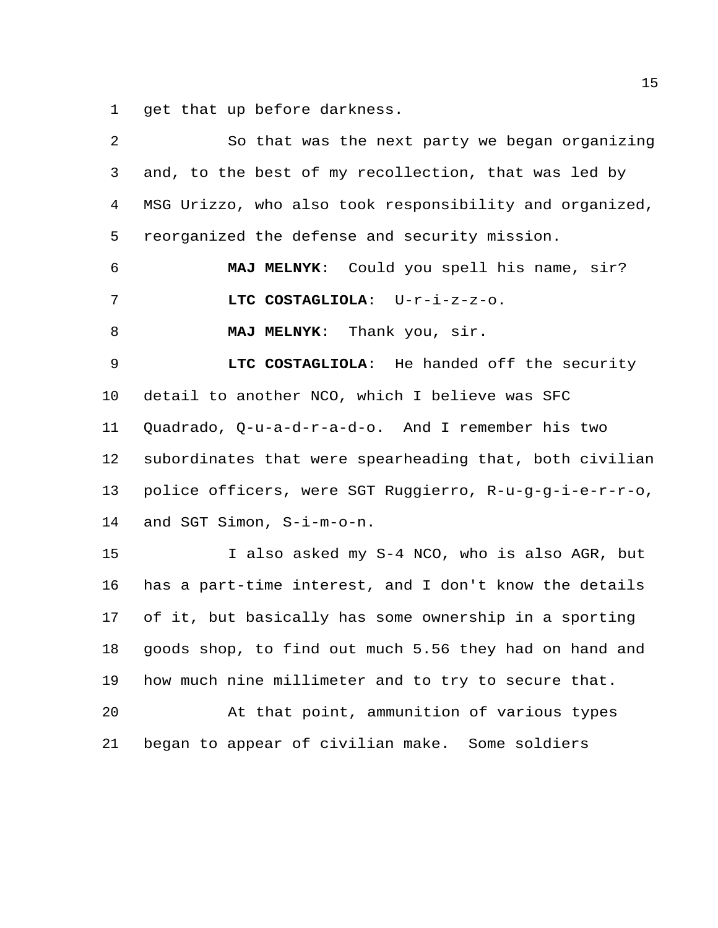get that up before darkness.

| 2               | So that was the next party we began organizing          |
|-----------------|---------------------------------------------------------|
| 3               | and, to the best of my recollection, that was led by    |
| 4               | MSG Urizzo, who also took responsibility and organized, |
| 5               | reorganized the defense and security mission.           |
| 6               | MAJ MELNYK: Could you spell his name, sir?              |
| 7               | LTC COSTAGLIOLA: U-r-i-z-z-o.                           |
| 8               | <b>MAJ MELNYK:</b><br>Thank you, sir.                   |
| 9               | LTC COSTAGLIOLA: He handed off the security             |
| 10              | detail to another NCO, which I believe was SFC          |
| 11              | Quadrado, Q-u-a-d-r-a-d-o. And I remember his two       |
| 12 <sub>2</sub> | subordinates that were spearheading that, both civilian |
| 13              | police officers, were SGT Ruggierro, R-u-g-g-i-e-r-r-o, |
| 14              | and SGT Simon, S-i-m-o-n.                               |
| 15              | I also asked my S-4 NCO, who is also AGR, but           |
| 16              | has a part-time interest, and I don't know the details  |
| 17              | of it, but basically has some ownership in a sporting   |
| 18              | goods shop, to find out much 5.56 they had on hand and  |
| 19              | how much nine millimeter and to try to secure that.     |
| 20              | At that point, ammunition of various types              |
| 21              | began to appear of civilian make. Some soldiers         |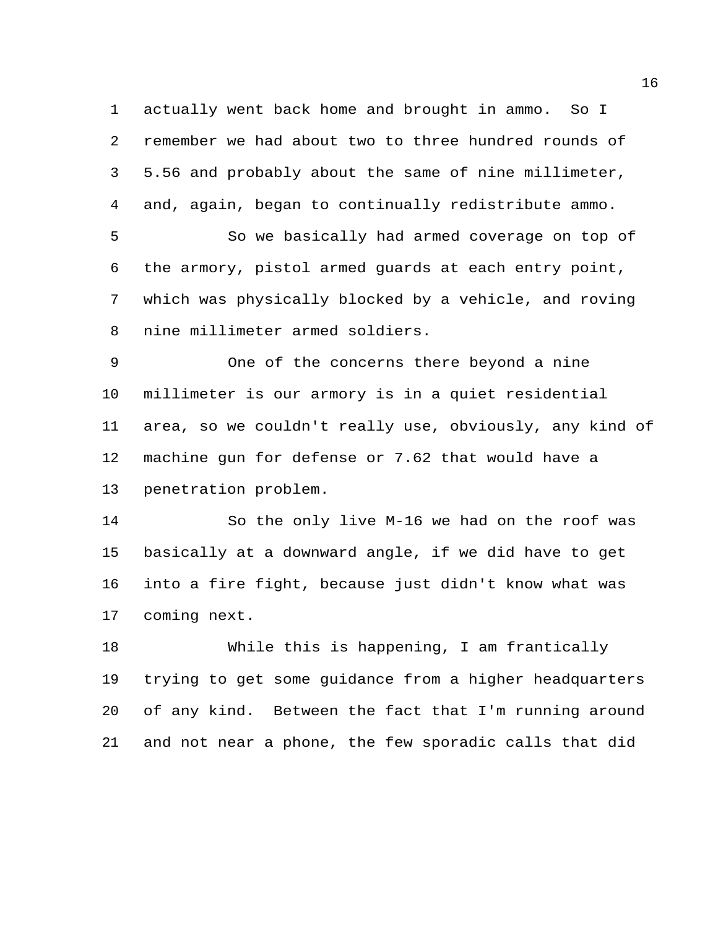actually went back home and brought in ammo. So I remember we had about two to three hundred rounds of 5.56 and probably about the same of nine millimeter, and, again, began to continually redistribute ammo.

 So we basically had armed coverage on top of the armory, pistol armed guards at each entry point, which was physically blocked by a vehicle, and roving nine millimeter armed soldiers.

 One of the concerns there beyond a nine millimeter is our armory is in a quiet residential area, so we couldn't really use, obviously, any kind of machine gun for defense or 7.62 that would have a penetration problem.

 So the only live M-16 we had on the roof was basically at a downward angle, if we did have to get into a fire fight, because just didn't know what was coming next.

 While this is happening, I am frantically trying to get some guidance from a higher headquarters of any kind. Between the fact that I'm running around and not near a phone, the few sporadic calls that did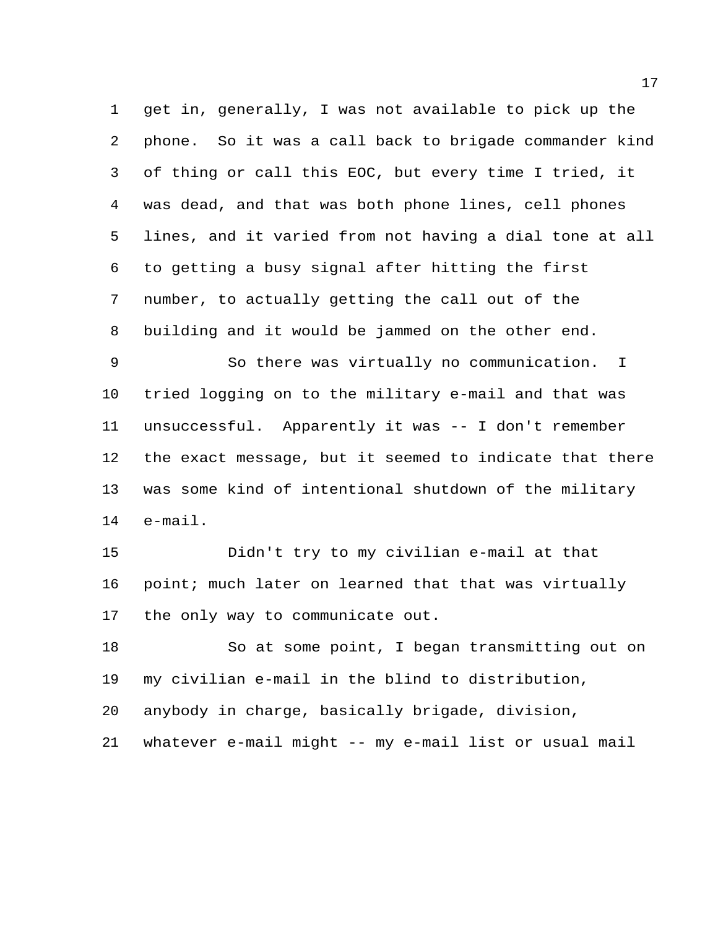get in, generally, I was not available to pick up the phone. So it was a call back to brigade commander kind of thing or call this EOC, but every time I tried, it was dead, and that was both phone lines, cell phones lines, and it varied from not having a dial tone at all to getting a busy signal after hitting the first number, to actually getting the call out of the building and it would be jammed on the other end.

 So there was virtually no communication. I tried logging on to the military e-mail and that was unsuccessful. Apparently it was -- I don't remember the exact message, but it seemed to indicate that there was some kind of intentional shutdown of the military e-mail.

 Didn't try to my civilian e-mail at that 16 point; much later on learned that that was virtually the only way to communicate out.

 So at some point, I began transmitting out on my civilian e-mail in the blind to distribution,

anybody in charge, basically brigade, division,

whatever e-mail might -- my e-mail list or usual mail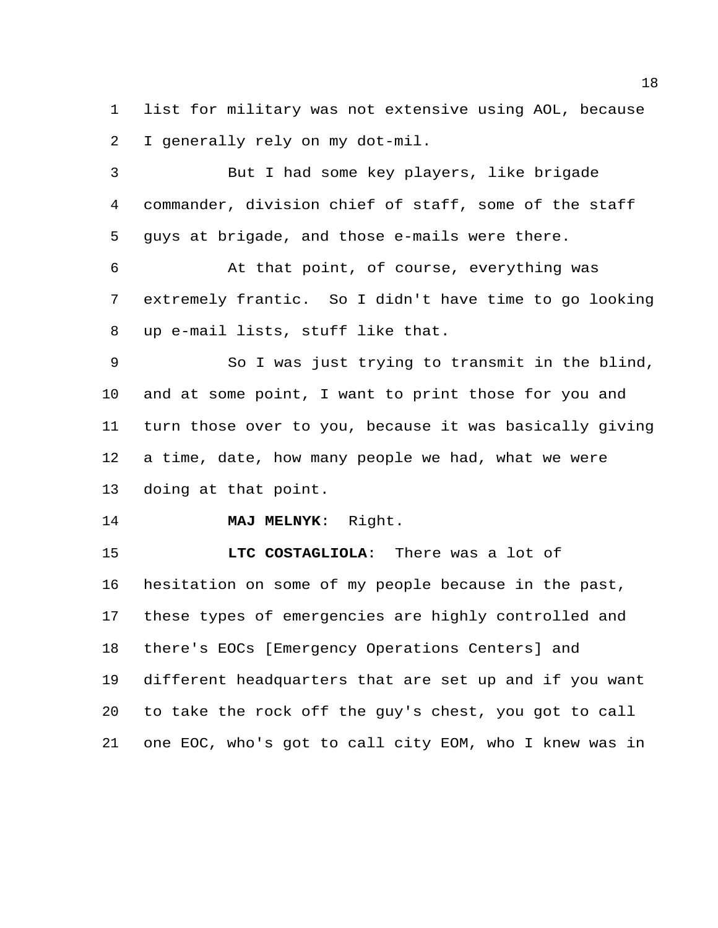list for military was not extensive using AOL, because I generally rely on my dot-mil.

 But I had some key players, like brigade commander, division chief of staff, some of the staff guys at brigade, and those e-mails were there.

 At that point, of course, everything was extremely frantic. So I didn't have time to go looking up e-mail lists, stuff like that.

 So I was just trying to transmit in the blind, and at some point, I want to print those for you and turn those over to you, because it was basically giving a time, date, how many people we had, what we were doing at that point.

**MAJ MELNYK**: Right.

 **LTC COSTAGLIOLA**: There was a lot of hesitation on some of my people because in the past, these types of emergencies are highly controlled and there's EOCs [Emergency Operations Centers] and different headquarters that are set up and if you want to take the rock off the guy's chest, you got to call one EOC, who's got to call city EOM, who I knew was in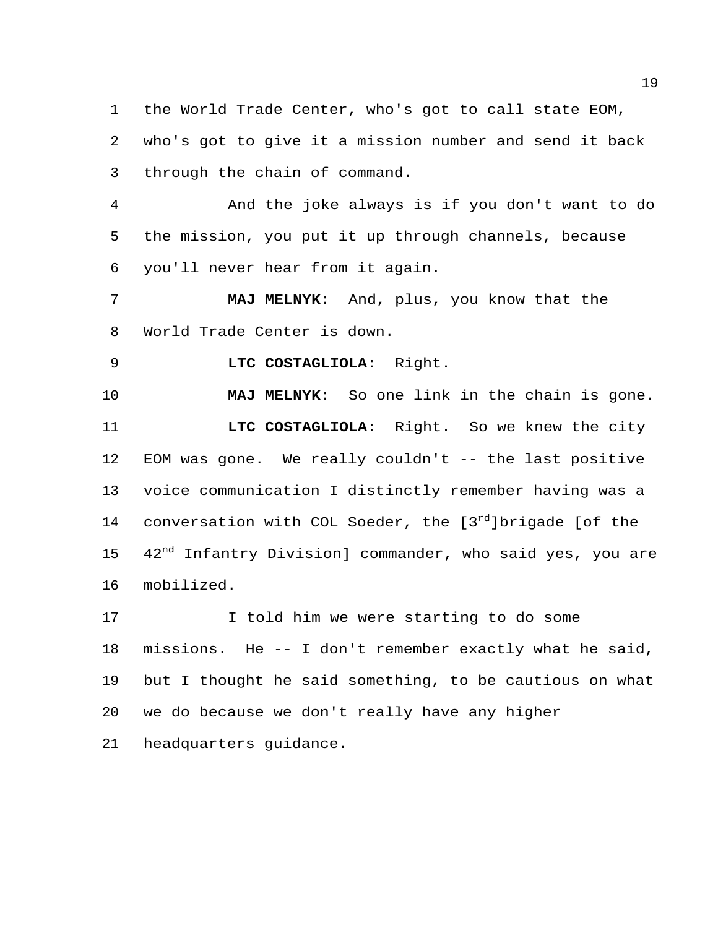the World Trade Center, who's got to call state EOM, who's got to give it a mission number and send it back through the chain of command.

 And the joke always is if you don't want to do the mission, you put it up through channels, because you'll never hear from it again.

 **MAJ MELNYK**: And, plus, you know that the World Trade Center is down.

**LTC COSTAGLIOLA**: Right.

 **MAJ MELNYK**: So one link in the chain is gone. **LTC COSTAGLIOLA**: Right. So we knew the city EOM was gone. We really couldn't -- the last positive voice communication I distinctly remember having was a 14 conversation with COL Soeder, the  $[3<sup>rd</sup>]$ brigade [of the 15 42<sup>nd</sup> Infantry Division] commander, who said yes, you are mobilized.

17 17 I told him we were starting to do some missions. He -- I don't remember exactly what he said, but I thought he said something, to be cautious on what we do because we don't really have any higher headquarters guidance.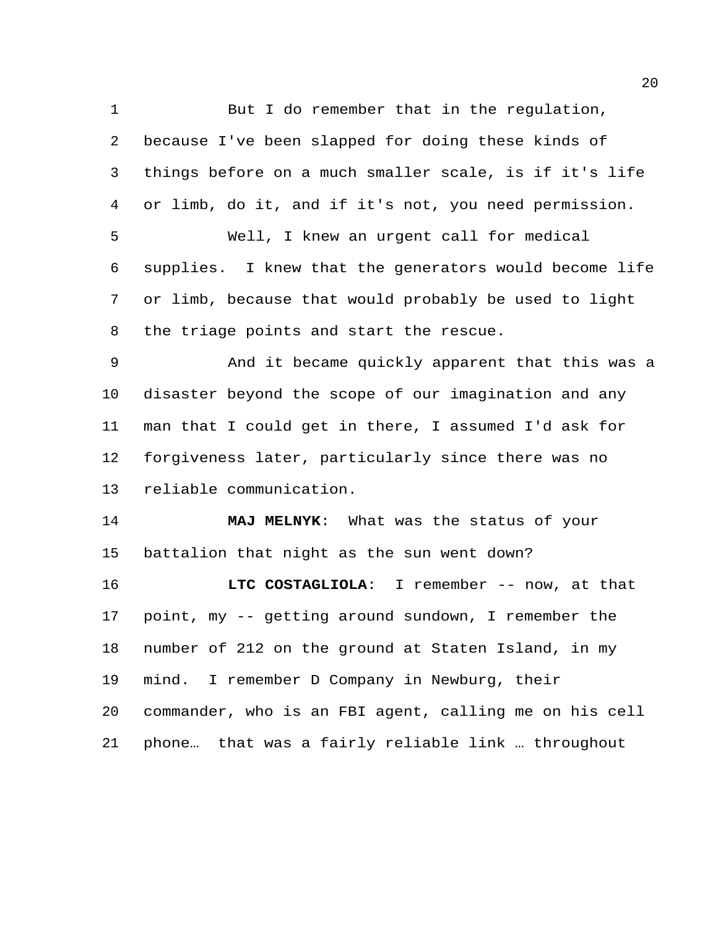1 But I do remember that in the regulation, because I've been slapped for doing these kinds of things before on a much smaller scale, is if it's life or limb, do it, and if it's not, you need permission. Well, I knew an urgent call for medical supplies. I knew that the generators would become life or limb, because that would probably be used to light the triage points and start the rescue. And it became quickly apparent that this was a disaster beyond the scope of our imagination and any man that I could get in there, I assumed I'd ask for forgiveness later, particularly since there was no reliable communication. **MAJ MELNYK**: What was the status of your battalion that night as the sun went down? **LTC COSTAGLIOLA**: I remember -- now, at that point, my -- getting around sundown, I remember the number of 212 on the ground at Staten Island, in my mind. I remember D Company in Newburg, their commander, who is an FBI agent, calling me on his cell

phone… that was a fairly reliable link … throughout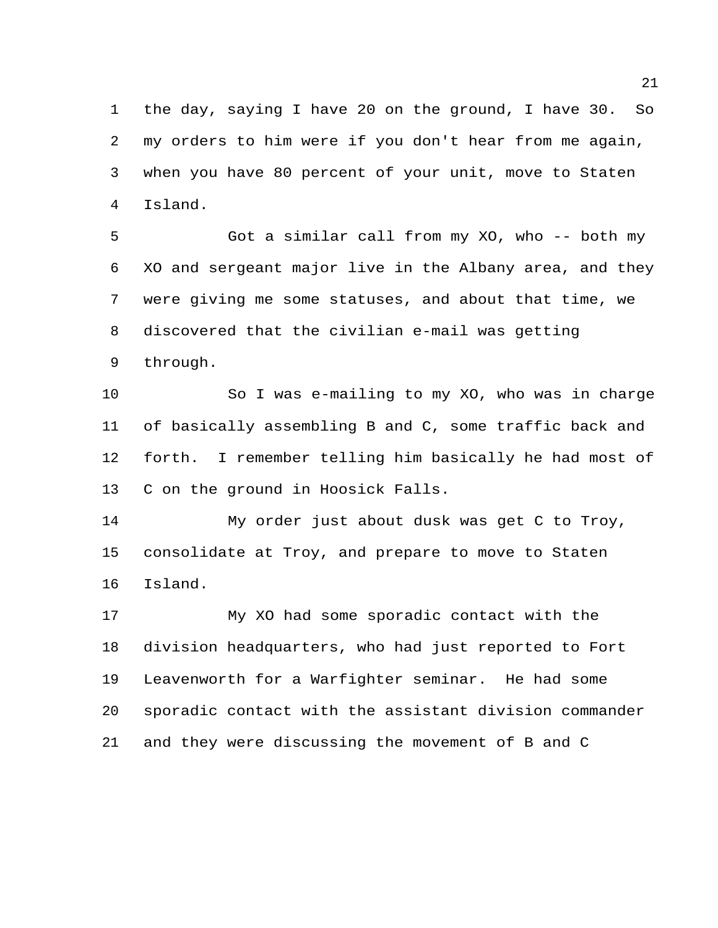the day, saying I have 20 on the ground, I have 30. So my orders to him were if you don't hear from me again, when you have 80 percent of your unit, move to Staten Island.

 Got a similar call from my XO, who -- both my XO and sergeant major live in the Albany area, and they were giving me some statuses, and about that time, we discovered that the civilian e-mail was getting through.

 So I was e-mailing to my XO, who was in charge of basically assembling B and C, some traffic back and forth. I remember telling him basically he had most of C on the ground in Hoosick Falls.

 My order just about dusk was get C to Troy, consolidate at Troy, and prepare to move to Staten Island.

 My XO had some sporadic contact with the division headquarters, who had just reported to Fort Leavenworth for a Warfighter seminar. He had some sporadic contact with the assistant division commander and they were discussing the movement of B and C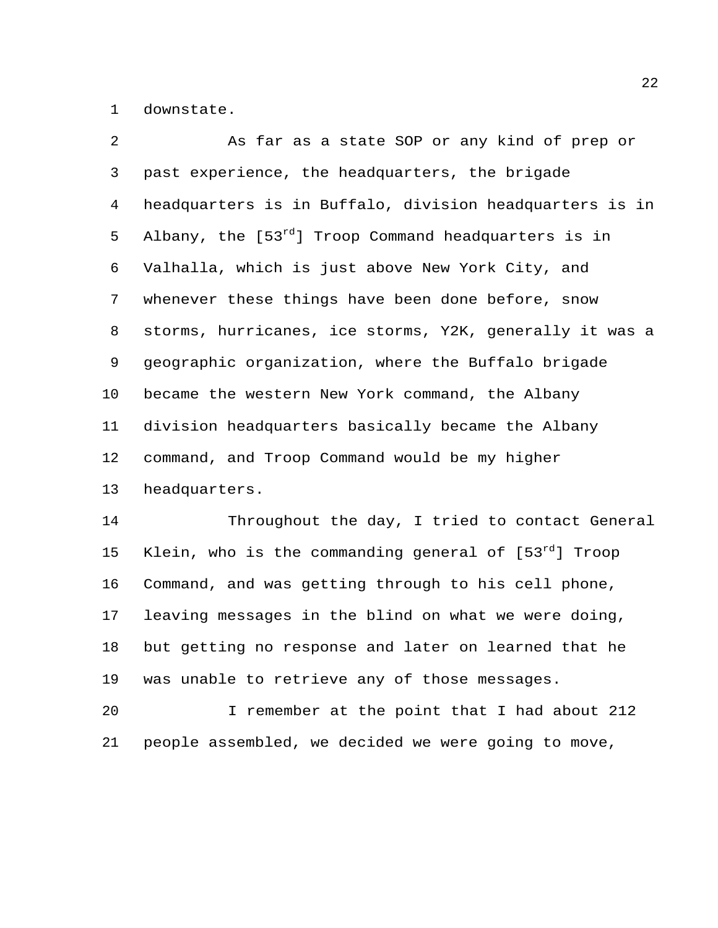downstate.

| $\overline{2}$ | As far as a state SOP or any kind of prep or             |
|----------------|----------------------------------------------------------|
| $\mathsf{3}$   | past experience, the headquarters, the brigade           |
| 4              | headquarters is in Buffalo, division headquarters is in  |
| 5              | Albany, the $[53^{rd}]$ Troop Command headquarters is in |
| 6              | Valhalla, which is just above New York City, and         |
| 7              | whenever these things have been done before, snow        |
| 8              | storms, hurricanes, ice storms, Y2K, generally it was a  |
| 9              | geographic organization, where the Buffalo brigade       |
| 10             | became the western New York command, the Albany          |
| 11             | division headquarters basically became the Albany        |
| 12             | command, and Troop Command would be my higher            |
| 13             | headquarters.                                            |
| 14             | Throughout the day, I tried to contact General           |

15 Klein, who is the commanding general of  $[53^{rd}]$  Troop Command, and was getting through to his cell phone, leaving messages in the blind on what we were doing, but getting no response and later on learned that he was unable to retrieve any of those messages.

 I remember at the point that I had about 212 people assembled, we decided we were going to move,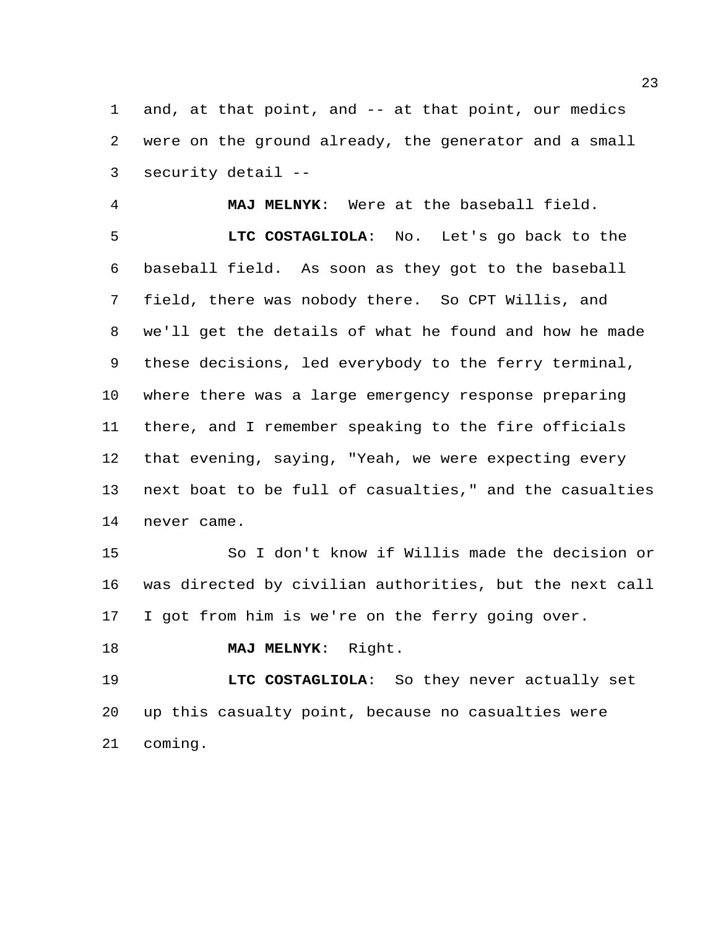and, at that point, and -- at that point, our medics were on the ground already, the generator and a small security detail --

 **MAJ MELNYK**: Were at the baseball field. **LTC COSTAGLIOLA**: No. Let's go back to the baseball field. As soon as they got to the baseball field, there was nobody there. So CPT Willis, and we'll get the details of what he found and how he made these decisions, led everybody to the ferry terminal, where there was a large emergency response preparing there, and I remember speaking to the fire officials that evening, saying, "Yeah, we were expecting every next boat to be full of casualties," and the casualties never came.

 So I don't know if Willis made the decision or was directed by civilian authorities, but the next call I got from him is we're on the ferry going over.

```
18 MAJ MELNYK: Right.
```
 **LTC COSTAGLIOLA**: So they never actually set up this casualty point, because no casualties were coming.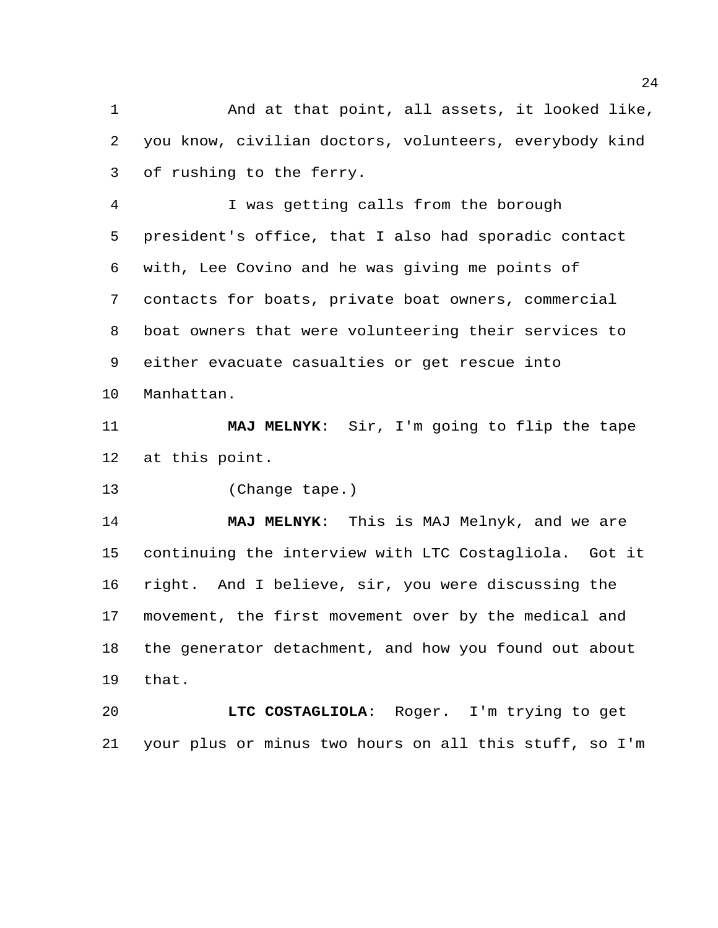And at that point, all assets, it looked like, you know, civilian doctors, volunteers, everybody kind of rushing to the ferry.

 I was getting calls from the borough president's office, that I also had sporadic contact with, Lee Covino and he was giving me points of contacts for boats, private boat owners, commercial boat owners that were volunteering their services to either evacuate casualties or get rescue into Manhattan.

 **MAJ MELNYK**: Sir, I'm going to flip the tape at this point.

(Change tape.)

 **MAJ MELNYK**: This is MAJ Melnyk, and we are continuing the interview with LTC Costagliola. Got it right. And I believe, sir, you were discussing the movement, the first movement over by the medical and the generator detachment, and how you found out about that.

 **LTC COSTAGLIOLA**: Roger. I'm trying to get your plus or minus two hours on all this stuff, so I'm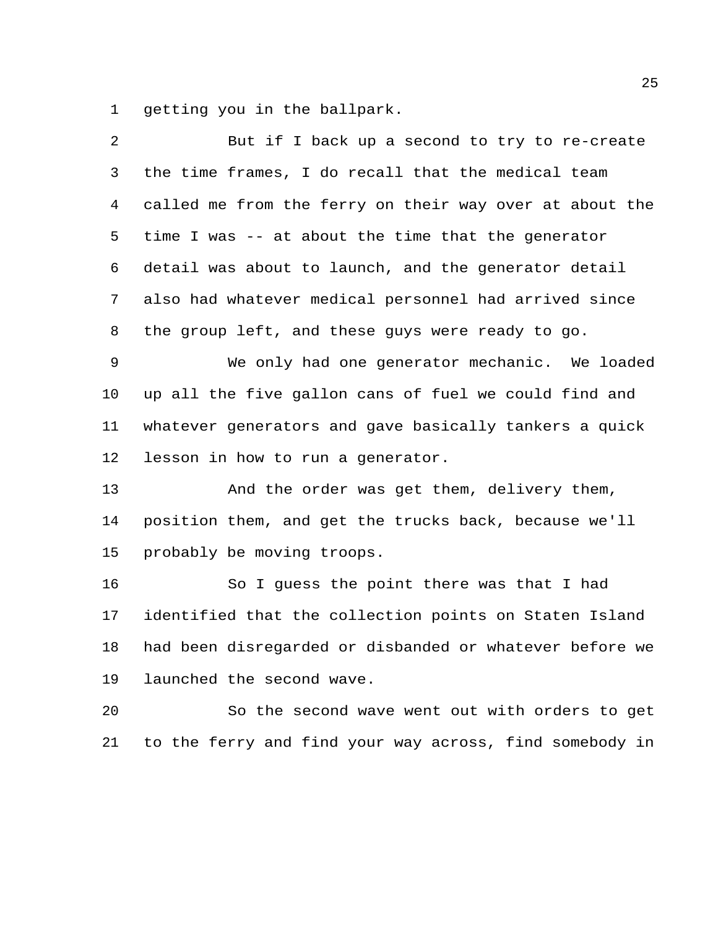getting you in the ballpark.

| 2              | But if I back up a second to try to re-create           |
|----------------|---------------------------------------------------------|
| 3              | the time frames, I do recall that the medical team      |
| $\overline{4}$ | called me from the ferry on their way over at about the |
| 5              | time I was -- at about the time that the generator      |
| 6              | detail was about to launch, and the generator detail    |
| 7              | also had whatever medical personnel had arrived since   |
| 8              | the group left, and these guys were ready to go.        |
| 9              | We only had one generator mechanic. We loaded           |
| 10             | up all the five gallon cans of fuel we could find and   |
| 11             | whatever generators and gave basically tankers a quick  |
| 12             | lesson in how to run a generator.                       |
| 13             | And the order was get them, delivery them,              |
| 14             | position them, and get the trucks back, because we'll   |
| 15             | probably be moving troops.                              |
| 16             | So I guess the point there was that I had               |
| 17             | identified that the collection points on Staten Island  |
| 18             | had been disregarded or disbanded or whatever before we |
| 19             | launched the second wave.                               |
| 20             | So the second wave went out with orders to get          |
|                |                                                         |

to the ferry and find your way across, find somebody in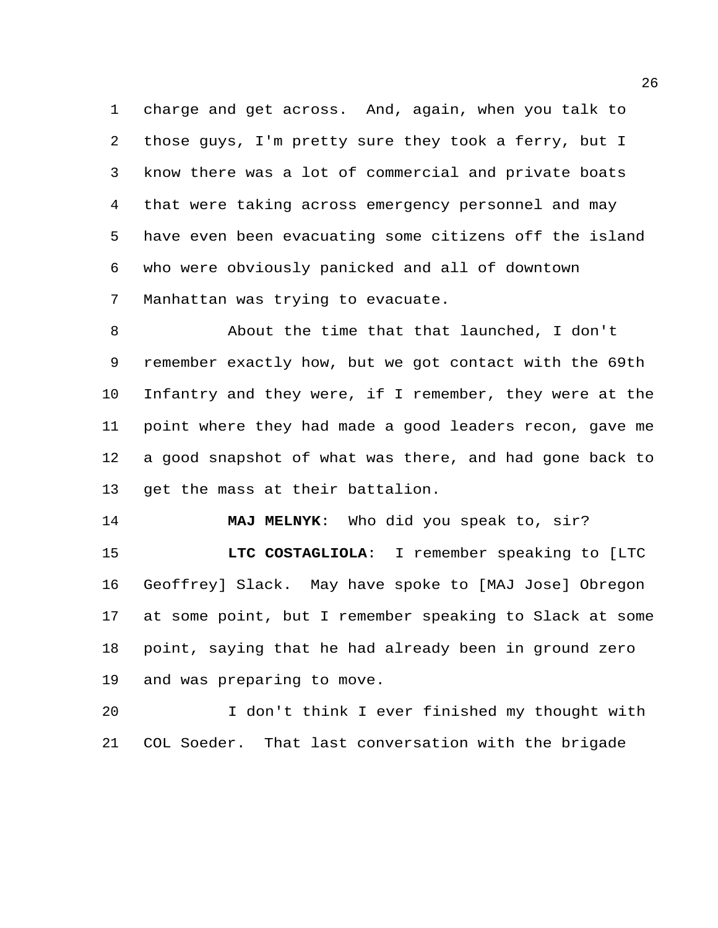charge and get across. And, again, when you talk to those guys, I'm pretty sure they took a ferry, but I know there was a lot of commercial and private boats that were taking across emergency personnel and may have even been evacuating some citizens off the island who were obviously panicked and all of downtown Manhattan was trying to evacuate.

 About the time that that launched, I don't remember exactly how, but we got contact with the 69th Infantry and they were, if I remember, they were at the point where they had made a good leaders recon, gave me a good snapshot of what was there, and had gone back to get the mass at their battalion.

**MAJ MELNYK**: Who did you speak to, sir?

 **LTC COSTAGLIOLA**: I remember speaking to [LTC Geoffrey] Slack. May have spoke to [MAJ Jose] Obregon at some point, but I remember speaking to Slack at some point, saying that he had already been in ground zero and was preparing to move.

 I don't think I ever finished my thought with COL Soeder. That last conversation with the brigade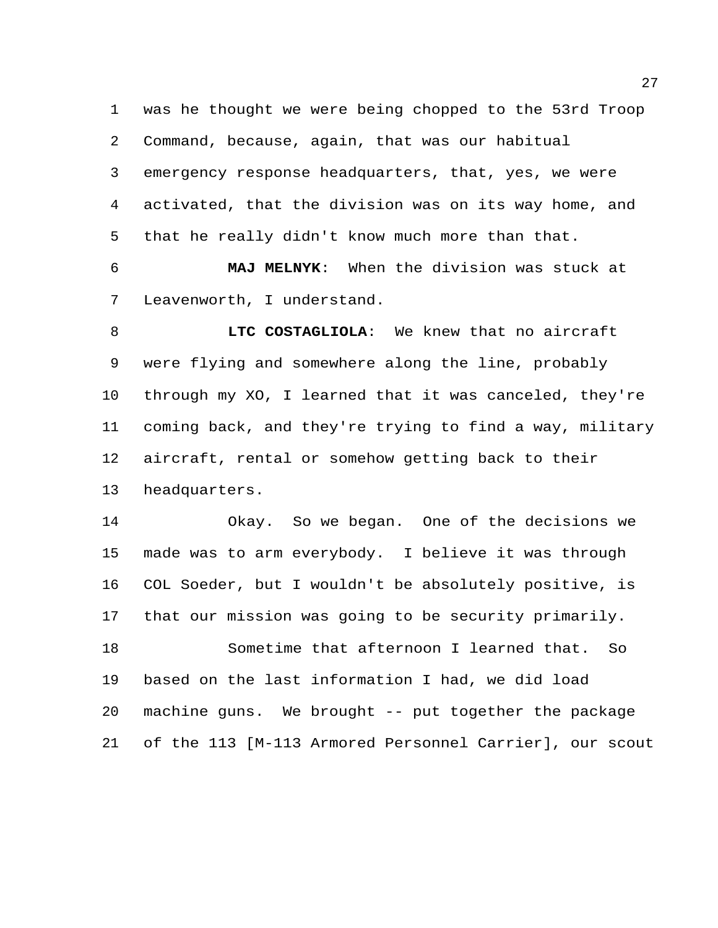was he thought we were being chopped to the 53rd Troop Command, because, again, that was our habitual emergency response headquarters, that, yes, we were activated, that the division was on its way home, and that he really didn't know much more than that.

 **MAJ MELNYK**: When the division was stuck at Leavenworth, I understand.

 **LTC COSTAGLIOLA**: We knew that no aircraft were flying and somewhere along the line, probably through my XO, I learned that it was canceled, they're coming back, and they're trying to find a way, military aircraft, rental or somehow getting back to their headquarters.

 Okay. So we began. One of the decisions we made was to arm everybody. I believe it was through COL Soeder, but I wouldn't be absolutely positive, is that our mission was going to be security primarily. Sometime that afternoon I learned that. So based on the last information I had, we did load machine guns. We brought -- put together the package of the 113 [M-113 Armored Personnel Carrier], our scout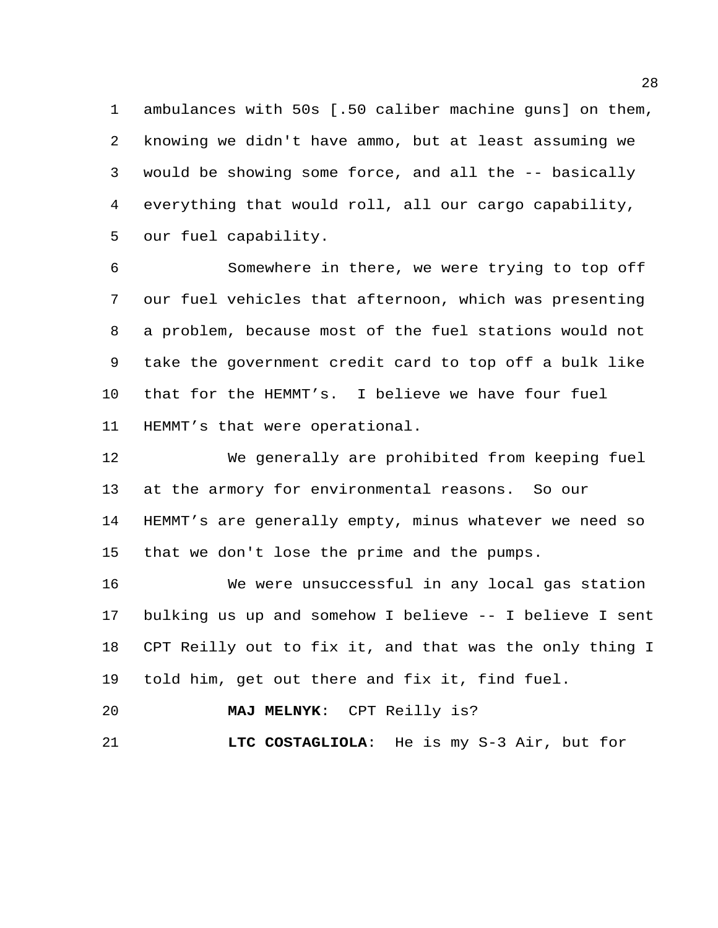ambulances with 50s [.50 caliber machine guns] on them, knowing we didn't have ammo, but at least assuming we would be showing some force, and all the -- basically everything that would roll, all our cargo capability, our fuel capability.

 Somewhere in there, we were trying to top off our fuel vehicles that afternoon, which was presenting a problem, because most of the fuel stations would not take the government credit card to top off a bulk like that for the HEMMT's. I believe we have four fuel HEMMT's that were operational.

 We generally are prohibited from keeping fuel at the armory for environmental reasons. So our HEMMT's are generally empty, minus whatever we need so that we don't lose the prime and the pumps.

 We were unsuccessful in any local gas station bulking us up and somehow I believe -- I believe I sent CPT Reilly out to fix it, and that was the only thing I told him, get out there and fix it, find fuel.

**MAJ MELNYK**: CPT Reilly is?

**LTC COSTAGLIOLA**: He is my S-3 Air, but for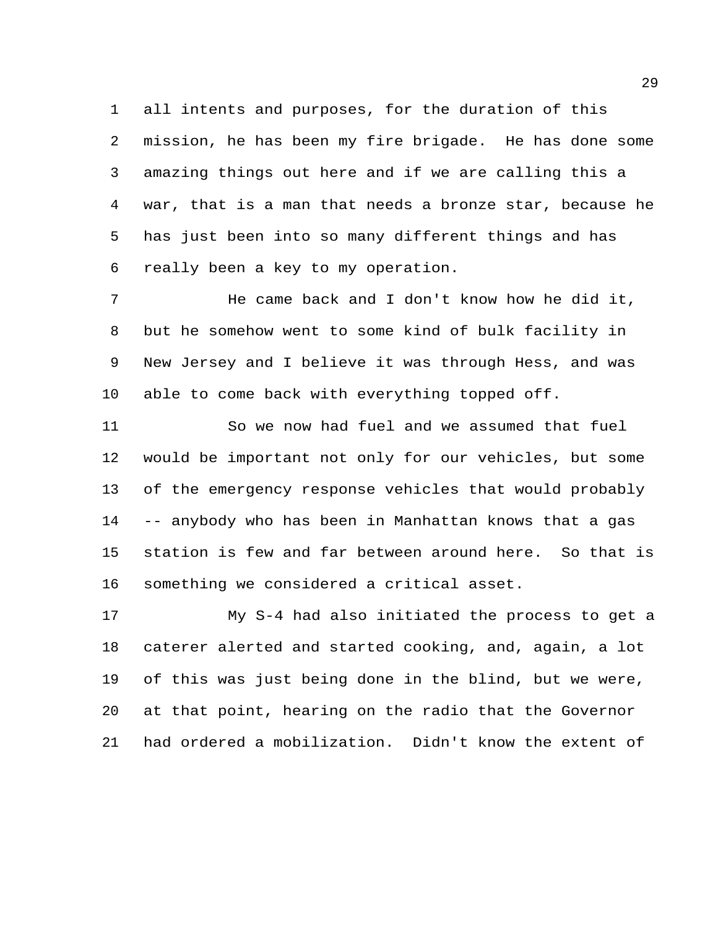all intents and purposes, for the duration of this mission, he has been my fire brigade. He has done some amazing things out here and if we are calling this a war, that is a man that needs a bronze star, because he has just been into so many different things and has really been a key to my operation.

 He came back and I don't know how he did it, but he somehow went to some kind of bulk facility in New Jersey and I believe it was through Hess, and was able to come back with everything topped off.

 So we now had fuel and we assumed that fuel would be important not only for our vehicles, but some of the emergency response vehicles that would probably -- anybody who has been in Manhattan knows that a gas station is few and far between around here. So that is something we considered a critical asset.

 My S-4 had also initiated the process to get a caterer alerted and started cooking, and, again, a lot of this was just being done in the blind, but we were, at that point, hearing on the radio that the Governor had ordered a mobilization. Didn't know the extent of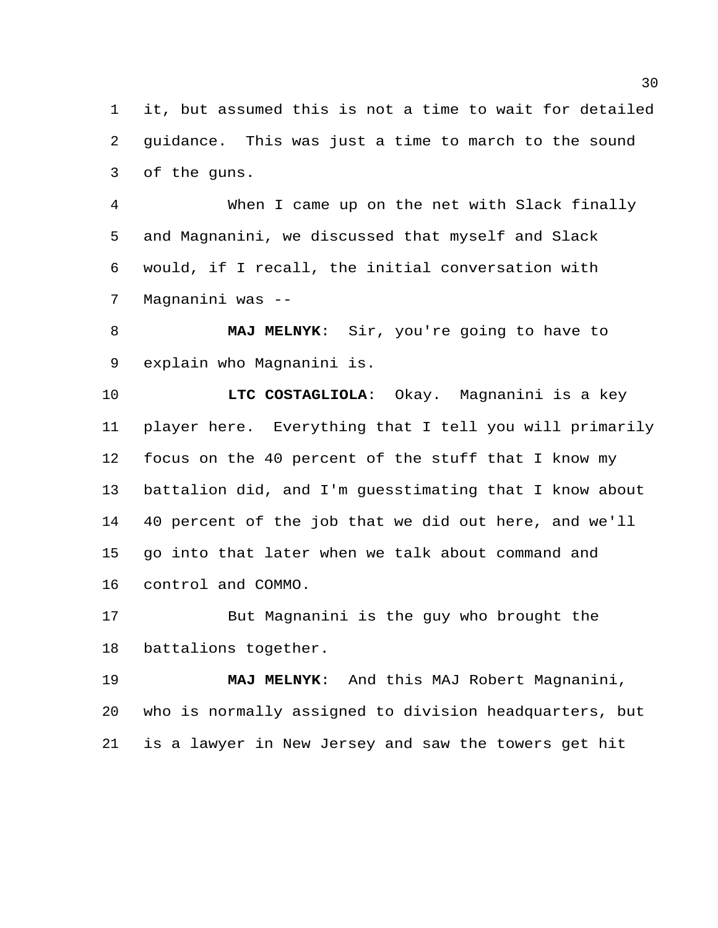it, but assumed this is not a time to wait for detailed guidance. This was just a time to march to the sound of the guns.

 When I came up on the net with Slack finally and Magnanini, we discussed that myself and Slack would, if I recall, the initial conversation with Magnanini was --

 **MAJ MELNYK**: Sir, you're going to have to explain who Magnanini is.

 **LTC COSTAGLIOLA**: Okay. Magnanini is a key player here. Everything that I tell you will primarily focus on the 40 percent of the stuff that I know my battalion did, and I'm guesstimating that I know about 40 percent of the job that we did out here, and we'll go into that later when we talk about command and control and COMMO.

 But Magnanini is the guy who brought the battalions together.

 **MAJ MELNYK**: And this MAJ Robert Magnanini, who is normally assigned to division headquarters, but is a lawyer in New Jersey and saw the towers get hit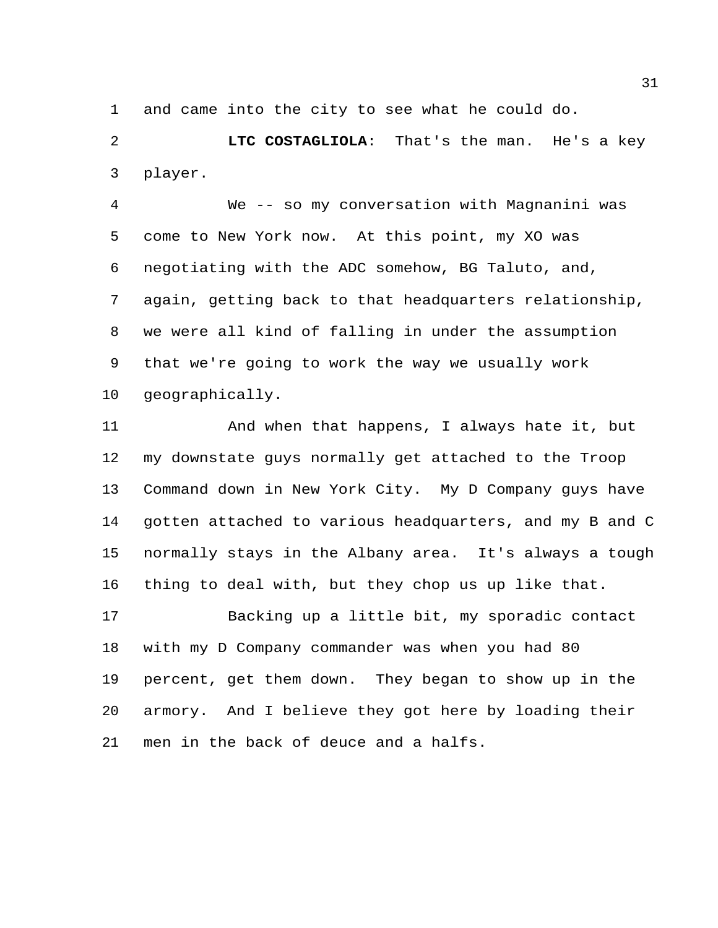and came into the city to see what he could do.

 **LTC COSTAGLIOLA**: That's the man. He's a key player.

 We -- so my conversation with Magnanini was come to New York now. At this point, my XO was negotiating with the ADC somehow, BG Taluto, and, again, getting back to that headquarters relationship, we were all kind of falling in under the assumption that we're going to work the way we usually work geographically.

 And when that happens, I always hate it, but my downstate guys normally get attached to the Troop Command down in New York City. My D Company guys have gotten attached to various headquarters, and my B and C normally stays in the Albany area. It's always a tough thing to deal with, but they chop us up like that.

 Backing up a little bit, my sporadic contact with my D Company commander was when you had 80 percent, get them down. They began to show up in the armory. And I believe they got here by loading their men in the back of deuce and a halfs.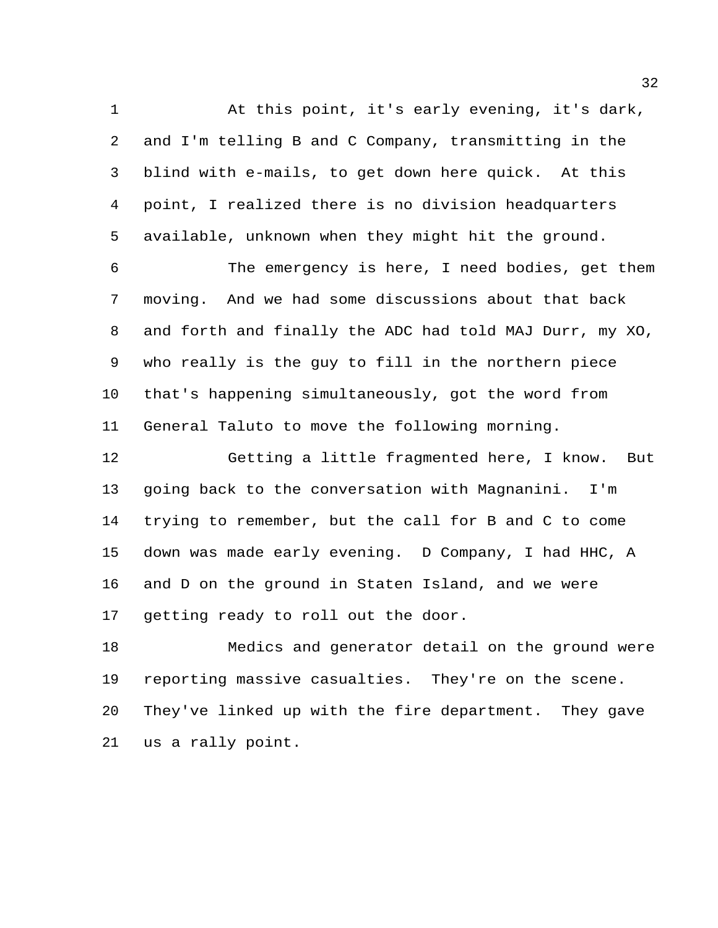At this point, it's early evening, it's dark, and I'm telling B and C Company, transmitting in the blind with e-mails, to get down here quick. At this point, I realized there is no division headquarters available, unknown when they might hit the ground.

 The emergency is here, I need bodies, get them moving. And we had some discussions about that back and forth and finally the ADC had told MAJ Durr, my XO, who really is the guy to fill in the northern piece that's happening simultaneously, got the word from General Taluto to move the following morning.

 Getting a little fragmented here, I know. But going back to the conversation with Magnanini. I'm trying to remember, but the call for B and C to come down was made early evening. D Company, I had HHC, A and D on the ground in Staten Island, and we were getting ready to roll out the door.

 Medics and generator detail on the ground were reporting massive casualties. They're on the scene. They've linked up with the fire department. They gave us a rally point.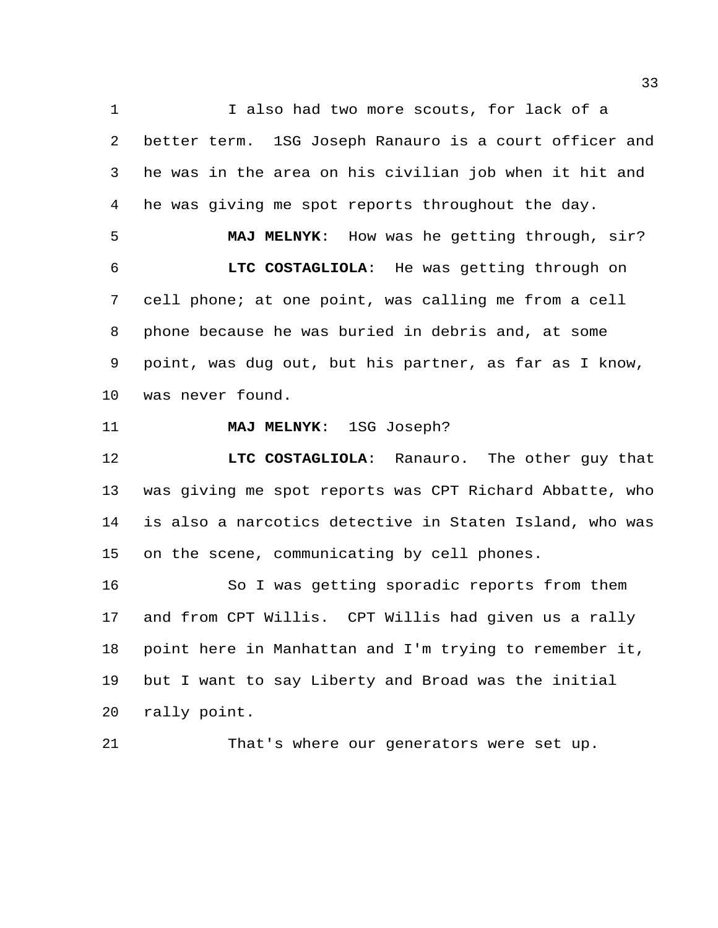1 I also had two more scouts, for lack of a better term. 1SG Joseph Ranauro is a court officer and he was in the area on his civilian job when it hit and he was giving me spot reports throughout the day.

 **MAJ MELNYK**: How was he getting through, sir? **LTC COSTAGLIOLA**: He was getting through on cell phone; at one point, was calling me from a cell phone because he was buried in debris and, at some point, was dug out, but his partner, as far as I know, was never found.

**MAJ MELNYK**: 1SG Joseph?

 **LTC COSTAGLIOLA**: Ranauro. The other guy that was giving me spot reports was CPT Richard Abbatte, who is also a narcotics detective in Staten Island, who was on the scene, communicating by cell phones.

 So I was getting sporadic reports from them and from CPT Willis. CPT Willis had given us a rally point here in Manhattan and I'm trying to remember it, but I want to say Liberty and Broad was the initial rally point.

That's where our generators were set up.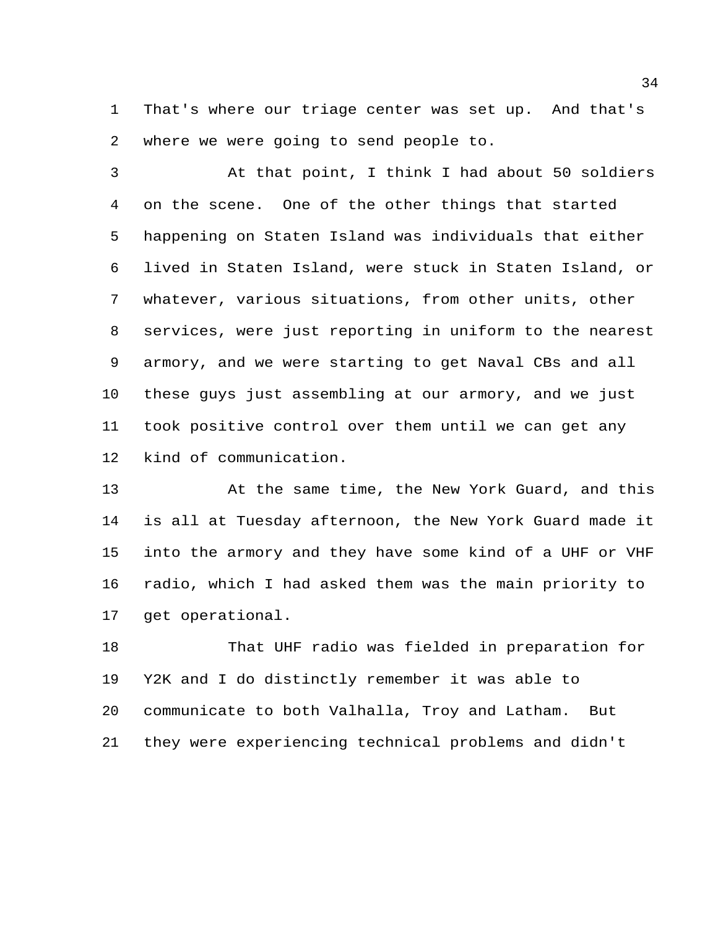That's where our triage center was set up. And that's where we were going to send people to.

 At that point, I think I had about 50 soldiers on the scene. One of the other things that started happening on Staten Island was individuals that either lived in Staten Island, were stuck in Staten Island, or whatever, various situations, from other units, other services, were just reporting in uniform to the nearest armory, and we were starting to get Naval CBs and all these guys just assembling at our armory, and we just took positive control over them until we can get any kind of communication.

 At the same time, the New York Guard, and this is all at Tuesday afternoon, the New York Guard made it into the armory and they have some kind of a UHF or VHF radio, which I had asked them was the main priority to get operational.

 That UHF radio was fielded in preparation for Y2K and I do distinctly remember it was able to communicate to both Valhalla, Troy and Latham. But they were experiencing technical problems and didn't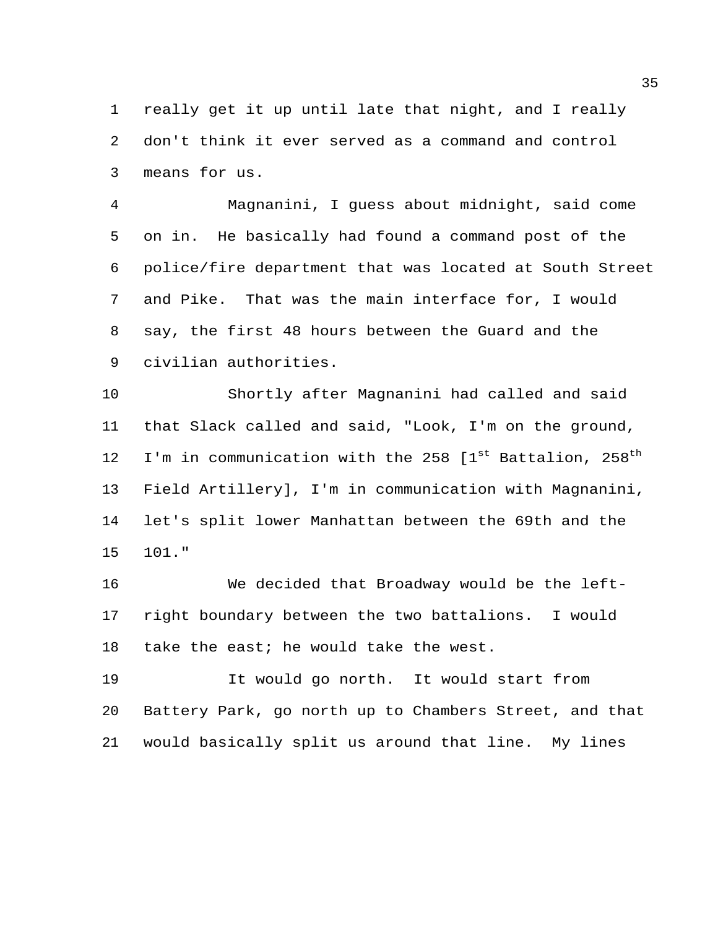really get it up until late that night, and I really don't think it ever served as a command and control means for us.

 Magnanini, I guess about midnight, said come on in. He basically had found a command post of the police/fire department that was located at South Street and Pike. That was the main interface for, I would say, the first 48 hours between the Guard and the civilian authorities.

 Shortly after Magnanini had called and said that Slack called and said, "Look, I'm on the ground, 12 I'm in communication with the 258  $[1<sup>st</sup>$  Battalion, 258<sup>th</sup> Field Artillery], I'm in communication with Magnanini, let's split lower Manhattan between the 69th and the 101."

 We decided that Broadway would be the left- right boundary between the two battalions. I would take the east; he would take the west.

 It would go north. It would start from Battery Park, go north up to Chambers Street, and that would basically split us around that line. My lines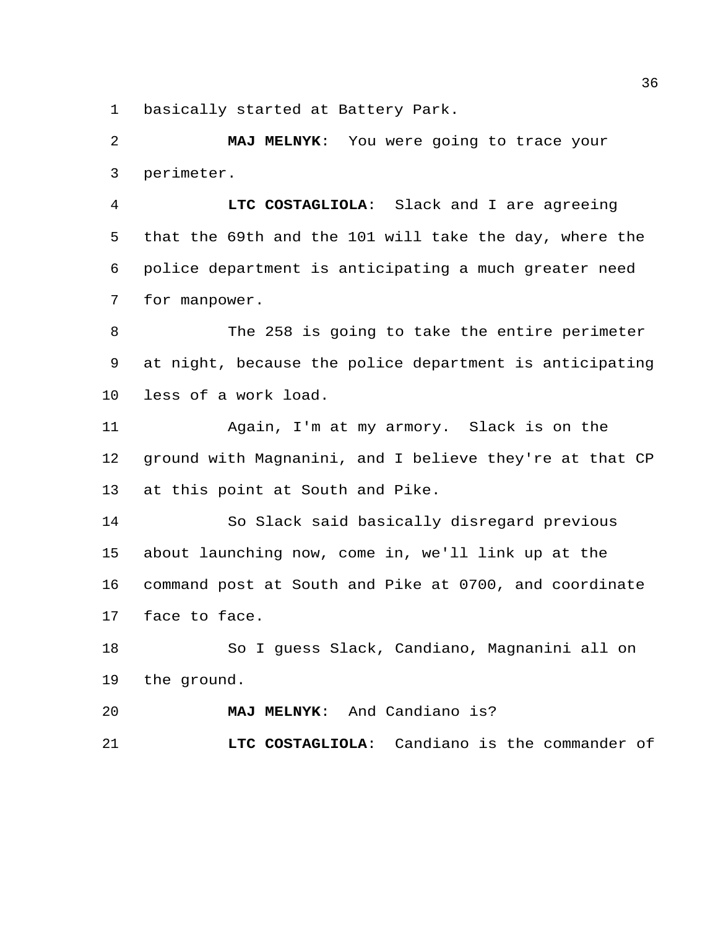basically started at Battery Park.

 **MAJ MELNYK**: You were going to trace your perimeter.

 **LTC COSTAGLIOLA**: Slack and I are agreeing that the 69th and the 101 will take the day, where the police department is anticipating a much greater need for manpower.

 The 258 is going to take the entire perimeter at night, because the police department is anticipating less of a work load.

 Again, I'm at my armory. Slack is on the ground with Magnanini, and I believe they're at that CP at this point at South and Pike.

 So Slack said basically disregard previous about launching now, come in, we'll link up at the command post at South and Pike at 0700, and coordinate face to face.

 So I guess Slack, Candiano, Magnanini all on the ground.

**MAJ MELNYK**: And Candiano is?

**LTC COSTAGLIOLA**: Candiano is the commander of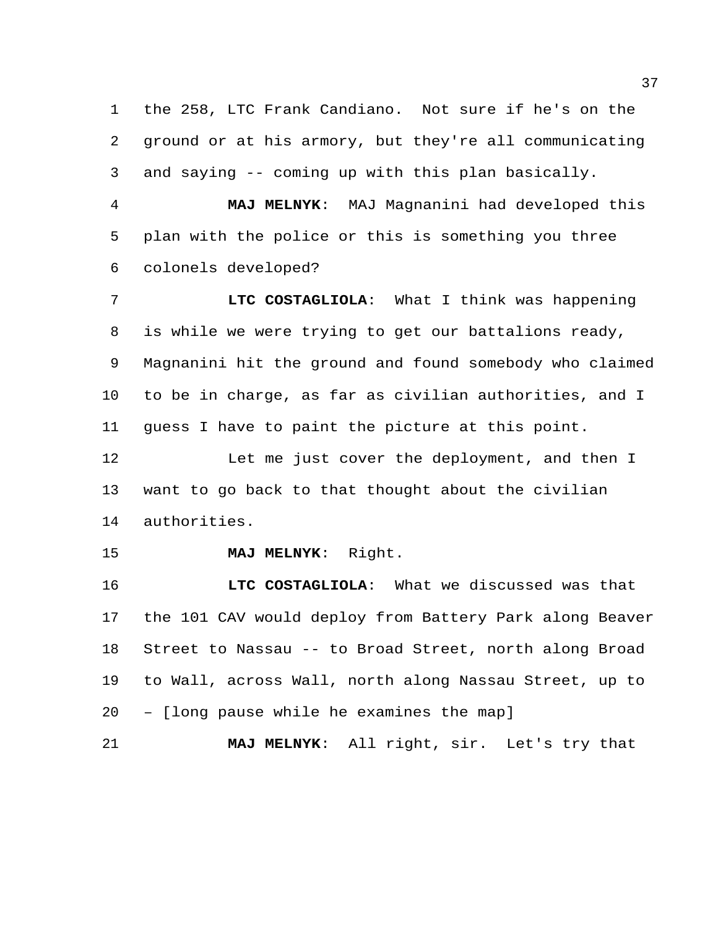the 258, LTC Frank Candiano. Not sure if he's on the ground or at his armory, but they're all communicating and saying -- coming up with this plan basically.

 **MAJ MELNYK**: MAJ Magnanini had developed this plan with the police or this is something you three colonels developed?

 **LTC COSTAGLIOLA**: What I think was happening is while we were trying to get our battalions ready, Magnanini hit the ground and found somebody who claimed to be in charge, as far as civilian authorities, and I guess I have to paint the picture at this point.

12 Let me just cover the deployment, and then I want to go back to that thought about the civilian authorities.

**MAJ MELNYK**: Right.

 **LTC COSTAGLIOLA**: What we discussed was that the 101 CAV would deploy from Battery Park along Beaver Street to Nassau -- to Broad Street, north along Broad to Wall, across Wall, north along Nassau Street, up to – [long pause while he examines the map]

**MAJ MELNYK**: All right, sir. Let's try that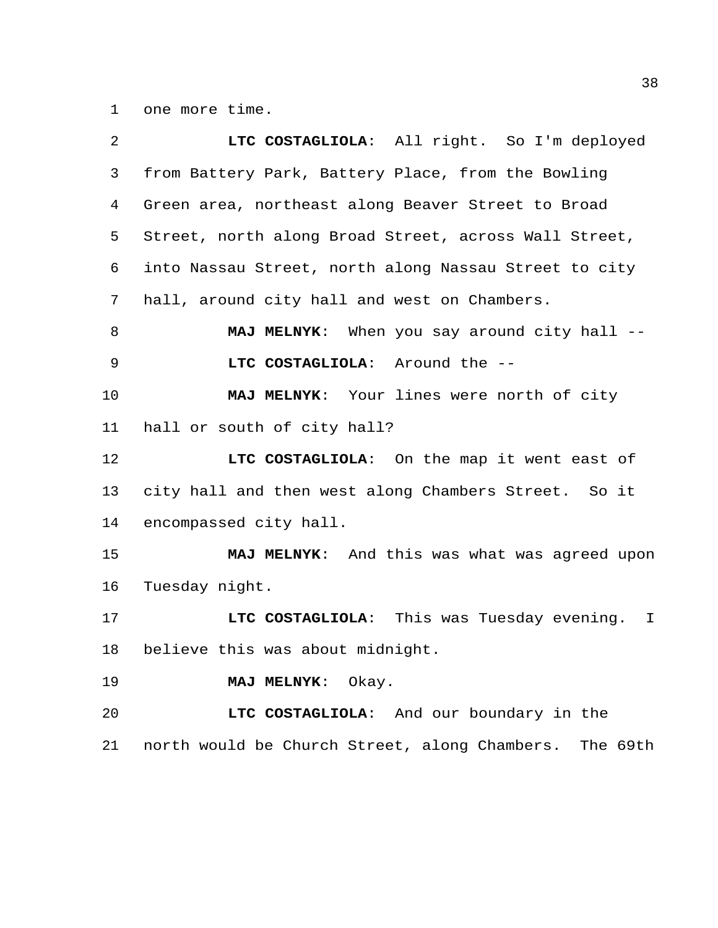one more time.

| $\overline{a}$ | LTC COSTAGLIOLA: All right. So I'm deployed                |
|----------------|------------------------------------------------------------|
| 3              | from Battery Park, Battery Place, from the Bowling         |
| 4              | Green area, northeast along Beaver Street to Broad         |
| 5              | Street, north along Broad Street, across Wall Street,      |
| 6              | into Nassau Street, north along Nassau Street to city      |
| 7              | hall, around city hall and west on Chambers.               |
| 8              | MAJ MELNYK: When you say around city hall --               |
| 9              | LTC COSTAGLIOLA: Around the --                             |
| 10             | MAJ MELNYK: Your lines were north of city                  |
| 11             | hall or south of city hall?                                |
| 12             | LTC COSTAGLIOLA: On the map it went east of                |
| 13             | city hall and then west along Chambers Street. So it       |
| 14             | encompassed city hall.                                     |
| 15             | MAJ MELNYK: And this was what was agreed upon              |
| 16             | Tuesday night.                                             |
| 17             | LTC COSTAGLIOLA: This was Tuesday evening.<br>$\mathbb{I}$ |
| 18             | believe this was about midnight.                           |
| 19             | MAJ MELNYK: Okay.                                          |
| 20             | LTC COSTAGLIOLA: And our boundary in the                   |
| 21             | north would be Church Street, along Chambers.<br>The 69th  |
|                |                                                            |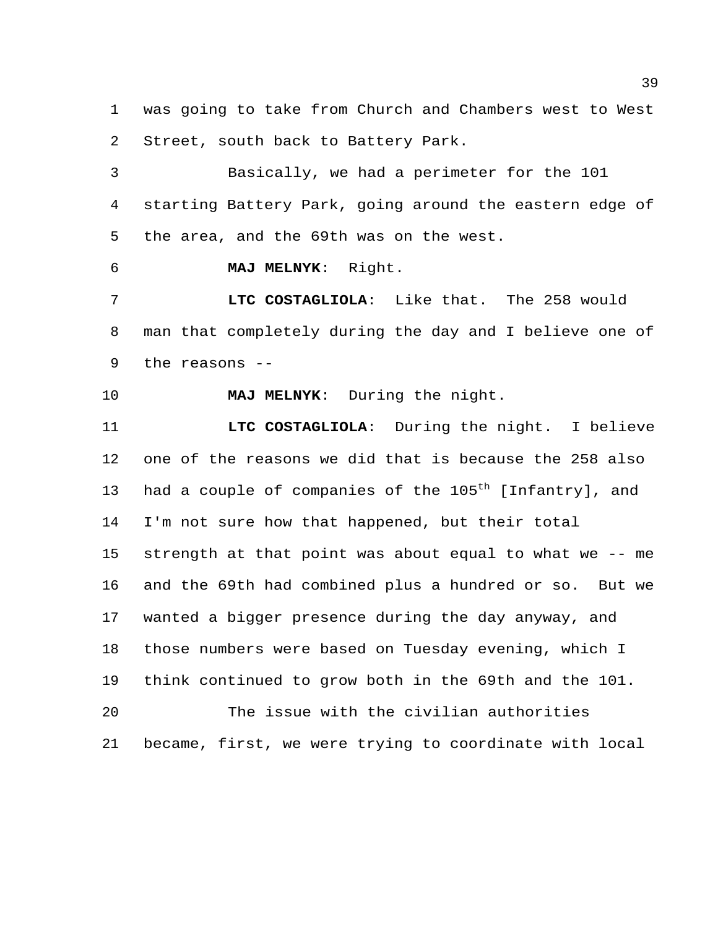was going to take from Church and Chambers west to West Street, south back to Battery Park.

 Basically, we had a perimeter for the 101 starting Battery Park, going around the eastern edge of the area, and the 69th was on the west.

**MAJ MELNYK**: Right.

 **LTC COSTAGLIOLA**: Like that. The 258 would man that completely during the day and I believe one of the reasons --

**MAJ MELNYK**: During the night.

 **LTC COSTAGLIOLA**: During the night. I believe one of the reasons we did that is because the 258 also 13 had a couple of companies of the  $105<sup>th</sup>$  [Infantry], and I'm not sure how that happened, but their total strength at that point was about equal to what we -- me and the 69th had combined plus a hundred or so. But we wanted a bigger presence during the day anyway, and those numbers were based on Tuesday evening, which I think continued to grow both in the 69th and the 101. The issue with the civilian authorities

became, first, we were trying to coordinate with local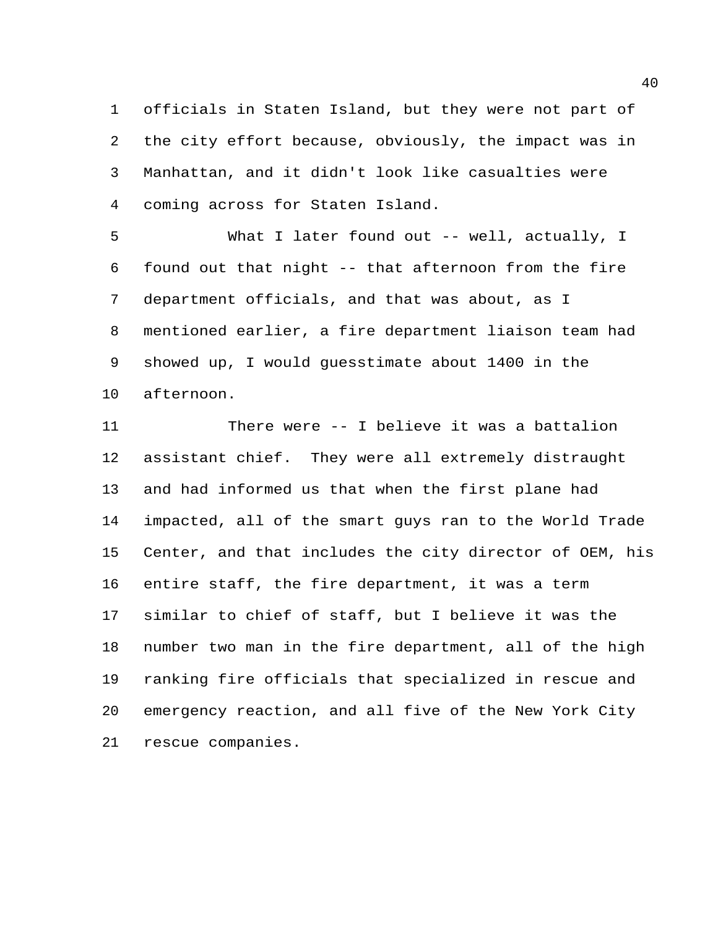officials in Staten Island, but they were not part of the city effort because, obviously, the impact was in Manhattan, and it didn't look like casualties were coming across for Staten Island.

 What I later found out -- well, actually, I found out that night -- that afternoon from the fire department officials, and that was about, as I mentioned earlier, a fire department liaison team had showed up, I would guesstimate about 1400 in the afternoon.

 There were -- I believe it was a battalion assistant chief. They were all extremely distraught and had informed us that when the first plane had impacted, all of the smart guys ran to the World Trade Center, and that includes the city director of OEM, his entire staff, the fire department, it was a term similar to chief of staff, but I believe it was the number two man in the fire department, all of the high ranking fire officials that specialized in rescue and emergency reaction, and all five of the New York City rescue companies.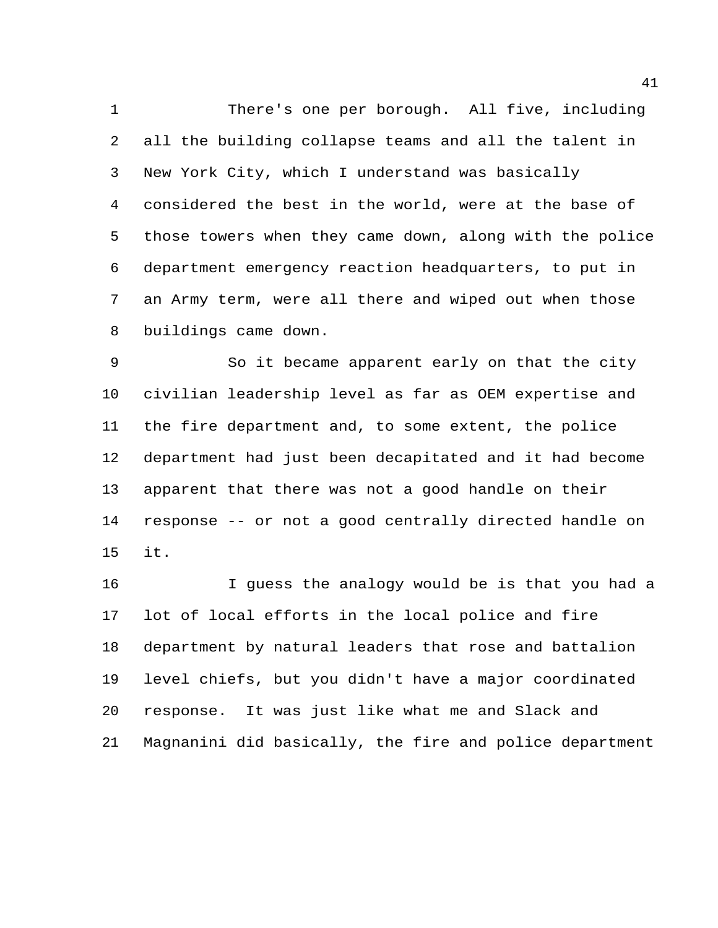There's one per borough. All five, including all the building collapse teams and all the talent in New York City, which I understand was basically considered the best in the world, were at the base of those towers when they came down, along with the police department emergency reaction headquarters, to put in an Army term, were all there and wiped out when those buildings came down.

 So it became apparent early on that the city civilian leadership level as far as OEM expertise and the fire department and, to some extent, the police department had just been decapitated and it had become apparent that there was not a good handle on their response -- or not a good centrally directed handle on it.

 I guess the analogy would be is that you had a lot of local efforts in the local police and fire department by natural leaders that rose and battalion level chiefs, but you didn't have a major coordinated response. It was just like what me and Slack and Magnanini did basically, the fire and police department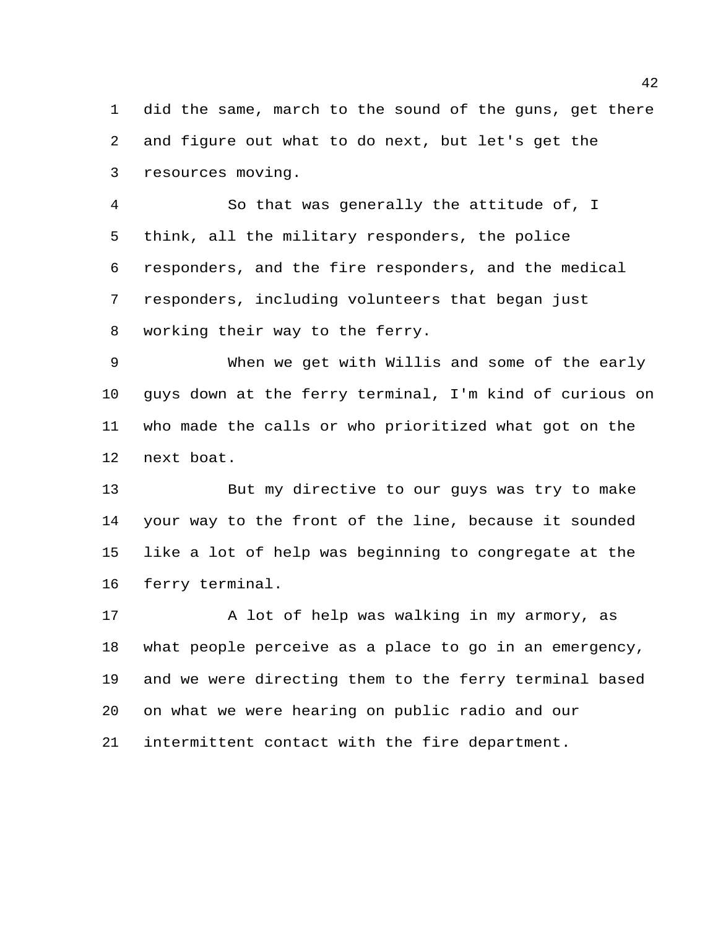did the same, march to the sound of the guns, get there and figure out what to do next, but let's get the resources moving.

 So that was generally the attitude of, I think, all the military responders, the police responders, and the fire responders, and the medical responders, including volunteers that began just working their way to the ferry.

 When we get with Willis and some of the early guys down at the ferry terminal, I'm kind of curious on who made the calls or who prioritized what got on the next boat.

 But my directive to our guys was try to make your way to the front of the line, because it sounded like a lot of help was beginning to congregate at the ferry terminal.

17 A lot of help was walking in my armory, as what people perceive as a place to go in an emergency, and we were directing them to the ferry terminal based on what we were hearing on public radio and our intermittent contact with the fire department.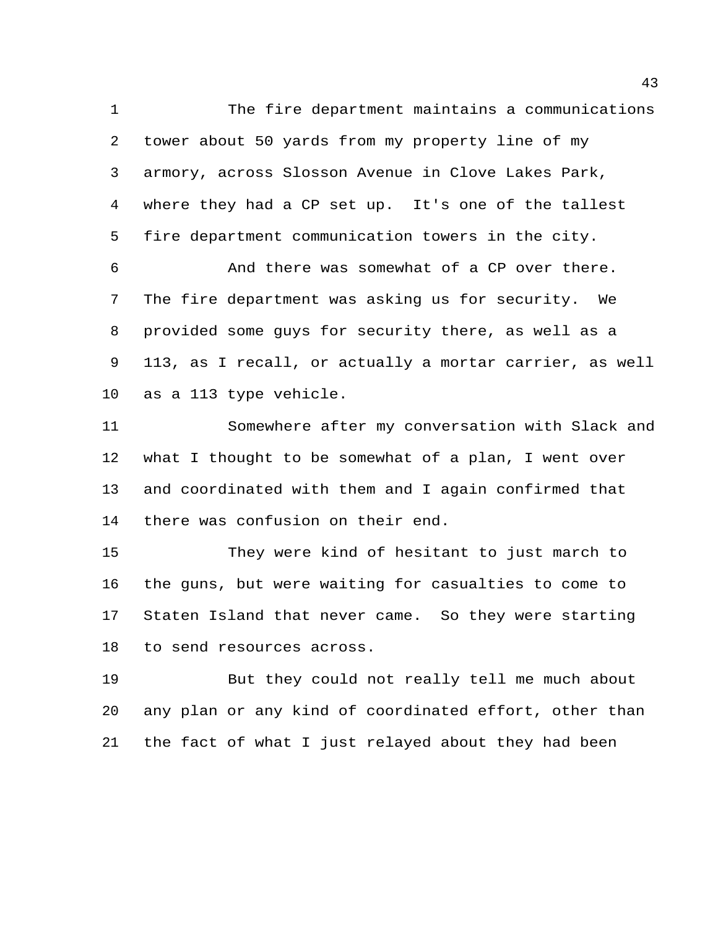The fire department maintains a communications tower about 50 yards from my property line of my armory, across Slosson Avenue in Clove Lakes Park, where they had a CP set up. It's one of the tallest fire department communication towers in the city.

 And there was somewhat of a CP over there. The fire department was asking us for security. We provided some guys for security there, as well as a 113, as I recall, or actually a mortar carrier, as well as a 113 type vehicle.

 Somewhere after my conversation with Slack and what I thought to be somewhat of a plan, I went over and coordinated with them and I again confirmed that there was confusion on their end.

 They were kind of hesitant to just march to the guns, but were waiting for casualties to come to Staten Island that never came. So they were starting to send resources across.

 But they could not really tell me much about any plan or any kind of coordinated effort, other than the fact of what I just relayed about they had been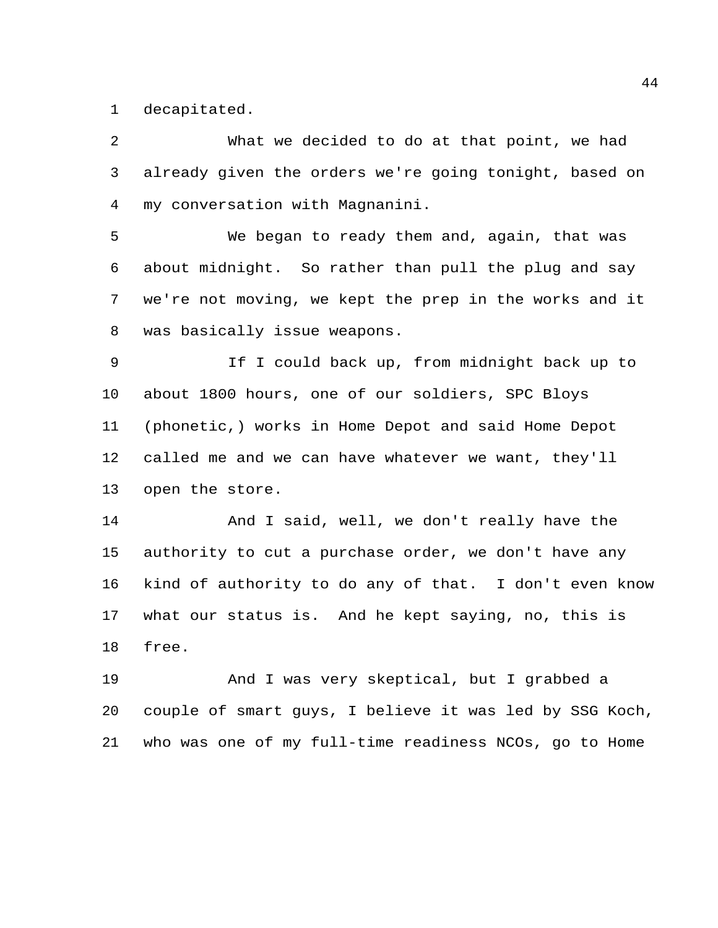decapitated.

 What we decided to do at that point, we had already given the orders we're going tonight, based on my conversation with Magnanini.

 We began to ready them and, again, that was about midnight. So rather than pull the plug and say we're not moving, we kept the prep in the works and it was basically issue weapons.

 If I could back up, from midnight back up to about 1800 hours, one of our soldiers, SPC Bloys (phonetic,) works in Home Depot and said Home Depot called me and we can have whatever we want, they'll open the store.

 And I said, well, we don't really have the authority to cut a purchase order, we don't have any kind of authority to do any of that. I don't even know what our status is. And he kept saying, no, this is free.

 And I was very skeptical, but I grabbed a couple of smart guys, I believe it was led by SSG Koch, who was one of my full-time readiness NCOs, go to Home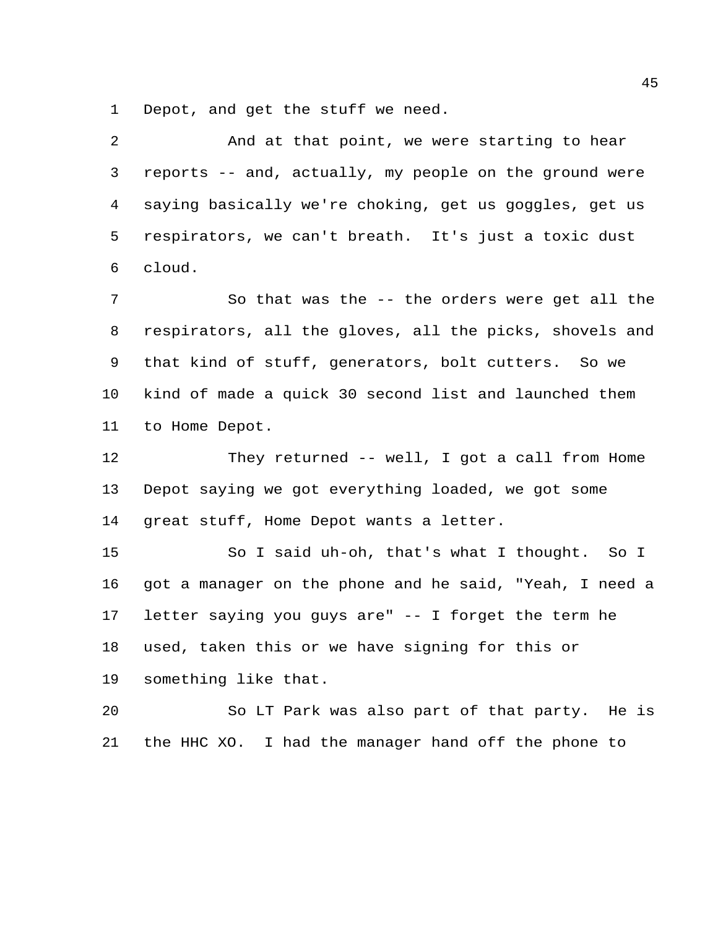Depot, and get the stuff we need.

| 2  | And at that point, we were starting to hear             |
|----|---------------------------------------------------------|
| 3  | reports -- and, actually, my people on the ground were  |
| 4  | saying basically we're choking, get us goggles, get us  |
| 5  | respirators, we can't breath. It's just a toxic dust    |
| 6  | cloud.                                                  |
| 7  | So that was the -- the orders were get all the          |
| 8  | respirators, all the gloves, all the picks, shovels and |
| 9  | that kind of stuff, generators, bolt cutters. So we     |
| 10 | kind of made a quick 30 second list and launched them   |
| 11 | to Home Depot.                                          |
| 12 | They returned -- well, I got a call from Home           |
| 13 | Depot saying we got everything loaded, we got some      |
| 14 | great stuff, Home Depot wants a letter.                 |
| 15 | So I said uh-oh, that's what I thought. So I            |
| 16 | got a manager on the phone and he said, "Yeah, I need a |
| 17 | letter saying you guys are" -- I forget the term he     |
| 18 | used, taken this or we have signing for this or         |
| 19 | something like that.                                    |
| 20 | So LT Park was also part of that party. He is           |
|    |                                                         |

the HHC XO. I had the manager hand off the phone to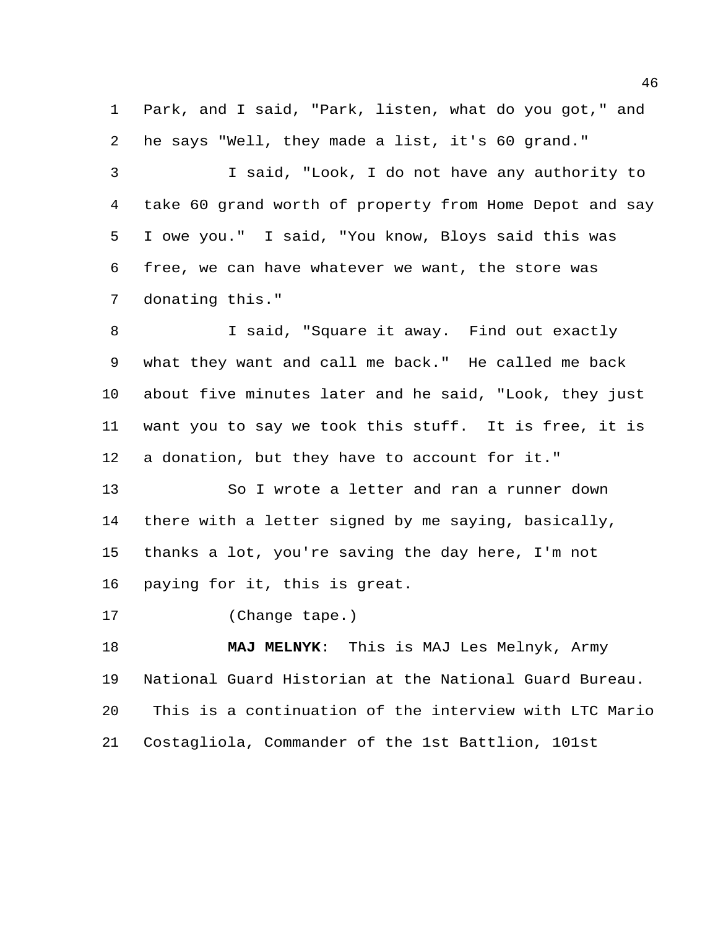Park, and I said, "Park, listen, what do you got," and he says "Well, they made a list, it's 60 grand."

 I said, "Look, I do not have any authority to take 60 grand worth of property from Home Depot and say I owe you." I said, "You know, Bloys said this was free, we can have whatever we want, the store was donating this."

 I said, "Square it away. Find out exactly what they want and call me back." He called me back about five minutes later and he said, "Look, they just want you to say we took this stuff. It is free, it is a donation, but they have to account for it."

 So I wrote a letter and ran a runner down there with a letter signed by me saying, basically, thanks a lot, you're saving the day here, I'm not paying for it, this is great.

(Change tape.)

 **MAJ MELNYK**: This is MAJ Les Melnyk, Army National Guard Historian at the National Guard Bureau. This is a continuation of the interview with LTC Mario Costagliola, Commander of the 1st Battlion, 101st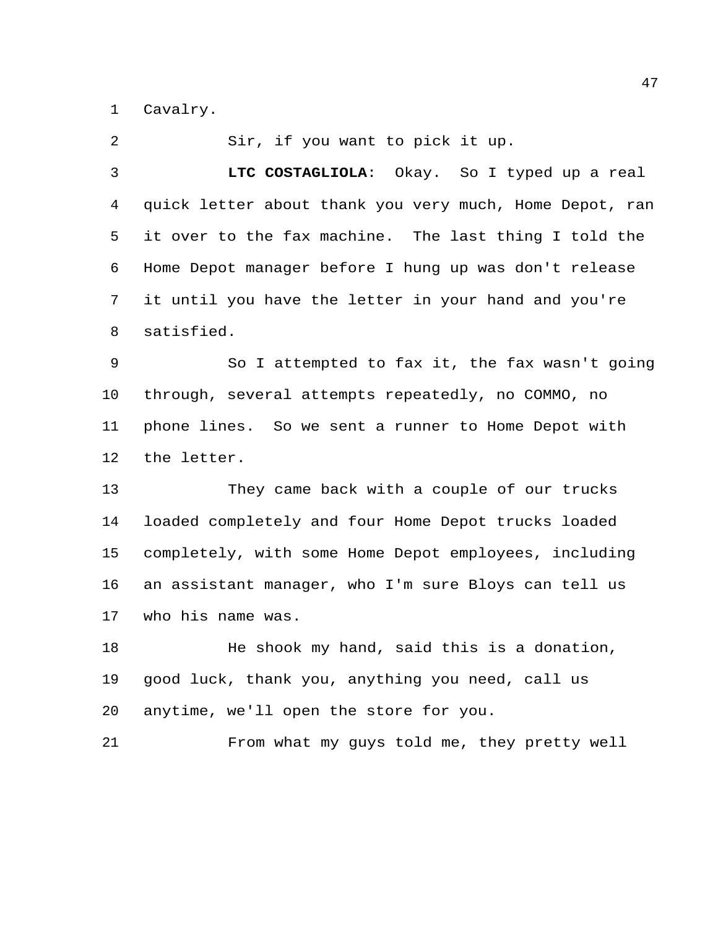Cavalry.

 Sir, if you want to pick it up. **LTC COSTAGLIOLA**: Okay. So I typed up a real quick letter about thank you very much, Home Depot, ran it over to the fax machine. The last thing I told the Home Depot manager before I hung up was don't release it until you have the letter in your hand and you're satisfied. So I attempted to fax it, the fax wasn't going through, several attempts repeatedly, no COMMO, no phone lines. So we sent a runner to Home Depot with the letter. They came back with a couple of our trucks loaded completely and four Home Depot trucks loaded completely, with some Home Depot employees, including an assistant manager, who I'm sure Bloys can tell us who his name was. He shook my hand, said this is a donation, good luck, thank you, anything you need, call us anytime, we'll open the store for you. From what my guys told me, they pretty well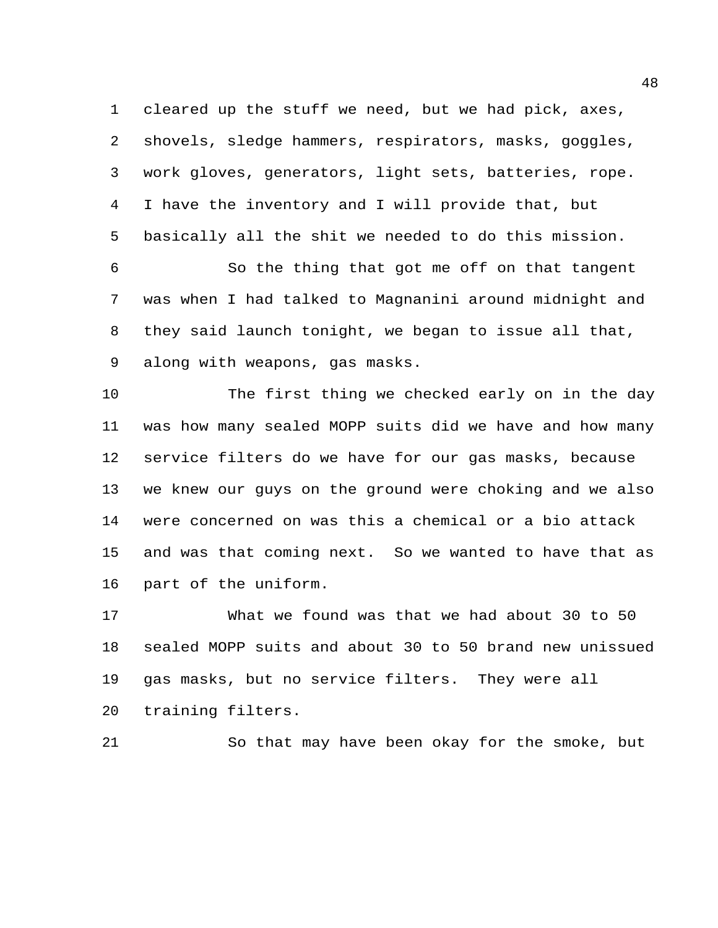cleared up the stuff we need, but we had pick, axes, shovels, sledge hammers, respirators, masks, goggles, work gloves, generators, light sets, batteries, rope. I have the inventory and I will provide that, but basically all the shit we needed to do this mission.

 So the thing that got me off on that tangent was when I had talked to Magnanini around midnight and they said launch tonight, we began to issue all that, along with weapons, gas masks.

 The first thing we checked early on in the day was how many sealed MOPP suits did we have and how many service filters do we have for our gas masks, because we knew our guys on the ground were choking and we also were concerned on was this a chemical or a bio attack and was that coming next. So we wanted to have that as part of the uniform.

 What we found was that we had about 30 to 50 sealed MOPP suits and about 30 to 50 brand new unissued gas masks, but no service filters. They were all training filters.

So that may have been okay for the smoke, but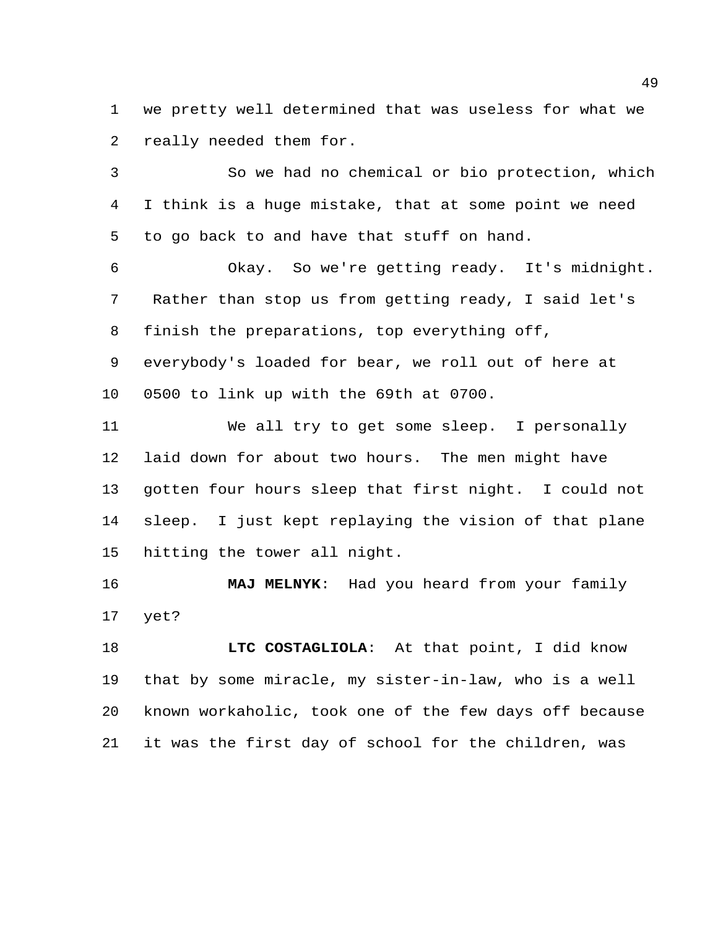we pretty well determined that was useless for what we really needed them for.

 So we had no chemical or bio protection, which I think is a huge mistake, that at some point we need to go back to and have that stuff on hand.

 Okay. So we're getting ready. It's midnight. Rather than stop us from getting ready, I said let's finish the preparations, top everything off, everybody's loaded for bear, we roll out of here at 0500 to link up with the 69th at 0700.

 We all try to get some sleep. I personally laid down for about two hours. The men might have gotten four hours sleep that first night. I could not sleep. I just kept replaying the vision of that plane hitting the tower all night.

 **MAJ MELNYK**: Had you heard from your family yet?

 **LTC COSTAGLIOLA**: At that point, I did know that by some miracle, my sister-in-law, who is a well known workaholic, took one of the few days off because it was the first day of school for the children, was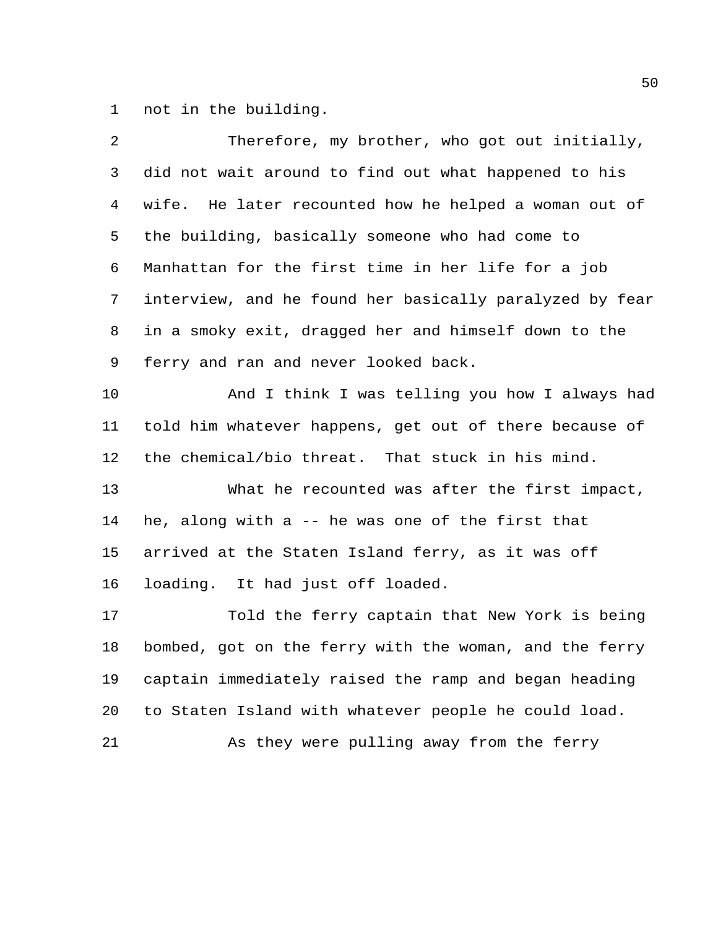not in the building.

| 2  | Therefore, my brother, who got out initially,           |
|----|---------------------------------------------------------|
| 3  | did not wait around to find out what happened to his    |
| 4  | wife. He later recounted how he helped a woman out of   |
| 5  | the building, basically someone who had come to         |
| 6  | Manhattan for the first time in her life for a job      |
| 7  | interview, and he found her basically paralyzed by fear |
| 8  | in a smoky exit, dragged her and himself down to the    |
| 9  | ferry and ran and never looked back.                    |
| 10 | And I think I was telling you how I always had          |
| 11 | told him whatever happens, get out of there because of  |
| 12 | the chemical/bio threat. That stuck in his mind.        |
| 13 | What he recounted was after the first impact,           |
| 14 | he, along with a -- he was one of the first that        |
| 15 | arrived at the Staten Island ferry, as it was off       |
| 16 | loading. It had just off loaded.                        |
| 17 | Told the ferry captain that New York is being           |
| 18 | bombed, got on the ferry with the woman, and the ferry  |
| 19 | captain immediately raised the ramp and began heading   |
| 20 | to Staten Island with whatever people he could load.    |
| 21 | As they were pulling away from the ferry                |
|    |                                                         |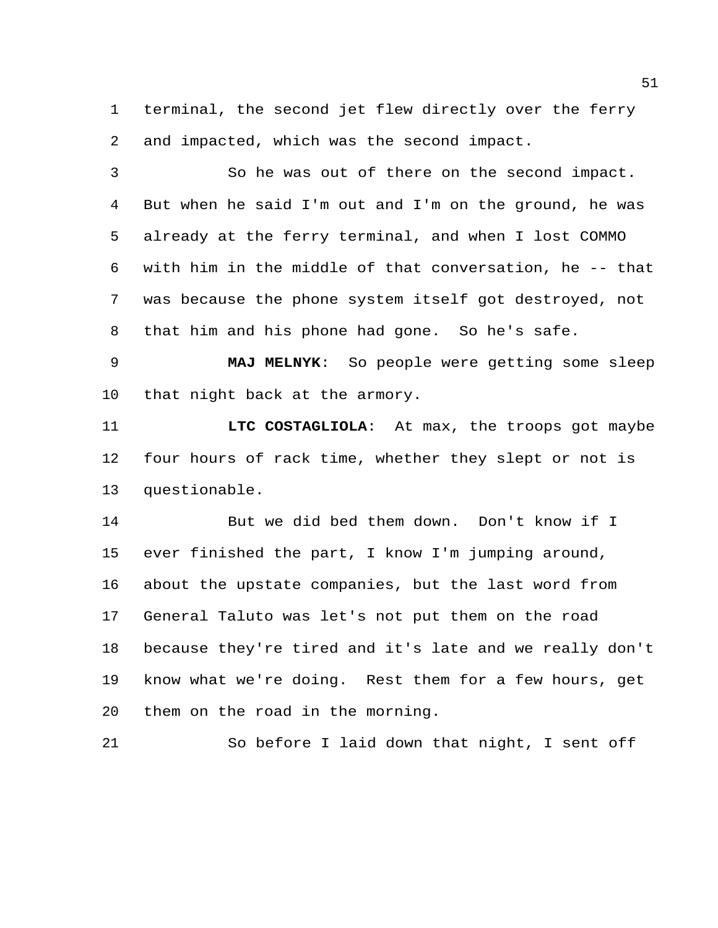terminal, the second jet flew directly over the ferry and impacted, which was the second impact.

 So he was out of there on the second impact. But when he said I'm out and I'm on the ground, he was already at the ferry terminal, and when I lost COMMO with him in the middle of that conversation, he -- that was because the phone system itself got destroyed, not that him and his phone had gone. So he's safe.

 **MAJ MELNYK**: So people were getting some sleep that night back at the armory.

 **LTC COSTAGLIOLA**: At max, the troops got maybe four hours of rack time, whether they slept or not is questionable.

 But we did bed them down. Don't know if I ever finished the part, I know I'm jumping around, about the upstate companies, but the last word from General Taluto was let's not put them on the road because they're tired and it's late and we really don't know what we're doing. Rest them for a few hours, get them on the road in the morning.

So before I laid down that night, I sent off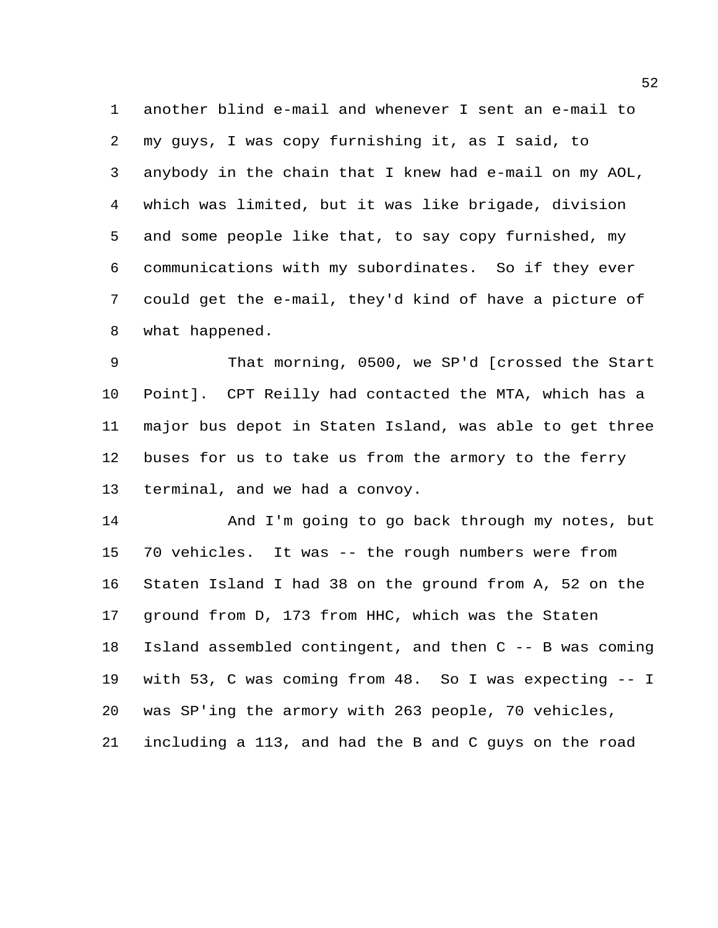another blind e-mail and whenever I sent an e-mail to my guys, I was copy furnishing it, as I said, to anybody in the chain that I knew had e-mail on my AOL, which was limited, but it was like brigade, division and some people like that, to say copy furnished, my communications with my subordinates. So if they ever could get the e-mail, they'd kind of have a picture of what happened.

 That morning, 0500, we SP'd [crossed the Start Point]. CPT Reilly had contacted the MTA, which has a major bus depot in Staten Island, was able to get three buses for us to take us from the armory to the ferry terminal, and we had a convoy.

 And I'm going to go back through my notes, but 70 vehicles. It was -- the rough numbers were from Staten Island I had 38 on the ground from A, 52 on the ground from D, 173 from HHC, which was the Staten Island assembled contingent, and then C -- B was coming with 53, C was coming from 48. So I was expecting -- I was SP'ing the armory with 263 people, 70 vehicles, including a 113, and had the B and C guys on the road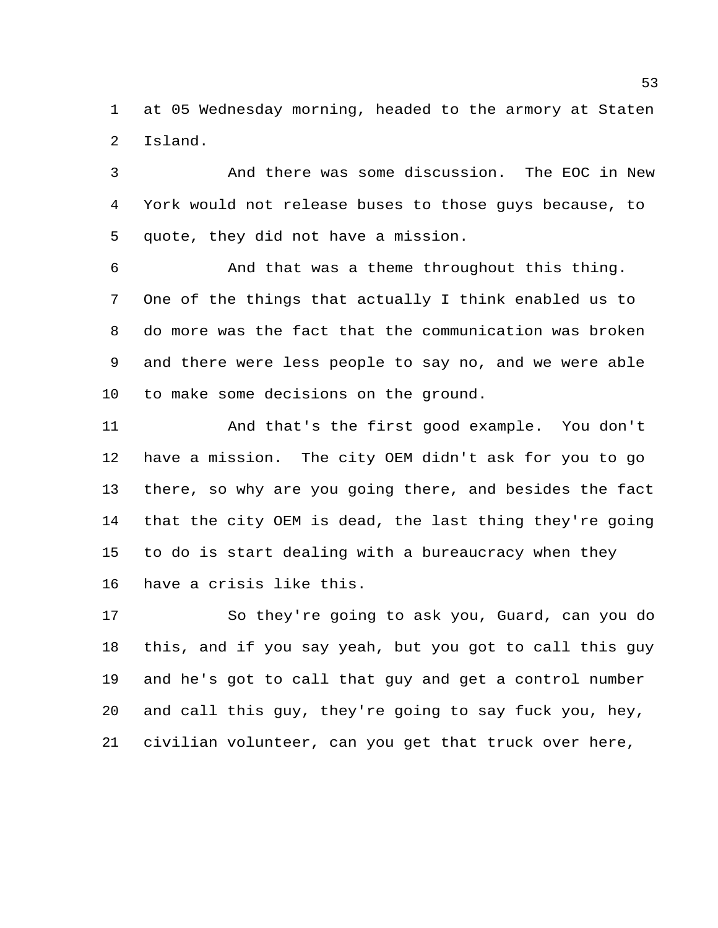at 05 Wednesday morning, headed to the armory at Staten Island.

 And there was some discussion. The EOC in New York would not release buses to those guys because, to quote, they did not have a mission.

 And that was a theme throughout this thing. One of the things that actually I think enabled us to do more was the fact that the communication was broken and there were less people to say no, and we were able to make some decisions on the ground.

 And that's the first good example. You don't have a mission. The city OEM didn't ask for you to go there, so why are you going there, and besides the fact that the city OEM is dead, the last thing they're going to do is start dealing with a bureaucracy when they have a crisis like this.

 So they're going to ask you, Guard, can you do this, and if you say yeah, but you got to call this guy and he's got to call that guy and get a control number and call this guy, they're going to say fuck you, hey, civilian volunteer, can you get that truck over here,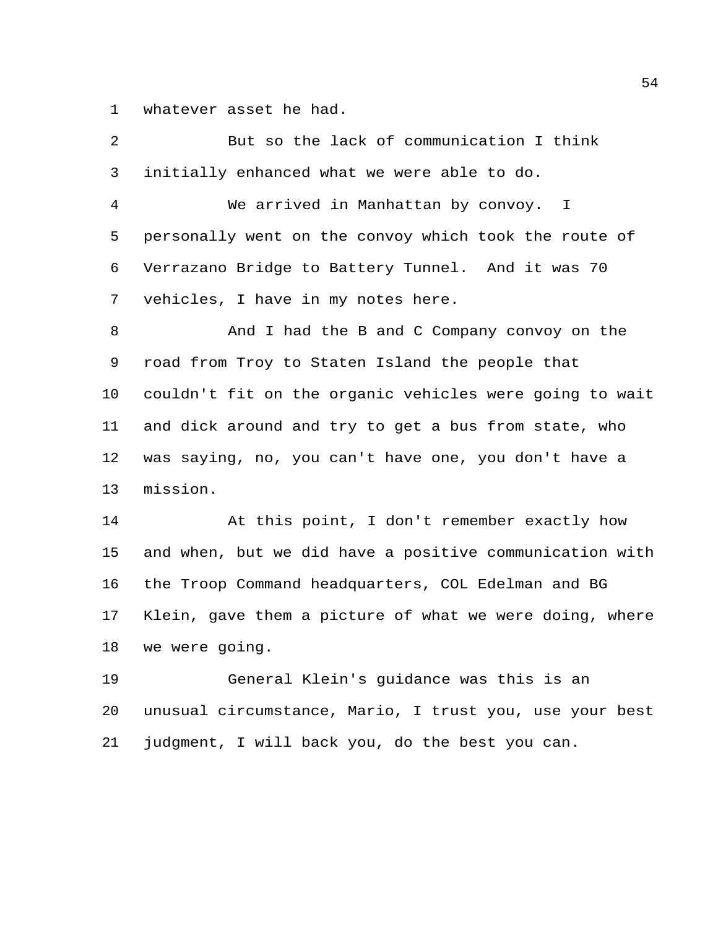whatever asset he had.

| 2  | But so the lack of communication I think                |
|----|---------------------------------------------------------|
| 3  | initially enhanced what we were able to do.             |
| 4  | We arrived in Manhattan by convoy. I                    |
| 5  | personally went on the convoy which took the route of   |
| 6  | Verrazano Bridge to Battery Tunnel. And it was 70       |
| 7  | vehicles, I have in my notes here.                      |
| 8  | And I had the B and C Company convoy on the             |
| 9  | road from Troy to Staten Island the people that         |
| 10 | couldn't fit on the organic vehicles were going to wait |
| 11 | and dick around and try to get a bus from state, who    |
| 12 | was saying, no, you can't have one, you don't have a    |
| 13 | mission.                                                |
| 14 | At this point, I don't remember exactly how             |
| 15 | and when, but we did have a positive communication with |
| 16 | the Troop Command headquarters, COL Edelman and BG      |
| 17 | Klein, gave them a picture of what we were doing, where |
| 18 | we were going.                                          |
| 19 | General Klein's guidance was this is an                 |
| 20 | unusual circumstance, Mario, I trust you, use your best |

judgment, I will back you, do the best you can.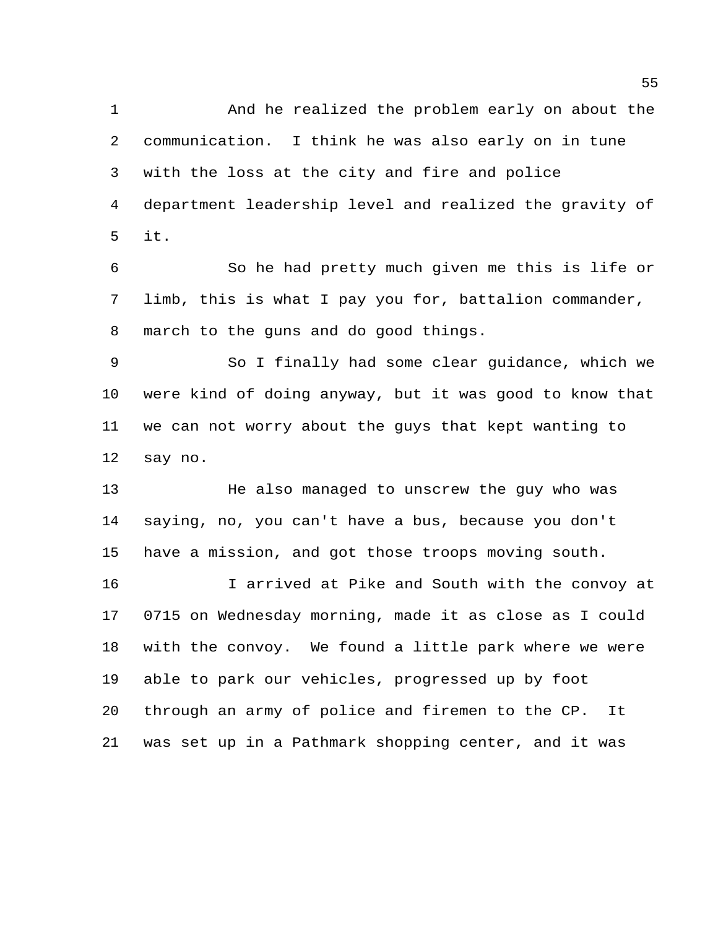And he realized the problem early on about the communication. I think he was also early on in tune with the loss at the city and fire and police department leadership level and realized the gravity of it.

 So he had pretty much given me this is life or limb, this is what I pay you for, battalion commander, march to the guns and do good things.

 So I finally had some clear guidance, which we were kind of doing anyway, but it was good to know that we can not worry about the guys that kept wanting to say no.

 He also managed to unscrew the guy who was saying, no, you can't have a bus, because you don't have a mission, and got those troops moving south.

 I arrived at Pike and South with the convoy at 0715 on Wednesday morning, made it as close as I could with the convoy. We found a little park where we were able to park our vehicles, progressed up by foot through an army of police and firemen to the CP. It was set up in a Pathmark shopping center, and it was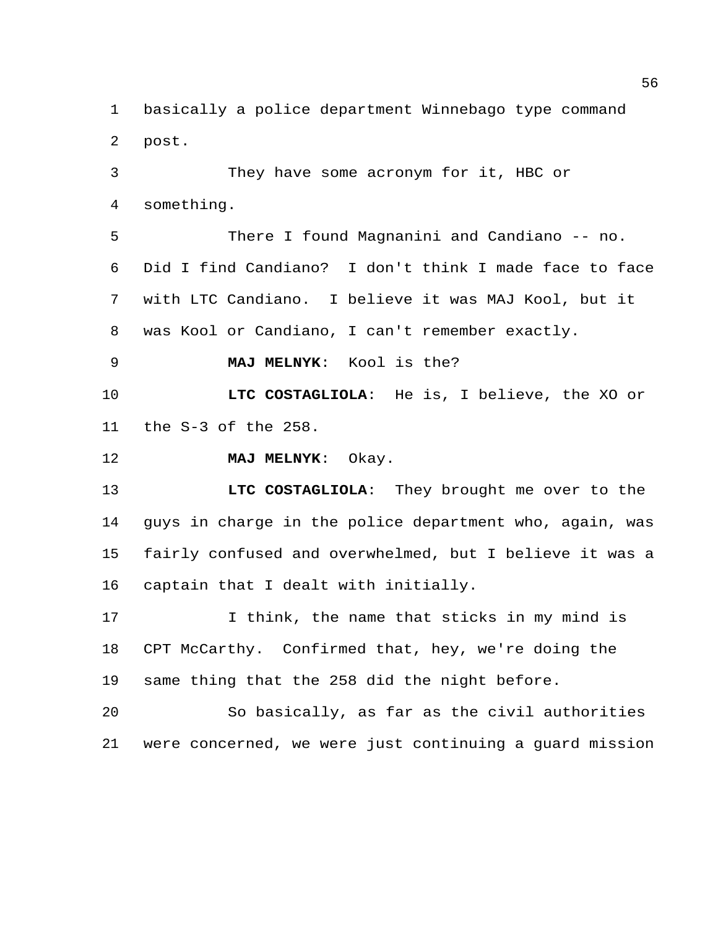basically a police department Winnebago type command post.

 They have some acronym for it, HBC or something.

 There I found Magnanini and Candiano -- no. Did I find Candiano? I don't think I made face to face with LTC Candiano. I believe it was MAJ Kool, but it was Kool or Candiano, I can't remember exactly.

**MAJ MELNYK**: Kool is the?

 **LTC COSTAGLIOLA**: He is, I believe, the XO or the S-3 of the 258.

**MAJ MELNYK**: Okay.

 **LTC COSTAGLIOLA**: They brought me over to the guys in charge in the police department who, again, was fairly confused and overwhelmed, but I believe it was a captain that I dealt with initially.

17 10 I think, the name that sticks in my mind is CPT McCarthy. Confirmed that, hey, we're doing the same thing that the 258 did the night before.

 So basically, as far as the civil authorities were concerned, we were just continuing a guard mission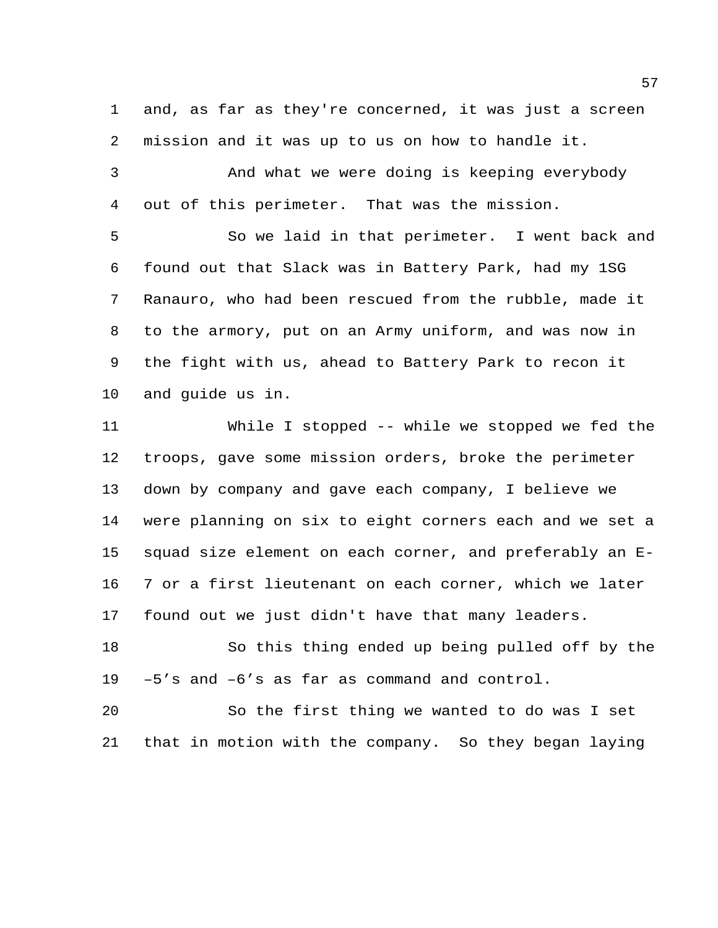and, as far as they're concerned, it was just a screen mission and it was up to us on how to handle it.

 And what we were doing is keeping everybody out of this perimeter. That was the mission.

 So we laid in that perimeter. I went back and found out that Slack was in Battery Park, had my 1SG Ranauro, who had been rescued from the rubble, made it to the armory, put on an Army uniform, and was now in the fight with us, ahead to Battery Park to recon it and guide us in.

 While I stopped -- while we stopped we fed the troops, gave some mission orders, broke the perimeter down by company and gave each company, I believe we were planning on six to eight corners each and we set a squad size element on each corner, and preferably an E- 7 or a first lieutenant on each corner, which we later found out we just didn't have that many leaders.

 So this thing ended up being pulled off by the –5's and –6's as far as command and control.

 So the first thing we wanted to do was I set that in motion with the company. So they began laying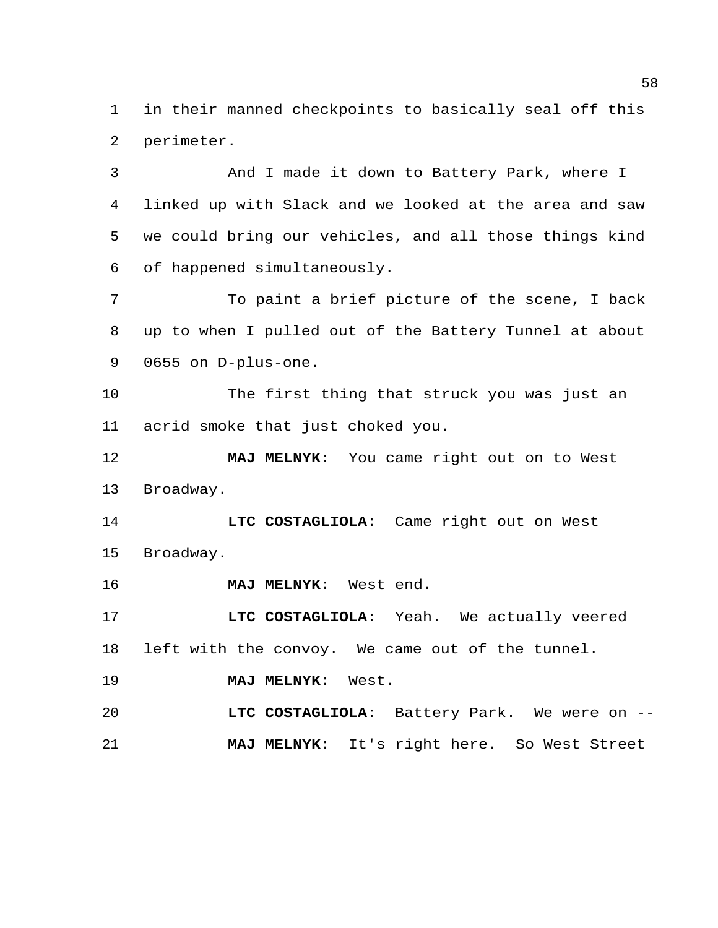in their manned checkpoints to basically seal off this perimeter.

 And I made it down to Battery Park, where I linked up with Slack and we looked at the area and saw we could bring our vehicles, and all those things kind of happened simultaneously.

 To paint a brief picture of the scene, I back up to when I pulled out of the Battery Tunnel at about 0655 on D-plus-one.

 The first thing that struck you was just an acrid smoke that just choked you.

 **MAJ MELNYK**: You came right out on to West Broadway.

 **LTC COSTAGLIOLA**: Came right out on West Broadway.

**MAJ MELNYK**: West end.

 **LTC COSTAGLIOLA**: Yeah. We actually veered left with the convoy. We came out of the tunnel.

**MAJ MELNYK**: West.

 **LTC COSTAGLIOLA**: Battery Park. We were on -- **MAJ MELNYK**: It's right here. So West Street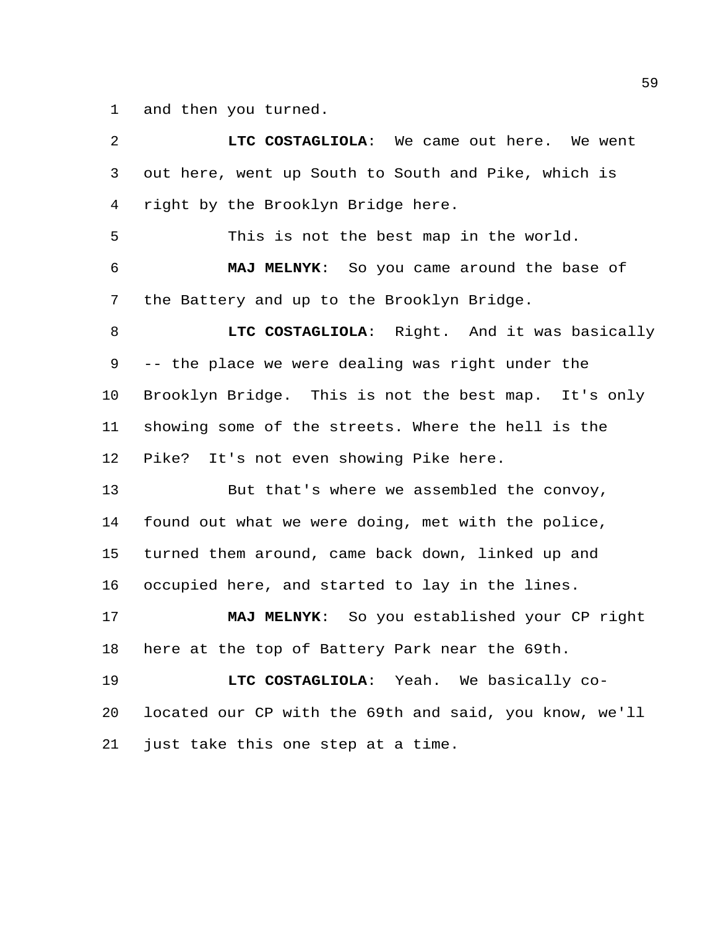and then you turned.

 **LTC COSTAGLIOLA**: We came out here. We went out here, went up South to South and Pike, which is right by the Brooklyn Bridge here. This is not the best map in the world. **MAJ MELNYK**: So you came around the base of the Battery and up to the Brooklyn Bridge. **LTC COSTAGLIOLA**: Right. And it was basically -- the place we were dealing was right under the Brooklyn Bridge. This is not the best map. It's only showing some of the streets. Where the hell is the Pike? It's not even showing Pike here. But that's where we assembled the convoy, found out what we were doing, met with the police, turned them around, came back down, linked up and occupied here, and started to lay in the lines. **MAJ MELNYK**: So you established your CP right here at the top of Battery Park near the 69th. **LTC COSTAGLIOLA**: Yeah. We basically co- located our CP with the 69th and said, you know, we'll just take this one step at a time.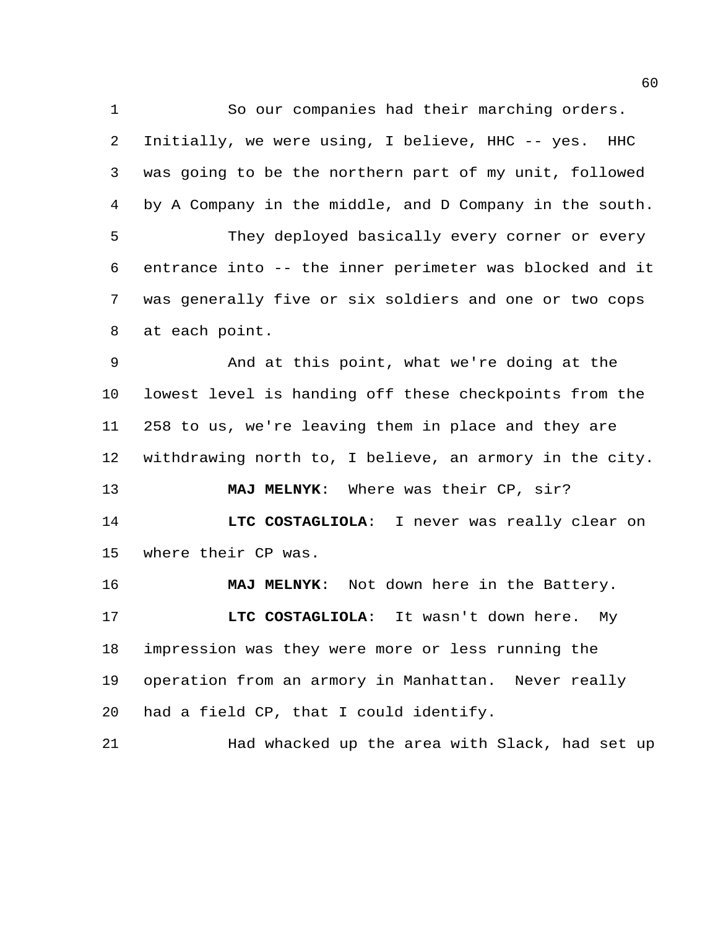So our companies had their marching orders.

 Initially, we were using, I believe, HHC -- yes. HHC was going to be the northern part of my unit, followed by A Company in the middle, and D Company in the south. They deployed basically every corner or every entrance into -- the inner perimeter was blocked and it was generally five or six soldiers and one or two cops at each point. And at this point, what we're doing at the lowest level is handing off these checkpoints from the 258 to us, we're leaving them in place and they are withdrawing north to, I believe, an armory in the city. **MAJ MELNYK**: Where was their CP, sir? **LTC COSTAGLIOLA**: I never was really clear on where their CP was. **MAJ MELNYK**: Not down here in the Battery. **LTC COSTAGLIOLA**: It wasn't down here. My impression was they were more or less running the operation from an armory in Manhattan. Never really had a field CP, that I could identify. Had whacked up the area with Slack, had set up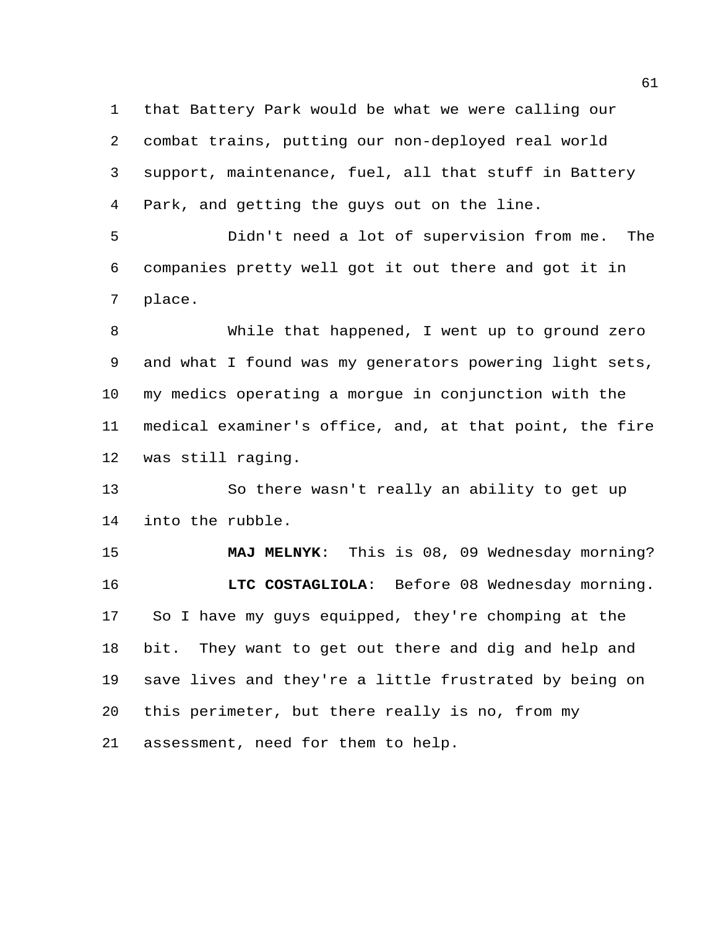that Battery Park would be what we were calling our combat trains, putting our non-deployed real world support, maintenance, fuel, all that stuff in Battery Park, and getting the guys out on the line.

 Didn't need a lot of supervision from me. The companies pretty well got it out there and got it in place.

 While that happened, I went up to ground zero and what I found was my generators powering light sets, my medics operating a morgue in conjunction with the medical examiner's office, and, at that point, the fire was still raging.

 So there wasn't really an ability to get up into the rubble.

 **MAJ MELNYK**: This is 08, 09 Wednesday morning? **LTC COSTAGLIOLA**: Before 08 Wednesday morning. So I have my guys equipped, they're chomping at the bit. They want to get out there and dig and help and save lives and they're a little frustrated by being on this perimeter, but there really is no, from my assessment, need for them to help.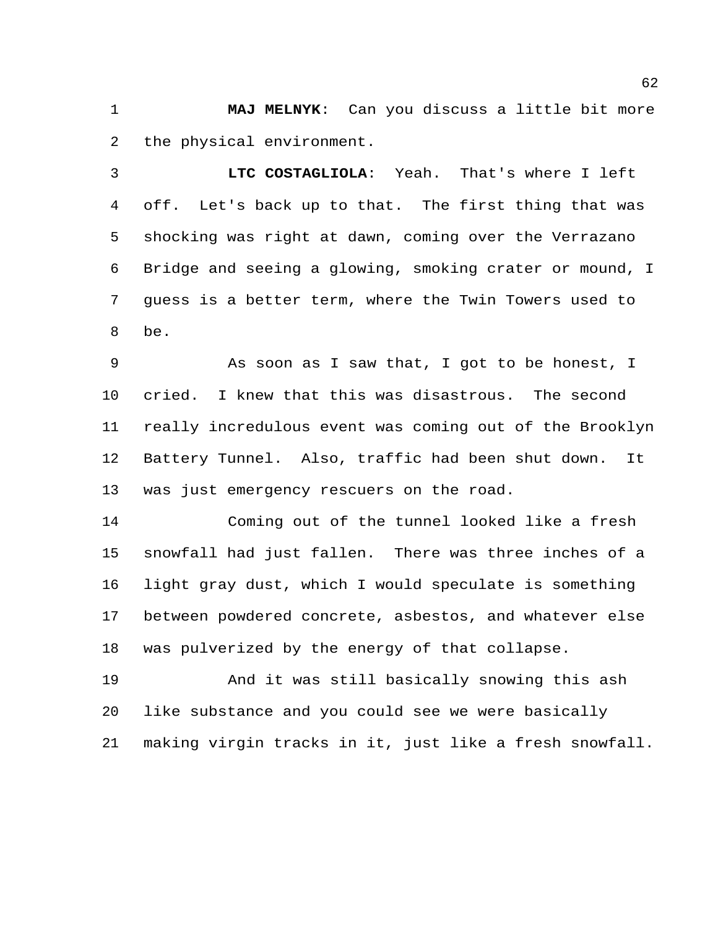**MAJ MELNYK**: Can you discuss a little bit more the physical environment.

 **LTC COSTAGLIOLA**: Yeah. That's where I left off. Let's back up to that. The first thing that was shocking was right at dawn, coming over the Verrazano Bridge and seeing a glowing, smoking crater or mound, I guess is a better term, where the Twin Towers used to be.

 As soon as I saw that, I got to be honest, I cried. I knew that this was disastrous. The second really incredulous event was coming out of the Brooklyn Battery Tunnel. Also, traffic had been shut down. It was just emergency rescuers on the road.

 Coming out of the tunnel looked like a fresh snowfall had just fallen. There was three inches of a light gray dust, which I would speculate is something between powdered concrete, asbestos, and whatever else was pulverized by the energy of that collapse.

 And it was still basically snowing this ash like substance and you could see we were basically making virgin tracks in it, just like a fresh snowfall.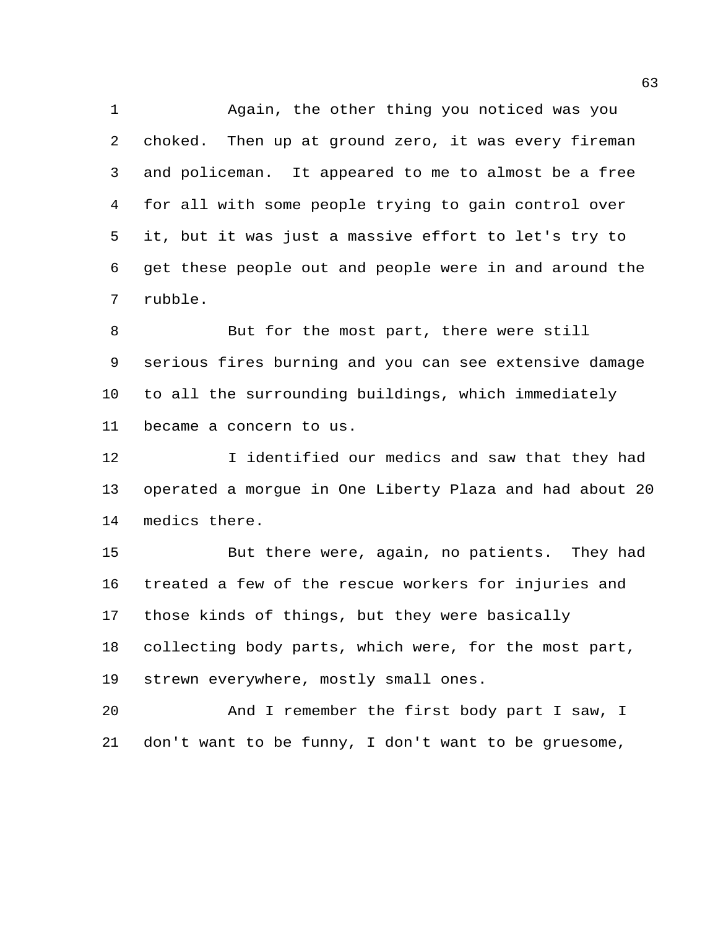Again, the other thing you noticed was you choked. Then up at ground zero, it was every fireman and policeman. It appeared to me to almost be a free for all with some people trying to gain control over it, but it was just a massive effort to let's try to get these people out and people were in and around the rubble.

 But for the most part, there were still serious fires burning and you can see extensive damage to all the surrounding buildings, which immediately became a concern to us.

12 I identified our medics and saw that they had operated a morgue in One Liberty Plaza and had about 20 medics there.

 But there were, again, no patients. They had treated a few of the rescue workers for injuries and those kinds of things, but they were basically collecting body parts, which were, for the most part, strewn everywhere, mostly small ones.

 And I remember the first body part I saw, I don't want to be funny, I don't want to be gruesome,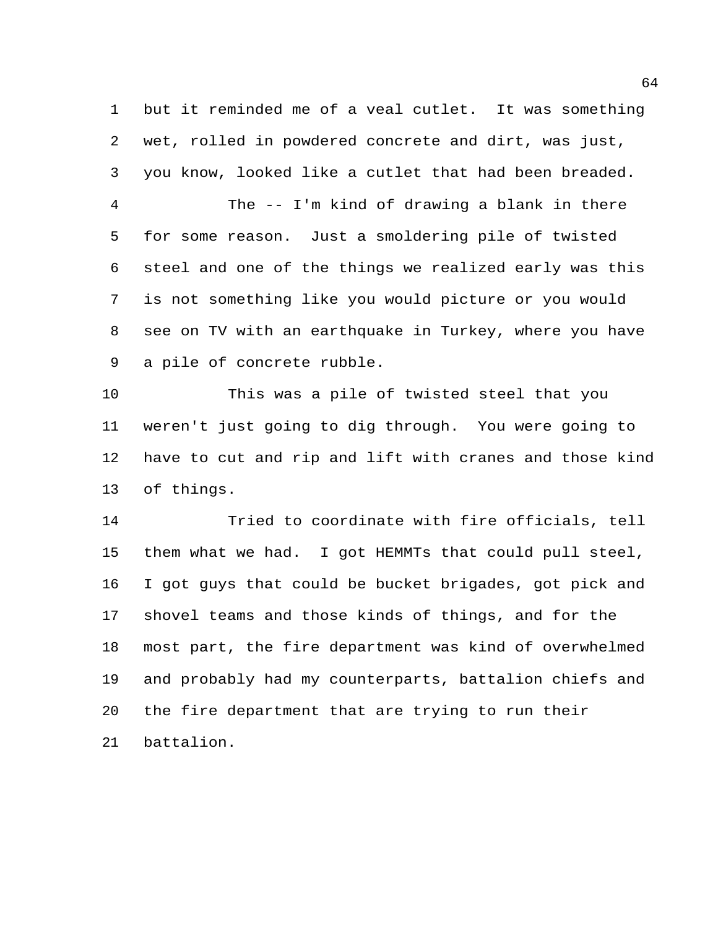but it reminded me of a veal cutlet. It was something wet, rolled in powdered concrete and dirt, was just, you know, looked like a cutlet that had been breaded.

 The -- I'm kind of drawing a blank in there for some reason. Just a smoldering pile of twisted steel and one of the things we realized early was this is not something like you would picture or you would see on TV with an earthquake in Turkey, where you have a pile of concrete rubble.

 This was a pile of twisted steel that you weren't just going to dig through. You were going to have to cut and rip and lift with cranes and those kind of things.

 Tried to coordinate with fire officials, tell them what we had. I got HEMMTs that could pull steel, I got guys that could be bucket brigades, got pick and shovel teams and those kinds of things, and for the most part, the fire department was kind of overwhelmed and probably had my counterparts, battalion chiefs and the fire department that are trying to run their battalion.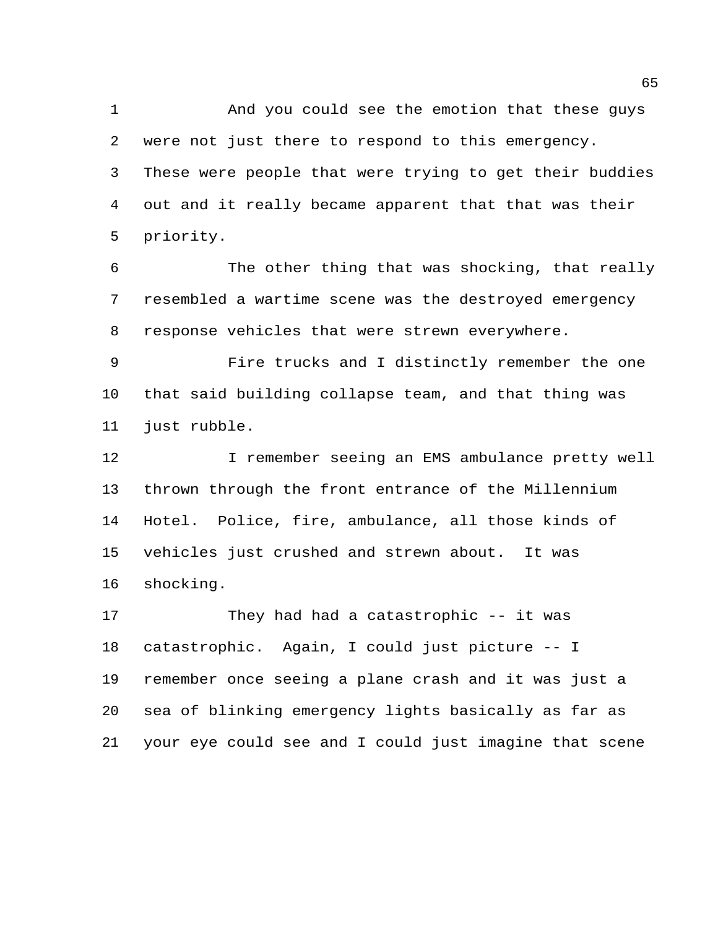And you could see the emotion that these guys were not just there to respond to this emergency. These were people that were trying to get their buddies out and it really became apparent that that was their priority.

 The other thing that was shocking, that really resembled a wartime scene was the destroyed emergency response vehicles that were strewn everywhere.

 Fire trucks and I distinctly remember the one that said building collapse team, and that thing was just rubble.

12 I remember seeing an EMS ambulance pretty well thrown through the front entrance of the Millennium Hotel. Police, fire, ambulance, all those kinds of vehicles just crushed and strewn about. It was shocking.

 They had had a catastrophic -- it was catastrophic. Again, I could just picture -- I remember once seeing a plane crash and it was just a sea of blinking emergency lights basically as far as your eye could see and I could just imagine that scene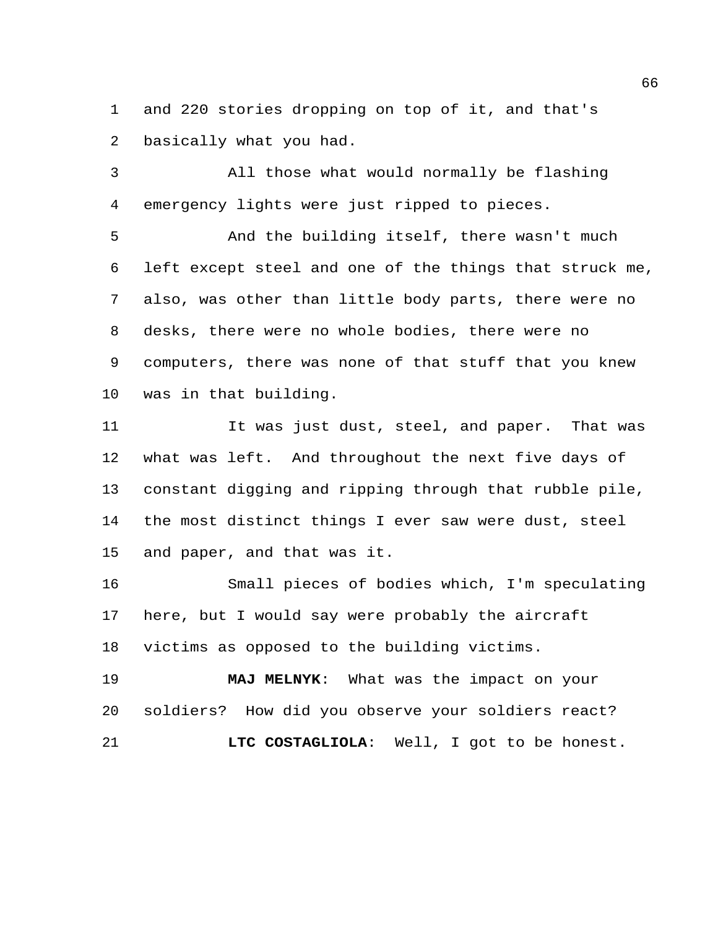and 220 stories dropping on top of it, and that's basically what you had.

 All those what would normally be flashing emergency lights were just ripped to pieces.

 And the building itself, there wasn't much left except steel and one of the things that struck me, also, was other than little body parts, there were no desks, there were no whole bodies, there were no computers, there was none of that stuff that you knew was in that building.

 It was just dust, steel, and paper. That was what was left. And throughout the next five days of constant digging and ripping through that rubble pile, the most distinct things I ever saw were dust, steel and paper, and that was it.

 Small pieces of bodies which, I'm speculating here, but I would say were probably the aircraft victims as opposed to the building victims.

 **MAJ MELNYK**: What was the impact on your soldiers? How did you observe your soldiers react? **LTC COSTAGLIOLA**: Well, I got to be honest.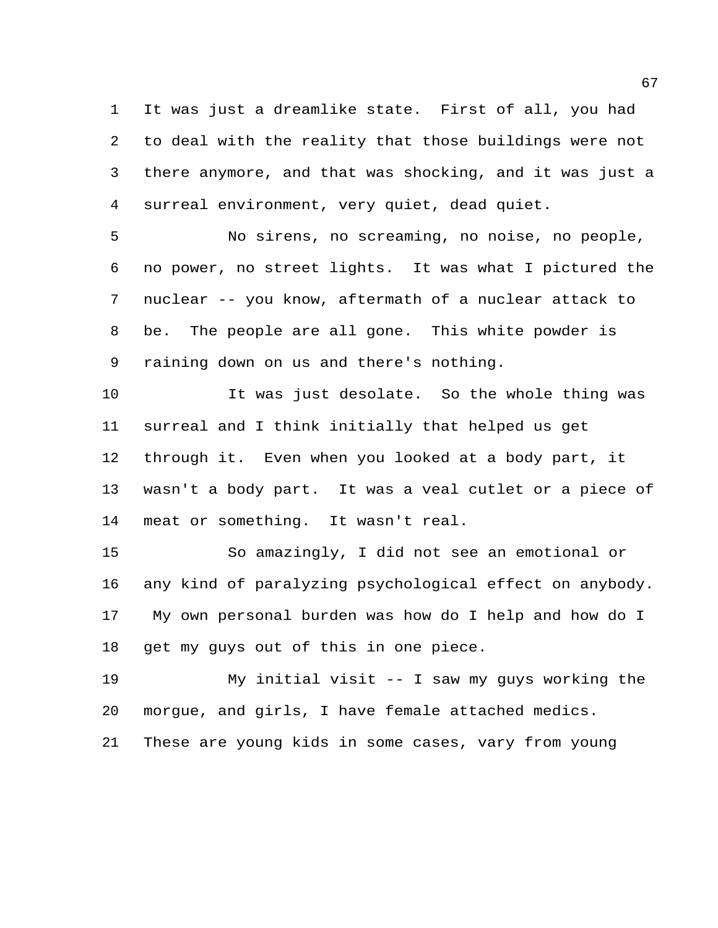It was just a dreamlike state. First of all, you had to deal with the reality that those buildings were not there anymore, and that was shocking, and it was just a surreal environment, very quiet, dead quiet.

 No sirens, no screaming, no noise, no people, no power, no street lights. It was what I pictured the nuclear -- you know, aftermath of a nuclear attack to be. The people are all gone. This white powder is raining down on us and there's nothing.

 It was just desolate. So the whole thing was surreal and I think initially that helped us get through it. Even when you looked at a body part, it wasn't a body part. It was a veal cutlet or a piece of meat or something. It wasn't real.

 So amazingly, I did not see an emotional or any kind of paralyzing psychological effect on anybody. My own personal burden was how do I help and how do I get my guys out of this in one piece.

 My initial visit -- I saw my guys working the morgue, and girls, I have female attached medics.

These are young kids in some cases, vary from young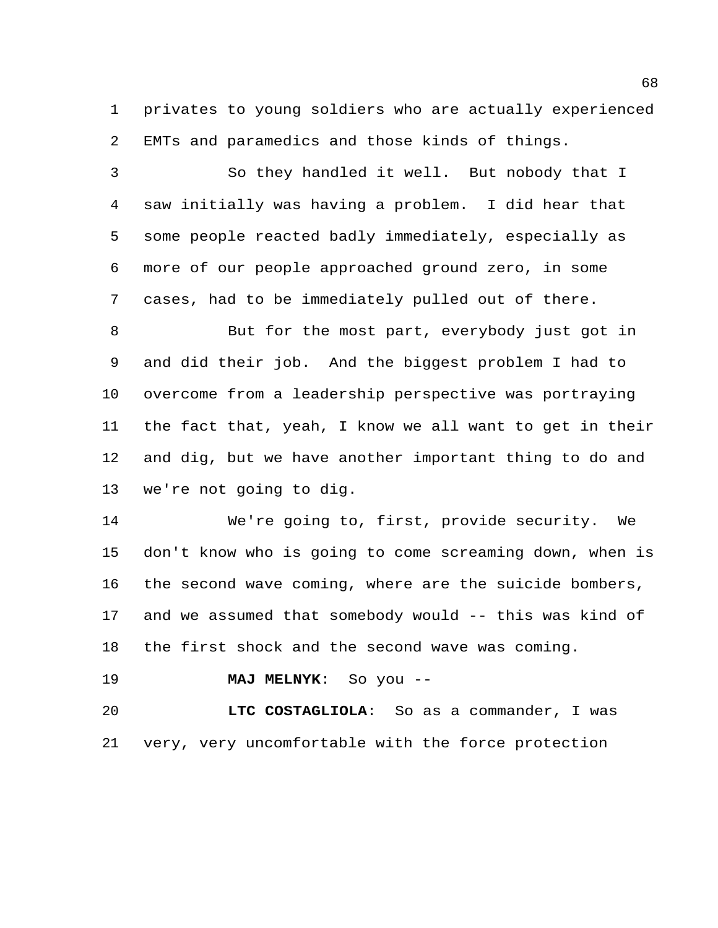privates to young soldiers who are actually experienced EMTs and paramedics and those kinds of things.

 So they handled it well. But nobody that I saw initially was having a problem. I did hear that some people reacted badly immediately, especially as more of our people approached ground zero, in some cases, had to be immediately pulled out of there.

 But for the most part, everybody just got in and did their job. And the biggest problem I had to overcome from a leadership perspective was portraying the fact that, yeah, I know we all want to get in their and dig, but we have another important thing to do and we're not going to dig.

 We're going to, first, provide security. We don't know who is going to come screaming down, when is the second wave coming, where are the suicide bombers, and we assumed that somebody would -- this was kind of the first shock and the second wave was coming.

**MAJ MELNYK**: So you --

 **LTC COSTAGLIOLA**: So as a commander, I was very, very uncomfortable with the force protection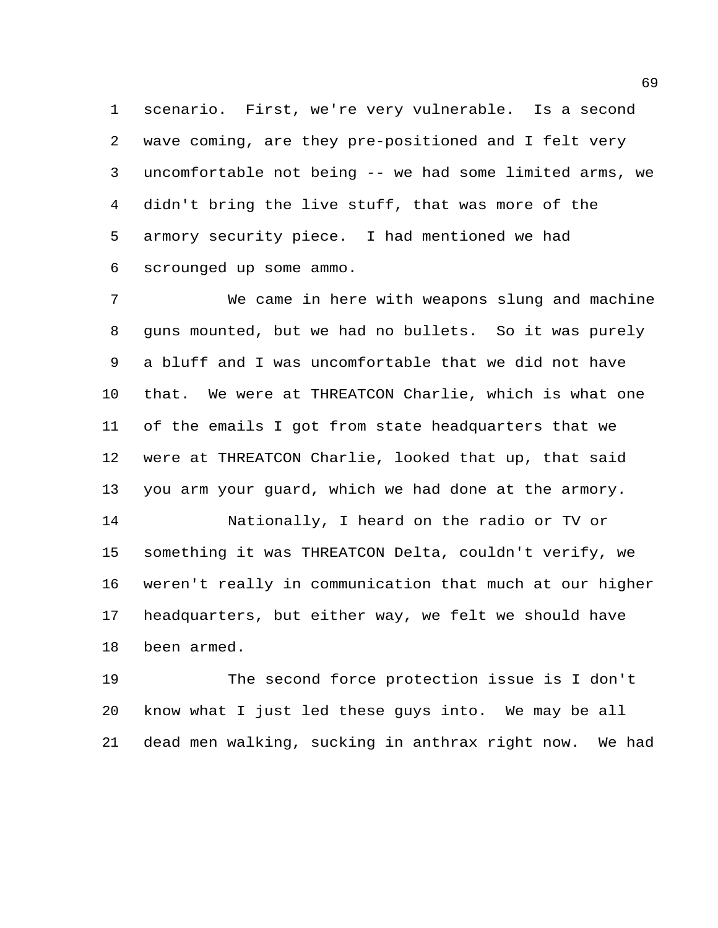scenario. First, we're very vulnerable. Is a second wave coming, are they pre-positioned and I felt very uncomfortable not being -- we had some limited arms, we didn't bring the live stuff, that was more of the armory security piece. I had mentioned we had scrounged up some ammo.

 We came in here with weapons slung and machine guns mounted, but we had no bullets. So it was purely a bluff and I was uncomfortable that we did not have that. We were at THREATCON Charlie, which is what one of the emails I got from state headquarters that we were at THREATCON Charlie, looked that up, that said you arm your guard, which we had done at the armory. Nationally, I heard on the radio or TV or

 something it was THREATCON Delta, couldn't verify, we weren't really in communication that much at our higher headquarters, but either way, we felt we should have been armed.

 The second force protection issue is I don't know what I just led these guys into. We may be all dead men walking, sucking in anthrax right now. We had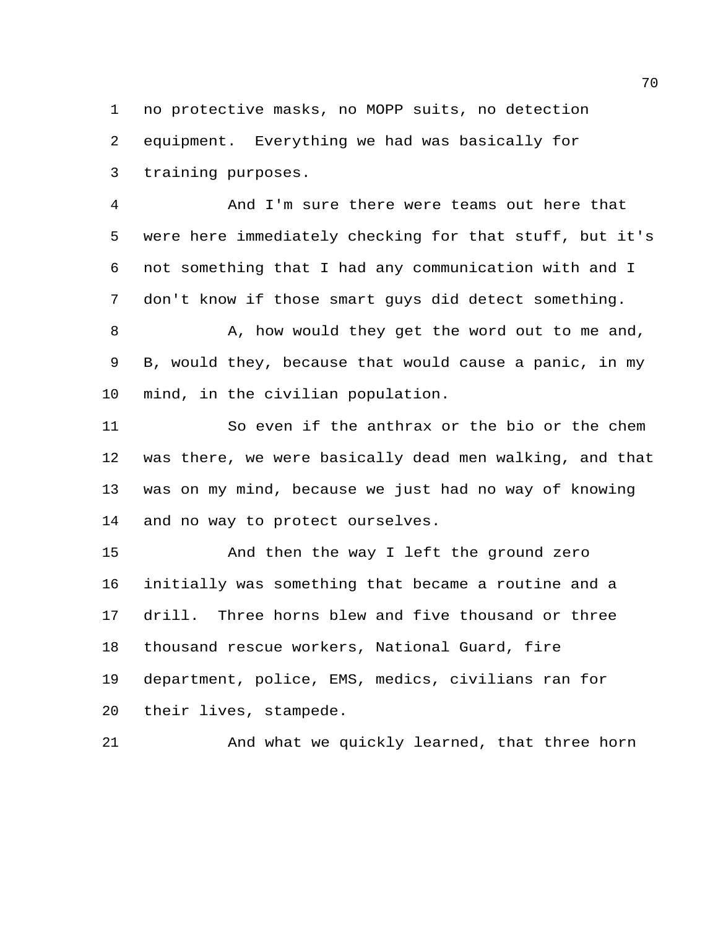no protective masks, no MOPP suits, no detection equipment. Everything we had was basically for training purposes.

 And I'm sure there were teams out here that were here immediately checking for that stuff, but it's not something that I had any communication with and I don't know if those smart guys did detect something.

8 A, how would they get the word out to me and, B, would they, because that would cause a panic, in my mind, in the civilian population.

 So even if the anthrax or the bio or the chem was there, we were basically dead men walking, and that was on my mind, because we just had no way of knowing and no way to protect ourselves.

 And then the way I left the ground zero initially was something that became a routine and a drill. Three horns blew and five thousand or three thousand rescue workers, National Guard, fire department, police, EMS, medics, civilians ran for their lives, stampede.

And what we quickly learned, that three horn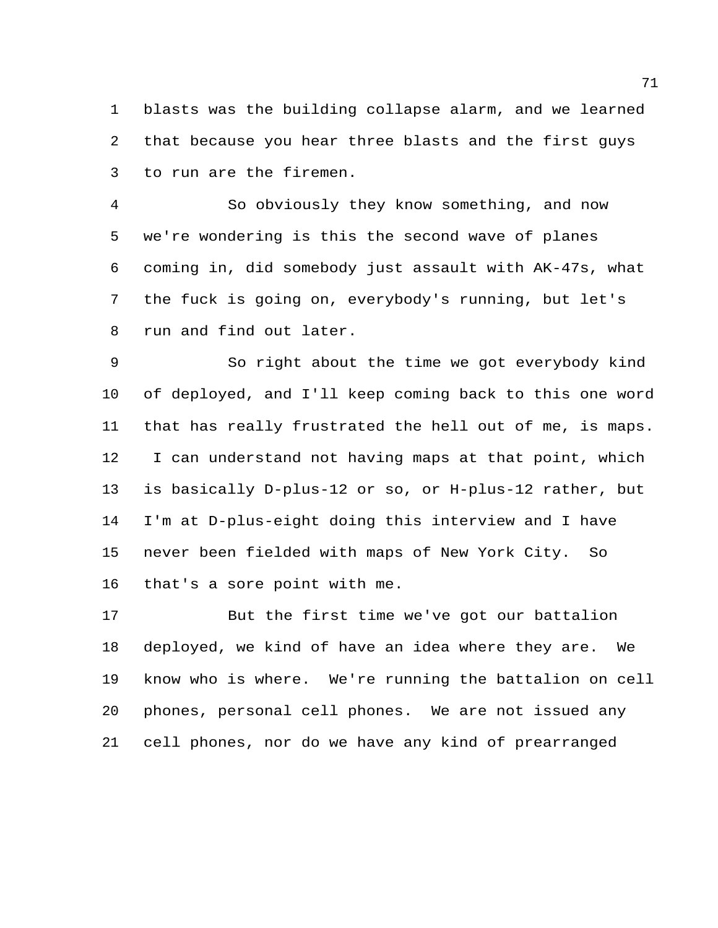blasts was the building collapse alarm, and we learned that because you hear three blasts and the first guys to run are the firemen.

 So obviously they know something, and now we're wondering is this the second wave of planes coming in, did somebody just assault with AK-47s, what the fuck is going on, everybody's running, but let's run and find out later.

 So right about the time we got everybody kind of deployed, and I'll keep coming back to this one word that has really frustrated the hell out of me, is maps. I can understand not having maps at that point, which is basically D-plus-12 or so, or H-plus-12 rather, but I'm at D-plus-eight doing this interview and I have never been fielded with maps of New York City. So that's a sore point with me.

 But the first time we've got our battalion deployed, we kind of have an idea where they are. We know who is where. We're running the battalion on cell phones, personal cell phones. We are not issued any cell phones, nor do we have any kind of prearranged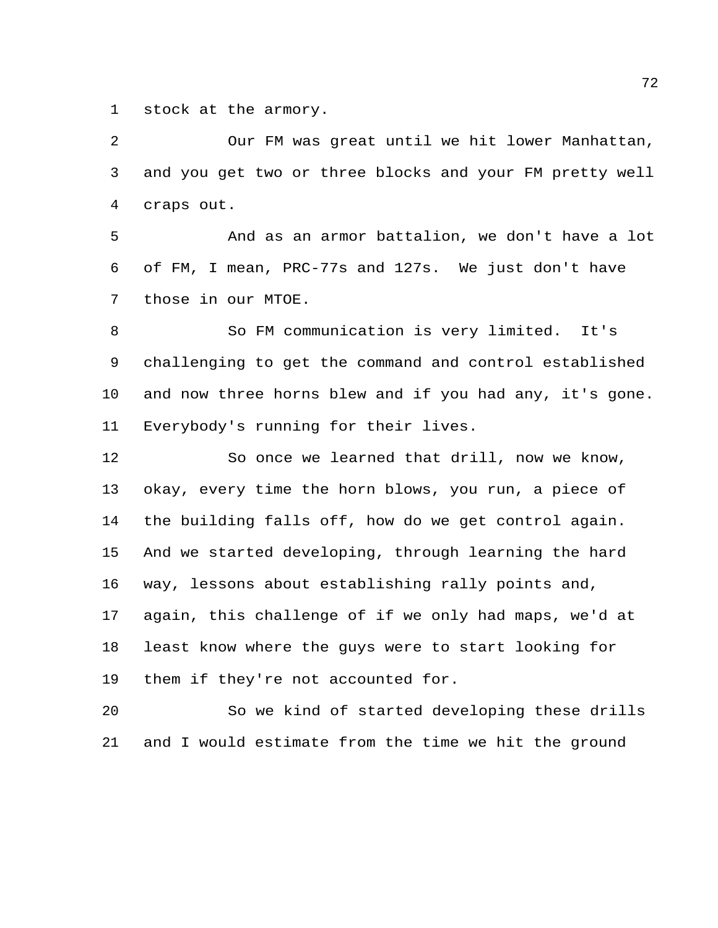stock at the armory.

 Our FM was great until we hit lower Manhattan, and you get two or three blocks and your FM pretty well craps out.

 And as an armor battalion, we don't have a lot of FM, I mean, PRC-77s and 127s. We just don't have those in our MTOE.

 So FM communication is very limited. It's challenging to get the command and control established and now three horns blew and if you had any, it's gone. Everybody's running for their lives.

 So once we learned that drill, now we know, okay, every time the horn blows, you run, a piece of the building falls off, how do we get control again. And we started developing, through learning the hard way, lessons about establishing rally points and, again, this challenge of if we only had maps, we'd at least know where the guys were to start looking for them if they're not accounted for.

 So we kind of started developing these drills and I would estimate from the time we hit the ground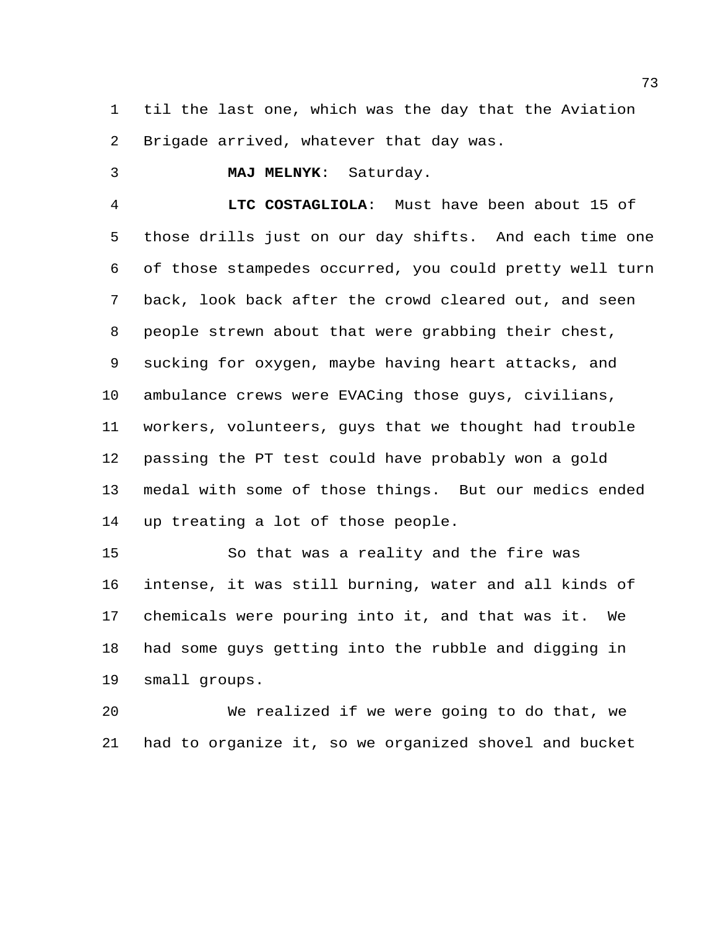til the last one, which was the day that the Aviation Brigade arrived, whatever that day was.

**MAJ MELNYK**: Saturday.

 **LTC COSTAGLIOLA**: Must have been about 15 of those drills just on our day shifts. And each time one of those stampedes occurred, you could pretty well turn back, look back after the crowd cleared out, and seen people strewn about that were grabbing their chest, sucking for oxygen, maybe having heart attacks, and ambulance crews were EVACing those guys, civilians, workers, volunteers, guys that we thought had trouble passing the PT test could have probably won a gold medal with some of those things. But our medics ended up treating a lot of those people.

 So that was a reality and the fire was intense, it was still burning, water and all kinds of chemicals were pouring into it, and that was it. We had some guys getting into the rubble and digging in small groups.

 We realized if we were going to do that, we had to organize it, so we organized shovel and bucket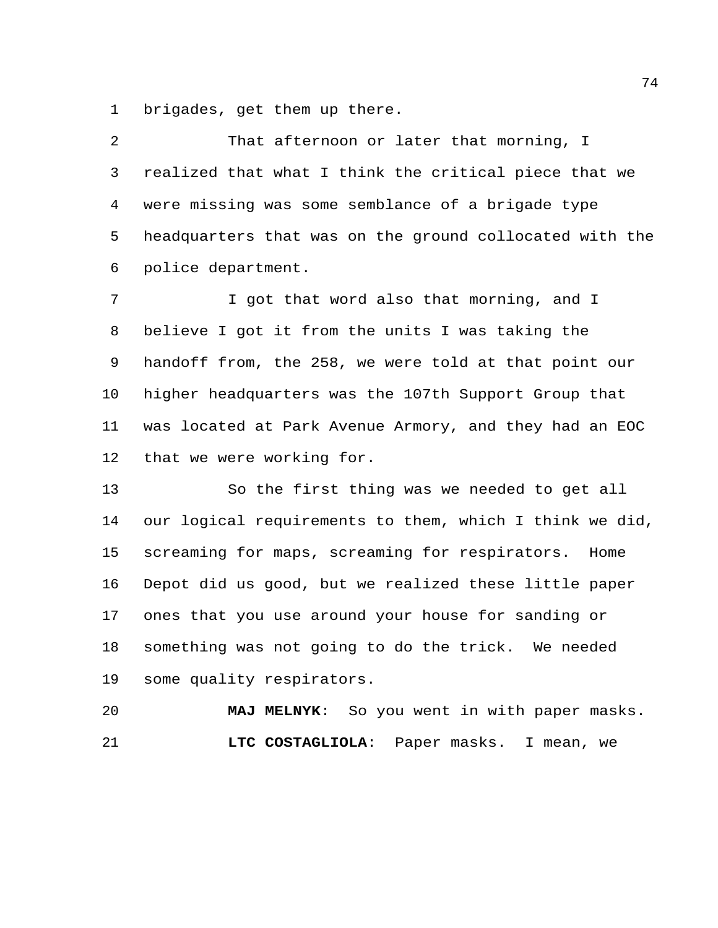brigades, get them up there.

 That afternoon or later that morning, I realized that what I think the critical piece that we were missing was some semblance of a brigade type headquarters that was on the ground collocated with the police department.

 I got that word also that morning, and I believe I got it from the units I was taking the handoff from, the 258, we were told at that point our higher headquarters was the 107th Support Group that was located at Park Avenue Armory, and they had an EOC that we were working for.

 So the first thing was we needed to get all our logical requirements to them, which I think we did, screaming for maps, screaming for respirators. Home Depot did us good, but we realized these little paper ones that you use around your house for sanding or something was not going to do the trick. We needed some quality respirators.

 **MAJ MELNYK**: So you went in with paper masks. **LTC COSTAGLIOLA**: Paper masks. I mean, we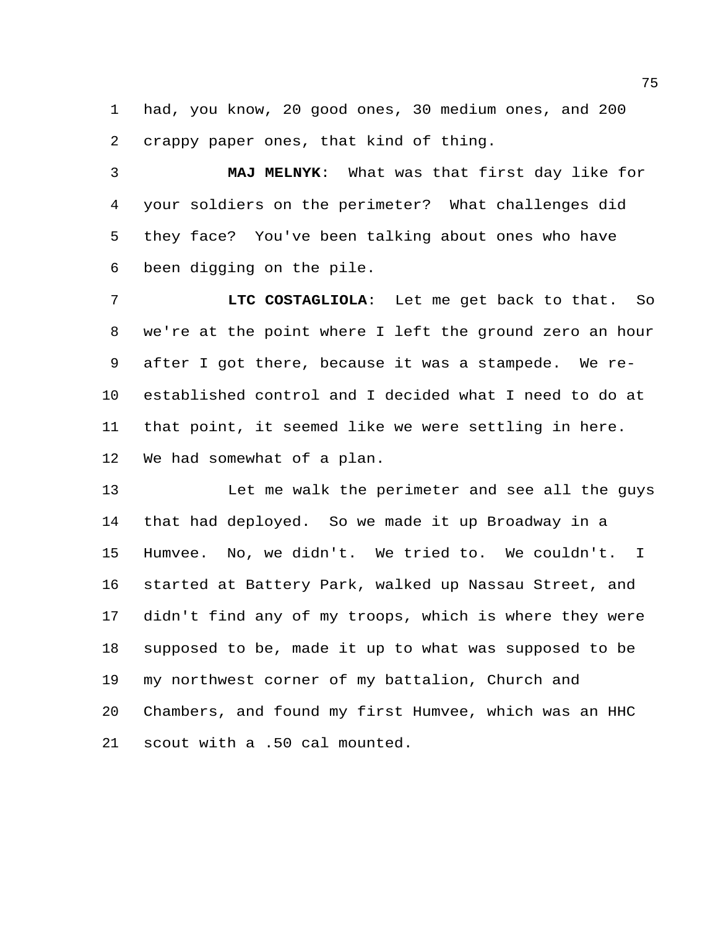had, you know, 20 good ones, 30 medium ones, and 200 crappy paper ones, that kind of thing.

 **MAJ MELNYK**: What was that first day like for your soldiers on the perimeter? What challenges did they face? You've been talking about ones who have been digging on the pile.

 **LTC COSTAGLIOLA**: Let me get back to that. So we're at the point where I left the ground zero an hour after I got there, because it was a stampede. We re- established control and I decided what I need to do at that point, it seemed like we were settling in here. We had somewhat of a plan.

13 Let me walk the perimeter and see all the guys that had deployed. So we made it up Broadway in a Humvee. No, we didn't. We tried to. We couldn't. I started at Battery Park, walked up Nassau Street, and didn't find any of my troops, which is where they were supposed to be, made it up to what was supposed to be my northwest corner of my battalion, Church and Chambers, and found my first Humvee, which was an HHC scout with a .50 cal mounted.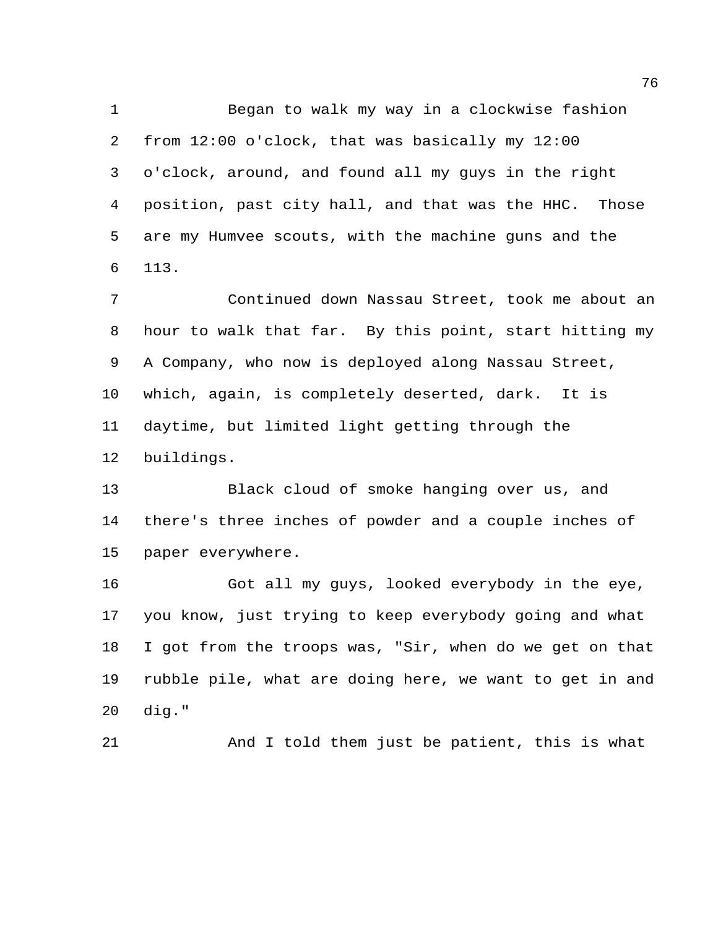Began to walk my way in a clockwise fashion from 12:00 o'clock, that was basically my 12:00 o'clock, around, and found all my guys in the right position, past city hall, and that was the HHC. Those are my Humvee scouts, with the machine guns and the 113.

 Continued down Nassau Street, took me about an hour to walk that far. By this point, start hitting my A Company, who now is deployed along Nassau Street, which, again, is completely deserted, dark. It is daytime, but limited light getting through the buildings.

 Black cloud of smoke hanging over us, and there's three inches of powder and a couple inches of paper everywhere.

 Got all my guys, looked everybody in the eye, you know, just trying to keep everybody going and what I got from the troops was, "Sir, when do we get on that rubble pile, what are doing here, we want to get in and dig."

And I told them just be patient, this is what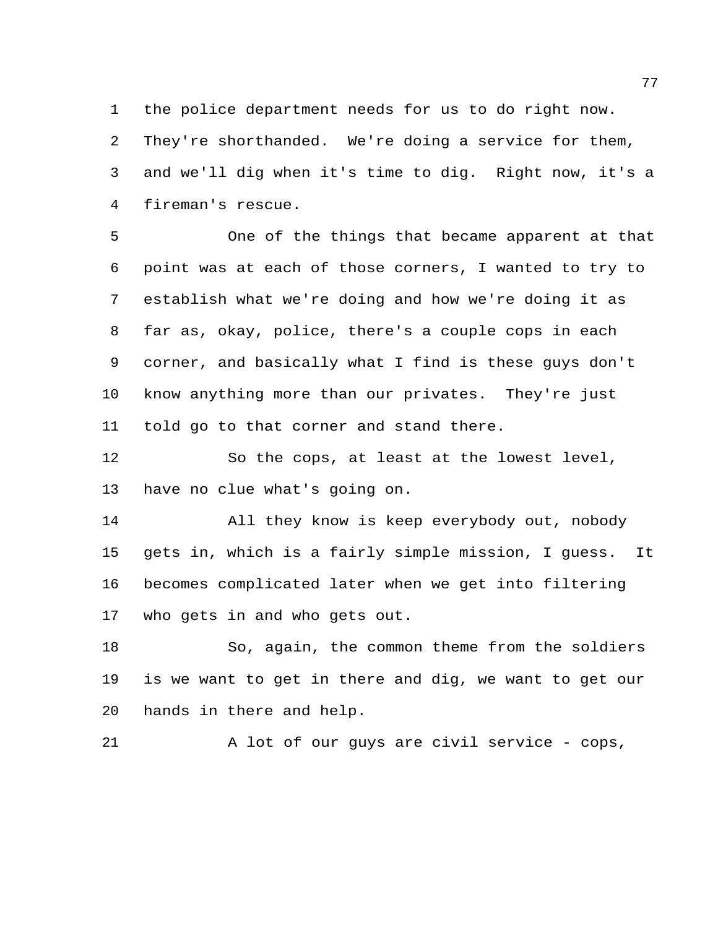the police department needs for us to do right now.

 They're shorthanded. We're doing a service for them, and we'll dig when it's time to dig. Right now, it's a fireman's rescue.

 One of the things that became apparent at that point was at each of those corners, I wanted to try to establish what we're doing and how we're doing it as far as, okay, police, there's a couple cops in each corner, and basically what I find is these guys don't know anything more than our privates. They're just told go to that corner and stand there.

 So the cops, at least at the lowest level, have no clue what's going on.

 All they know is keep everybody out, nobody gets in, which is a fairly simple mission, I guess. It becomes complicated later when we get into filtering who gets in and who gets out.

 So, again, the common theme from the soldiers is we want to get in there and dig, we want to get our hands in there and help.

A lot of our guys are civil service - cops,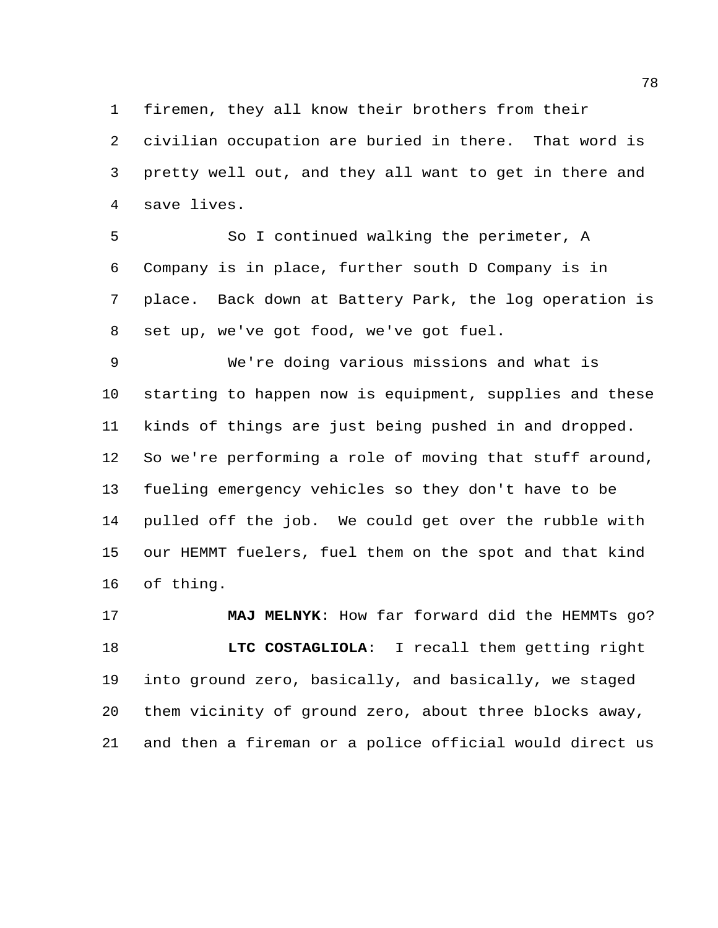firemen, they all know their brothers from their

 civilian occupation are buried in there. That word is pretty well out, and they all want to get in there and save lives.

 So I continued walking the perimeter, A Company is in place, further south D Company is in place. Back down at Battery Park, the log operation is set up, we've got food, we've got fuel.

 We're doing various missions and what is starting to happen now is equipment, supplies and these kinds of things are just being pushed in and dropped. So we're performing a role of moving that stuff around, fueling emergency vehicles so they don't have to be pulled off the job. We could get over the rubble with our HEMMT fuelers, fuel them on the spot and that kind of thing.

 **MAJ MELNYK**: How far forward did the HEMMTs go? **LTC COSTAGLIOLA**: I recall them getting right into ground zero, basically, and basically, we staged them vicinity of ground zero, about three blocks away, and then a fireman or a police official would direct us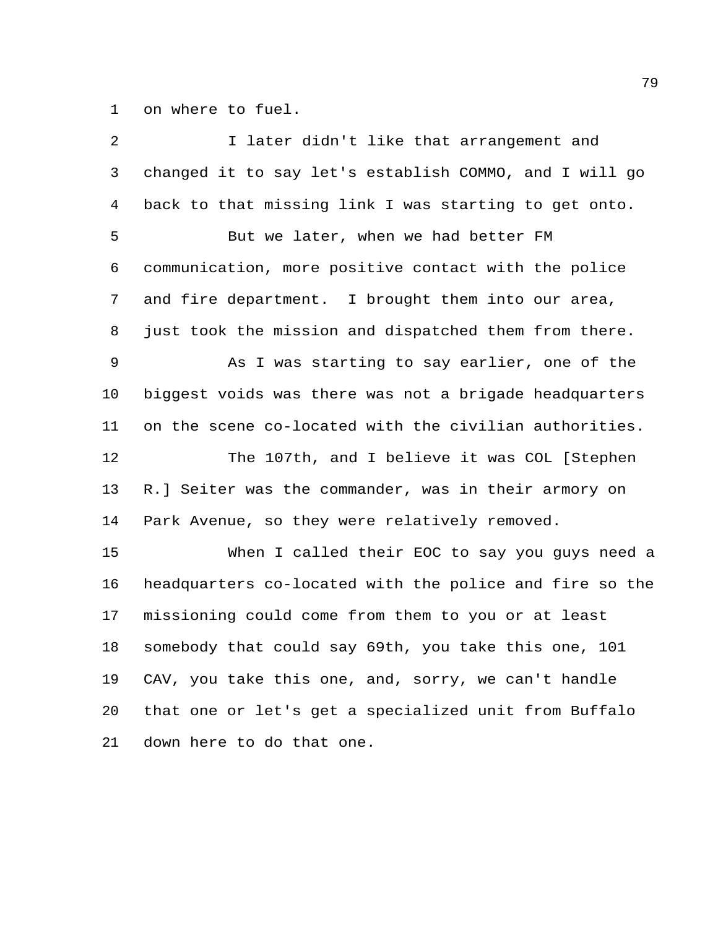on where to fuel.

| 2       | I later didn't like that arrangement and                |
|---------|---------------------------------------------------------|
| 3       | changed it to say let's establish COMMO, and I will go  |
| 4       | back to that missing link I was starting to get onto.   |
| 5       | But we later, when we had better FM                     |
| 6       | communication, more positive contact with the police    |
| 7       | and fire department. I brought them into our area,      |
| 8       | just took the mission and dispatched them from there.   |
| 9       | As I was starting to say earlier, one of the            |
| $10 \,$ | biggest voids was there was not a brigade headquarters  |
| 11      | on the scene co-located with the civilian authorities.  |
| 12      | The 107th, and I believe it was COL [Stephen            |
| 13      | R.] Seiter was the commander, was in their armory on    |
| 14      | Park Avenue, so they were relatively removed.           |
| 15      | When I called their EOC to say you guys need a          |
| 16      | headquarters co-located with the police and fire so the |
| 17      | missioning could come from them to you or at least      |
| 18      | somebody that could say 69th, you take this one, 101    |
| 19      | CAV, you take this one, and, sorry, we can't handle     |
| 20      | that one or let's get a specialized unit from Buffalo   |
| 21      | down here to do that one.                               |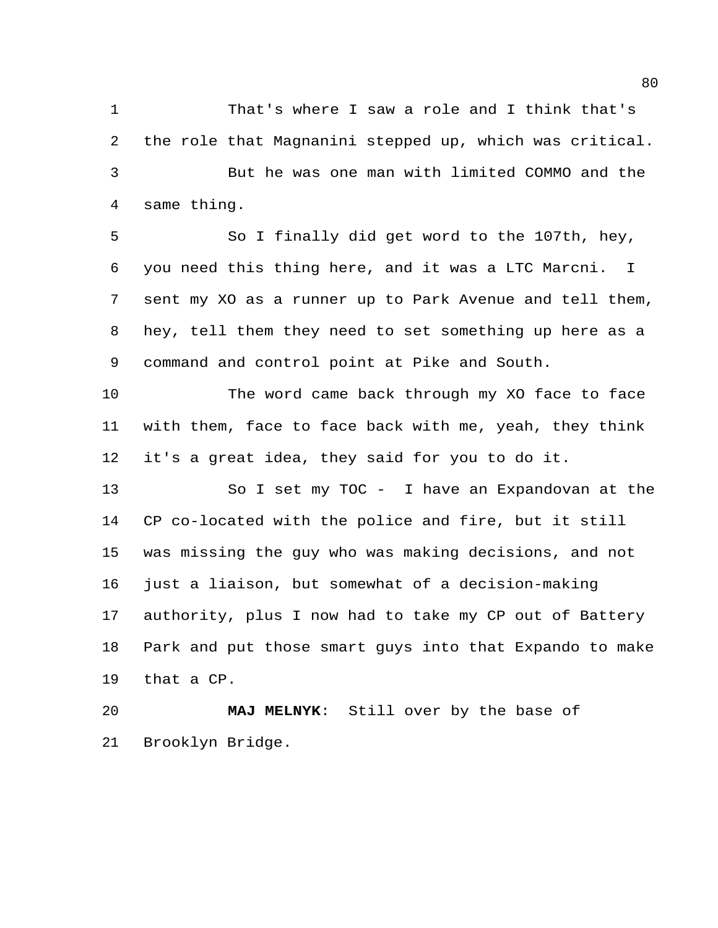That's where I saw a role and I think that's the role that Magnanini stepped up, which was critical. But he was one man with limited COMMO and the same thing.

 So I finally did get word to the 107th, hey, you need this thing here, and it was a LTC Marcni. I sent my XO as a runner up to Park Avenue and tell them, hey, tell them they need to set something up here as a command and control point at Pike and South.

 The word came back through my XO face to face with them, face to face back with me, yeah, they think it's a great idea, they said for you to do it.

 So I set my TOC - I have an Expandovan at the CP co-located with the police and fire, but it still was missing the guy who was making decisions, and not just a liaison, but somewhat of a decision-making authority, plus I now had to take my CP out of Battery Park and put those smart guys into that Expando to make that a CP.

 **MAJ MELNYK**: Still over by the base of Brooklyn Bridge.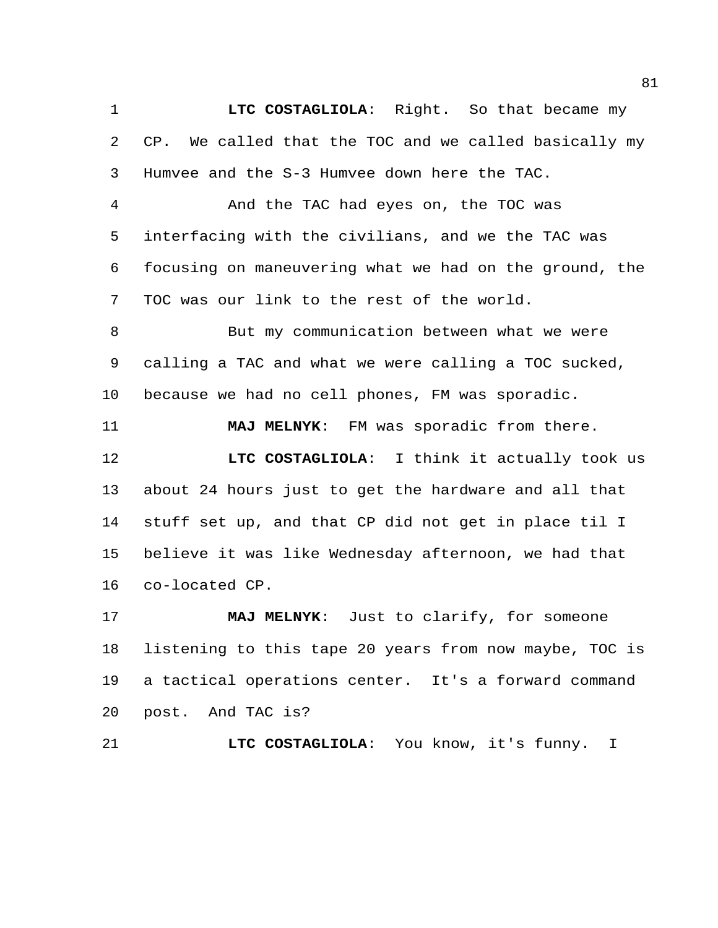**LTC COSTAGLIOLA**: Right. So that became my CP. We called that the TOC and we called basically my Humvee and the S-3 Humvee down here the TAC.

 And the TAC had eyes on, the TOC was interfacing with the civilians, and we the TAC was focusing on maneuvering what we had on the ground, the TOC was our link to the rest of the world.

 But my communication between what we were calling a TAC and what we were calling a TOC sucked, because we had no cell phones, FM was sporadic.

 **MAJ MELNYK**: FM was sporadic from there. **LTC COSTAGLIOLA**: I think it actually took us about 24 hours just to get the hardware and all that stuff set up, and that CP did not get in place til I believe it was like Wednesday afternoon, we had that co-located CP.

 **MAJ MELNYK**: Just to clarify, for someone listening to this tape 20 years from now maybe, TOC is a tactical operations center. It's a forward command post. And TAC is?

**LTC COSTAGLIOLA**: You know, it's funny. I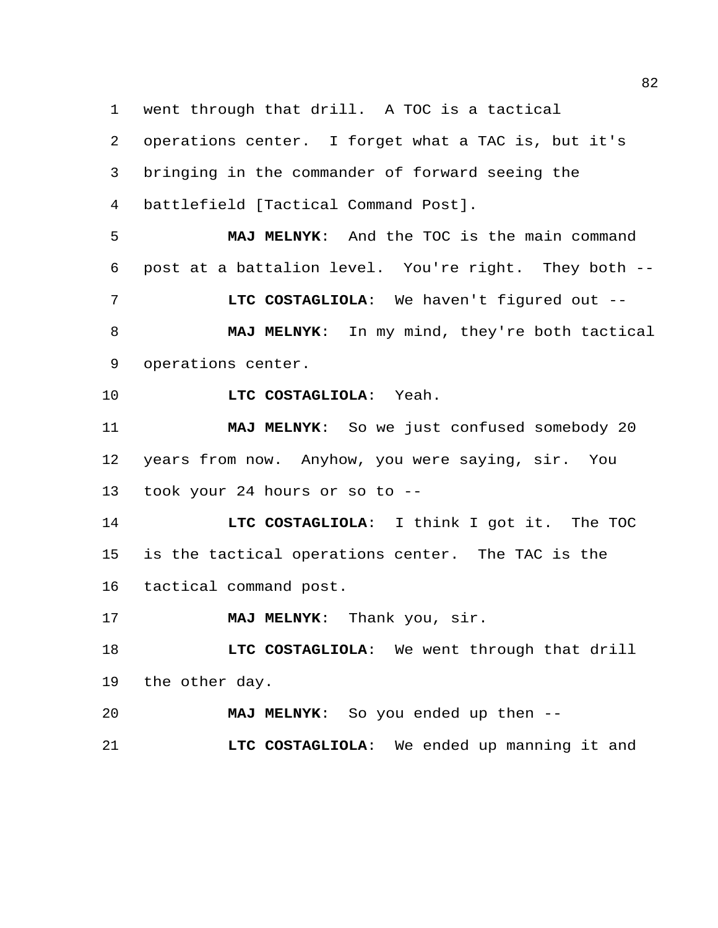went through that drill. A TOC is a tactical operations center. I forget what a TAC is, but it's bringing in the commander of forward seeing the battlefield [Tactical Command Post]. **MAJ MELNYK**: And the TOC is the main command post at a battalion level. You're right. They both -- **LTC COSTAGLIOLA**: We haven't figured out -- **MAJ MELNYK**: In my mind, they're both tactical operations center. **LTC COSTAGLIOLA**: Yeah. **MAJ MELNYK**: So we just confused somebody 20 years from now. Anyhow, you were saying, sir. You took your 24 hours or so to -- **LTC COSTAGLIOLA**: I think I got it. The TOC is the tactical operations center. The TAC is the tactical command post. **MAJ MELNYK**: Thank you, sir. **LTC COSTAGLIOLA**: We went through that drill the other day. **MAJ MELNYK**: So you ended up then --

**LTC COSTAGLIOLA**: We ended up manning it and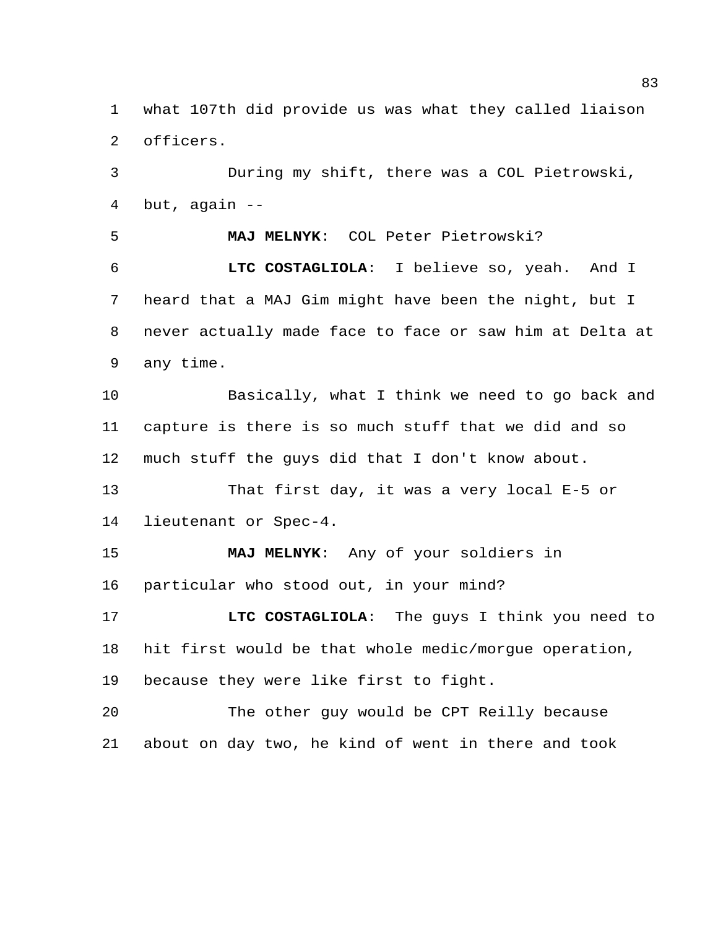what 107th did provide us was what they called liaison officers.

 During my shift, there was a COL Pietrowski, but, again --

 **MAJ MELNYK**: COL Peter Pietrowski? **LTC COSTAGLIOLA**: I believe so, yeah. And I heard that a MAJ Gim might have been the night, but I never actually made face to face or saw him at Delta at any time.

 Basically, what I think we need to go back and capture is there is so much stuff that we did and so much stuff the guys did that I don't know about.

 That first day, it was a very local E-5 or lieutenant or Spec-4.

 **MAJ MELNYK**: Any of your soldiers in particular who stood out, in your mind?

 **LTC COSTAGLIOLA**: The guys I think you need to hit first would be that whole medic/morgue operation, because they were like first to fight.

 The other guy would be CPT Reilly because about on day two, he kind of went in there and took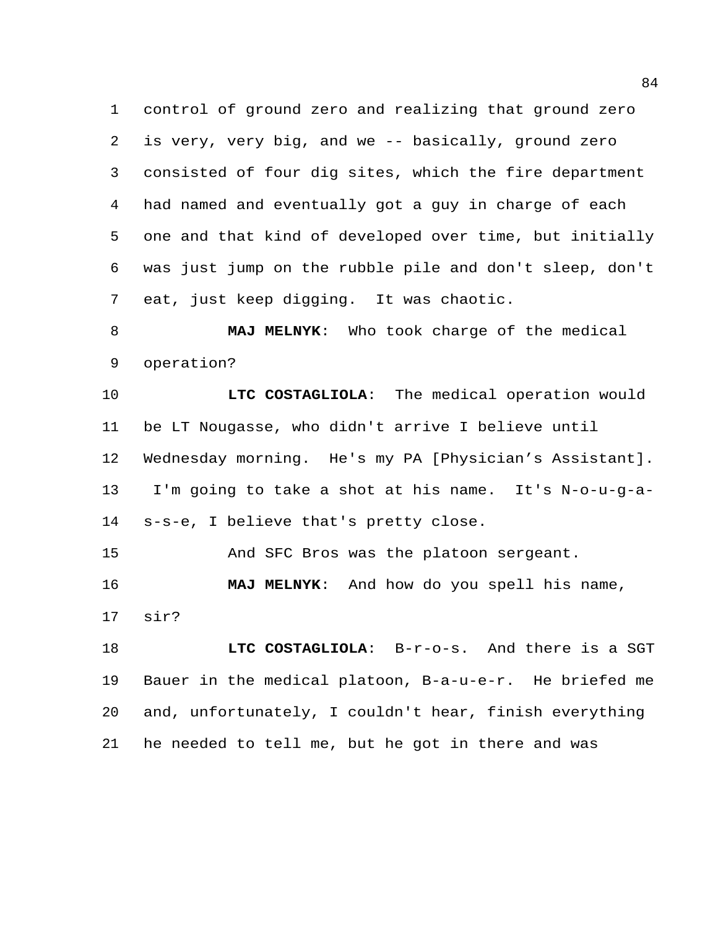control of ground zero and realizing that ground zero is very, very big, and we -- basically, ground zero consisted of four dig sites, which the fire department had named and eventually got a guy in charge of each one and that kind of developed over time, but initially was just jump on the rubble pile and don't sleep, don't eat, just keep digging. It was chaotic.

 **MAJ MELNYK**: Who took charge of the medical operation?

 **LTC COSTAGLIOLA**: The medical operation would be LT Nougasse, who didn't arrive I believe until Wednesday morning. He's my PA [Physician's Assistant]. I'm going to take a shot at his name. It's N-o-u-g-a-s-s-e, I believe that's pretty close.

And SFC Bros was the platoon sergeant.

 **MAJ MELNYK**: And how do you spell his name, sir?

 **LTC COSTAGLIOLA**: B-r-o-s. And there is a SGT Bauer in the medical platoon, B-a-u-e-r. He briefed me and, unfortunately, I couldn't hear, finish everything he needed to tell me, but he got in there and was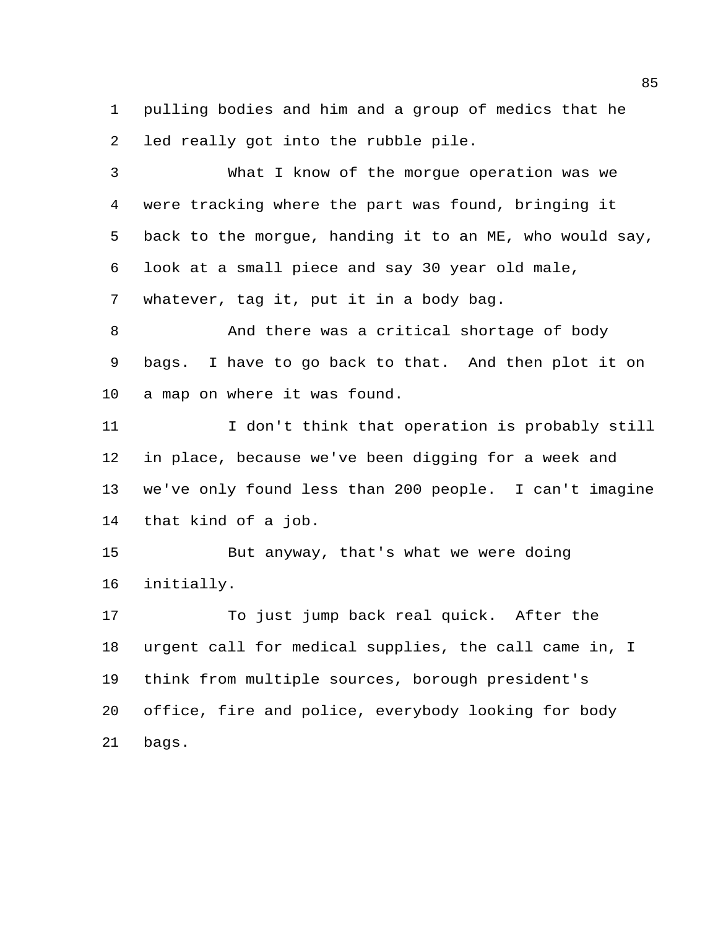pulling bodies and him and a group of medics that he led really got into the rubble pile.

 What I know of the morgue operation was we were tracking where the part was found, bringing it back to the morgue, handing it to an ME, who would say, look at a small piece and say 30 year old male, whatever, tag it, put it in a body bag.

8 And there was a critical shortage of body bags. I have to go back to that. And then plot it on a map on where it was found.

 I don't think that operation is probably still in place, because we've been digging for a week and we've only found less than 200 people. I can't imagine that kind of a job.

 But anyway, that's what we were doing initially.

 To just jump back real quick. After the urgent call for medical supplies, the call came in, I think from multiple sources, borough president's office, fire and police, everybody looking for body bags.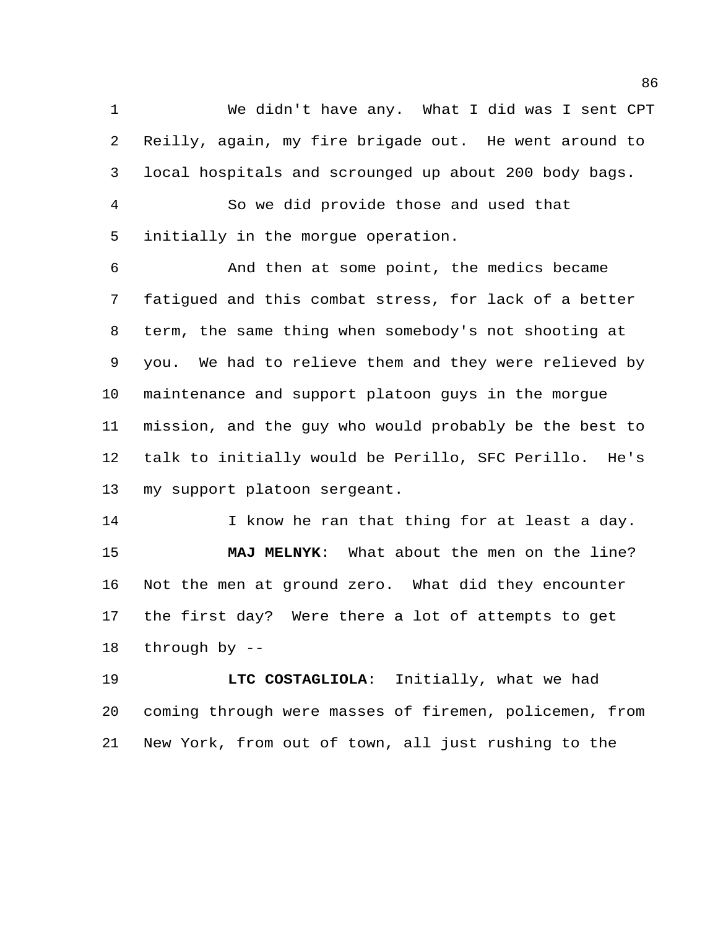We didn't have any. What I did was I sent CPT Reilly, again, my fire brigade out. He went around to local hospitals and scrounged up about 200 body bags.

 So we did provide those and used that initially in the morgue operation.

 And then at some point, the medics became fatigued and this combat stress, for lack of a better term, the same thing when somebody's not shooting at you. We had to relieve them and they were relieved by maintenance and support platoon guys in the morgue mission, and the guy who would probably be the best to talk to initially would be Perillo, SFC Perillo. He's my support platoon sergeant.

14 I know he ran that thing for at least a day. **MAJ MELNYK**: What about the men on the line? Not the men at ground zero. What did they encounter the first day? Were there a lot of attempts to get through by --

 **LTC COSTAGLIOLA**: Initially, what we had coming through were masses of firemen, policemen, from New York, from out of town, all just rushing to the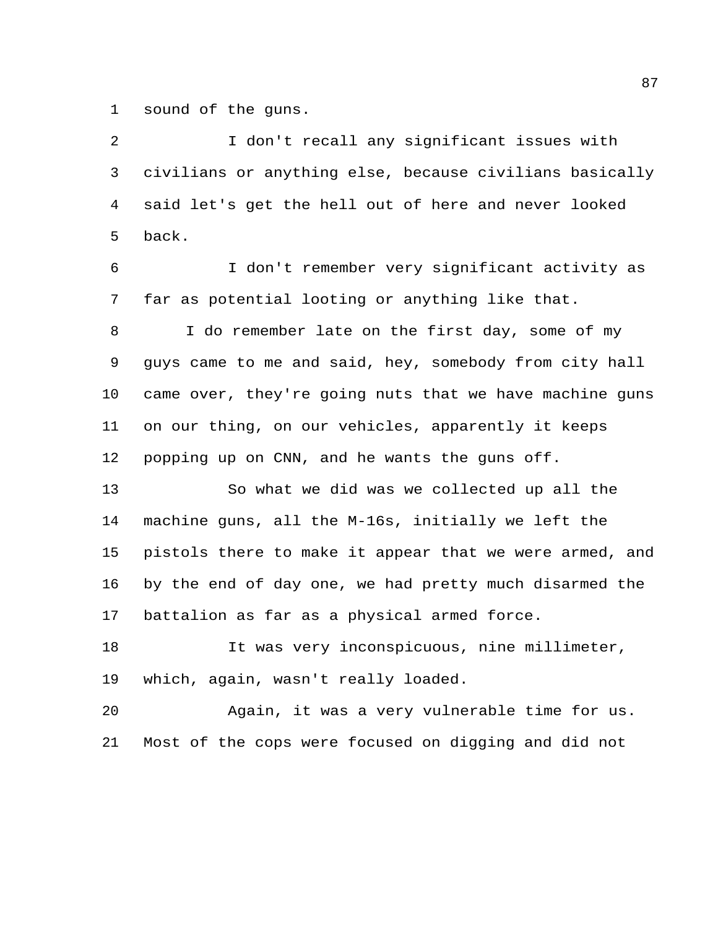sound of the guns.

 I don't recall any significant issues with civilians or anything else, because civilians basically said let's get the hell out of here and never looked back.

 I don't remember very significant activity as far as potential looting or anything like that.

 I do remember late on the first day, some of my guys came to me and said, hey, somebody from city hall came over, they're going nuts that we have machine guns on our thing, on our vehicles, apparently it keeps popping up on CNN, and he wants the guns off.

 So what we did was we collected up all the machine guns, all the M-16s, initially we left the pistols there to make it appear that we were armed, and by the end of day one, we had pretty much disarmed the battalion as far as a physical armed force.

 It was very inconspicuous, nine millimeter, which, again, wasn't really loaded.

 Again, it was a very vulnerable time for us. Most of the cops were focused on digging and did not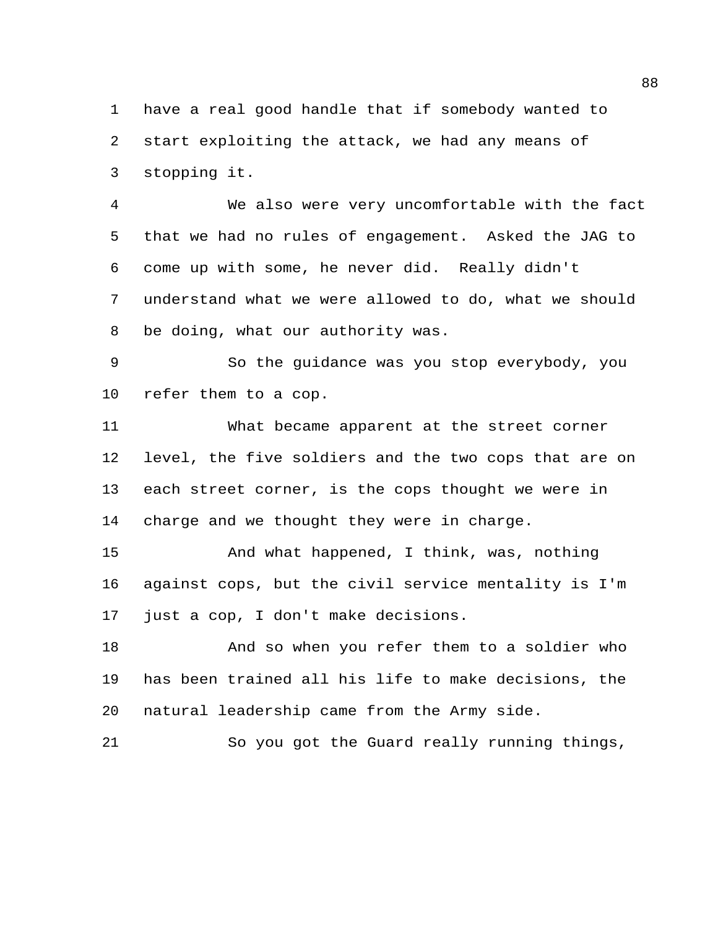have a real good handle that if somebody wanted to start exploiting the attack, we had any means of stopping it.

 We also were very uncomfortable with the fact that we had no rules of engagement. Asked the JAG to come up with some, he never did. Really didn't understand what we were allowed to do, what we should be doing, what our authority was.

 So the guidance was you stop everybody, you refer them to a cop.

 What became apparent at the street corner level, the five soldiers and the two cops that are on each street corner, is the cops thought we were in charge and we thought they were in charge.

 And what happened, I think, was, nothing against cops, but the civil service mentality is I'm just a cop, I don't make decisions.

 And so when you refer them to a soldier who has been trained all his life to make decisions, the natural leadership came from the Army side.

So you got the Guard really running things,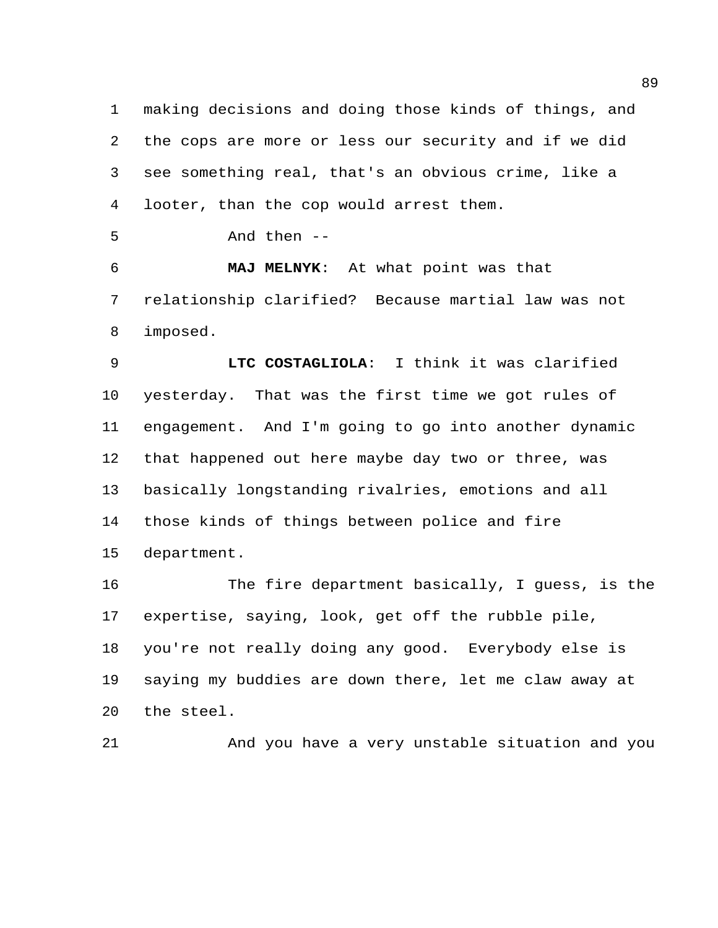making decisions and doing those kinds of things, and the cops are more or less our security and if we did see something real, that's an obvious crime, like a looter, than the cop would arrest them.

And then --

 **MAJ MELNYK**: At what point was that relationship clarified? Because martial law was not imposed.

 **LTC COSTAGLIOLA**: I think it was clarified yesterday. That was the first time we got rules of engagement. And I'm going to go into another dynamic that happened out here maybe day two or three, was basically longstanding rivalries, emotions and all those kinds of things between police and fire department.

 The fire department basically, I guess, is the expertise, saying, look, get off the rubble pile, you're not really doing any good. Everybody else is saying my buddies are down there, let me claw away at the steel.

And you have a very unstable situation and you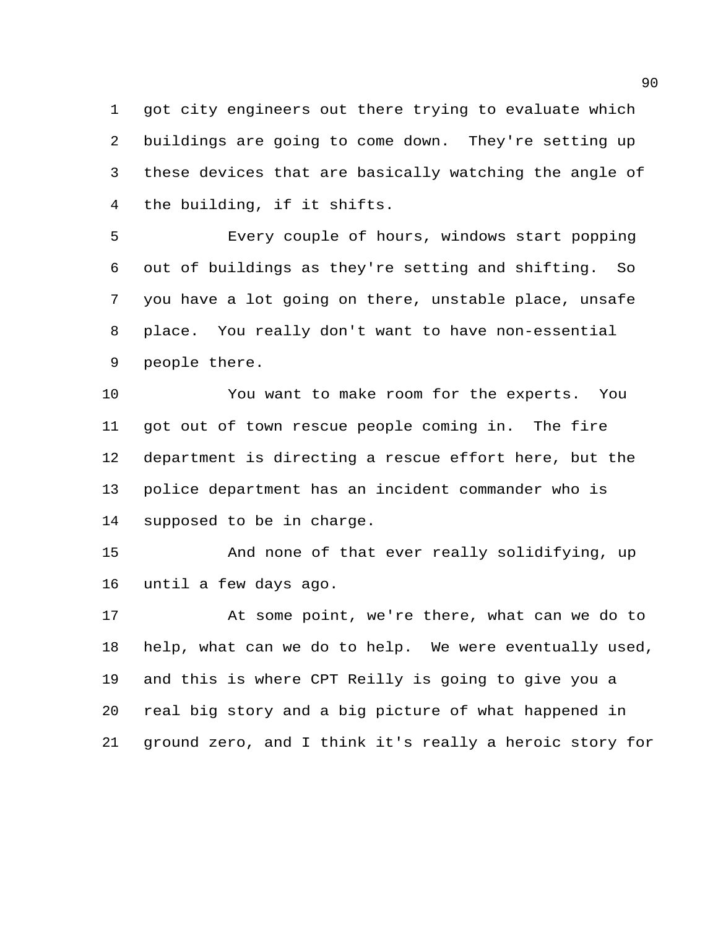got city engineers out there trying to evaluate which buildings are going to come down. They're setting up these devices that are basically watching the angle of the building, if it shifts.

 Every couple of hours, windows start popping out of buildings as they're setting and shifting. So you have a lot going on there, unstable place, unsafe place. You really don't want to have non-essential people there.

 You want to make room for the experts. You got out of town rescue people coming in. The fire department is directing a rescue effort here, but the police department has an incident commander who is supposed to be in charge.

 And none of that ever really solidifying, up until a few days ago.

 At some point, we're there, what can we do to help, what can we do to help. We were eventually used, and this is where CPT Reilly is going to give you a real big story and a big picture of what happened in ground zero, and I think it's really a heroic story for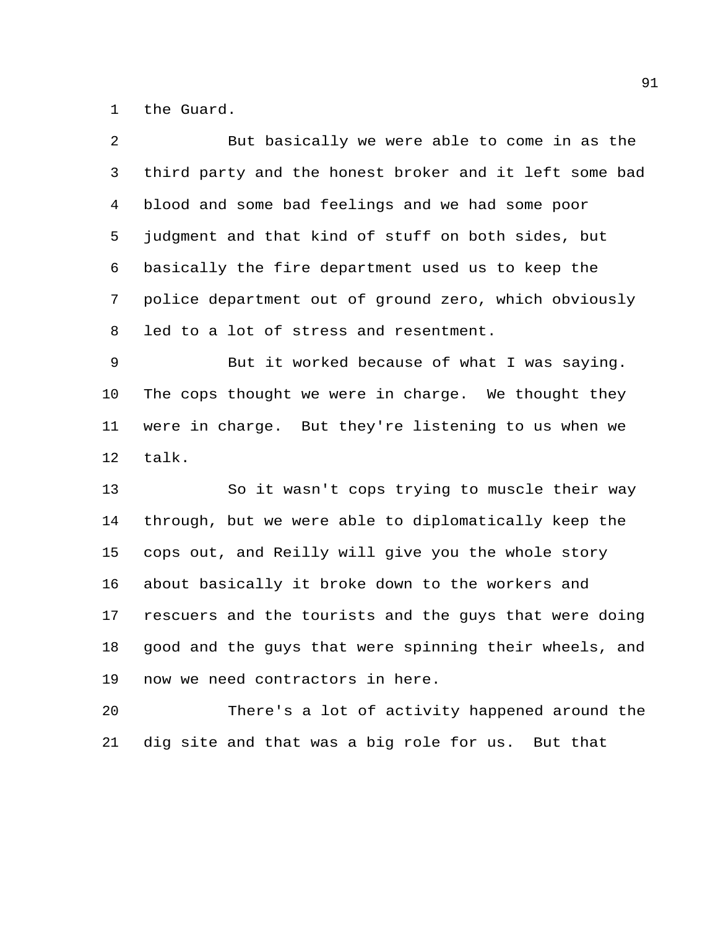the Guard.

talk.

| 2.              | But basically we were able to come in as the           |
|-----------------|--------------------------------------------------------|
| 3               | third party and the honest broker and it left some bad |
| 4               | blood and some bad feelings and we had some poor       |
| 5               | judgment and that kind of stuff on both sides, but     |
| 6               | basically the fire department used us to keep the      |
| $7\overline{ }$ | police department out of ground zero, which obviously  |
| 8               | led to a lot of stress and resentment.                 |
| 9               | But it worked because of what I was saying.            |
| 10              | The cops thought we were in charge. We thought they    |
|                 | 11 were in charge. But they're listening to us when we |
|                 |                                                        |

 So it wasn't cops trying to muscle their way through, but we were able to diplomatically keep the cops out, and Reilly will give you the whole story about basically it broke down to the workers and rescuers and the tourists and the guys that were doing good and the guys that were spinning their wheels, and now we need contractors in here.

 There's a lot of activity happened around the dig site and that was a big role for us. But that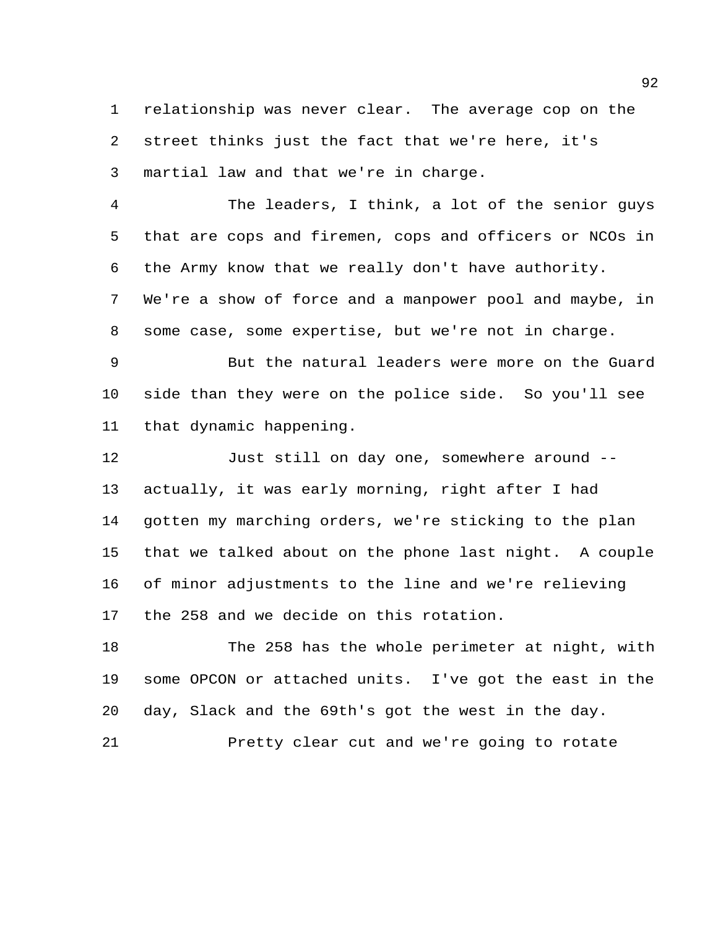relationship was never clear. The average cop on the street thinks just the fact that we're here, it's martial law and that we're in charge.

 The leaders, I think, a lot of the senior guys that are cops and firemen, cops and officers or NCOs in the Army know that we really don't have authority.

 We're a show of force and a manpower pool and maybe, in some case, some expertise, but we're not in charge.

 But the natural leaders were more on the Guard side than they were on the police side. So you'll see that dynamic happening.

 Just still on day one, somewhere around -- actually, it was early morning, right after I had gotten my marching orders, we're sticking to the plan that we talked about on the phone last night. A couple of minor adjustments to the line and we're relieving the 258 and we decide on this rotation.

 The 258 has the whole perimeter at night, with some OPCON or attached units. I've got the east in the day, Slack and the 69th's got the west in the day.

Pretty clear cut and we're going to rotate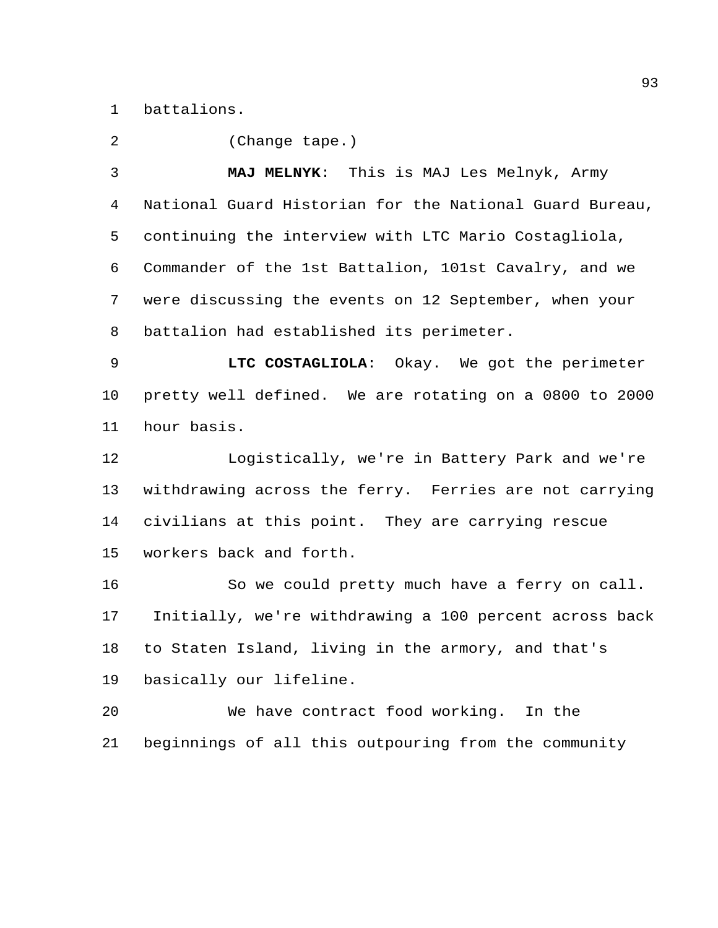battalions.

(Change tape.)

 **MAJ MELNYK**: This is MAJ Les Melnyk, Army National Guard Historian for the National Guard Bureau, continuing the interview with LTC Mario Costagliola, Commander of the 1st Battalion, 101st Cavalry, and we were discussing the events on 12 September, when your battalion had established its perimeter.

 **LTC COSTAGLIOLA**: Okay. We got the perimeter pretty well defined. We are rotating on a 0800 to 2000 hour basis.

 Logistically, we're in Battery Park and we're withdrawing across the ferry. Ferries are not carrying civilians at this point. They are carrying rescue workers back and forth.

 So we could pretty much have a ferry on call. Initially, we're withdrawing a 100 percent across back to Staten Island, living in the armory, and that's basically our lifeline.

 We have contract food working. In the beginnings of all this outpouring from the community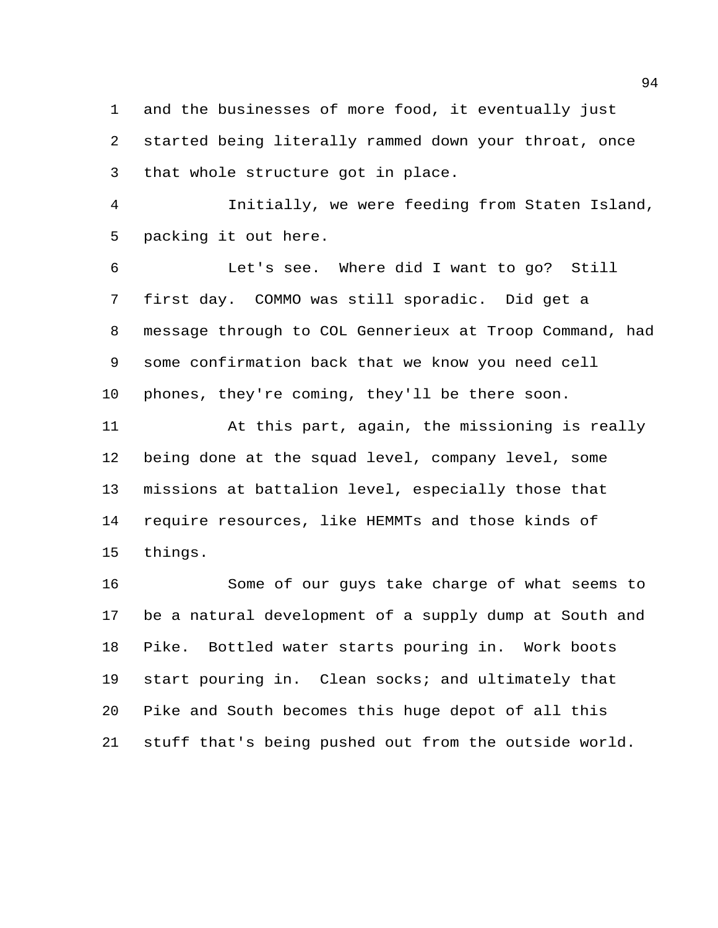and the businesses of more food, it eventually just started being literally rammed down your throat, once that whole structure got in place.

 Initially, we were feeding from Staten Island, packing it out here.

 Let's see. Where did I want to go? Still first day. COMMO was still sporadic. Did get a message through to COL Gennerieux at Troop Command, had some confirmation back that we know you need cell phones, they're coming, they'll be there soon.

 At this part, again, the missioning is really being done at the squad level, company level, some missions at battalion level, especially those that require resources, like HEMMTs and those kinds of things.

 Some of our guys take charge of what seems to be a natural development of a supply dump at South and Pike. Bottled water starts pouring in. Work boots start pouring in. Clean socks; and ultimately that Pike and South becomes this huge depot of all this stuff that's being pushed out from the outside world.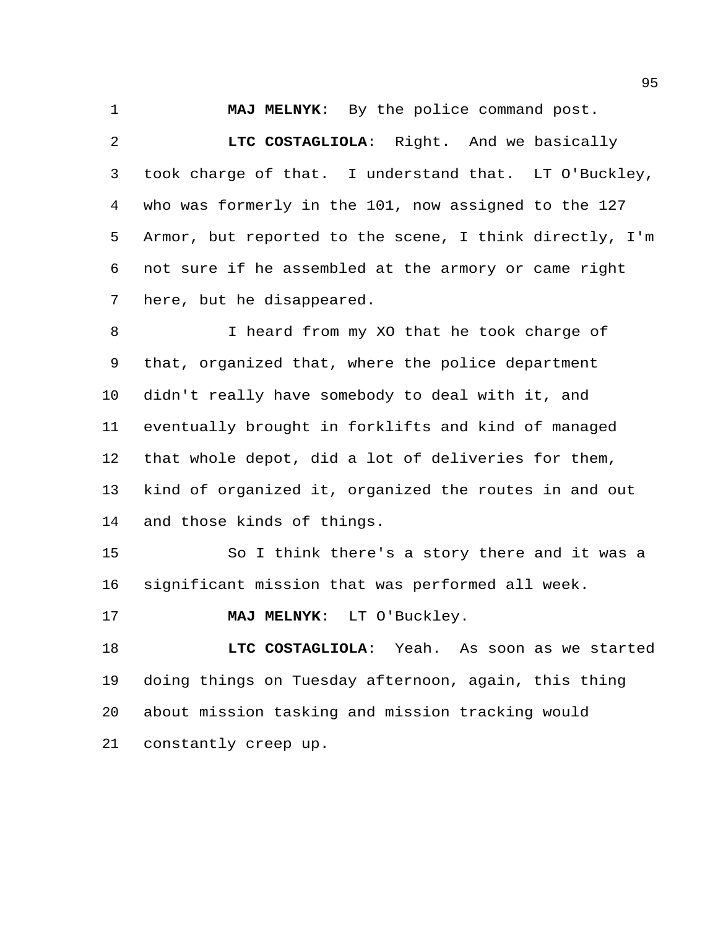**MAJ MELNYK**: By the police command post.

 **LTC COSTAGLIOLA**: Right. And we basically took charge of that. I understand that. LT O'Buckley, who was formerly in the 101, now assigned to the 127 Armor, but reported to the scene, I think directly, I'm not sure if he assembled at the armory or came right here, but he disappeared.

8 I heard from my XO that he took charge of that, organized that, where the police department didn't really have somebody to deal with it, and eventually brought in forklifts and kind of managed that whole depot, did a lot of deliveries for them, kind of organized it, organized the routes in and out and those kinds of things.

 So I think there's a story there and it was a significant mission that was performed all week.

**MAJ MELNYK**: LT O'Buckley.

 **LTC COSTAGLIOLA**: Yeah. As soon as we started doing things on Tuesday afternoon, again, this thing about mission tasking and mission tracking would constantly creep up.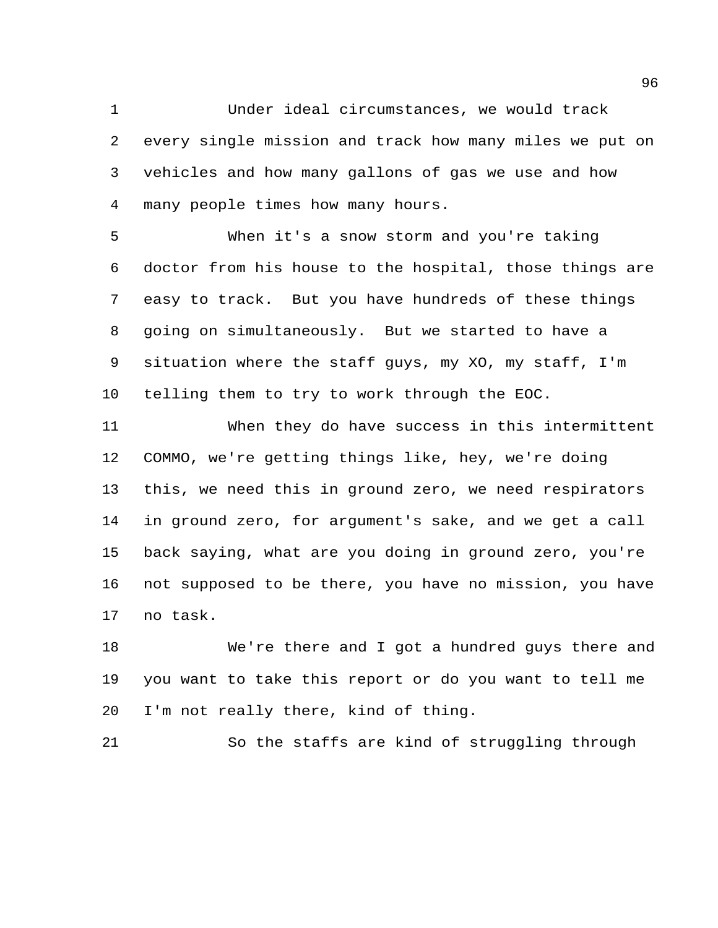Under ideal circumstances, we would track every single mission and track how many miles we put on vehicles and how many gallons of gas we use and how many people times how many hours.

 When it's a snow storm and you're taking doctor from his house to the hospital, those things are easy to track. But you have hundreds of these things going on simultaneously. But we started to have a situation where the staff guys, my XO, my staff, I'm telling them to try to work through the EOC.

 When they do have success in this intermittent COMMO, we're getting things like, hey, we're doing this, we need this in ground zero, we need respirators in ground zero, for argument's sake, and we get a call back saying, what are you doing in ground zero, you're not supposed to be there, you have no mission, you have no task.

 We're there and I got a hundred guys there and you want to take this report or do you want to tell me I'm not really there, kind of thing.

So the staffs are kind of struggling through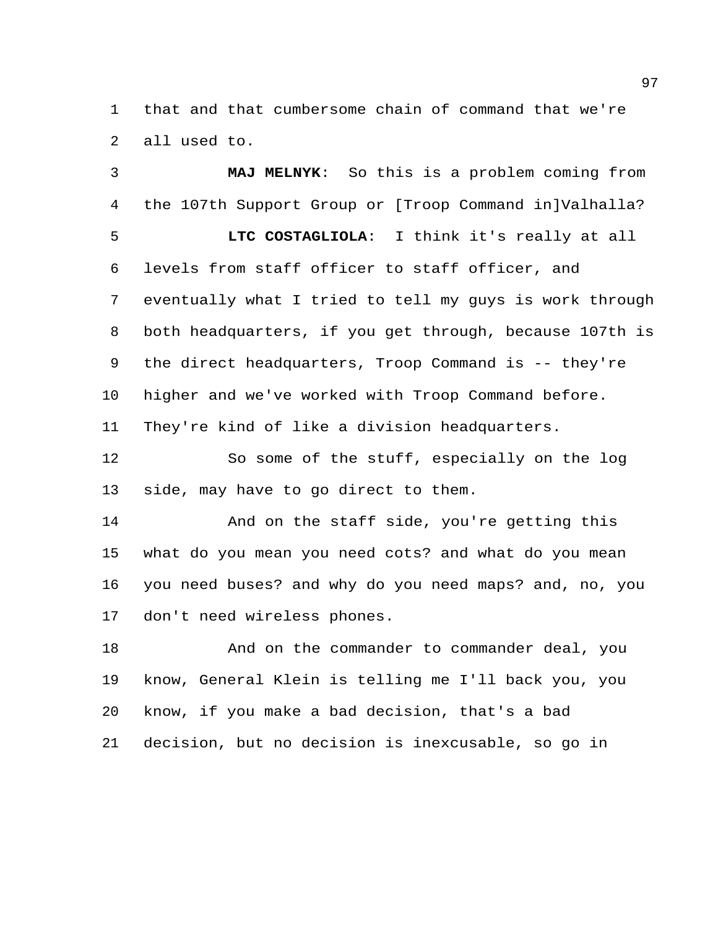that and that cumbersome chain of command that we're all used to.

 **MAJ MELNYK**: So this is a problem coming from the 107th Support Group or [Troop Command in]Valhalla? **LTC COSTAGLIOLA**: I think it's really at all levels from staff officer to staff officer, and eventually what I tried to tell my guys is work through both headquarters, if you get through, because 107th is the direct headquarters, Troop Command is -- they're higher and we've worked with Troop Command before. They're kind of like a division headquarters.

 So some of the stuff, especially on the log side, may have to go direct to them.

 And on the staff side, you're getting this what do you mean you need cots? and what do you mean you need buses? and why do you need maps? and, no, you don't need wireless phones.

 And on the commander to commander deal, you know, General Klein is telling me I'll back you, you know, if you make a bad decision, that's a bad decision, but no decision is inexcusable, so go in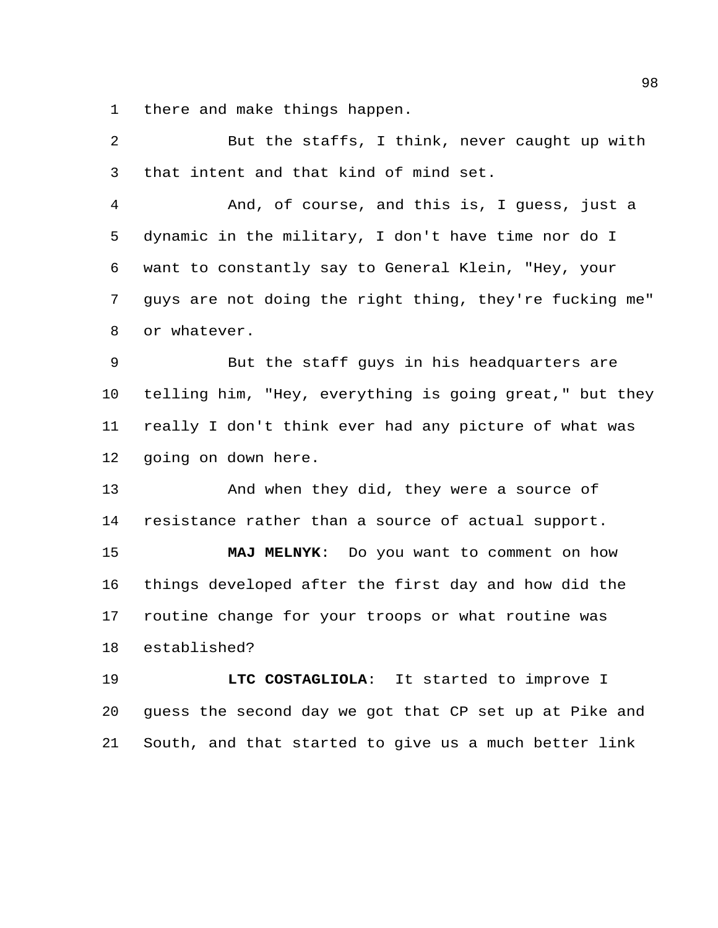there and make things happen.

 But the staffs, I think, never caught up with that intent and that kind of mind set. And, of course, and this is, I guess, just a dynamic in the military, I don't have time nor do I want to constantly say to General Klein, "Hey, your guys are not doing the right thing, they're fucking me" or whatever. But the staff guys in his headquarters are telling him, "Hey, everything is going great," but they really I don't think ever had any picture of what was going on down here. 13 And when they did, they were a source of resistance rather than a source of actual support. **MAJ MELNYK**: Do you want to comment on how things developed after the first day and how did the routine change for your troops or what routine was established? **LTC COSTAGLIOLA**: It started to improve I guess the second day we got that CP set up at Pike and

South, and that started to give us a much better link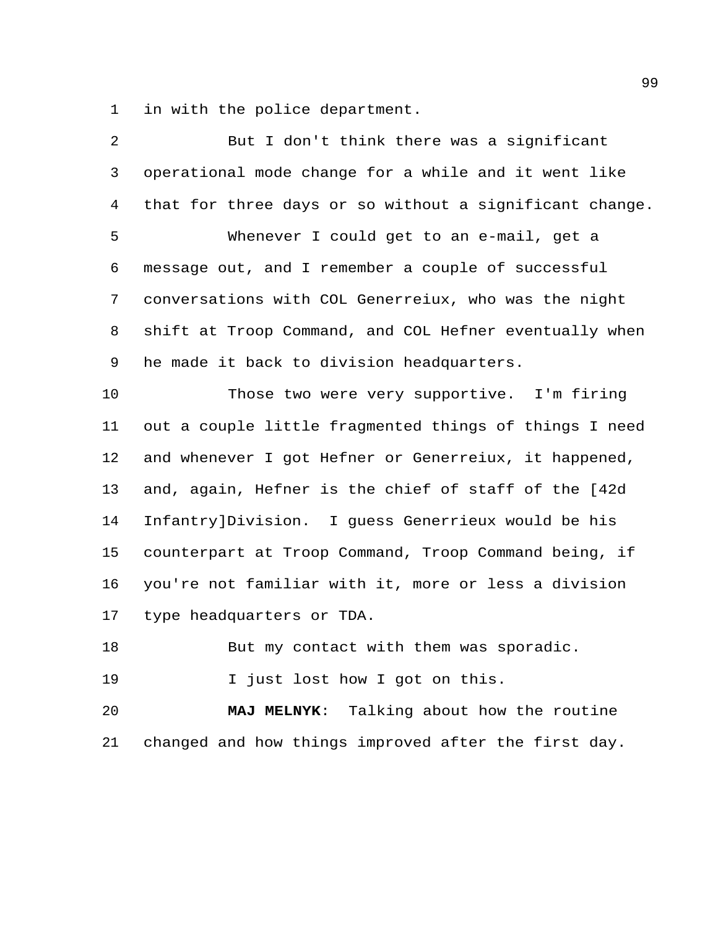in with the police department.

| $\overline{2}$ | But I don't think there was a significant               |
|----------------|---------------------------------------------------------|
| 3              | operational mode change for a while and it went like    |
| 4              | that for three days or so without a significant change. |
| 5              | Whenever I could get to an e-mail, get a                |
| 6              | message out, and I remember a couple of successful      |
| 7              | conversations with COL Generreiux, who was the night    |
| 8              | shift at Troop Command, and COL Hefner eventually when  |
| 9              | he made it back to division headquarters.               |
| 10             | Those two were very supportive. I'm firing              |
| 11             | out a couple little fragmented things of things I need  |
| 12             | and whenever I got Hefner or Generreiux, it happened,   |
| 13             | and, again, Hefner is the chief of staff of the [42d    |
| 14             | Infantry]Division. I guess Generrieux would be his      |
| 15             | counterpart at Troop Command, Troop Command being, if   |
| 16             | you're not familiar with it, more or less a division    |
| 17             | type headquarters or TDA.                               |
| 18             | But my contact with them was sporadic.                  |
| 19             | I just lost how I got on this.                          |
| 20             | MAJ MELNYK: Talking about how the routine               |
| 21             | changed and how things improved after the first day.    |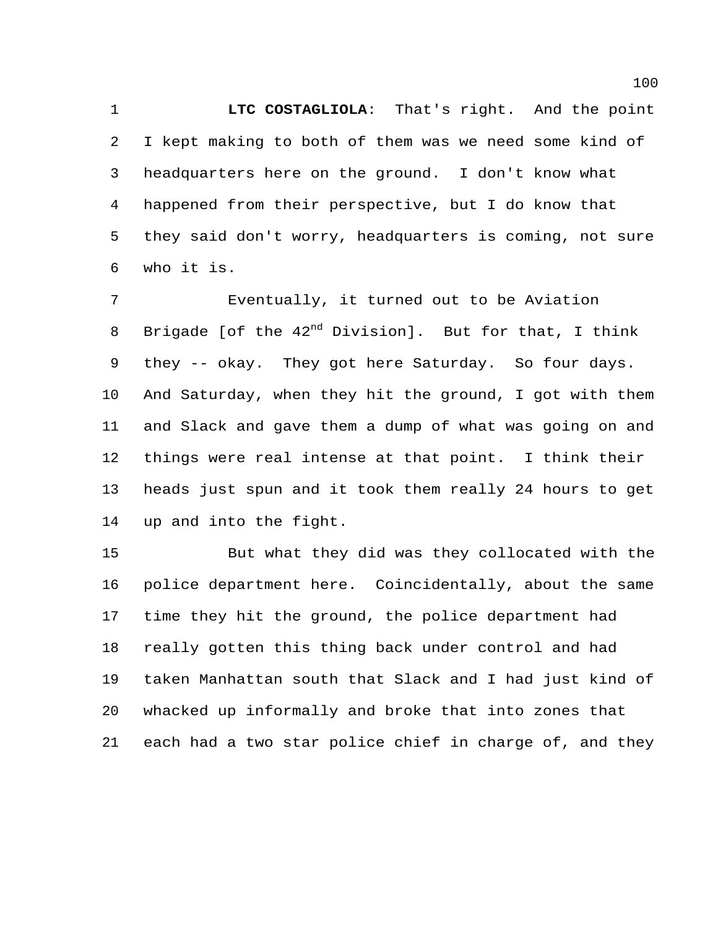**LTC COSTAGLIOLA**: That's right. And the point I kept making to both of them was we need some kind of headquarters here on the ground. I don't know what happened from their perspective, but I do know that they said don't worry, headquarters is coming, not sure who it is.

 Eventually, it turned out to be Aviation 8 Brigade [of the  $42<sup>nd</sup>$  Division]. But for that, I think they -- okay. They got here Saturday. So four days. And Saturday, when they hit the ground, I got with them and Slack and gave them a dump of what was going on and things were real intense at that point. I think their heads just spun and it took them really 24 hours to get up and into the fight.

 But what they did was they collocated with the police department here. Coincidentally, about the same time they hit the ground, the police department had really gotten this thing back under control and had taken Manhattan south that Slack and I had just kind of whacked up informally and broke that into zones that each had a two star police chief in charge of, and they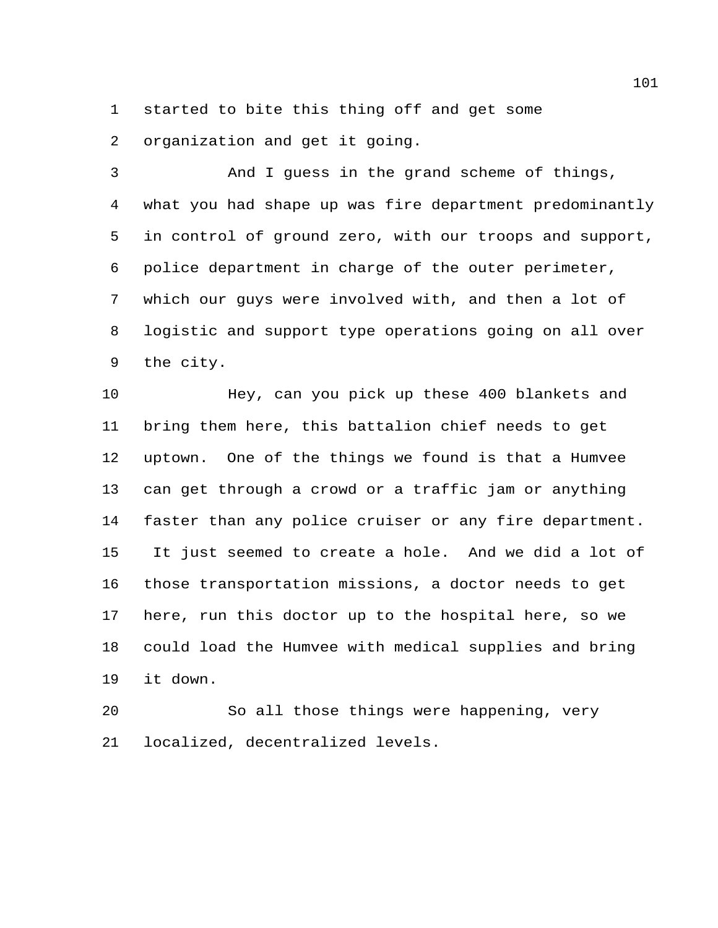started to bite this thing off and get some

organization and get it going.

 And I guess in the grand scheme of things, what you had shape up was fire department predominantly in control of ground zero, with our troops and support, police department in charge of the outer perimeter, which our guys were involved with, and then a lot of logistic and support type operations going on all over the city.

 Hey, can you pick up these 400 blankets and bring them here, this battalion chief needs to get uptown. One of the things we found is that a Humvee can get through a crowd or a traffic jam or anything faster than any police cruiser or any fire department. It just seemed to create a hole. And we did a lot of those transportation missions, a doctor needs to get here, run this doctor up to the hospital here, so we could load the Humvee with medical supplies and bring it down.

 So all those things were happening, very localized, decentralized levels.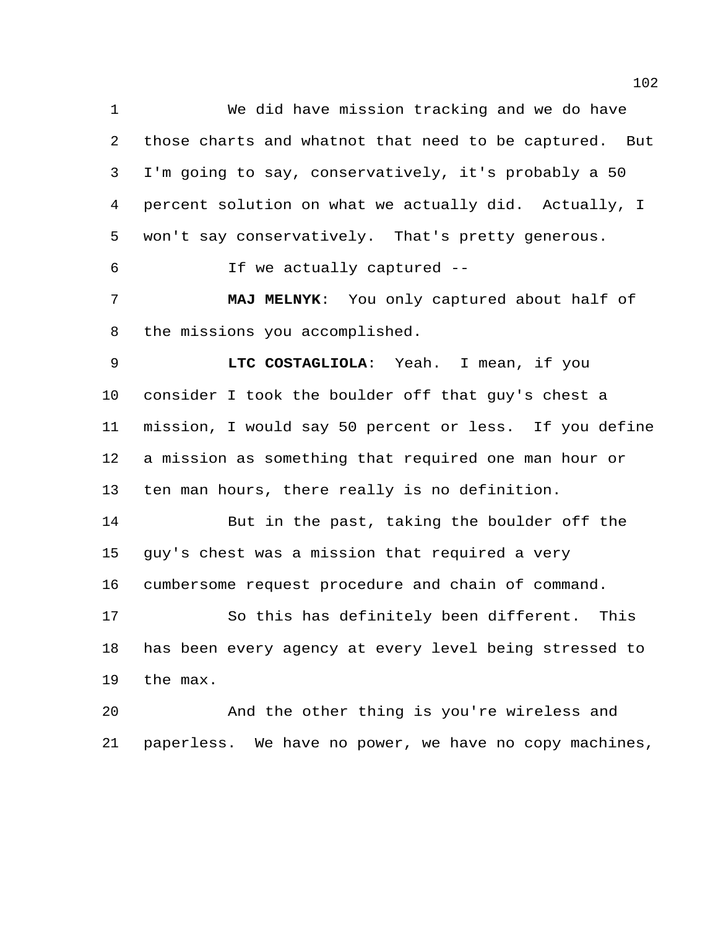We did have mission tracking and we do have those charts and whatnot that need to be captured. But I'm going to say, conservatively, it's probably a 50 percent solution on what we actually did. Actually, I won't say conservatively. That's pretty generous. If we actually captured -- **MAJ MELNYK**: You only captured about half of the missions you accomplished. **LTC COSTAGLIOLA**: Yeah. I mean, if you consider I took the boulder off that guy's chest a mission, I would say 50 percent or less. If you define a mission as something that required one man hour or ten man hours, there really is no definition. But in the past, taking the boulder off the guy's chest was a mission that required a very cumbersome request procedure and chain of command. So this has definitely been different. This has been every agency at every level being stressed to the max. And the other thing is you're wireless and

paperless. We have no power, we have no copy machines,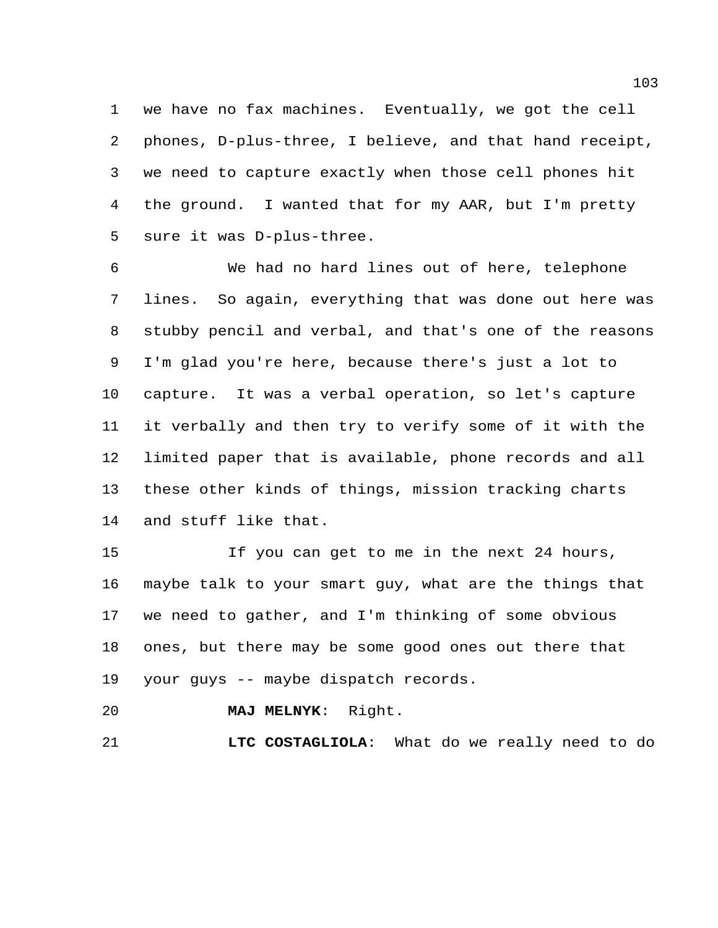we have no fax machines. Eventually, we got the cell phones, D-plus-three, I believe, and that hand receipt, we need to capture exactly when those cell phones hit the ground. I wanted that for my AAR, but I'm pretty sure it was D-plus-three.

 We had no hard lines out of here, telephone lines. So again, everything that was done out here was stubby pencil and verbal, and that's one of the reasons I'm glad you're here, because there's just a lot to capture. It was a verbal operation, so let's capture it verbally and then try to verify some of it with the limited paper that is available, phone records and all these other kinds of things, mission tracking charts and stuff like that.

 If you can get to me in the next 24 hours, maybe talk to your smart guy, what are the things that we need to gather, and I'm thinking of some obvious ones, but there may be some good ones out there that your guys -- maybe dispatch records.

**MAJ MELNYK**: Right.

**LTC COSTAGLIOLA**: What do we really need to do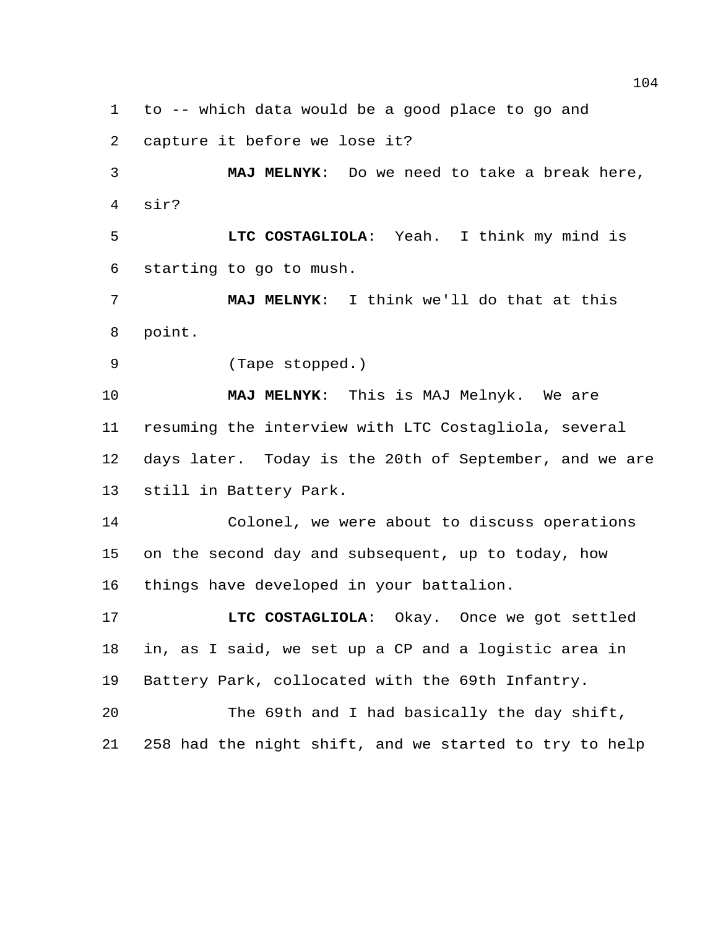to -- which data would be a good place to go and

capture it before we lose it?

 **MAJ MELNYK**: Do we need to take a break here, sir?

 **LTC COSTAGLIOLA**: Yeah. I think my mind is starting to go to mush.

 **MAJ MELNYK**: I think we'll do that at this point.

(Tape stopped.)

 **MAJ MELNYK**: This is MAJ Melnyk. We are resuming the interview with LTC Costagliola, several days later. Today is the 20th of September, and we are still in Battery Park.

 Colonel, we were about to discuss operations on the second day and subsequent, up to today, how things have developed in your battalion.

 **LTC COSTAGLIOLA**: Okay. Once we got settled in, as I said, we set up a CP and a logistic area in Battery Park, collocated with the 69th Infantry.

 The 69th and I had basically the day shift, 258 had the night shift, and we started to try to help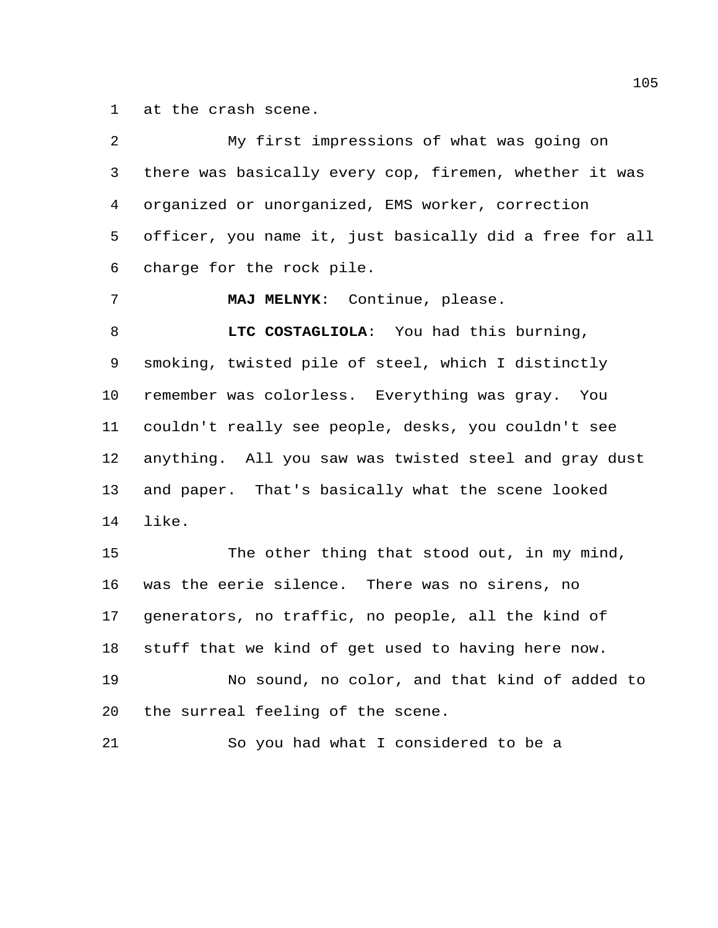at the crash scene.

| 2  | My first impressions of what was going on               |
|----|---------------------------------------------------------|
| 3  | there was basically every cop, firemen, whether it was  |
| 4  | organized or unorganized, EMS worker, correction        |
| 5  | officer, you name it, just basically did a free for all |
| 6  | charge for the rock pile.                               |
| 7  | MAJ MELNYK: Continue, please.                           |
| 8  | LTC COSTAGLIOLA: You had this burning,                  |
| 9  | smoking, twisted pile of steel, which I distinctly      |
| 10 | remember was colorless. Everything was gray. You        |
| 11 | couldn't really see people, desks, you couldn't see     |
| 12 | anything. All you saw was twisted steel and gray dust   |
| 13 | and paper. That's basically what the scene looked       |
| 14 | like.                                                   |
| 15 | The other thing that stood out, in my mind,             |
| 16 | was the eerie silence. There was no sirens, no          |
| 17 | generators, no traffic, no people, all the kind of      |
| 18 | stuff that we kind of get used to having here now.      |
| 19 | No sound, no color, and that kind of added to           |
| 20 | the surreal feeling of the scene.                       |
| 21 | So you had what I considered to be a                    |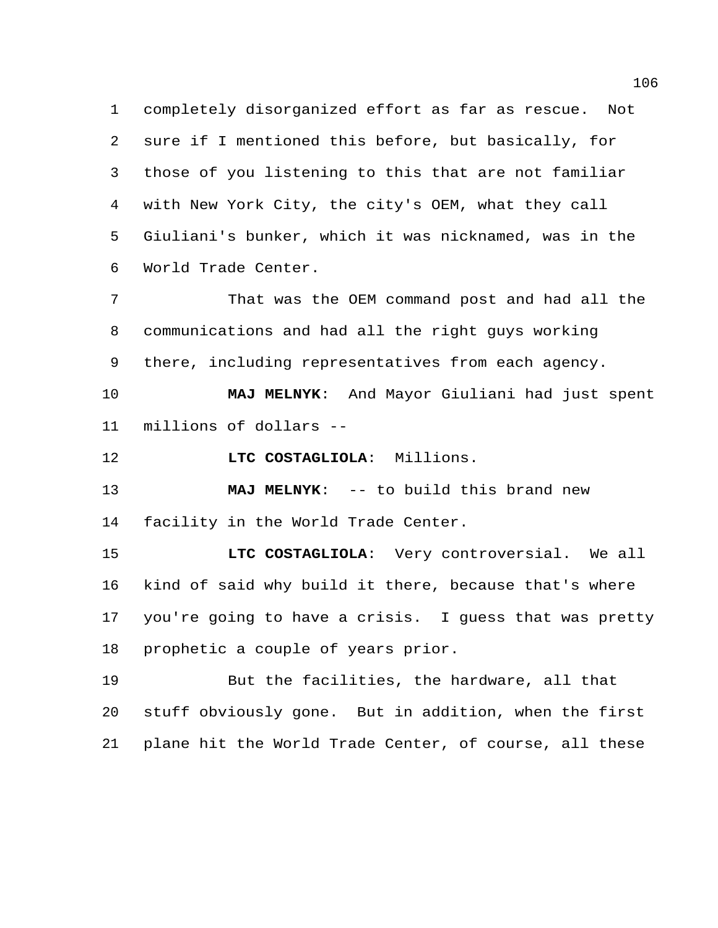completely disorganized effort as far as rescue. Not sure if I mentioned this before, but basically, for those of you listening to this that are not familiar with New York City, the city's OEM, what they call Giuliani's bunker, which it was nicknamed, was in the World Trade Center.

 That was the OEM command post and had all the communications and had all the right guys working there, including representatives from each agency.

 **MAJ MELNYK**: And Mayor Giuliani had just spent millions of dollars --

**LTC COSTAGLIOLA**: Millions.

 **MAJ MELNYK**: -- to build this brand new facility in the World Trade Center.

 **LTC COSTAGLIOLA**: Very controversial. We all kind of said why build it there, because that's where you're going to have a crisis. I guess that was pretty prophetic a couple of years prior.

 But the facilities, the hardware, all that stuff obviously gone. But in addition, when the first plane hit the World Trade Center, of course, all these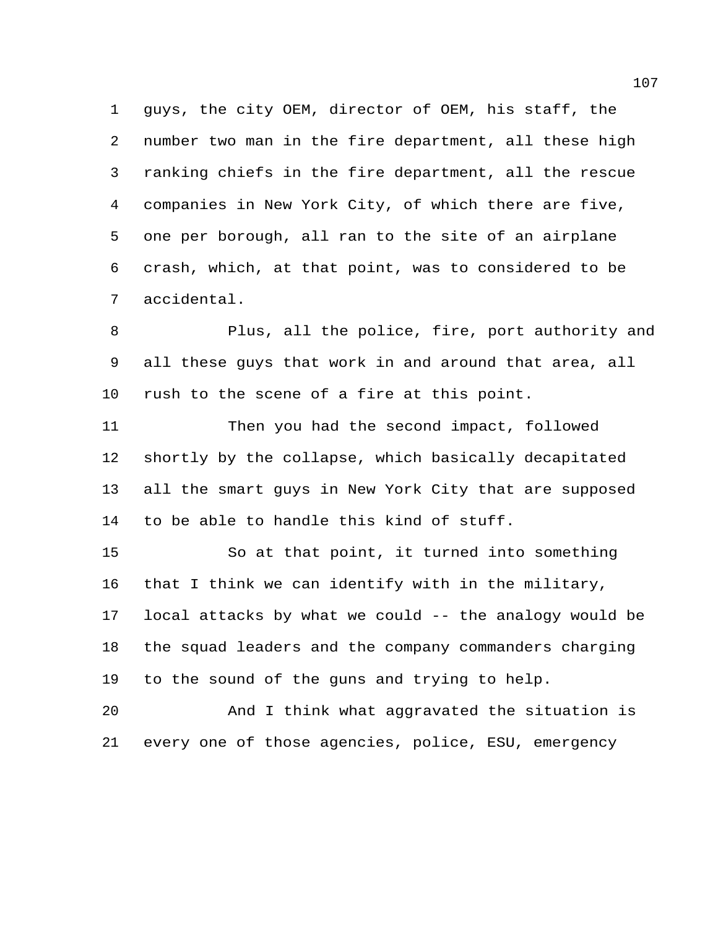guys, the city OEM, director of OEM, his staff, the number two man in the fire department, all these high ranking chiefs in the fire department, all the rescue companies in New York City, of which there are five, one per borough, all ran to the site of an airplane crash, which, at that point, was to considered to be accidental.

 Plus, all the police, fire, port authority and all these guys that work in and around that area, all rush to the scene of a fire at this point.

 Then you had the second impact, followed shortly by the collapse, which basically decapitated all the smart guys in New York City that are supposed to be able to handle this kind of stuff.

 So at that point, it turned into something that I think we can identify with in the military, local attacks by what we could -- the analogy would be the squad leaders and the company commanders charging to the sound of the guns and trying to help.

 And I think what aggravated the situation is every one of those agencies, police, ESU, emergency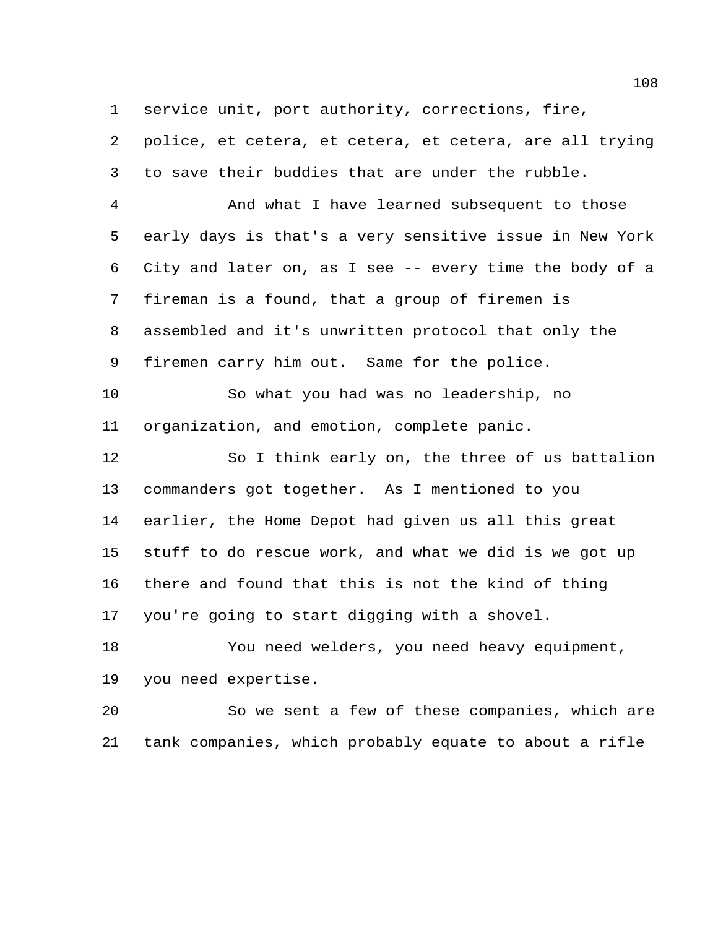service unit, port authority, corrections, fire,

 police, et cetera, et cetera, et cetera, are all trying to save their buddies that are under the rubble.

 And what I have learned subsequent to those early days is that's a very sensitive issue in New York City and later on, as I see -- every time the body of a fireman is a found, that a group of firemen is assembled and it's unwritten protocol that only the firemen carry him out. Same for the police.

 So what you had was no leadership, no organization, and emotion, complete panic.

 So I think early on, the three of us battalion commanders got together. As I mentioned to you earlier, the Home Depot had given us all this great stuff to do rescue work, and what we did is we got up there and found that this is not the kind of thing you're going to start digging with a shovel.

 You need welders, you need heavy equipment, you need expertise.

 So we sent a few of these companies, which are tank companies, which probably equate to about a rifle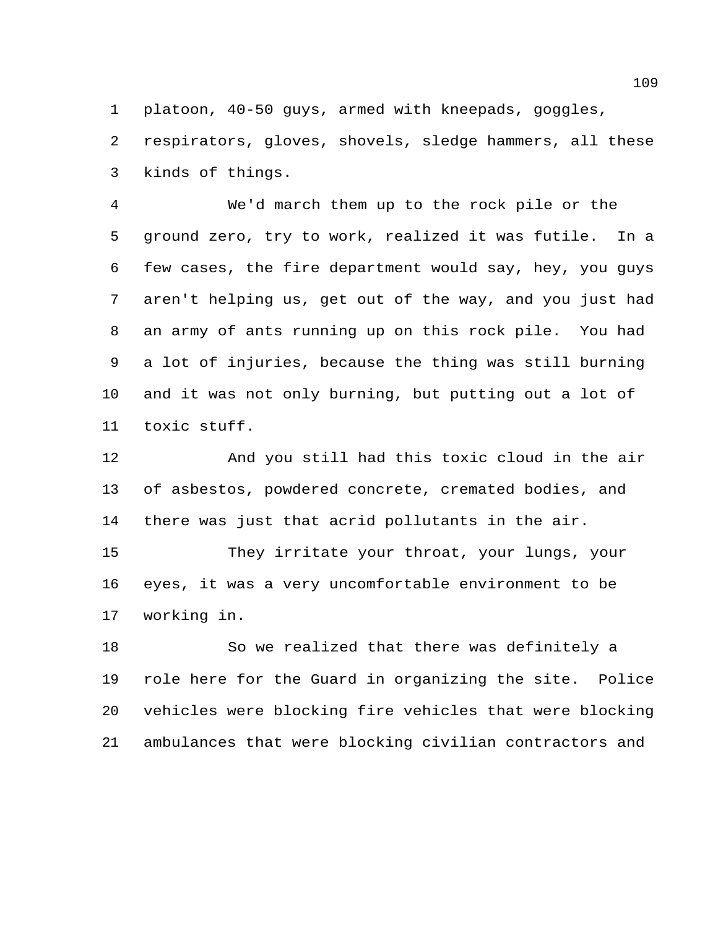platoon, 40-50 guys, armed with kneepads, goggles,

 respirators, gloves, shovels, sledge hammers, all these kinds of things.

 We'd march them up to the rock pile or the ground zero, try to work, realized it was futile. In a few cases, the fire department would say, hey, you guys aren't helping us, get out of the way, and you just had an army of ants running up on this rock pile. You had a lot of injuries, because the thing was still burning and it was not only burning, but putting out a lot of toxic stuff.

 And you still had this toxic cloud in the air of asbestos, powdered concrete, cremated bodies, and there was just that acrid pollutants in the air.

 They irritate your throat, your lungs, your eyes, it was a very uncomfortable environment to be working in.

 So we realized that there was definitely a role here for the Guard in organizing the site. Police vehicles were blocking fire vehicles that were blocking ambulances that were blocking civilian contractors and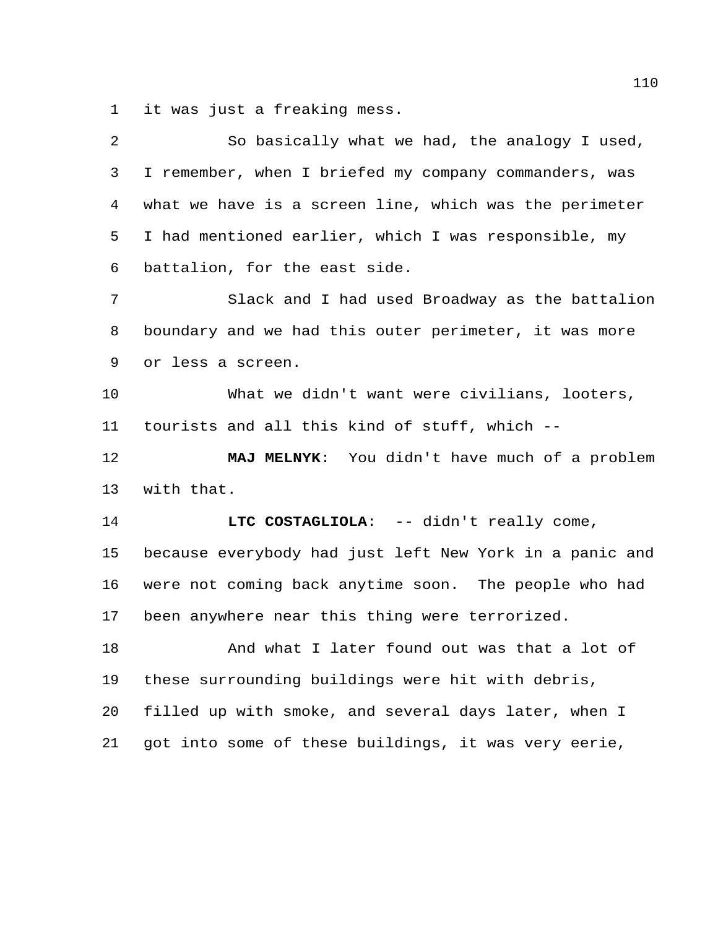it was just a freaking mess.

| 2  | So basically what we had, the analogy I used,           |
|----|---------------------------------------------------------|
| 3  | I remember, when I briefed my company commanders, was   |
| 4  | what we have is a screen line, which was the perimeter  |
| 5  | I had mentioned earlier, which I was responsible, my    |
| 6  | battalion, for the east side.                           |
| 7  | Slack and I had used Broadway as the battalion          |
| 8  | boundary and we had this outer perimeter, it was more   |
| 9  | or less a screen.                                       |
| 10 | What we didn't want were civilians, looters,            |
| 11 | tourists and all this kind of stuff, which --           |
|    |                                                         |
| 12 | MAJ MELNYK: You didn't have much of a problem           |
| 13 | with that.                                              |
| 14 | LTC COSTAGLIOLA: -- didn't really come,                 |
| 15 | because everybody had just left New York in a panic and |
| 16 | were not coming back anytime soon. The people who had   |
| 17 | been anywhere near this thing were terrorized.          |
| 18 | And what I later found out was that a lot of            |
| 19 | these surrounding buildings were hit with debris,       |
| 20 | filled up with smoke, and several days later, when I    |
| 21 | got into some of these buildings, it was very eerie,    |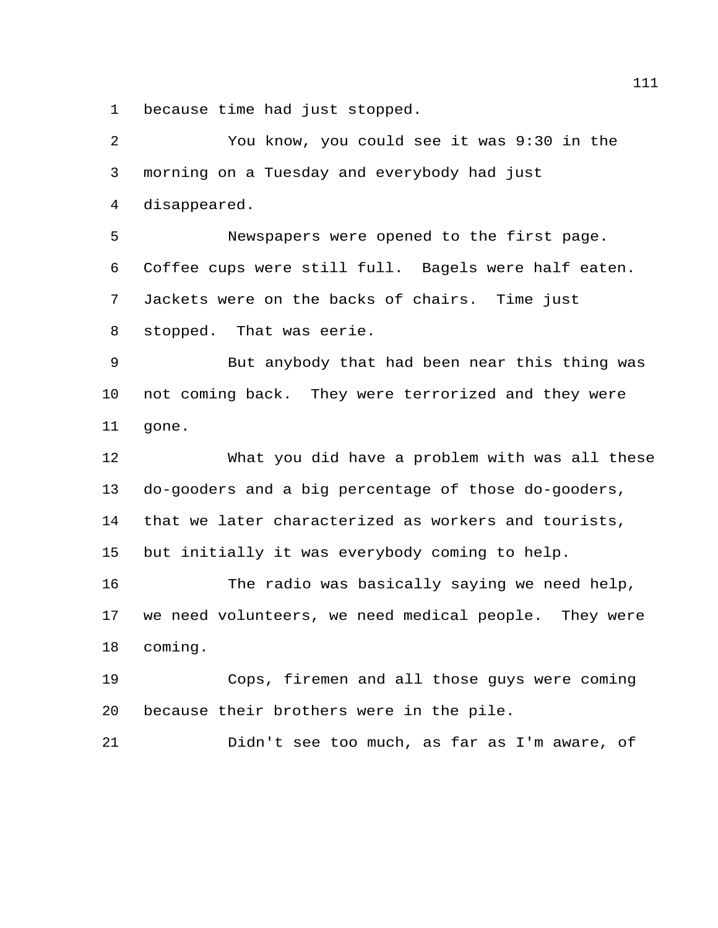because time had just stopped.

 You know, you could see it was 9:30 in the morning on a Tuesday and everybody had just disappeared. Newspapers were opened to the first page. Coffee cups were still full. Bagels were half eaten. Jackets were on the backs of chairs. Time just stopped. That was eerie. But anybody that had been near this thing was not coming back. They were terrorized and they were gone. What you did have a problem with was all these do-gooders and a big percentage of those do-gooders, that we later characterized as workers and tourists, but initially it was everybody coming to help. The radio was basically saying we need help, we need volunteers, we need medical people. They were coming. Cops, firemen and all those guys were coming because their brothers were in the pile. Didn't see too much, as far as I'm aware, of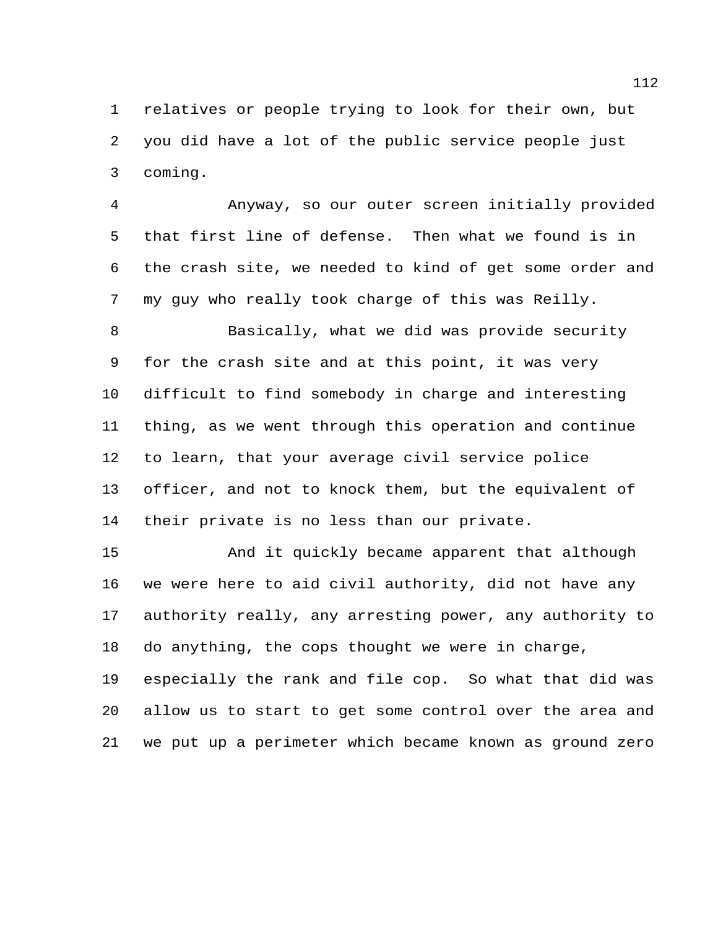relatives or people trying to look for their own, but you did have a lot of the public service people just coming.

 Anyway, so our outer screen initially provided that first line of defense. Then what we found is in the crash site, we needed to kind of get some order and my guy who really took charge of this was Reilly.

 Basically, what we did was provide security for the crash site and at this point, it was very difficult to find somebody in charge and interesting thing, as we went through this operation and continue to learn, that your average civil service police officer, and not to knock them, but the equivalent of their private is no less than our private.

 And it quickly became apparent that although we were here to aid civil authority, did not have any authority really, any arresting power, any authority to do anything, the cops thought we were in charge, especially the rank and file cop. So what that did was allow us to start to get some control over the area and we put up a perimeter which became known as ground zero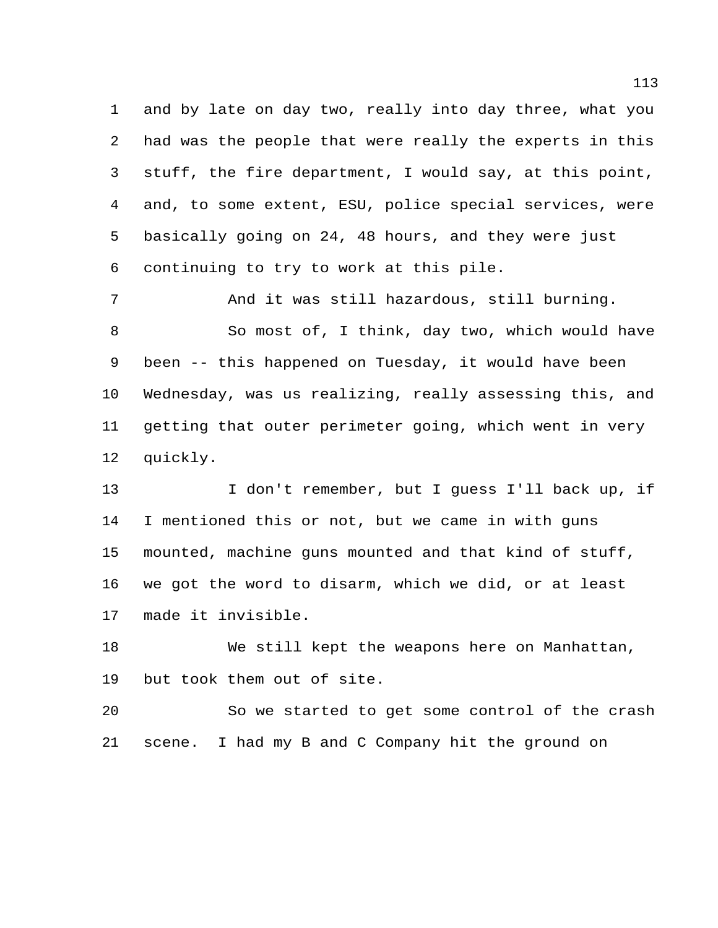and by late on day two, really into day three, what you had was the people that were really the experts in this stuff, the fire department, I would say, at this point, and, to some extent, ESU, police special services, were basically going on 24, 48 hours, and they were just continuing to try to work at this pile.

 And it was still hazardous, still burning. So most of, I think, day two, which would have been -- this happened on Tuesday, it would have been Wednesday, was us realizing, really assessing this, and getting that outer perimeter going, which went in very quickly.

13 I don't remember, but I guess I'll back up, if I mentioned this or not, but we came in with guns mounted, machine guns mounted and that kind of stuff, we got the word to disarm, which we did, or at least made it invisible.

 We still kept the weapons here on Manhattan, but took them out of site.

 So we started to get some control of the crash scene. I had my B and C Company hit the ground on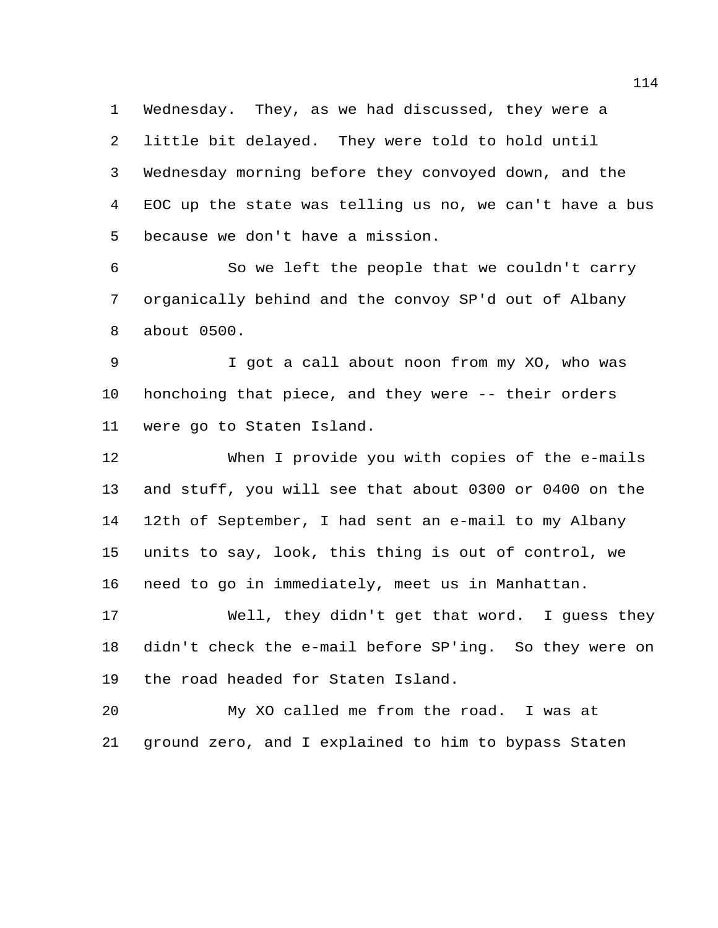Wednesday. They, as we had discussed, they were a little bit delayed. They were told to hold until Wednesday morning before they convoyed down, and the EOC up the state was telling us no, we can't have a bus because we don't have a mission.

 So we left the people that we couldn't carry organically behind and the convoy SP'd out of Albany about 0500.

 I got a call about noon from my XO, who was honchoing that piece, and they were -- their orders were go to Staten Island.

 When I provide you with copies of the e-mails and stuff, you will see that about 0300 or 0400 on the 12th of September, I had sent an e-mail to my Albany units to say, look, this thing is out of control, we need to go in immediately, meet us in Manhattan.

 Well, they didn't get that word. I guess they didn't check the e-mail before SP'ing. So they were on the road headed for Staten Island.

 My XO called me from the road. I was at ground zero, and I explained to him to bypass Staten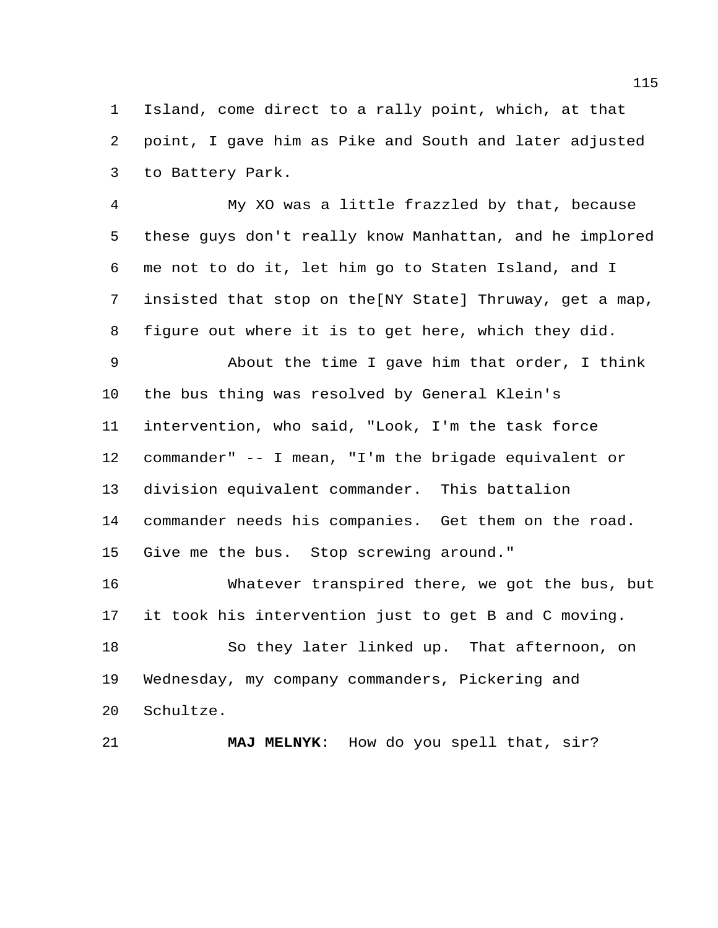Island, come direct to a rally point, which, at that point, I gave him as Pike and South and later adjusted to Battery Park.

 My XO was a little frazzled by that, because these guys don't really know Manhattan, and he implored me not to do it, let him go to Staten Island, and I insisted that stop on the[NY State] Thruway, get a map, figure out where it is to get here, which they did.

 About the time I gave him that order, I think the bus thing was resolved by General Klein's intervention, who said, "Look, I'm the task force commander" -- I mean, "I'm the brigade equivalent or division equivalent commander. This battalion commander needs his companies. Get them on the road. Give me the bus. Stop screwing around."

 Whatever transpired there, we got the bus, but it took his intervention just to get B and C moving.

 So they later linked up. That afternoon, on Wednesday, my company commanders, Pickering and Schultze.

**MAJ MELNYK**: How do you spell that, sir?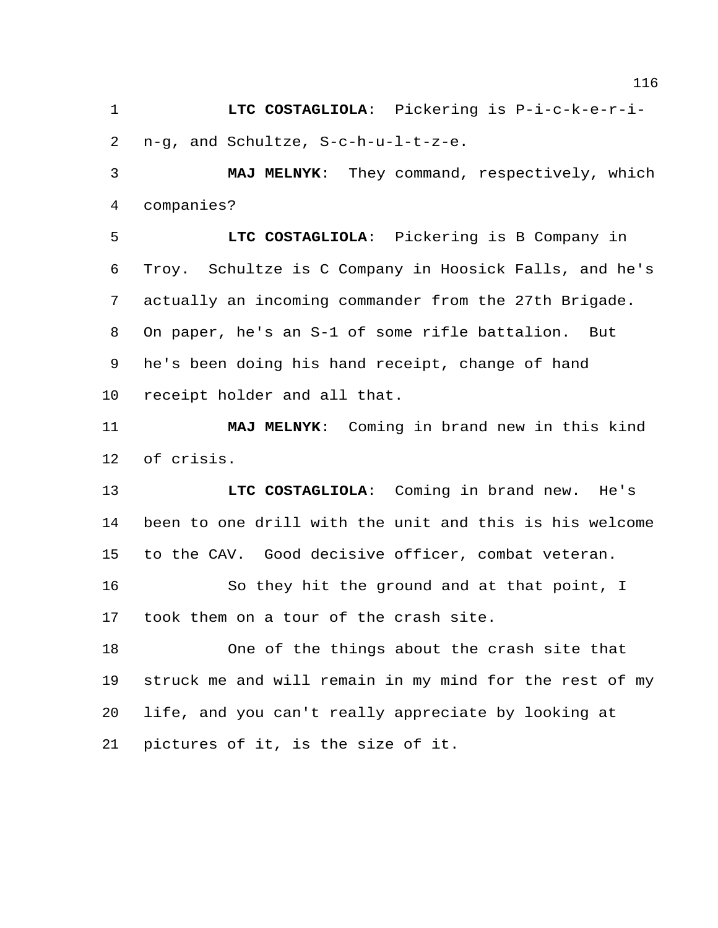**LTC COSTAGLIOLA**: Pickering is P-i-c-k-e-r-i-n-g, and Schultze, S-c-h-u-l-t-z-e.

 **MAJ MELNYK**: They command, respectively, which companies?

 **LTC COSTAGLIOLA**: Pickering is B Company in Troy. Schultze is C Company in Hoosick Falls, and he's actually an incoming commander from the 27th Brigade. On paper, he's an S-1 of some rifle battalion. But he's been doing his hand receipt, change of hand receipt holder and all that.

 **MAJ MELNYK**: Coming in brand new in this kind of crisis.

 **LTC COSTAGLIOLA**: Coming in brand new. He's been to one drill with the unit and this is his welcome to the CAV. Good decisive officer, combat veteran.

 So they hit the ground and at that point, I took them on a tour of the crash site.

 One of the things about the crash site that struck me and will remain in my mind for the rest of my life, and you can't really appreciate by looking at pictures of it, is the size of it.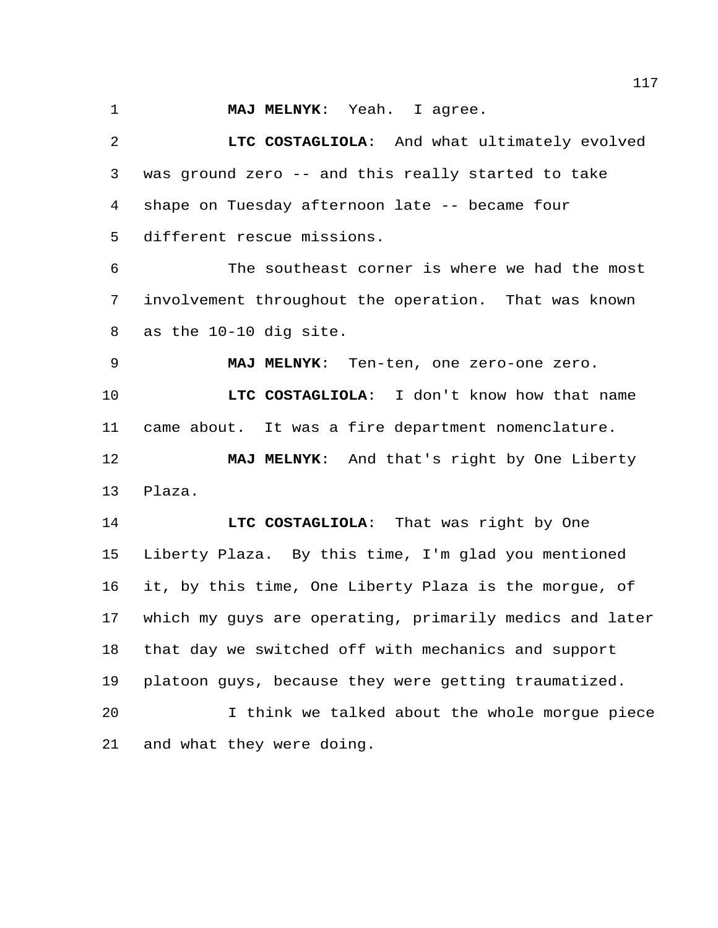**MAJ MELNYK**: Yeah. I agree.

 **LTC COSTAGLIOLA**: And what ultimately evolved was ground zero -- and this really started to take shape on Tuesday afternoon late -- became four different rescue missions.

 The southeast corner is where we had the most involvement throughout the operation. That was known as the 10-10 dig site.

**MAJ MELNYK**: Ten-ten, one zero-one zero.

 **LTC COSTAGLIOLA**: I don't know how that name came about. It was a fire department nomenclature.

 **MAJ MELNYK**: And that's right by One Liberty Plaza.

 **LTC COSTAGLIOLA**: That was right by One Liberty Plaza. By this time, I'm glad you mentioned it, by this time, One Liberty Plaza is the morgue, of which my guys are operating, primarily medics and later that day we switched off with mechanics and support platoon guys, because they were getting traumatized.

 I think we talked about the whole morgue piece and what they were doing.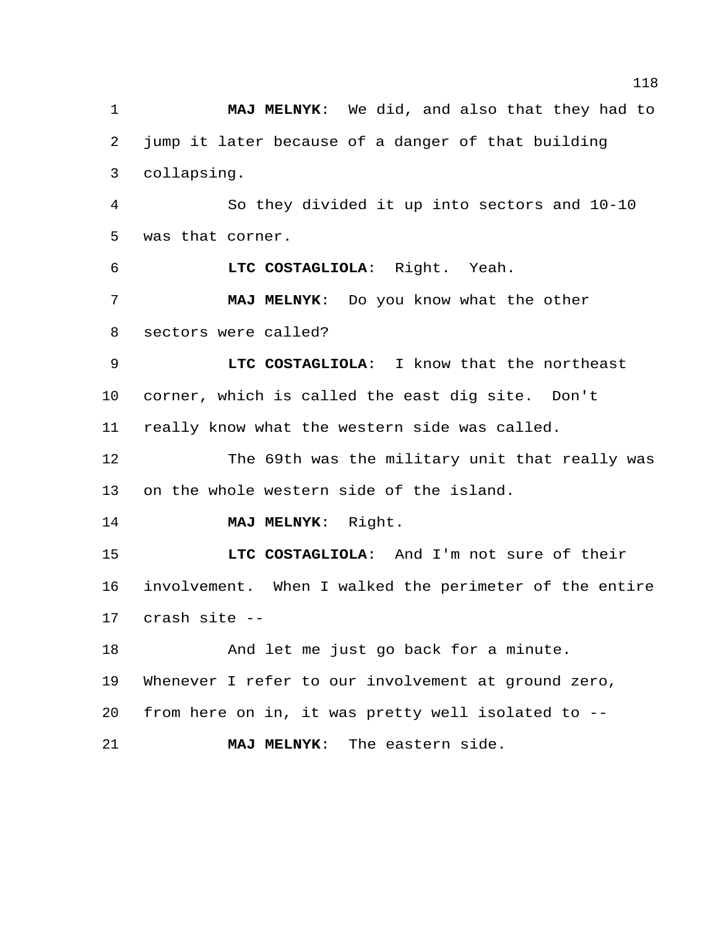**MAJ MELNYK**: We did, and also that they had to jump it later because of a danger of that building collapsing. So they divided it up into sectors and 10-10 was that corner. **LTC COSTAGLIOLA**: Right. Yeah. **MAJ MELNYK**: Do you know what the other sectors were called? **LTC COSTAGLIOLA**: I know that the northeast corner, which is called the east dig site. Don't really know what the western side was called. The 69th was the military unit that really was on the whole western side of the island. **MAJ MELNYK**: Right. **LTC COSTAGLIOLA**: And I'm not sure of their involvement. When I walked the perimeter of the entire crash site -- And let me just go back for a minute. Whenever I refer to our involvement at ground zero, from here on in, it was pretty well isolated to -- **MAJ MELNYK**: The eastern side.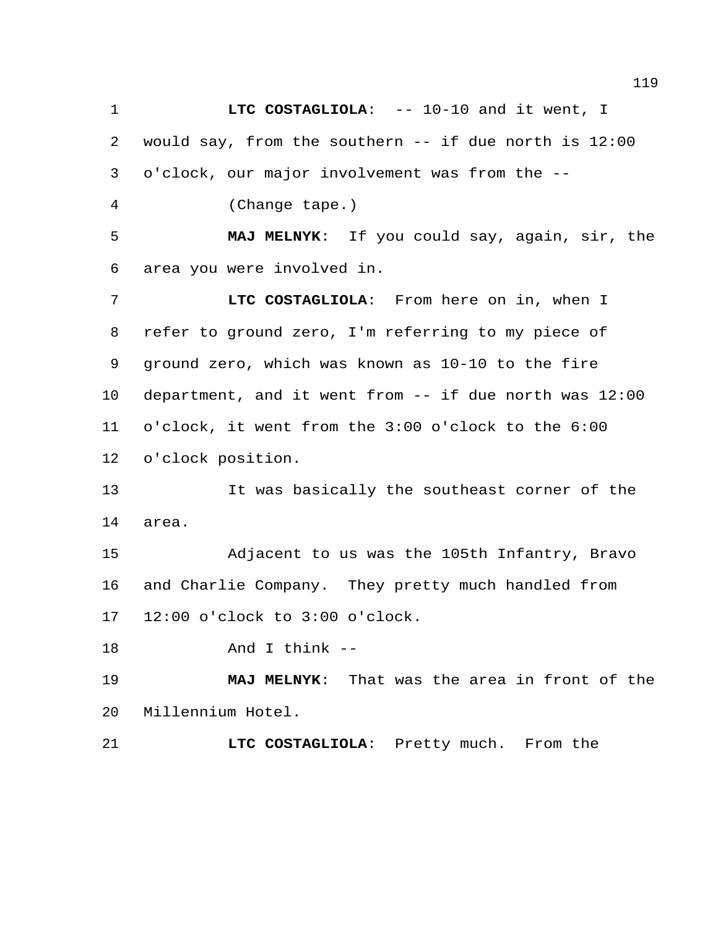**LTC COSTAGLIOLA:** -- 10-10 and it went, I would say, from the southern -- if due north is 12:00 o'clock, our major involvement was from the --

(Change tape.)

 **MAJ MELNYK**: If you could say, again, sir, the area you were involved in.

 **LTC COSTAGLIOLA**: From here on in, when I refer to ground zero, I'm referring to my piece of ground zero, which was known as 10-10 to the fire department, and it went from -- if due north was 12:00 o'clock, it went from the 3:00 o'clock to the 6:00 o'clock position.

 It was basically the southeast corner of the area.

 Adjacent to us was the 105th Infantry, Bravo and Charlie Company. They pretty much handled from 12:00 o'clock to 3:00 o'clock.

And I think --

 **MAJ MELNYK**: That was the area in front of the Millennium Hotel.

**LTC COSTAGLIOLA**: Pretty much. From the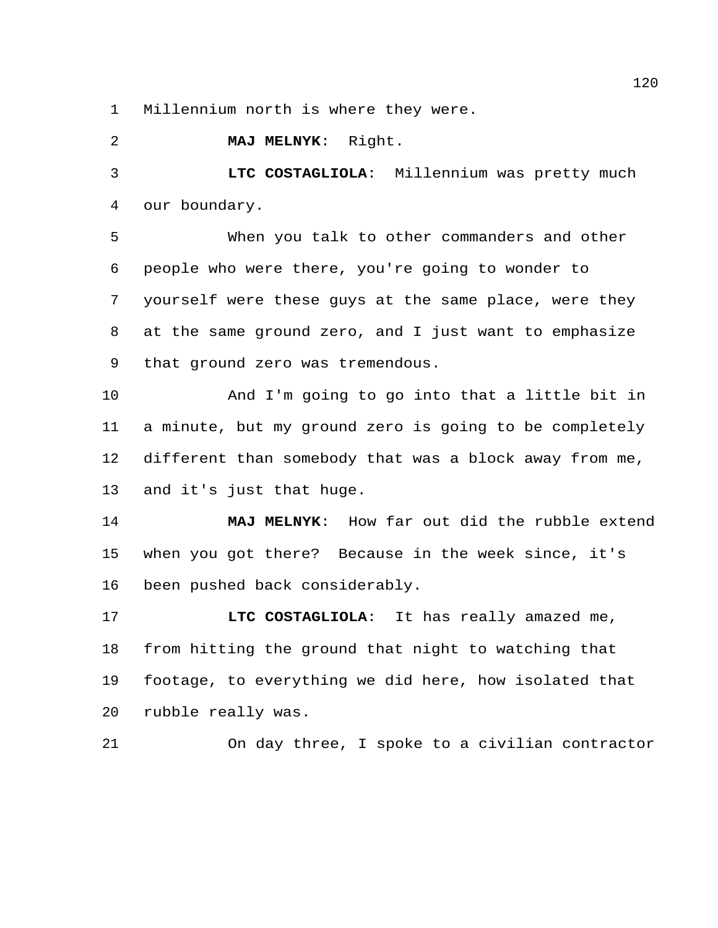Millennium north is where they were.

**MAJ MELNYK**: Right.

 **LTC COSTAGLIOLA**: Millennium was pretty much our boundary.

 When you talk to other commanders and other people who were there, you're going to wonder to yourself were these guys at the same place, were they at the same ground zero, and I just want to emphasize that ground zero was tremendous.

 And I'm going to go into that a little bit in a minute, but my ground zero is going to be completely different than somebody that was a block away from me, and it's just that huge.

 **MAJ MELNYK**: How far out did the rubble extend when you got there? Because in the week since, it's been pushed back considerably.

 **LTC COSTAGLIOLA**: It has really amazed me, from hitting the ground that night to watching that footage, to everything we did here, how isolated that rubble really was.

On day three, I spoke to a civilian contractor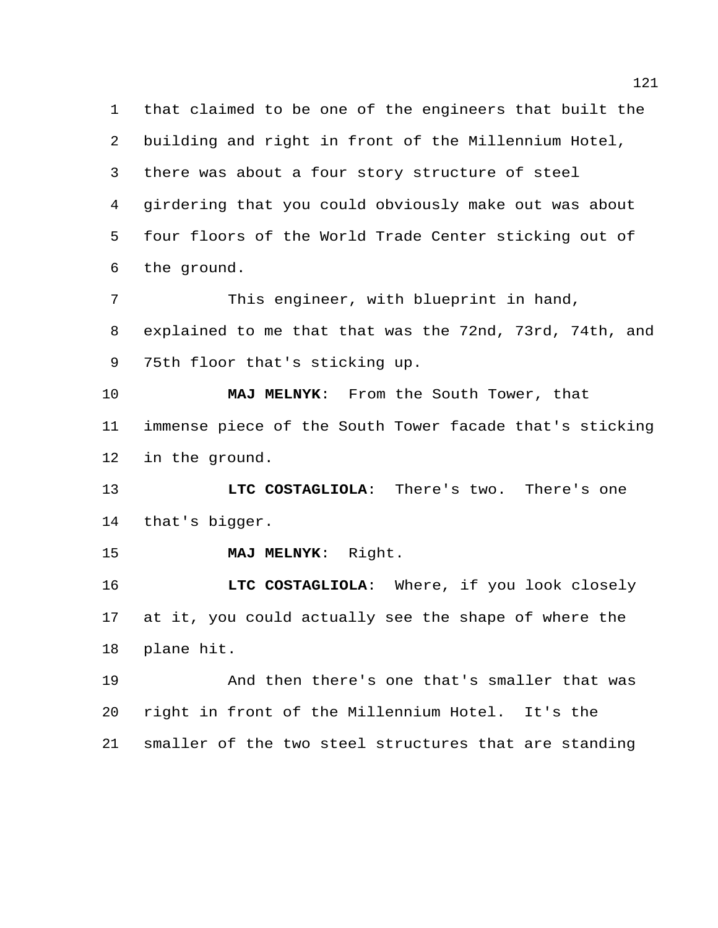that claimed to be one of the engineers that built the building and right in front of the Millennium Hotel, there was about a four story structure of steel girdering that you could obviously make out was about four floors of the World Trade Center sticking out of the ground. This engineer, with blueprint in hand, explained to me that that was the 72nd, 73rd, 74th, and 75th floor that's sticking up. **MAJ MELNYK**: From the South Tower, that immense piece of the South Tower facade that's sticking in the ground. **LTC COSTAGLIOLA**: There's two. There's one that's bigger. **MAJ MELNYK**: Right. **LTC COSTAGLIOLA**: Where, if you look closely at it, you could actually see the shape of where the plane hit. And then there's one that's smaller that was right in front of the Millennium Hotel. It's the smaller of the two steel structures that are standing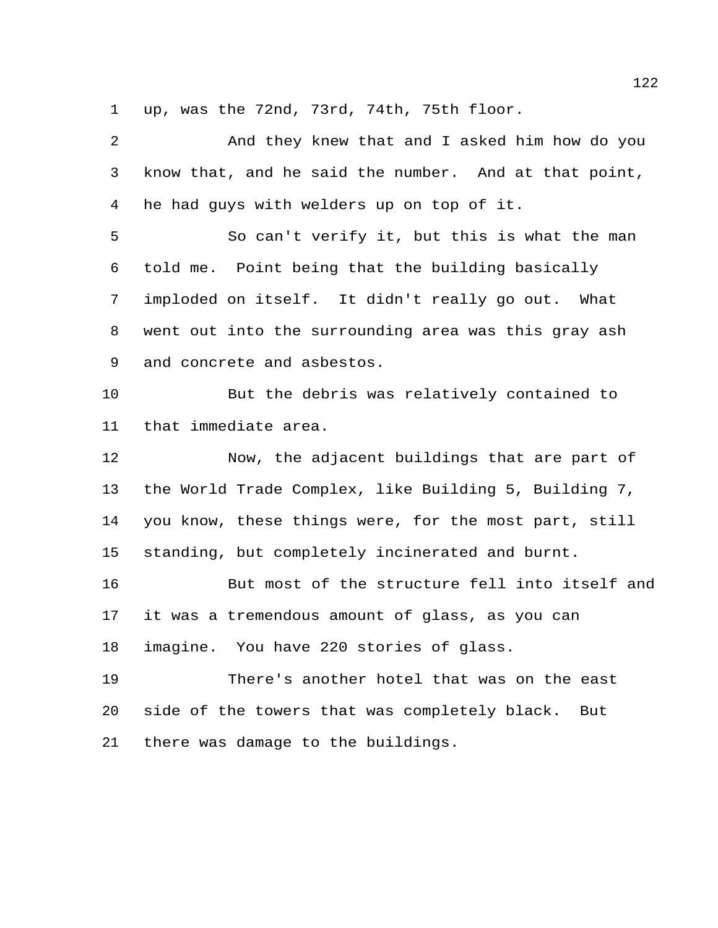up, was the 72nd, 73rd, 74th, 75th floor.

 And they knew that and I asked him how do you know that, and he said the number. And at that point, he had guys with welders up on top of it. So can't verify it, but this is what the man told me. Point being that the building basically imploded on itself. It didn't really go out. What went out into the surrounding area was this gray ash and concrete and asbestos. But the debris was relatively contained to that immediate area. Now, the adjacent buildings that are part of the World Trade Complex, like Building 5, Building 7, you know, these things were, for the most part, still standing, but completely incinerated and burnt. But most of the structure fell into itself and it was a tremendous amount of glass, as you can imagine. You have 220 stories of glass. There's another hotel that was on the east side of the towers that was completely black. But there was damage to the buildings.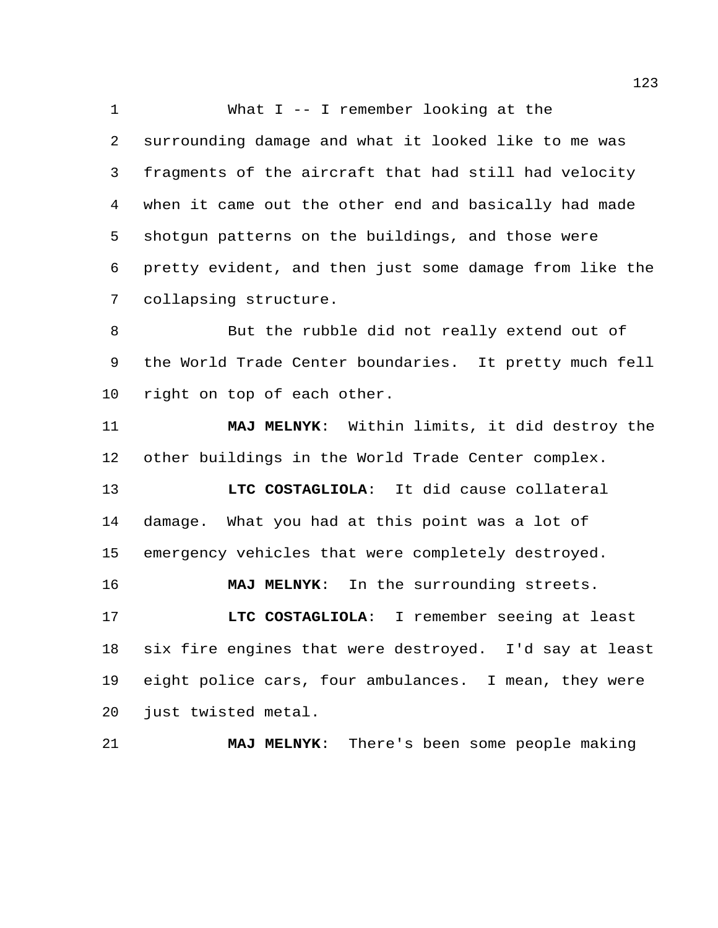What I -- I remember looking at the surrounding damage and what it looked like to me was fragments of the aircraft that had still had velocity when it came out the other end and basically had made shotgun patterns on the buildings, and those were pretty evident, and then just some damage from like the collapsing structure.

 But the rubble did not really extend out of the World Trade Center boundaries. It pretty much fell right on top of each other.

 **MAJ MELNYK**: Within limits, it did destroy the other buildings in the World Trade Center complex.

 **LTC COSTAGLIOLA**: It did cause collateral damage. What you had at this point was a lot of emergency vehicles that were completely destroyed.

**MAJ MELNYK**: In the surrounding streets.

 **LTC COSTAGLIOLA**: I remember seeing at least six fire engines that were destroyed. I'd say at least eight police cars, four ambulances. I mean, they were just twisted metal.

**MAJ MELNYK**: There's been some people making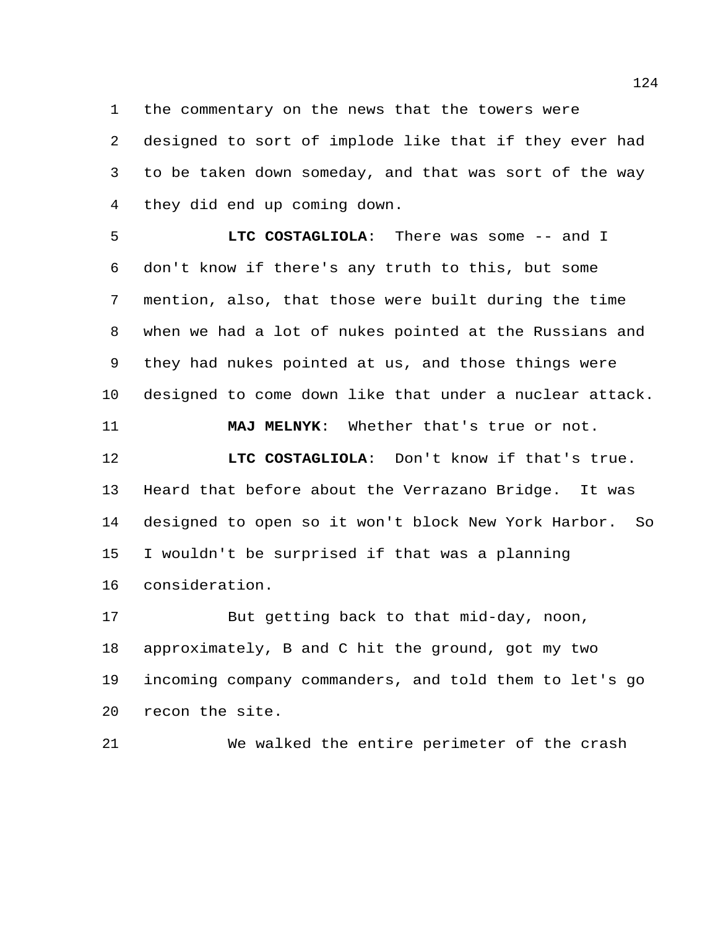the commentary on the news that the towers were

 designed to sort of implode like that if they ever had to be taken down someday, and that was sort of the way they did end up coming down.

 **LTC COSTAGLIOLA**: There was some -- and I don't know if there's any truth to this, but some mention, also, that those were built during the time when we had a lot of nukes pointed at the Russians and they had nukes pointed at us, and those things were designed to come down like that under a nuclear attack.

**MAJ MELNYK**: Whether that's true or not.

 **LTC COSTAGLIOLA**: Don't know if that's true. Heard that before about the Verrazano Bridge. It was designed to open so it won't block New York Harbor. So I wouldn't be surprised if that was a planning consideration.

 But getting back to that mid-day, noon, approximately, B and C hit the ground, got my two incoming company commanders, and told them to let's go recon the site.

We walked the entire perimeter of the crash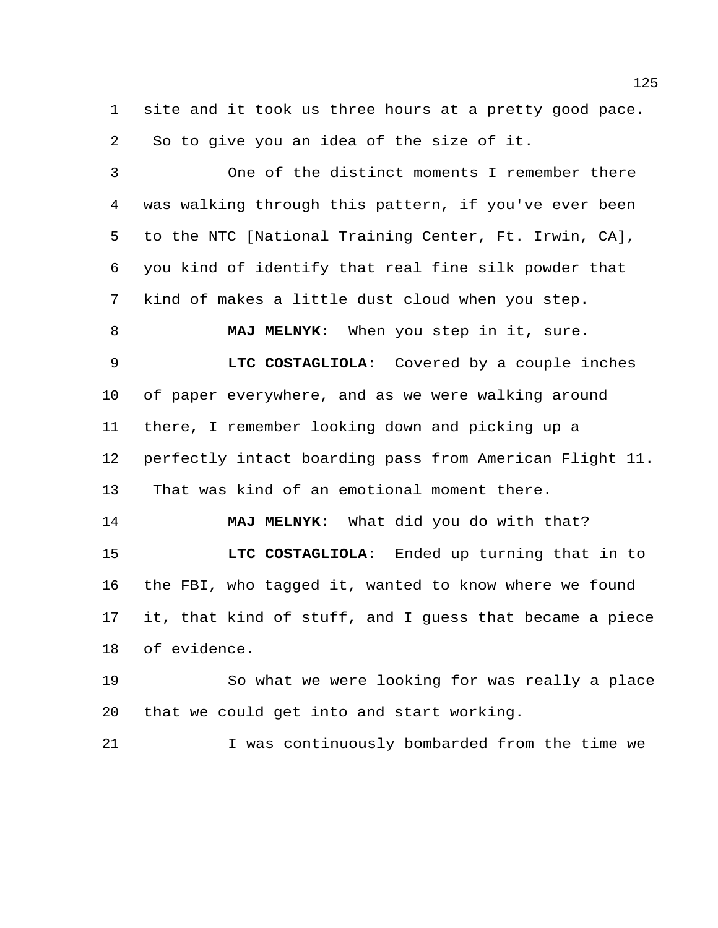site and it took us three hours at a pretty good pace. So to give you an idea of the size of it.

 One of the distinct moments I remember there was walking through this pattern, if you've ever been to the NTC [National Training Center, Ft. Irwin, CA], you kind of identify that real fine silk powder that kind of makes a little dust cloud when you step. **MAJ MELNYK**: When you step in it, sure.

 **LTC COSTAGLIOLA**: Covered by a couple inches of paper everywhere, and as we were walking around there, I remember looking down and picking up a perfectly intact boarding pass from American Flight 11. That was kind of an emotional moment there.

 **MAJ MELNYK**: What did you do with that? **LTC COSTAGLIOLA**: Ended up turning that in to the FBI, who tagged it, wanted to know where we found it, that kind of stuff, and I guess that became a piece of evidence.

 So what we were looking for was really a place that we could get into and start working.

I was continuously bombarded from the time we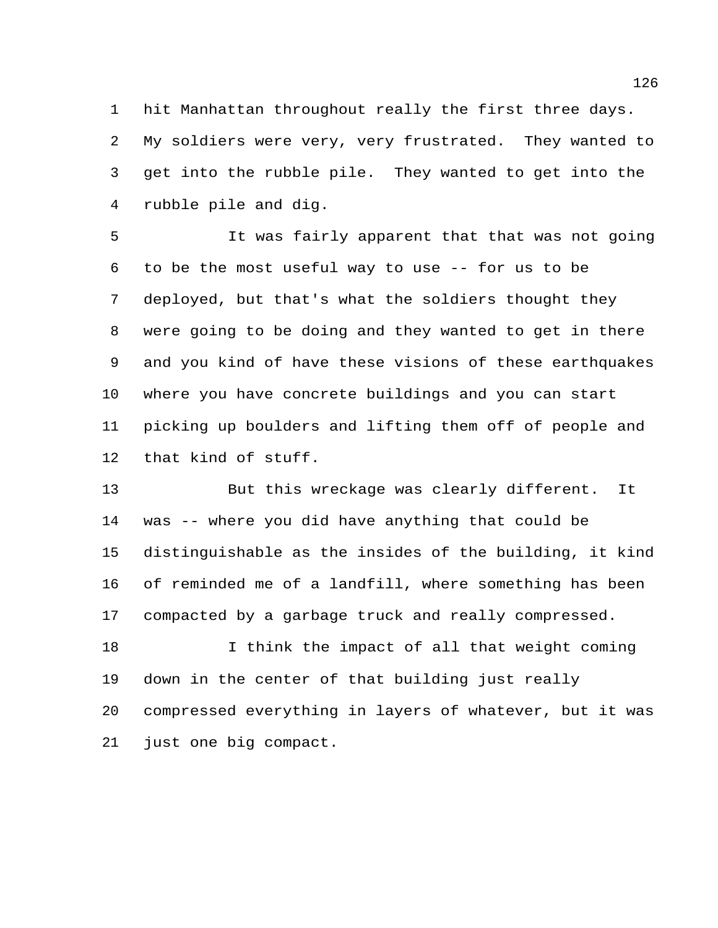hit Manhattan throughout really the first three days. My soldiers were very, very frustrated. They wanted to get into the rubble pile. They wanted to get into the rubble pile and dig.

 It was fairly apparent that that was not going to be the most useful way to use -- for us to be deployed, but that's what the soldiers thought they were going to be doing and they wanted to get in there and you kind of have these visions of these earthquakes where you have concrete buildings and you can start picking up boulders and lifting them off of people and that kind of stuff.

 But this wreckage was clearly different. It was -- where you did have anything that could be distinguishable as the insides of the building, it kind of reminded me of a landfill, where something has been compacted by a garbage truck and really compressed.

18 I think the impact of all that weight coming down in the center of that building just really compressed everything in layers of whatever, but it was just one big compact.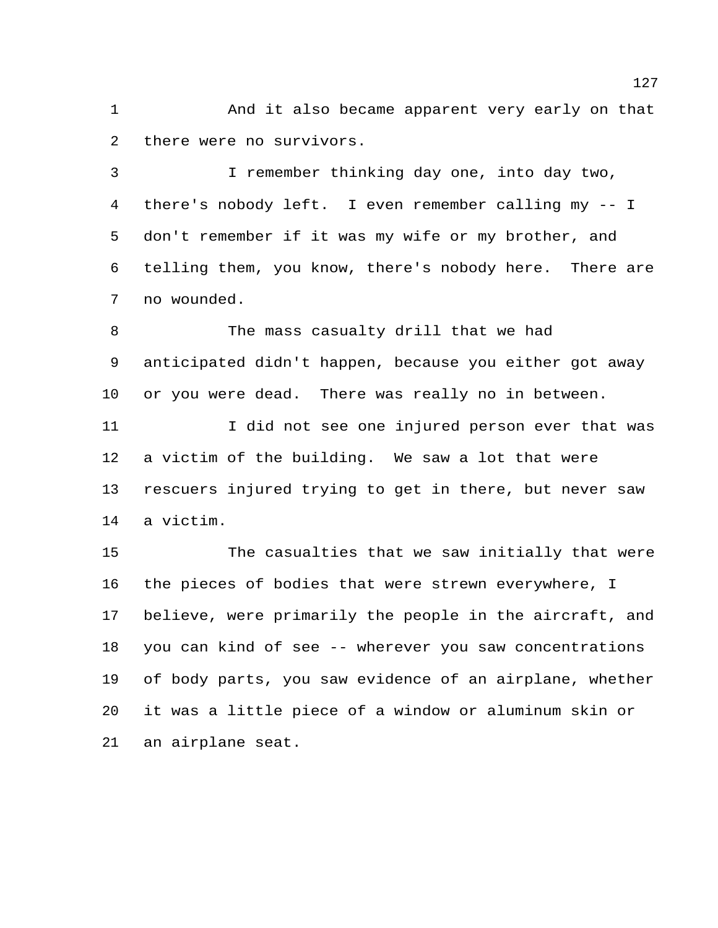And it also became apparent very early on that there were no survivors.

 I remember thinking day one, into day two, there's nobody left. I even remember calling my -- I don't remember if it was my wife or my brother, and telling them, you know, there's nobody here. There are no wounded.

 The mass casualty drill that we had anticipated didn't happen, because you either got away or you were dead. There was really no in between.

 I did not see one injured person ever that was a victim of the building. We saw a lot that were rescuers injured trying to get in there, but never saw a victim.

 The casualties that we saw initially that were the pieces of bodies that were strewn everywhere, I believe, were primarily the people in the aircraft, and you can kind of see -- wherever you saw concentrations of body parts, you saw evidence of an airplane, whether it was a little piece of a window or aluminum skin or an airplane seat.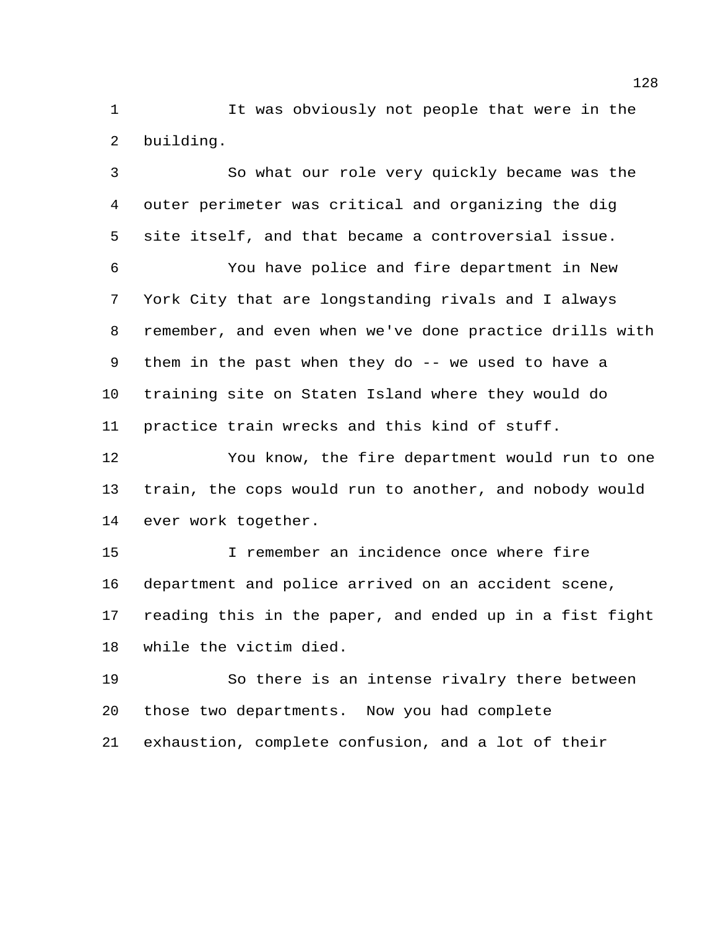It was obviously not people that were in the building.

 So what our role very quickly became was the outer perimeter was critical and organizing the dig site itself, and that became a controversial issue. You have police and fire department in New York City that are longstanding rivals and I always remember, and even when we've done practice drills with them in the past when they do -- we used to have a training site on Staten Island where they would do practice train wrecks and this kind of stuff. You know, the fire department would run to one train, the cops would run to another, and nobody would ever work together. I remember an incidence once where fire department and police arrived on an accident scene,

 reading this in the paper, and ended up in a fist fight while the victim died.

 So there is an intense rivalry there between those two departments. Now you had complete exhaustion, complete confusion, and a lot of their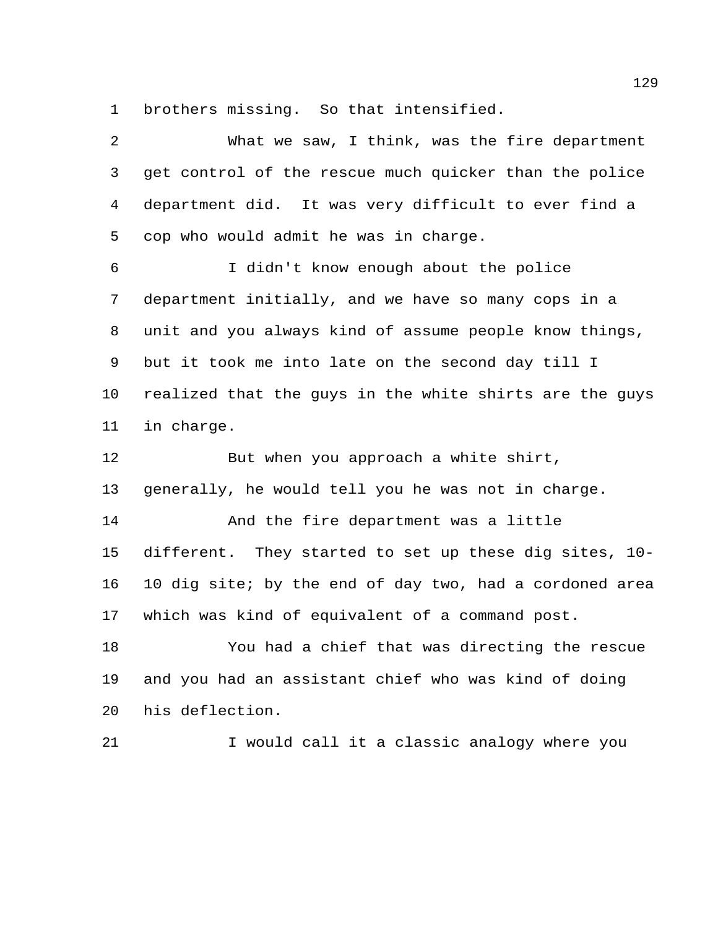brothers missing. So that intensified.

| 2  | What we saw, I think, was the fire department           |
|----|---------------------------------------------------------|
| 3  | get control of the rescue much quicker than the police  |
| 4  | department did. It was very difficult to ever find a    |
| 5  | cop who would admit he was in charge.                   |
| 6  | I didn't know enough about the police                   |
| 7  | department initially, and we have so many cops in a     |
| 8  | unit and you always kind of assume people know things,  |
| 9  | but it took me into late on the second day till I       |
| 10 | realized that the guys in the white shirts are the guys |
| 11 | in charge.                                              |
|    |                                                         |
| 12 | But when you approach a white shirt,                    |
| 13 | generally, he would tell you he was not in charge.      |
| 14 | And the fire department was a little                    |
| 15 | different. They started to set up these dig sites, 10-  |
| 16 | 10 dig site; by the end of day two, had a cordoned area |
| 17 | which was kind of equivalent of a command post.         |
| 18 | You had a chief that was directing the rescue           |
| 19 | and you had an assistant chief who was kind of doing    |
| 20 | his deflection.                                         |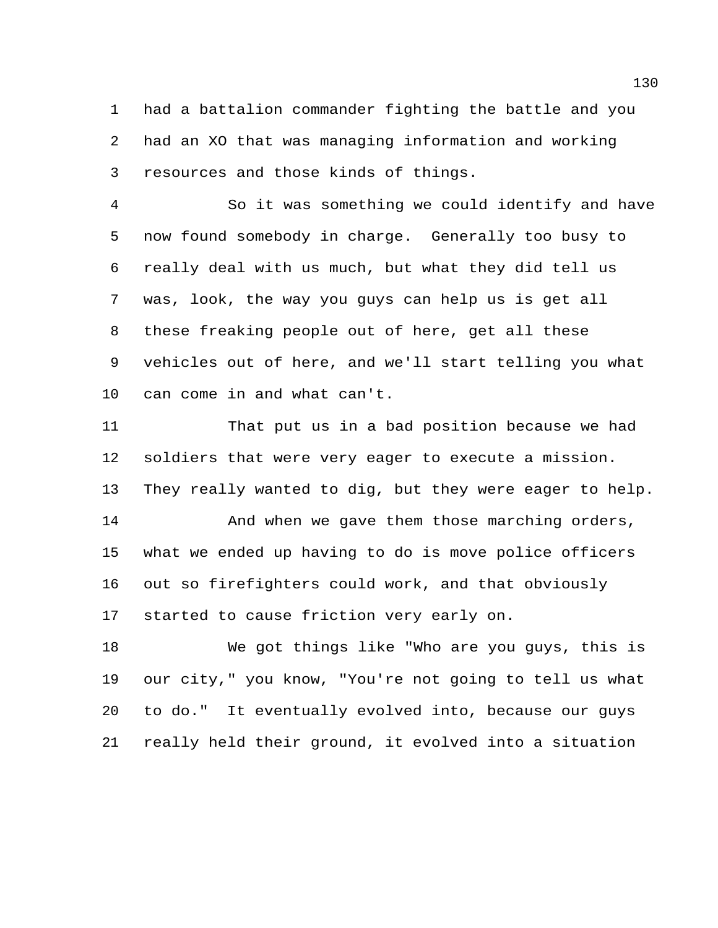had a battalion commander fighting the battle and you had an XO that was managing information and working resources and those kinds of things.

 So it was something we could identify and have now found somebody in charge. Generally too busy to really deal with us much, but what they did tell us was, look, the way you guys can help us is get all these freaking people out of here, get all these vehicles out of here, and we'll start telling you what can come in and what can't.

 That put us in a bad position because we had soldiers that were very eager to execute a mission. They really wanted to dig, but they were eager to help. 14 And when we gave them those marching orders, what we ended up having to do is move police officers out so firefighters could work, and that obviously

started to cause friction very early on.

 We got things like "Who are you guys, this is our city," you know, "You're not going to tell us what to do." It eventually evolved into, because our guys really held their ground, it evolved into a situation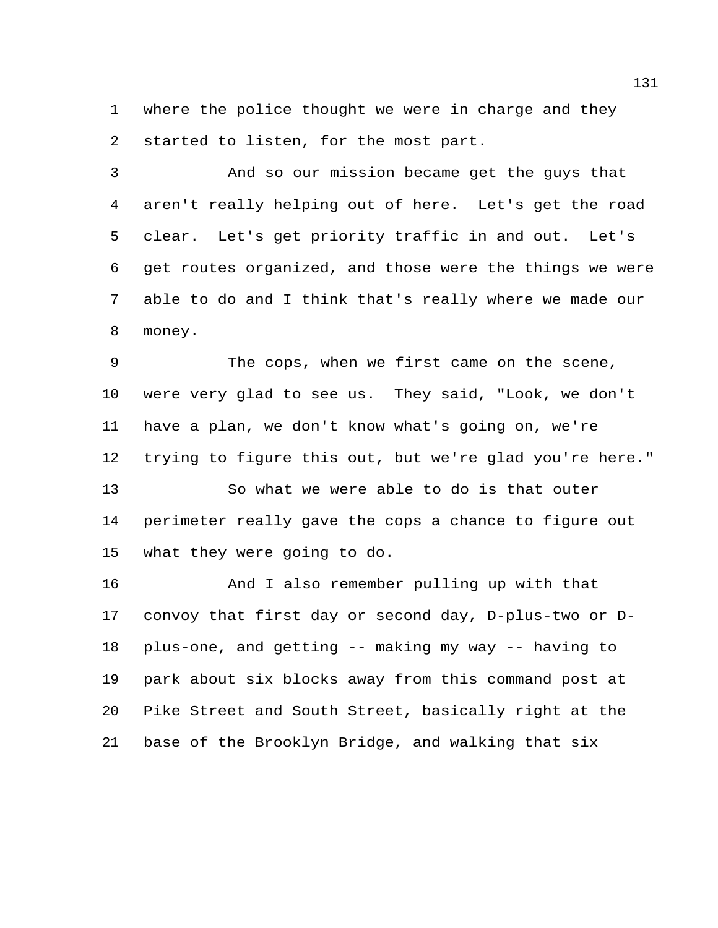where the police thought we were in charge and they started to listen, for the most part.

 And so our mission became get the guys that aren't really helping out of here. Let's get the road clear. Let's get priority traffic in and out. Let's get routes organized, and those were the things we were able to do and I think that's really where we made our money.

 The cops, when we first came on the scene, were very glad to see us. They said, "Look, we don't have a plan, we don't know what's going on, we're trying to figure this out, but we're glad you're here."

 So what we were able to do is that outer perimeter really gave the cops a chance to figure out what they were going to do.

 And I also remember pulling up with that convoy that first day or second day, D-plus-two or D- plus-one, and getting -- making my way -- having to park about six blocks away from this command post at Pike Street and South Street, basically right at the base of the Brooklyn Bridge, and walking that six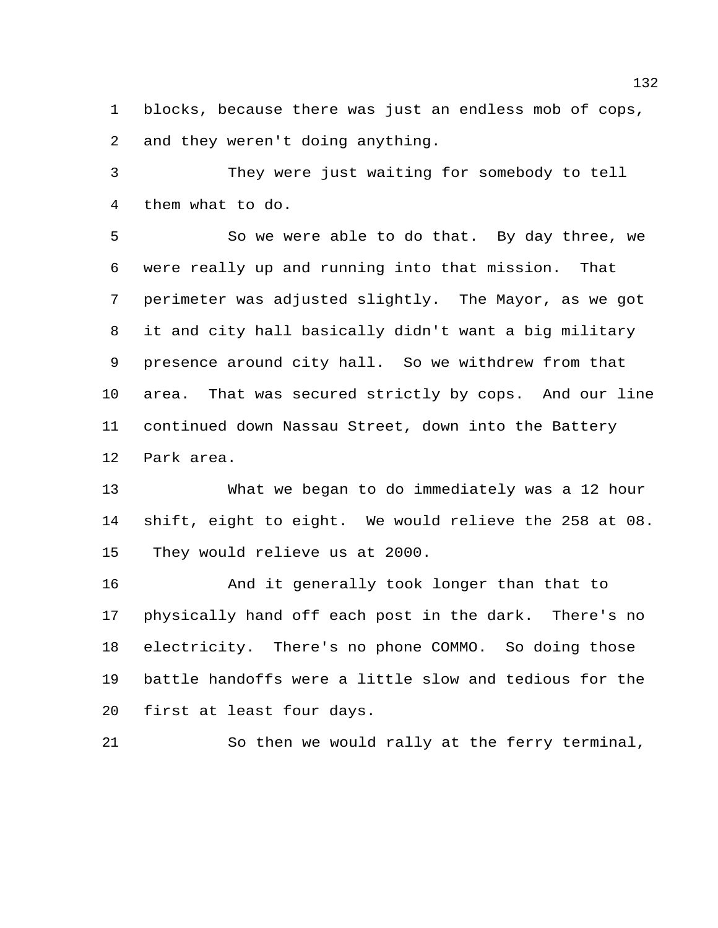blocks, because there was just an endless mob of cops, and they weren't doing anything.

 They were just waiting for somebody to tell them what to do.

 So we were able to do that. By day three, we were really up and running into that mission. That perimeter was adjusted slightly. The Mayor, as we got it and city hall basically didn't want a big military presence around city hall. So we withdrew from that area. That was secured strictly by cops. And our line continued down Nassau Street, down into the Battery Park area.

 What we began to do immediately was a 12 hour shift, eight to eight. We would relieve the 258 at 08. They would relieve us at 2000.

 And it generally took longer than that to physically hand off each post in the dark. There's no electricity. There's no phone COMMO. So doing those battle handoffs were a little slow and tedious for the first at least four days.

So then we would rally at the ferry terminal,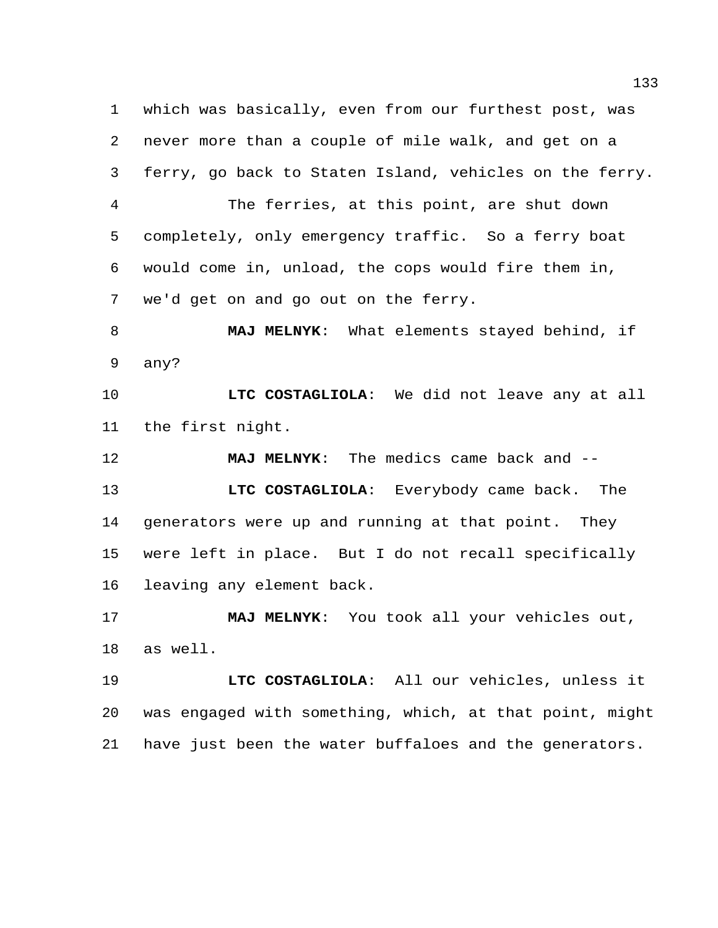which was basically, even from our furthest post, was never more than a couple of mile walk, and get on a ferry, go back to Staten Island, vehicles on the ferry. The ferries, at this point, are shut down completely, only emergency traffic. So a ferry boat would come in, unload, the cops would fire them in, we'd get on and go out on the ferry. **MAJ MELNYK**: What elements stayed behind, if any? **LTC COSTAGLIOLA**: We did not leave any at all the first night. **MAJ MELNYK**: The medics came back and -- **LTC COSTAGLIOLA**: Everybody came back. The generators were up and running at that point. They were left in place. But I do not recall specifically leaving any element back. **MAJ MELNYK**: You took all your vehicles out, as well. **LTC COSTAGLIOLA**: All our vehicles, unless it was engaged with something, which, at that point, might have just been the water buffaloes and the generators.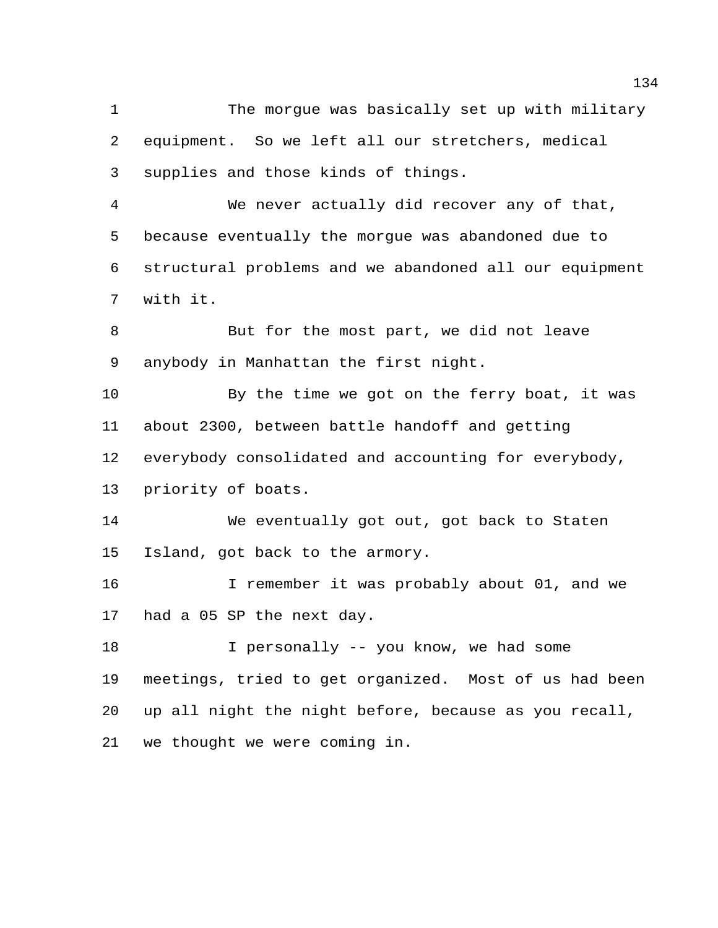The morgue was basically set up with military equipment. So we left all our stretchers, medical supplies and those kinds of things.

 We never actually did recover any of that, because eventually the morgue was abandoned due to structural problems and we abandoned all our equipment with it.

 But for the most part, we did not leave anybody in Manhattan the first night.

 By the time we got on the ferry boat, it was about 2300, between battle handoff and getting everybody consolidated and accounting for everybody, priority of boats.

 We eventually got out, got back to Staten Island, got back to the armory.

 I remember it was probably about 01, and we had a 05 SP the next day.

 I personally -- you know, we had some meetings, tried to get organized. Most of us had been up all night the night before, because as you recall, we thought we were coming in.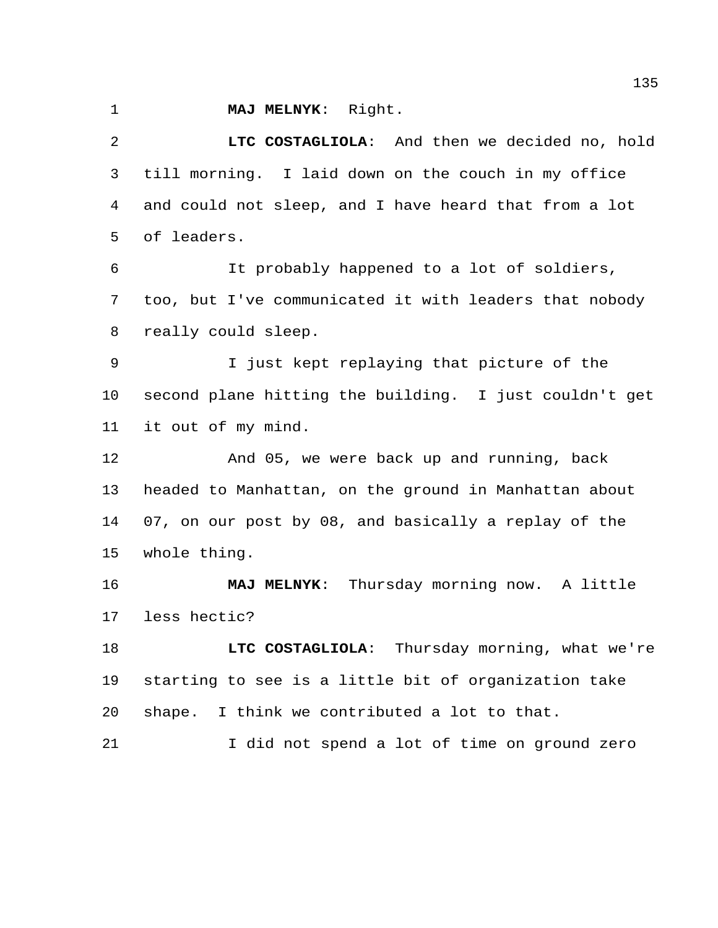**MAJ MELNYK**: Right.

 **LTC COSTAGLIOLA**: And then we decided no, hold till morning. I laid down on the couch in my office and could not sleep, and I have heard that from a lot of leaders. It probably happened to a lot of soldiers, too, but I've communicated it with leaders that nobody really could sleep. I just kept replaying that picture of the second plane hitting the building. I just couldn't get it out of my mind. And 05, we were back up and running, back headed to Manhattan, on the ground in Manhattan about 07, on our post by 08, and basically a replay of the whole thing.

 **MAJ MELNYK**: Thursday morning now. A little less hectic?

**LTC COSTAGLIOLA:** Thursday morning, what we're starting to see is a little bit of organization take shape. I think we contributed a lot to that.

I did not spend a lot of time on ground zero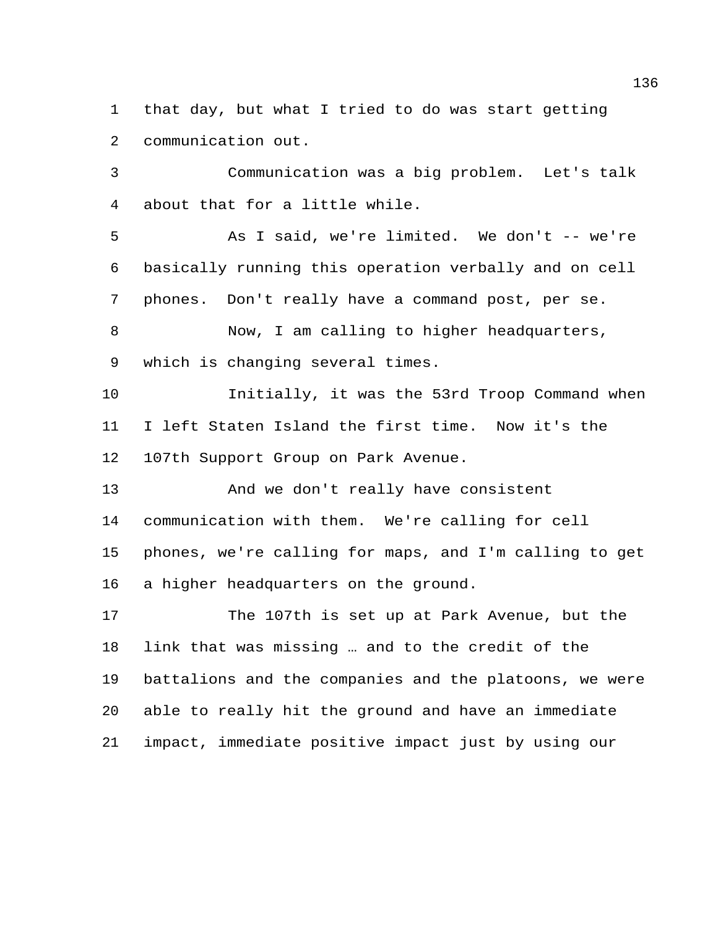that day, but what I tried to do was start getting communication out.

 Communication was a big problem. Let's talk about that for a little while.

 As I said, we're limited. We don't -- we're basically running this operation verbally and on cell phones. Don't really have a command post, per se.

 Now, I am calling to higher headquarters, which is changing several times.

 Initially, it was the 53rd Troop Command when I left Staten Island the first time. Now it's the 107th Support Group on Park Avenue.

 And we don't really have consistent communication with them. We're calling for cell phones, we're calling for maps, and I'm calling to get a higher headquarters on the ground.

 The 107th is set up at Park Avenue, but the link that was missing … and to the credit of the battalions and the companies and the platoons, we were able to really hit the ground and have an immediate impact, immediate positive impact just by using our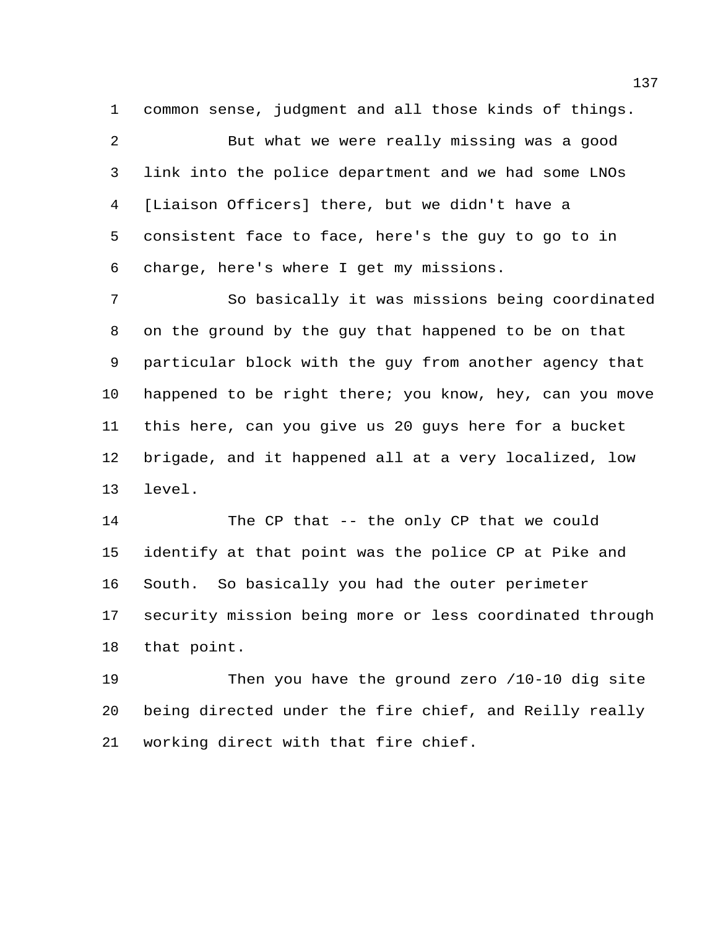common sense, judgment and all those kinds of things.

 But what we were really missing was a good link into the police department and we had some LNOs [Liaison Officers] there, but we didn't have a consistent face to face, here's the guy to go to in charge, here's where I get my missions.

 So basically it was missions being coordinated on the ground by the guy that happened to be on that particular block with the guy from another agency that happened to be right there; you know, hey, can you move this here, can you give us 20 guys here for a bucket brigade, and it happened all at a very localized, low level.

 The CP that -- the only CP that we could identify at that point was the police CP at Pike and South. So basically you had the outer perimeter security mission being more or less coordinated through that point.

 Then you have the ground zero /10-10 dig site being directed under the fire chief, and Reilly really working direct with that fire chief.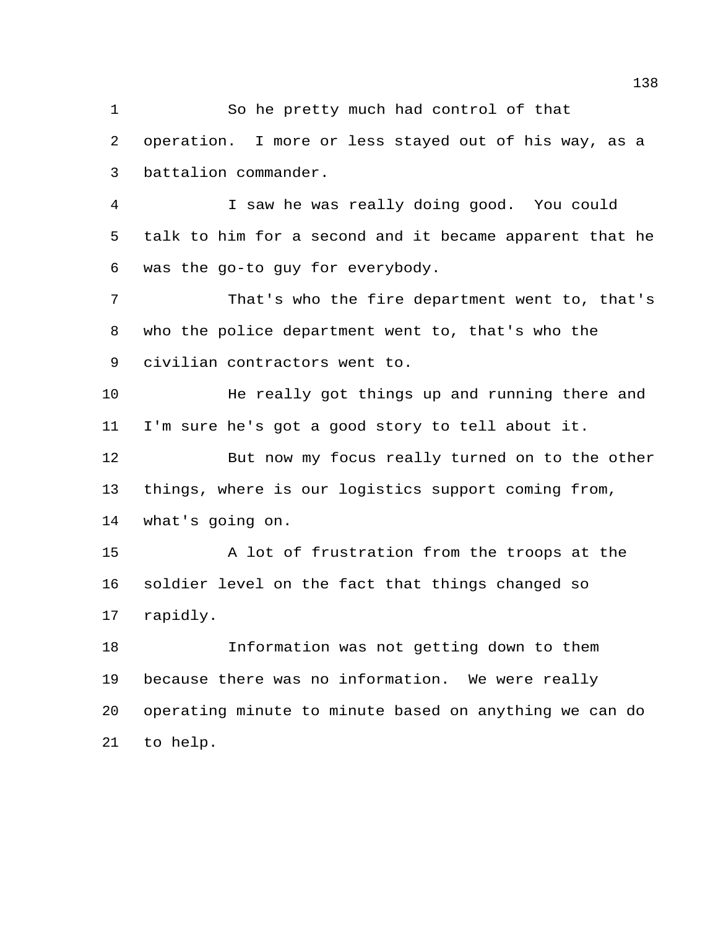So he pretty much had control of that operation. I more or less stayed out of his way, as a battalion commander. I saw he was really doing good. You could talk to him for a second and it became apparent that he was the go-to guy for everybody. That's who the fire department went to, that's who the police department went to, that's who the civilian contractors went to. He really got things up and running there and I'm sure he's got a good story to tell about it. But now my focus really turned on to the other things, where is our logistics support coming from, what's going on. A lot of frustration from the troops at the soldier level on the fact that things changed so rapidly. Information was not getting down to them because there was no information. We were really operating minute to minute based on anything we can do to help.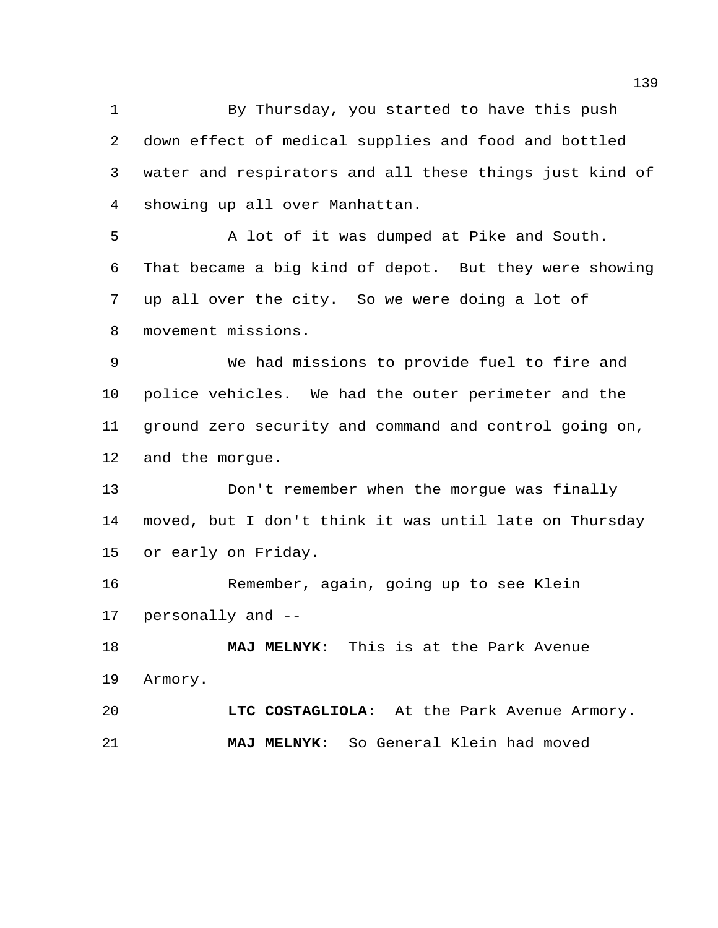By Thursday, you started to have this push down effect of medical supplies and food and bottled water and respirators and all these things just kind of showing up all over Manhattan.

 A lot of it was dumped at Pike and South. That became a big kind of depot. But they were showing up all over the city. So we were doing a lot of movement missions.

 We had missions to provide fuel to fire and police vehicles. We had the outer perimeter and the ground zero security and command and control going on, and the morgue.

 Don't remember when the morgue was finally moved, but I don't think it was until late on Thursday or early on Friday.

 Remember, again, going up to see Klein personally and --

 **MAJ MELNYK**: This is at the Park Avenue Armory.

 **LTC COSTAGLIOLA**: At the Park Avenue Armory. **MAJ MELNYK**: So General Klein had moved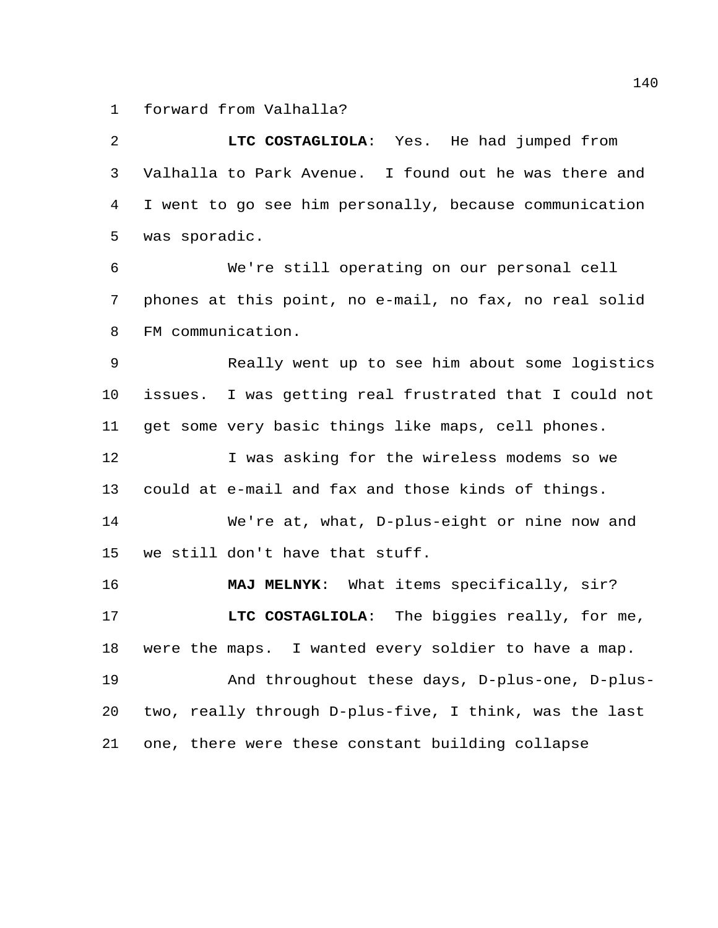forward from Valhalla?

 **LTC COSTAGLIOLA**: Yes. He had jumped from Valhalla to Park Avenue. I found out he was there and I went to go see him personally, because communication was sporadic. We're still operating on our personal cell phones at this point, no e-mail, no fax, no real solid FM communication. Really went up to see him about some logistics issues. I was getting real frustrated that I could not get some very basic things like maps, cell phones. 12 I was asking for the wireless modems so we could at e-mail and fax and those kinds of things. We're at, what, D-plus-eight or nine now and we still don't have that stuff. **MAJ MELNYK**: What items specifically, sir? **LTC COSTAGLIOLA**: The biggies really, for me, were the maps. I wanted every soldier to have a map. And throughout these days, D-plus-one, D-plus- two, really through D-plus-five, I think, was the last one, there were these constant building collapse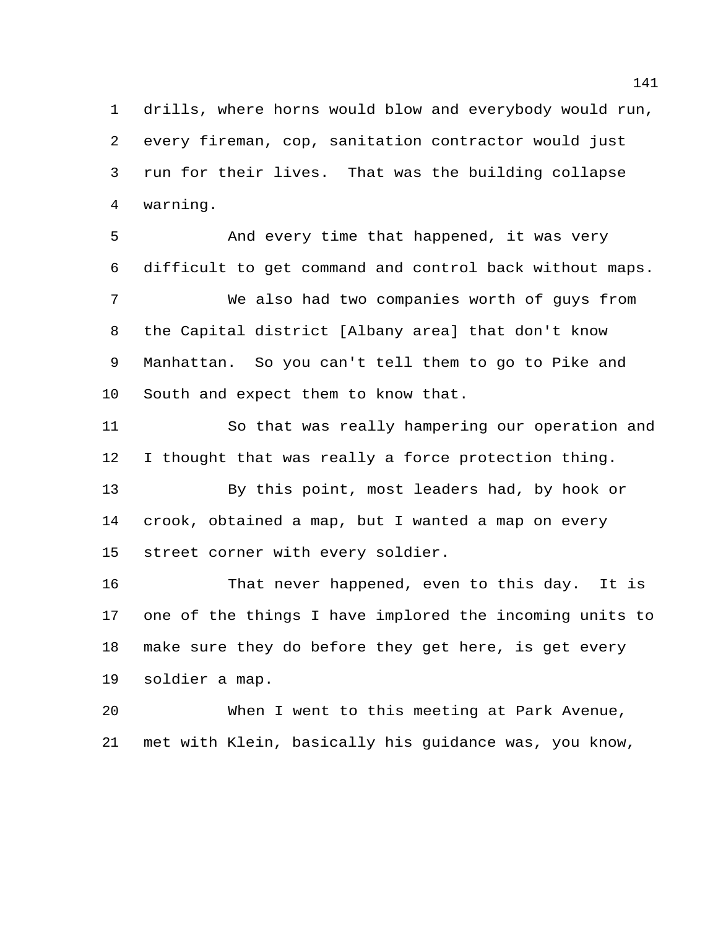drills, where horns would blow and everybody would run, every fireman, cop, sanitation contractor would just run for their lives. That was the building collapse warning.

 And every time that happened, it was very difficult to get command and control back without maps. We also had two companies worth of guys from the Capital district [Albany area] that don't know Manhattan. So you can't tell them to go to Pike and South and expect them to know that.

 So that was really hampering our operation and I thought that was really a force protection thing.

 By this point, most leaders had, by hook or crook, obtained a map, but I wanted a map on every street corner with every soldier.

 That never happened, even to this day. It is one of the things I have implored the incoming units to make sure they do before they get here, is get every soldier a map.

 When I went to this meeting at Park Avenue, met with Klein, basically his guidance was, you know,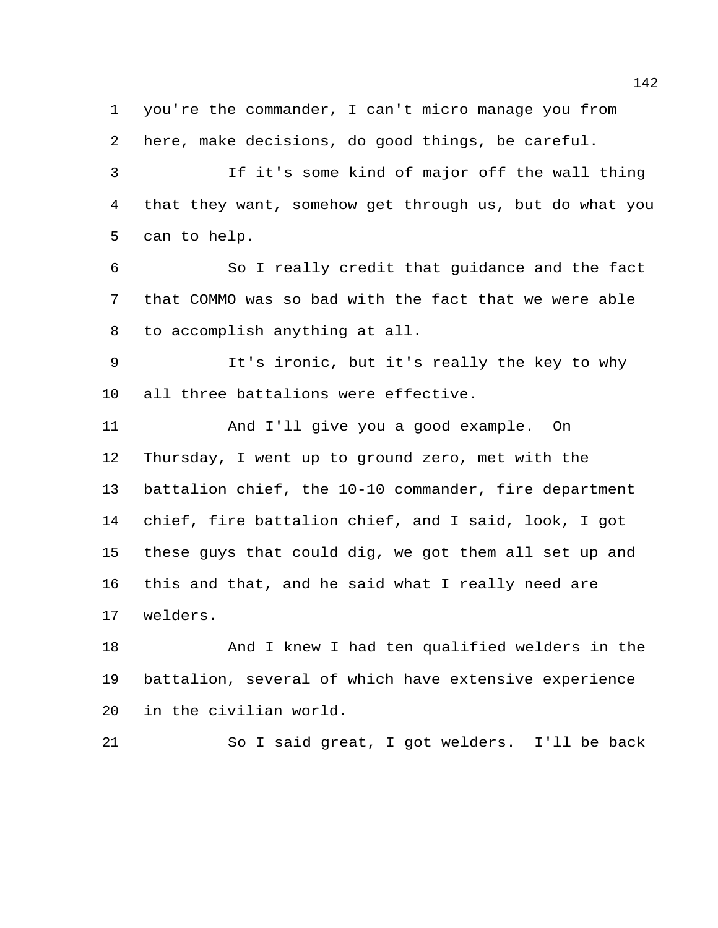you're the commander, I can't micro manage you from here, make decisions, do good things, be careful.

 If it's some kind of major off the wall thing that they want, somehow get through us, but do what you can to help.

 So I really credit that guidance and the fact that COMMO was so bad with the fact that we were able to accomplish anything at all.

 It's ironic, but it's really the key to why all three battalions were effective.

 And I'll give you a good example. On Thursday, I went up to ground zero, met with the battalion chief, the 10-10 commander, fire department chief, fire battalion chief, and I said, look, I got these guys that could dig, we got them all set up and this and that, and he said what I really need are welders.

 And I knew I had ten qualified welders in the battalion, several of which have extensive experience in the civilian world.

So I said great, I got welders. I'll be back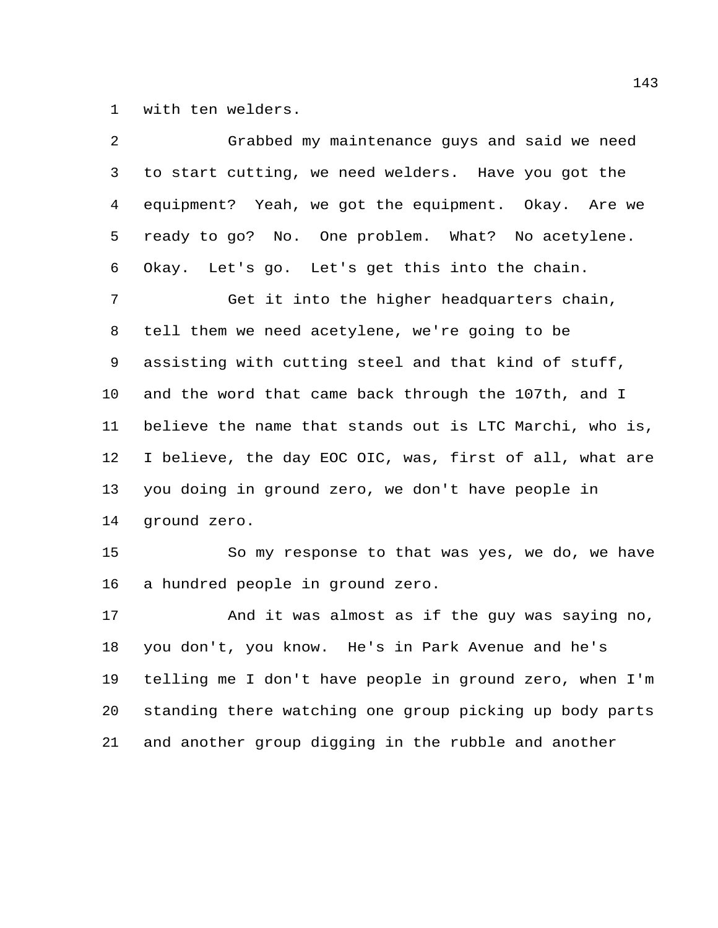with ten welders.

| 2  | Grabbed my maintenance guys and said we need            |
|----|---------------------------------------------------------|
| 3  | to start cutting, we need welders. Have you got the     |
| 4  | equipment? Yeah, we got the equipment. Okay. Are we     |
| 5  | ready to go? No. One problem. What? No acetylene.       |
| 6  | Okay. Let's go. Let's get this into the chain.          |
| 7  | Get it into the higher headquarters chain,              |
| 8  | tell them we need acetylene, we're going to be          |
| 9  | assisting with cutting steel and that kind of stuff,    |
| 10 | and the word that came back through the 107th, and I    |
| 11 | believe the name that stands out is LTC Marchi, who is, |
| 12 | I believe, the day EOC OIC, was, first of all, what are |
| 13 | you doing in ground zero, we don't have people in       |
| 14 | ground zero.                                            |
| 15 | So my response to that was yes, we do, we have          |
| 16 | a hundred people in ground zero.                        |
| 17 | And it was almost as if the guy was saying no,          |
| 18 | you don't, you know. He's in Park Avenue and he's       |
| 19 | telling me I don't have people in ground zero, when I'm |
| 20 | standing there watching one group picking up body parts |
| 21 | and another group digging in the rubble and another     |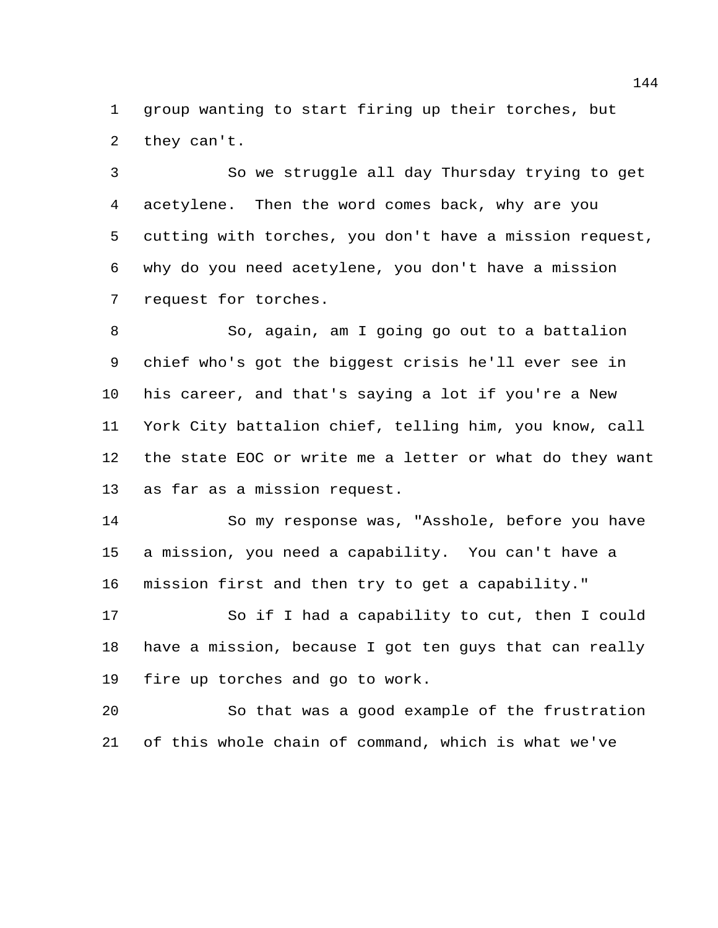group wanting to start firing up their torches, but they can't.

 So we struggle all day Thursday trying to get acetylene. Then the word comes back, why are you cutting with torches, you don't have a mission request, why do you need acetylene, you don't have a mission request for torches.

 So, again, am I going go out to a battalion chief who's got the biggest crisis he'll ever see in his career, and that's saying a lot if you're a New York City battalion chief, telling him, you know, call the state EOC or write me a letter or what do they want as far as a mission request.

 So my response was, "Asshole, before you have a mission, you need a capability. You can't have a mission first and then try to get a capability."

 So if I had a capability to cut, then I could have a mission, because I got ten guys that can really fire up torches and go to work.

 So that was a good example of the frustration of this whole chain of command, which is what we've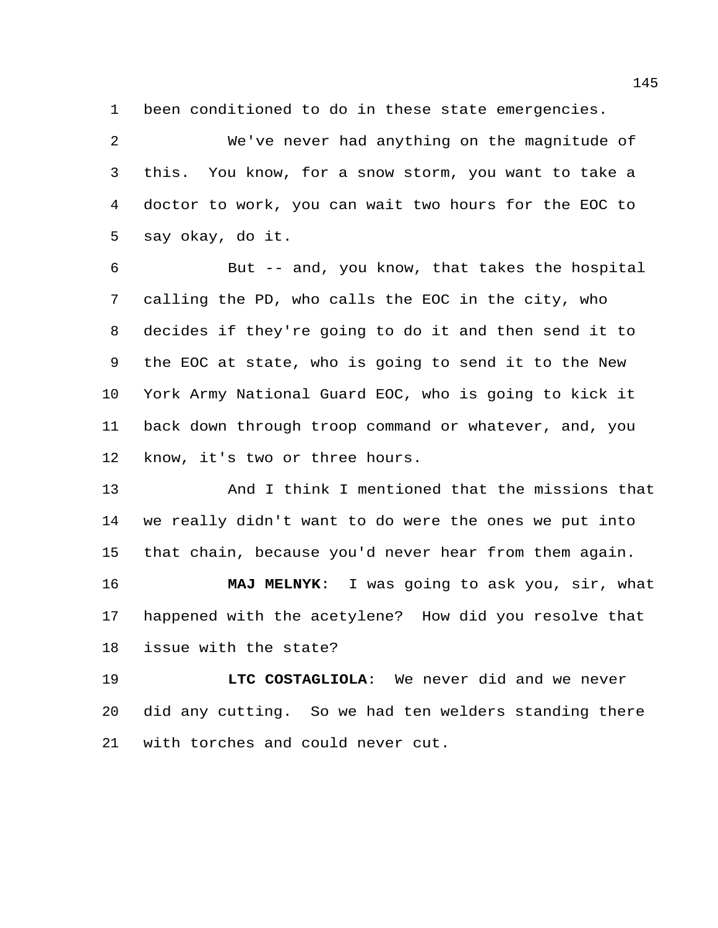been conditioned to do in these state emergencies.

 We've never had anything on the magnitude of this. You know, for a snow storm, you want to take a doctor to work, you can wait two hours for the EOC to say okay, do it.

 But -- and, you know, that takes the hospital calling the PD, who calls the EOC in the city, who decides if they're going to do it and then send it to the EOC at state, who is going to send it to the New York Army National Guard EOC, who is going to kick it back down through troop command or whatever, and, you know, it's two or three hours.

 And I think I mentioned that the missions that we really didn't want to do were the ones we put into that chain, because you'd never hear from them again.

 **MAJ MELNYK**: I was going to ask you, sir, what happened with the acetylene? How did you resolve that issue with the state?

 **LTC COSTAGLIOLA**: We never did and we never did any cutting. So we had ten welders standing there with torches and could never cut.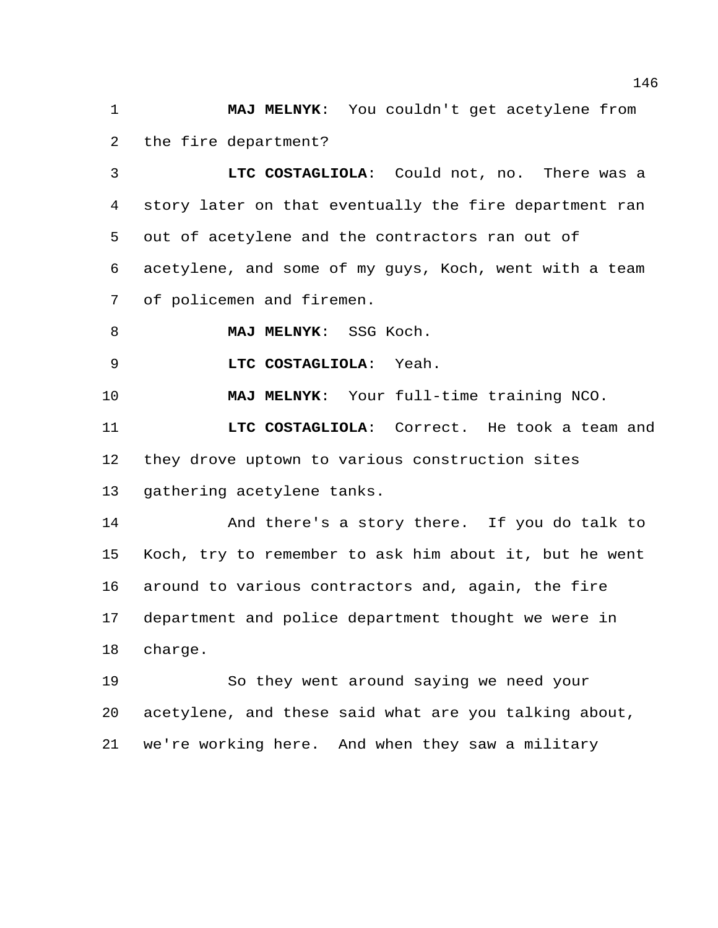**MAJ MELNYK**: You couldn't get acetylene from the fire department?

 **LTC COSTAGLIOLA**: Could not, no. There was a story later on that eventually the fire department ran out of acetylene and the contractors ran out of acetylene, and some of my guys, Koch, went with a team of policemen and firemen.

**MAJ MELNYK**: SSG Koch.

**LTC COSTAGLIOLA**: Yeah.

**MAJ MELNYK**: Your full-time training NCO.

 **LTC COSTAGLIOLA**: Correct. He took a team and they drove uptown to various construction sites gathering acetylene tanks.

 And there's a story there. If you do talk to Koch, try to remember to ask him about it, but he went around to various contractors and, again, the fire department and police department thought we were in charge.

 So they went around saying we need your acetylene, and these said what are you talking about, we're working here. And when they saw a military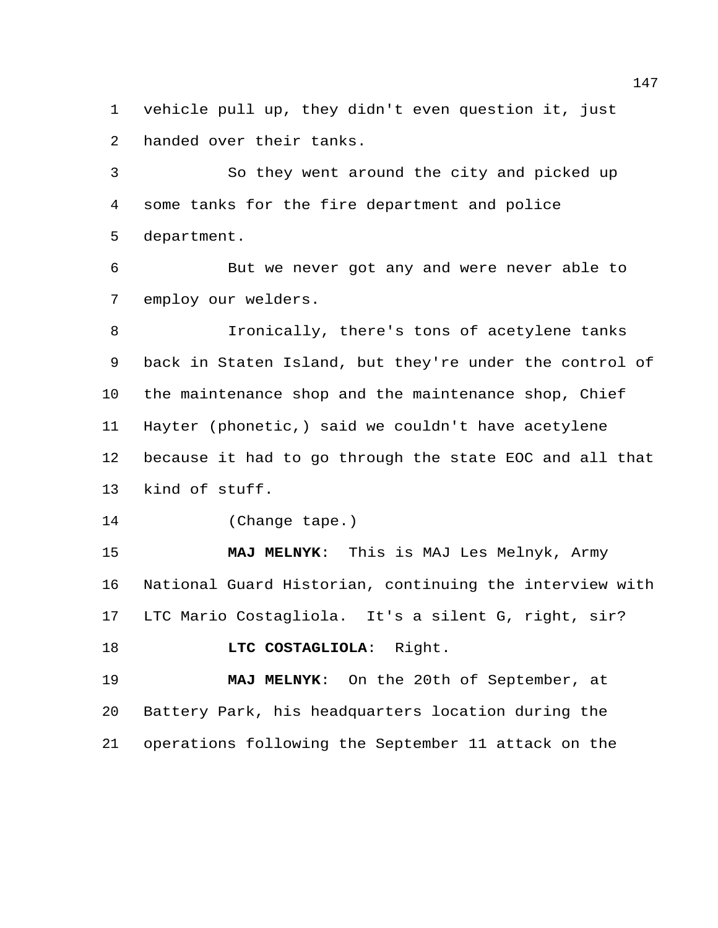vehicle pull up, they didn't even question it, just handed over their tanks.

 So they went around the city and picked up some tanks for the fire department and police department.

 But we never got any and were never able to employ our welders.

 Ironically, there's tons of acetylene tanks back in Staten Island, but they're under the control of the maintenance shop and the maintenance shop, Chief Hayter (phonetic,) said we couldn't have acetylene because it had to go through the state EOC and all that kind of stuff.

(Change tape.)

 **MAJ MELNYK**: This is MAJ Les Melnyk, Army National Guard Historian, continuing the interview with LTC Mario Costagliola. It's a silent G, right, sir?

```
18 LTC COSTAGLIOLA: Right.
```
 **MAJ MELNYK**: On the 20th of September, at Battery Park, his headquarters location during the operations following the September 11 attack on the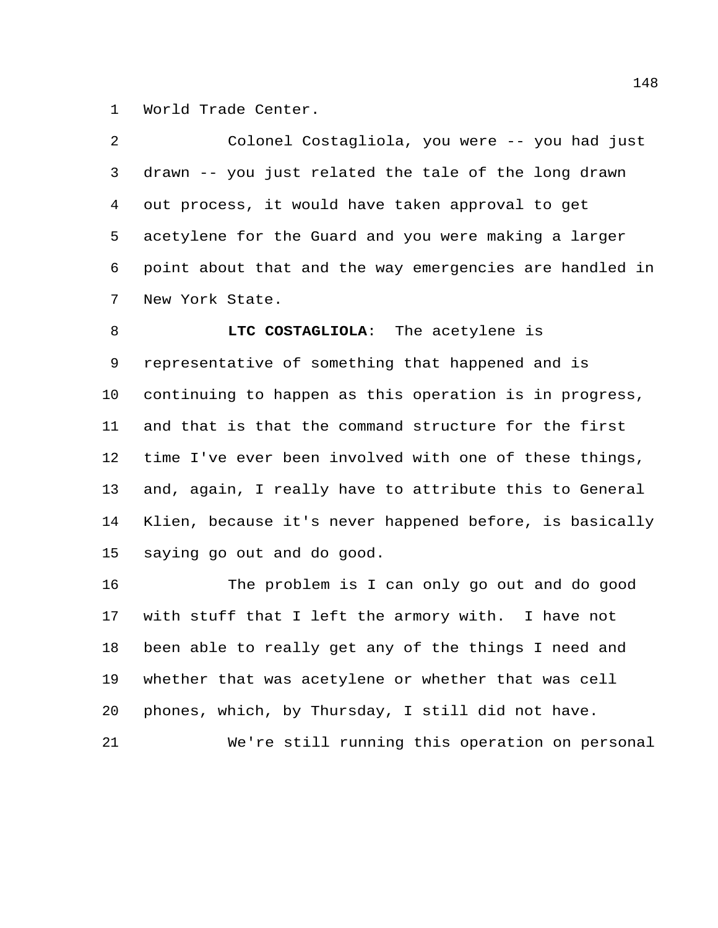World Trade Center.

| 2              | Colonel Costagliola, you were -- you had just           |
|----------------|---------------------------------------------------------|
| 3              | drawn -- you just related the tale of the long drawn    |
| $\overline{4}$ | out process, it would have taken approval to get        |
| 5              | acetylene for the Guard and you were making a larger    |
| 6              | point about that and the way emergencies are handled in |
| 7              | New York State.                                         |
| 8              | LTC COSTAGLIOLA: The acetylene is                       |
| 9              | representative of something that happened and is        |
| 10             | continuing to happen as this operation is in progress,  |
| 11             | and that is that the command structure for the first    |
| 12             | time I've ever been involved with one of these things,  |
| 13             | and, again, I really have to attribute this to General  |
| 14             | Klien, because it's never happened before, is basically |
| 15             | saying go out and do good.                              |
| 16             | The problem is I can only go out and do good            |
| 17             | with stuff that I left the armory with. I have not      |
| 18             | been able to really get any of the things I need and    |
| 19             | whether that was acetylene or whether that was cell     |
| 20             | phones, which, by Thursday, I still did not have.       |

We're still running this operation on personal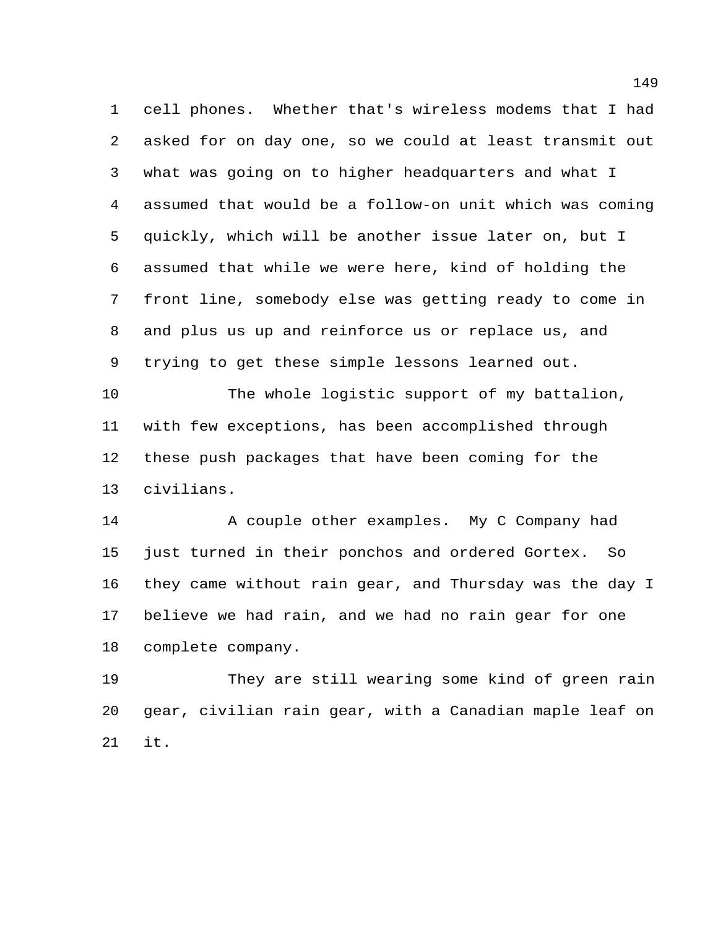cell phones. Whether that's wireless modems that I had asked for on day one, so we could at least transmit out what was going on to higher headquarters and what I assumed that would be a follow-on unit which was coming quickly, which will be another issue later on, but I assumed that while we were here, kind of holding the front line, somebody else was getting ready to come in and plus us up and reinforce us or replace us, and trying to get these simple lessons learned out.

 The whole logistic support of my battalion, with few exceptions, has been accomplished through these push packages that have been coming for the civilians.

 A couple other examples. My C Company had just turned in their ponchos and ordered Gortex. So they came without rain gear, and Thursday was the day I believe we had rain, and we had no rain gear for one complete company.

 They are still wearing some kind of green rain gear, civilian rain gear, with a Canadian maple leaf on it.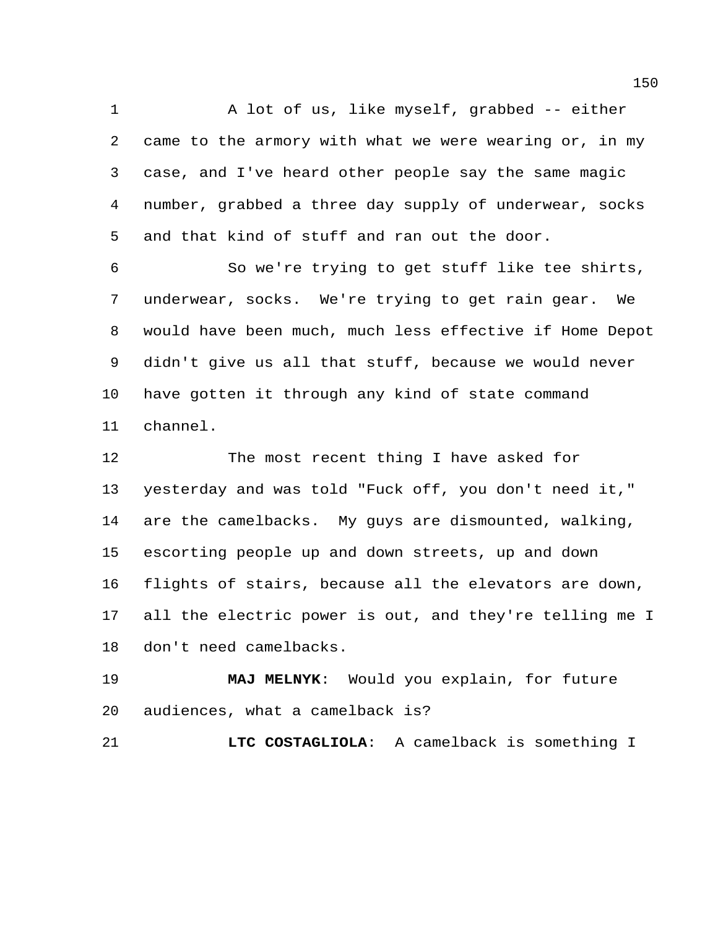A lot of us, like myself, grabbed -- either came to the armory with what we were wearing or, in my case, and I've heard other people say the same magic number, grabbed a three day supply of underwear, socks and that kind of stuff and ran out the door.

 So we're trying to get stuff like tee shirts, underwear, socks. We're trying to get rain gear. We would have been much, much less effective if Home Depot didn't give us all that stuff, because we would never have gotten it through any kind of state command channel.

 The most recent thing I have asked for yesterday and was told "Fuck off, you don't need it," are the camelbacks. My guys are dismounted, walking, escorting people up and down streets, up and down flights of stairs, because all the elevators are down, all the electric power is out, and they're telling me I don't need camelbacks.

 **MAJ MELNYK**: Would you explain, for future audiences, what a camelback is?

**LTC COSTAGLIOLA**: A camelback is something I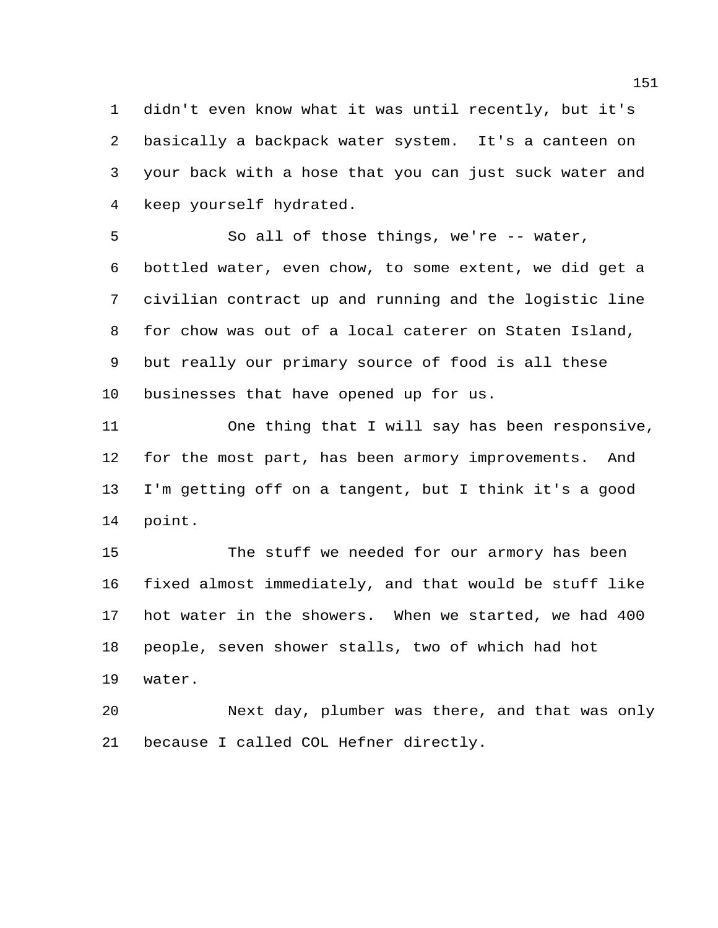didn't even know what it was until recently, but it's basically a backpack water system. It's a canteen on your back with a hose that you can just suck water and keep yourself hydrated.

 So all of those things, we're -- water, bottled water, even chow, to some extent, we did get a civilian contract up and running and the logistic line for chow was out of a local caterer on Staten Island, but really our primary source of food is all these businesses that have opened up for us.

 One thing that I will say has been responsive, for the most part, has been armory improvements. And I'm getting off on a tangent, but I think it's a good point.

 The stuff we needed for our armory has been fixed almost immediately, and that would be stuff like hot water in the showers. When we started, we had 400 people, seven shower stalls, two of which had hot water.

 Next day, plumber was there, and that was only because I called COL Hefner directly.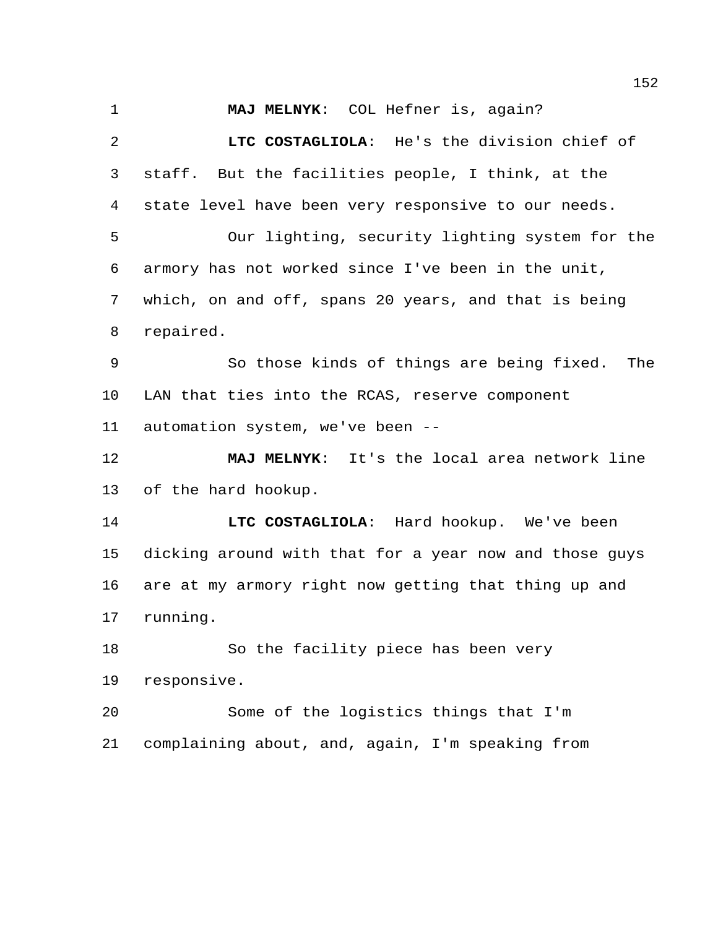**MAJ MELNYK**: COL Hefner is, again? **LTC COSTAGLIOLA**: He's the division chief of staff. But the facilities people, I think, at the state level have been very responsive to our needs. Our lighting, security lighting system for the armory has not worked since I've been in the unit, which, on and off, spans 20 years, and that is being repaired. So those kinds of things are being fixed. The LAN that ties into the RCAS, reserve component automation system, we've been -- **MAJ MELNYK**: It's the local area network line of the hard hookup. **LTC COSTAGLIOLA**: Hard hookup. We've been dicking around with that for a year now and those guys are at my armory right now getting that thing up and running. So the facility piece has been very responsive. Some of the logistics things that I'm complaining about, and, again, I'm speaking from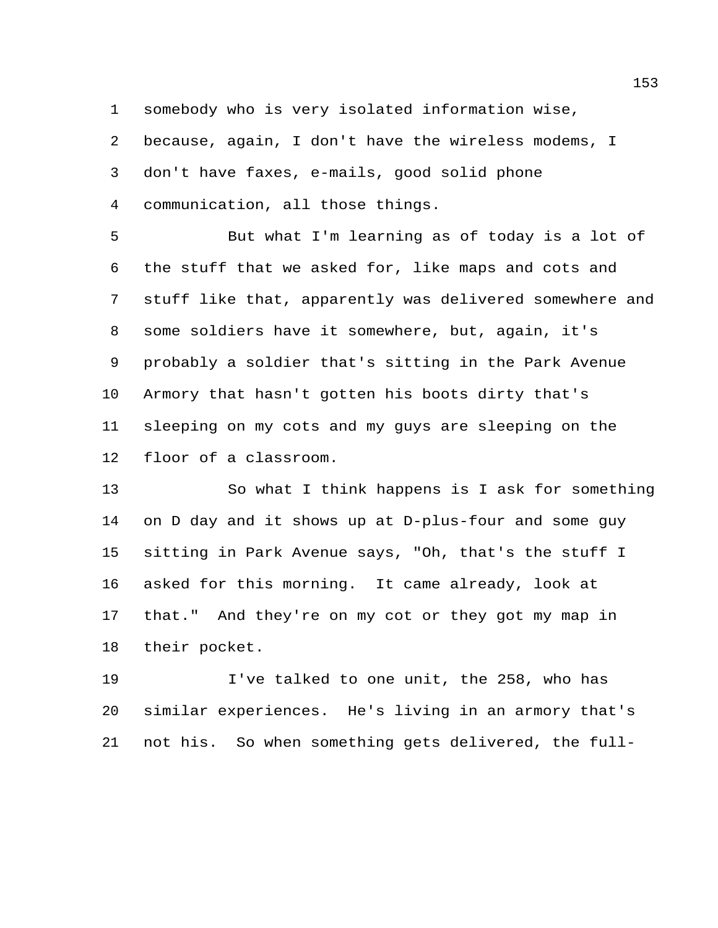somebody who is very isolated information wise,

because, again, I don't have the wireless modems, I

don't have faxes, e-mails, good solid phone

communication, all those things.

 But what I'm learning as of today is a lot of the stuff that we asked for, like maps and cots and stuff like that, apparently was delivered somewhere and some soldiers have it somewhere, but, again, it's probably a soldier that's sitting in the Park Avenue Armory that hasn't gotten his boots dirty that's sleeping on my cots and my guys are sleeping on the floor of a classroom.

 So what I think happens is I ask for something on D day and it shows up at D-plus-four and some guy sitting in Park Avenue says, "Oh, that's the stuff I asked for this morning. It came already, look at that." And they're on my cot or they got my map in their pocket.

 I've talked to one unit, the 258, who has similar experiences. He's living in an armory that's not his. So when something gets delivered, the full-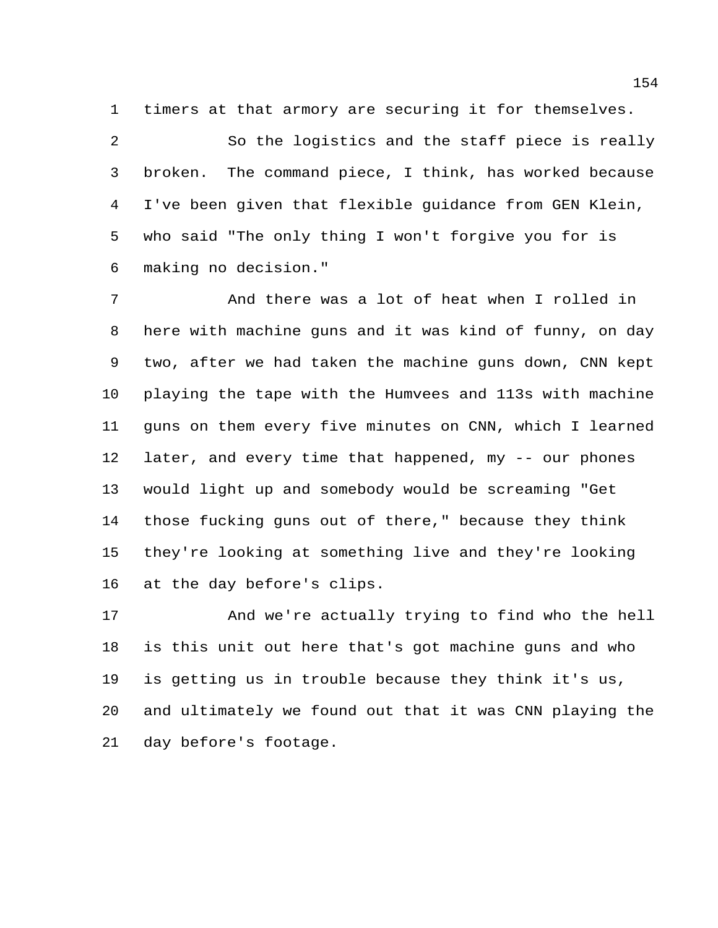timers at that armory are securing it for themselves.

 So the logistics and the staff piece is really broken. The command piece, I think, has worked because I've been given that flexible guidance from GEN Klein, who said "The only thing I won't forgive you for is making no decision."

 And there was a lot of heat when I rolled in here with machine guns and it was kind of funny, on day two, after we had taken the machine guns down, CNN kept playing the tape with the Humvees and 113s with machine guns on them every five minutes on CNN, which I learned later, and every time that happened, my -- our phones would light up and somebody would be screaming "Get those fucking guns out of there," because they think they're looking at something live and they're looking at the day before's clips.

 And we're actually trying to find who the hell is this unit out here that's got machine guns and who is getting us in trouble because they think it's us, and ultimately we found out that it was CNN playing the day before's footage.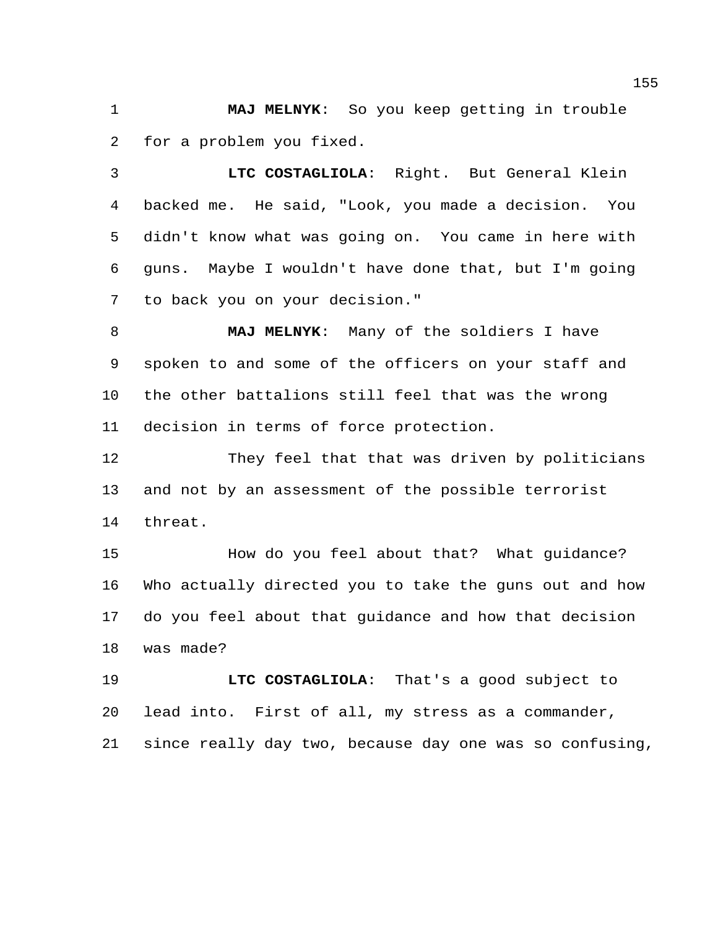**MAJ MELNYK**: So you keep getting in trouble for a problem you fixed.

 **LTC COSTAGLIOLA**: Right. But General Klein backed me. He said, "Look, you made a decision. You didn't know what was going on. You came in here with guns. Maybe I wouldn't have done that, but I'm going to back you on your decision."

 **MAJ MELNYK**: Many of the soldiers I have spoken to and some of the officers on your staff and the other battalions still feel that was the wrong decision in terms of force protection.

 They feel that that was driven by politicians and not by an assessment of the possible terrorist threat.

 How do you feel about that? What guidance? Who actually directed you to take the guns out and how do you feel about that guidance and how that decision was made?

 **LTC COSTAGLIOLA**: That's a good subject to lead into. First of all, my stress as a commander, since really day two, because day one was so confusing,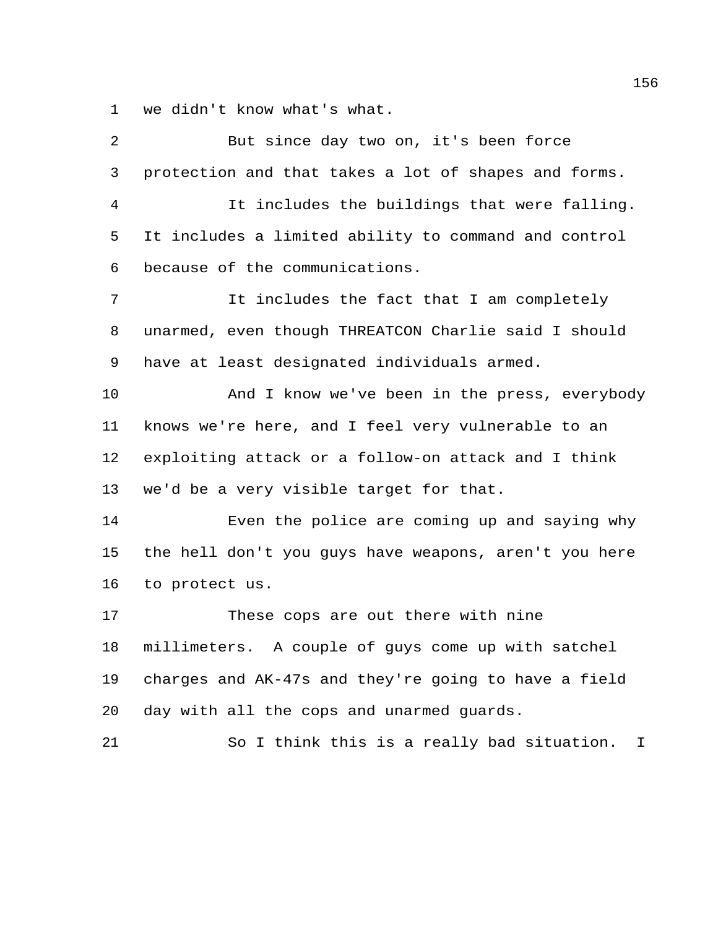we didn't know what's what.

| 2              | But since day two on, it's been force                 |
|----------------|-------------------------------------------------------|
| 3              | protection and that takes a lot of shapes and forms.  |
| $\overline{4}$ | It includes the buildings that were falling.          |
| 5              | It includes a limited ability to command and control  |
| 6              | because of the communications.                        |
| 7              | It includes the fact that I am completely             |
| 8              | unarmed, even though THREATCON Charlie said I should  |
| 9              | have at least designated individuals armed.           |
| 10             | And I know we've been in the press, everybody         |
| 11             | knows we're here, and I feel very vulnerable to an    |
| 12             | exploiting attack or a follow-on attack and I think   |
| 13             | we'd be a very visible target for that.               |
| 14             | Even the police are coming up and saying why          |
| 15             | the hell don't you guys have weapons, aren't you here |
| 16             | to protect us.                                        |
| 17             | These cops are out there with nine                    |
| 18             | millimeters. A couple of guys come up with satchel    |
| 19             | charges and AK-47s and they're going to have a field  |
| 20             | day with all the cops and unarmed guards.             |
| 21             | So I think this is a really bad situation.<br>$\perp$ |
|                |                                                       |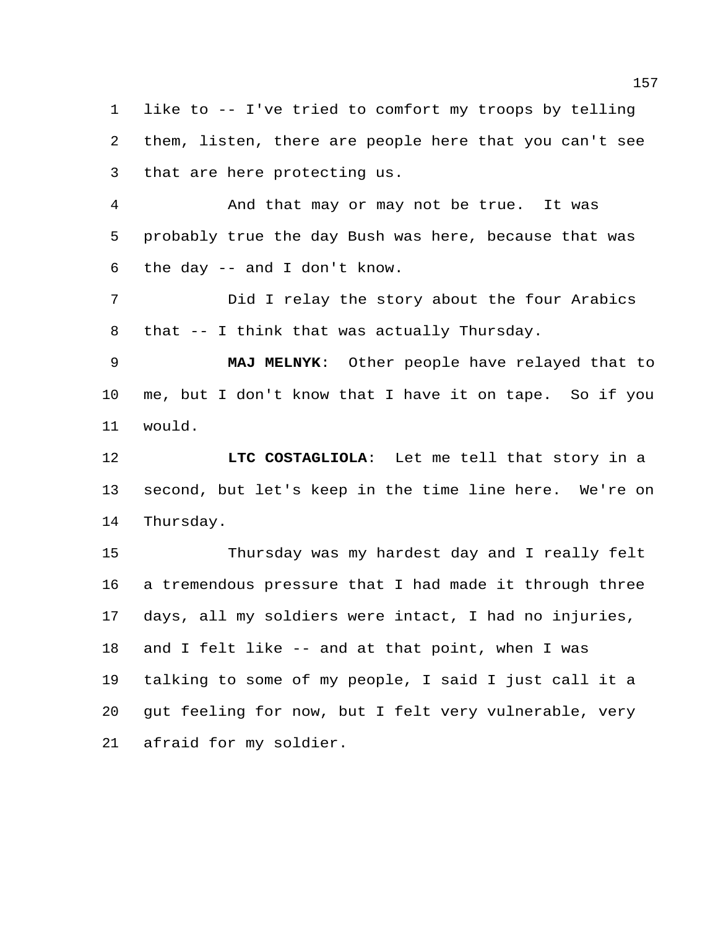like to -- I've tried to comfort my troops by telling them, listen, there are people here that you can't see that are here protecting us.

 And that may or may not be true. It was probably true the day Bush was here, because that was the day -- and I don't know.

 Did I relay the story about the four Arabics that -- I think that was actually Thursday.

 **MAJ MELNYK**: Other people have relayed that to me, but I don't know that I have it on tape. So if you would.

 **LTC COSTAGLIOLA**: Let me tell that story in a second, but let's keep in the time line here. We're on Thursday.

 Thursday was my hardest day and I really felt a tremendous pressure that I had made it through three days, all my soldiers were intact, I had no injuries, and I felt like -- and at that point, when I was talking to some of my people, I said I just call it a gut feeling for now, but I felt very vulnerable, very afraid for my soldier.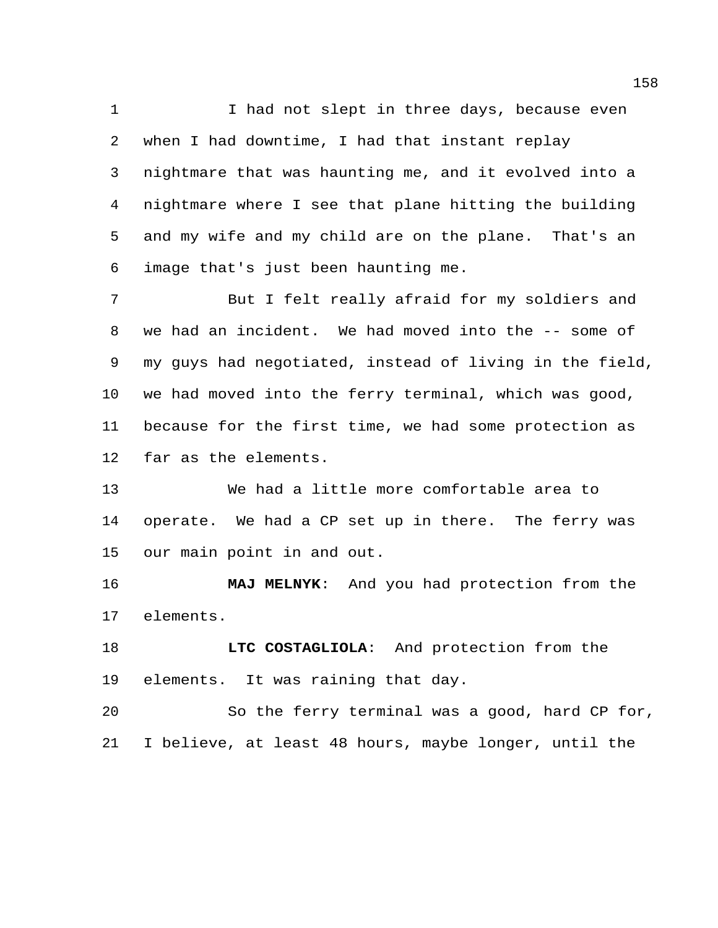1 I had not slept in three days, because even when I had downtime, I had that instant replay nightmare that was haunting me, and it evolved into a nightmare where I see that plane hitting the building and my wife and my child are on the plane. That's an image that's just been haunting me.

 But I felt really afraid for my soldiers and we had an incident. We had moved into the -- some of my guys had negotiated, instead of living in the field, we had moved into the ferry terminal, which was good, because for the first time, we had some protection as far as the elements.

 We had a little more comfortable area to operate. We had a CP set up in there. The ferry was our main point in and out.

 **MAJ MELNYK**: And you had protection from the elements.

 **LTC COSTAGLIOLA**: And protection from the elements. It was raining that day.

 So the ferry terminal was a good, hard CP for, I believe, at least 48 hours, maybe longer, until the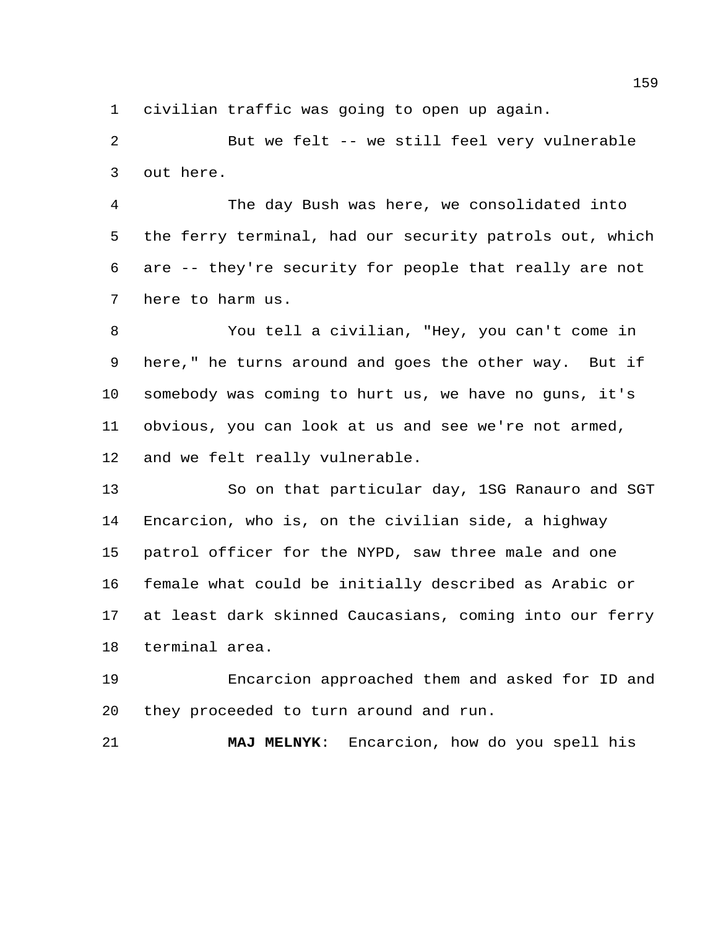civilian traffic was going to open up again.

 But we felt -- we still feel very vulnerable out here.

 The day Bush was here, we consolidated into the ferry terminal, had our security patrols out, which are -- they're security for people that really are not here to harm us.

 You tell a civilian, "Hey, you can't come in here," he turns around and goes the other way. But if somebody was coming to hurt us, we have no guns, it's obvious, you can look at us and see we're not armed, and we felt really vulnerable.

 So on that particular day, 1SG Ranauro and SGT Encarcion, who is, on the civilian side, a highway patrol officer for the NYPD, saw three male and one female what could be initially described as Arabic or at least dark skinned Caucasians, coming into our ferry terminal area.

 Encarcion approached them and asked for ID and they proceeded to turn around and run.

**MAJ MELNYK**: Encarcion, how do you spell his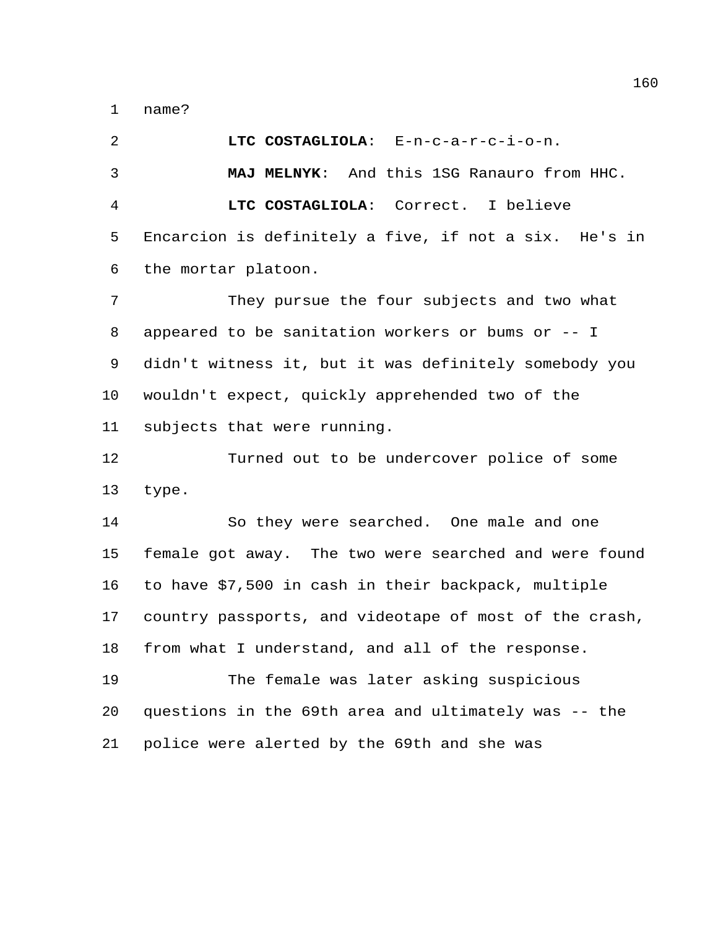name?

 **LTC COSTAGLIOLA**: E-n-c-a-r-c-i-o-n. **MAJ MELNYK**: And this 1SG Ranauro from HHC. **LTC COSTAGLIOLA**: Correct. I believe Encarcion is definitely a five, if not a six. He's in the mortar platoon.

 They pursue the four subjects and two what appeared to be sanitation workers or bums or -- I didn't witness it, but it was definitely somebody you wouldn't expect, quickly apprehended two of the subjects that were running.

 Turned out to be undercover police of some type.

 So they were searched. One male and one female got away. The two were searched and were found to have \$7,500 in cash in their backpack, multiple country passports, and videotape of most of the crash, from what I understand, and all of the response.

 The female was later asking suspicious questions in the 69th area and ultimately was -- the police were alerted by the 69th and she was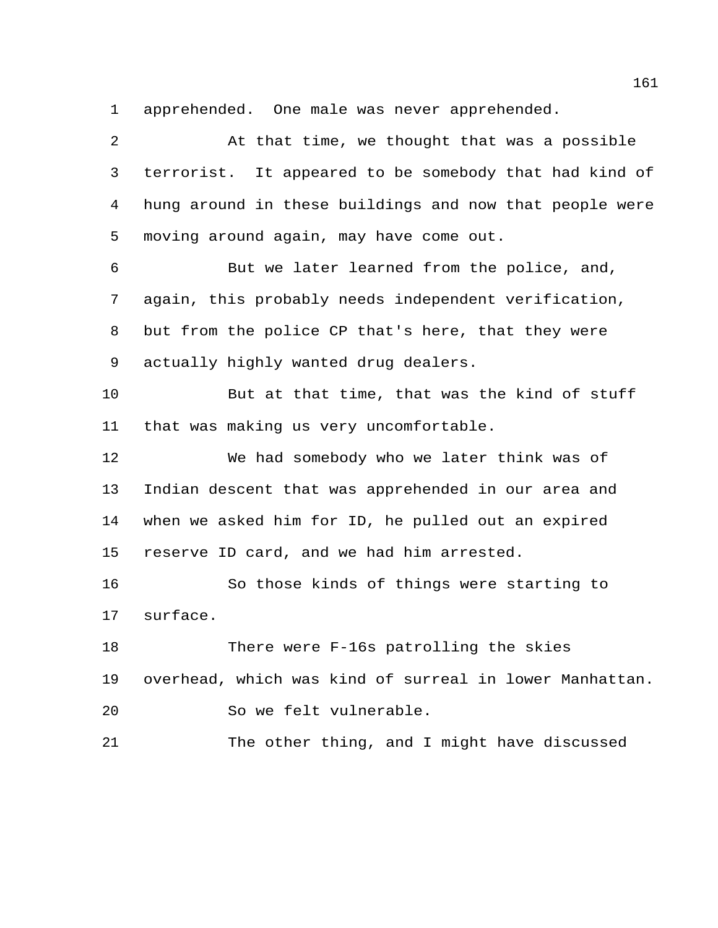apprehended. One male was never apprehended.

 At that time, we thought that was a possible terrorist. It appeared to be somebody that had kind of hung around in these buildings and now that people were moving around again, may have come out. But we later learned from the police, and, again, this probably needs independent verification, but from the police CP that's here, that they were actually highly wanted drug dealers. But at that time, that was the kind of stuff that was making us very uncomfortable. We had somebody who we later think was of Indian descent that was apprehended in our area and when we asked him for ID, he pulled out an expired reserve ID card, and we had him arrested. So those kinds of things were starting to surface. There were F-16s patrolling the skies overhead, which was kind of surreal in lower Manhattan. So we felt vulnerable. The other thing, and I might have discussed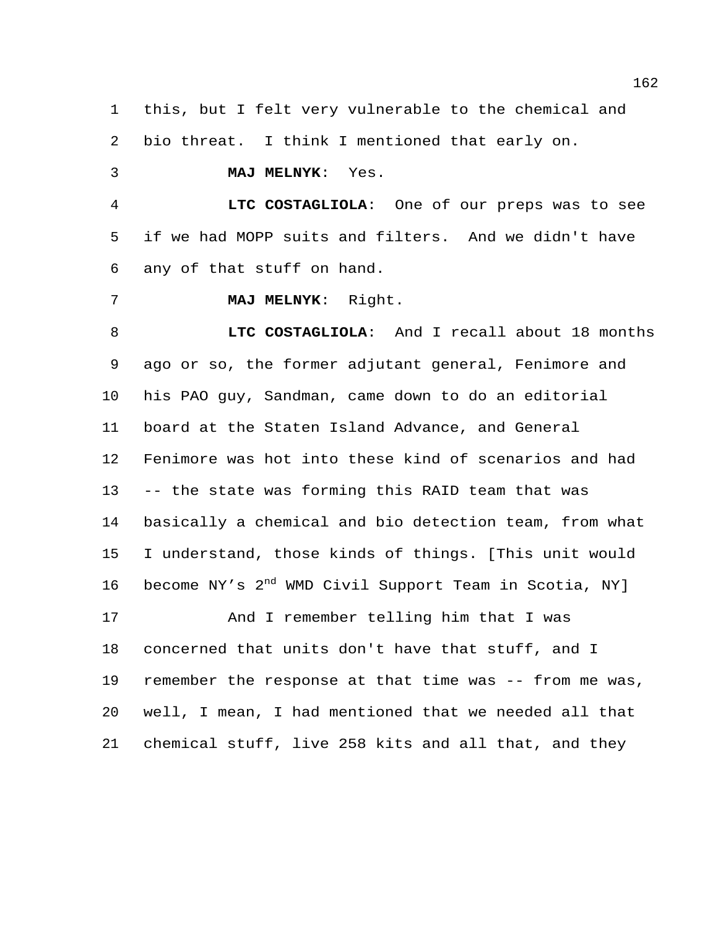this, but I felt very vulnerable to the chemical and bio threat. I think I mentioned that early on. **MAJ MELNYK**: Yes. **LTC COSTAGLIOLA**: One of our preps was to see if we had MOPP suits and filters. And we didn't have any of that stuff on hand. **MAJ MELNYK**: Right. **LTC COSTAGLIOLA**: And I recall about 18 months ago or so, the former adjutant general, Fenimore and his PAO guy, Sandman, came down to do an editorial board at the Staten Island Advance, and General Fenimore was hot into these kind of scenarios and had -- the state was forming this RAID team that was

 basically a chemical and bio detection team, from what I understand, those kinds of things. [This unit would 16 become NY's 2<sup>nd</sup> WMD Civil Support Team in Scotia, NY]

 And I remember telling him that I was concerned that units don't have that stuff, and I remember the response at that time was -- from me was, well, I mean, I had mentioned that we needed all that chemical stuff, live 258 kits and all that, and they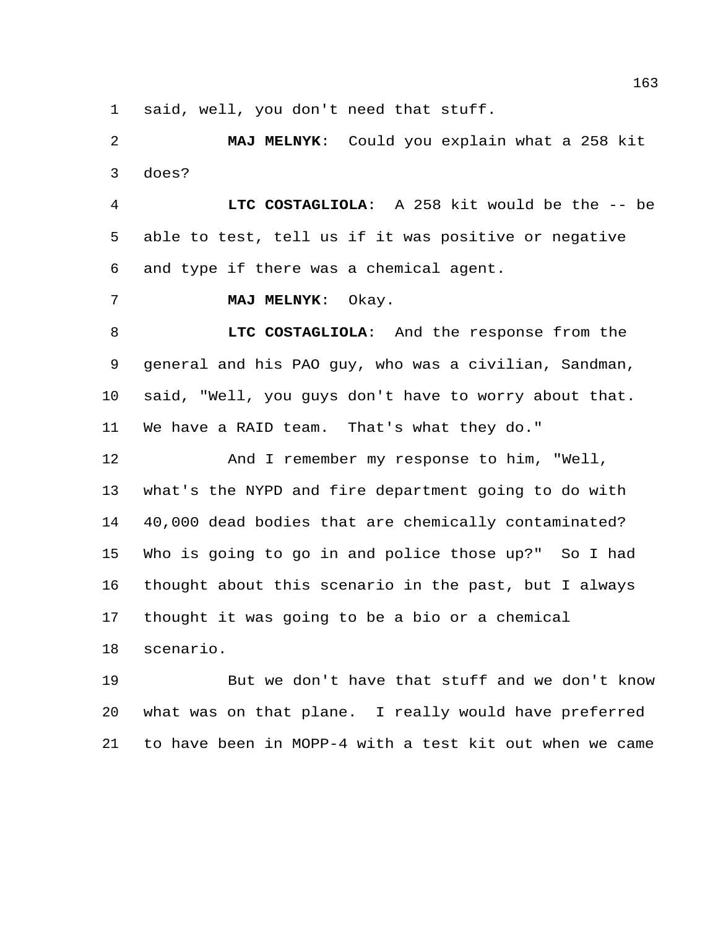said, well, you don't need that stuff.

 **MAJ MELNYK**: Could you explain what a 258 kit does?

 **LTC COSTAGLIOLA**: A 258 kit would be the -- be able to test, tell us if it was positive or negative and type if there was a chemical agent.

**MAJ MELNYK**: Okay.

 **LTC COSTAGLIOLA**: And the response from the general and his PAO guy, who was a civilian, Sandman, said, "Well, you guys don't have to worry about that. We have a RAID team. That's what they do."

 And I remember my response to him, "Well, what's the NYPD and fire department going to do with 40,000 dead bodies that are chemically contaminated? Who is going to go in and police those up?" So I had thought about this scenario in the past, but I always thought it was going to be a bio or a chemical

scenario.

 But we don't have that stuff and we don't know what was on that plane. I really would have preferred to have been in MOPP-4 with a test kit out when we came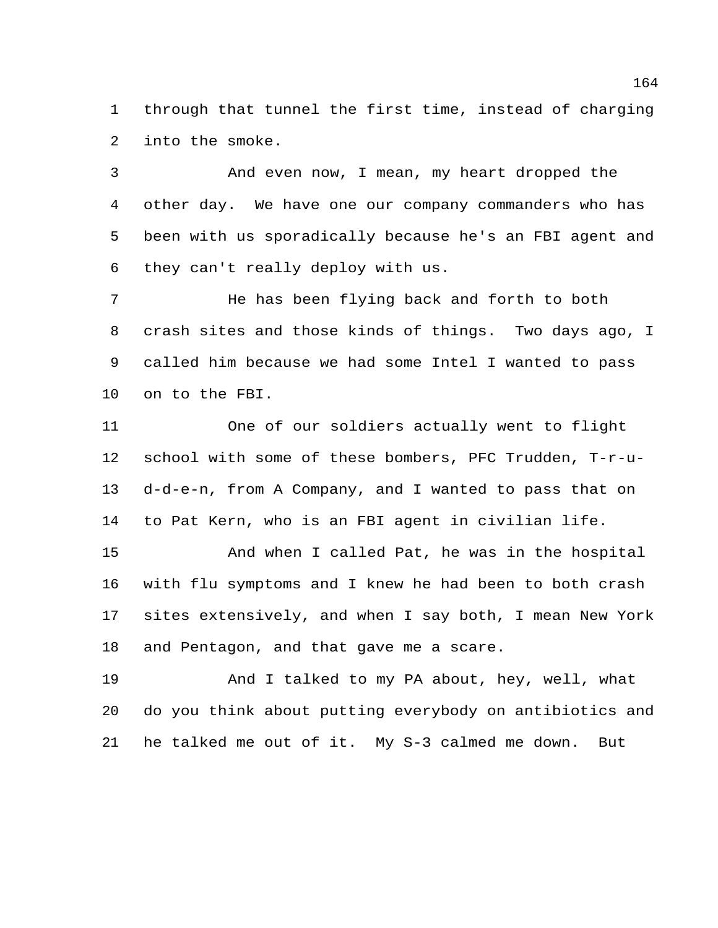through that tunnel the first time, instead of charging into the smoke.

 And even now, I mean, my heart dropped the other day. We have one our company commanders who has been with us sporadically because he's an FBI agent and they can't really deploy with us.

 He has been flying back and forth to both crash sites and those kinds of things. Two days ago, I called him because we had some Intel I wanted to pass on to the FBI.

 One of our soldiers actually went to flight school with some of these bombers, PFC Trudden, T-r-u- d-d-e-n, from A Company, and I wanted to pass that on to Pat Kern, who is an FBI agent in civilian life.

 And when I called Pat, he was in the hospital with flu symptoms and I knew he had been to both crash sites extensively, and when I say both, I mean New York and Pentagon, and that gave me a scare.

 And I talked to my PA about, hey, well, what do you think about putting everybody on antibiotics and he talked me out of it. My S-3 calmed me down. But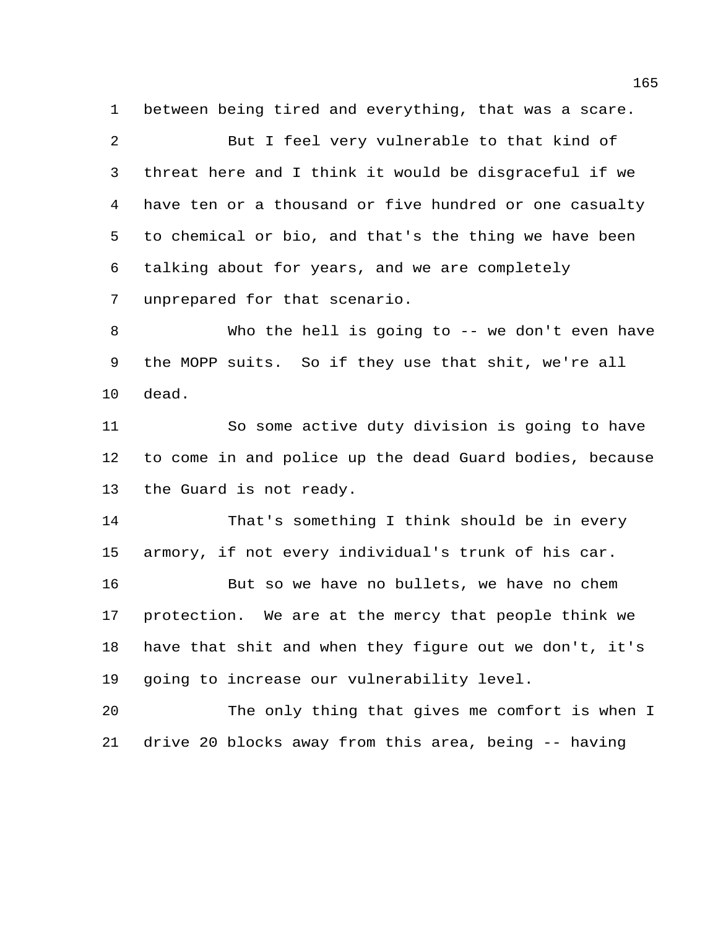between being tired and everything, that was a scare.

 But I feel very vulnerable to that kind of threat here and I think it would be disgraceful if we have ten or a thousand or five hundred or one casualty to chemical or bio, and that's the thing we have been talking about for years, and we are completely unprepared for that scenario.

 Who the hell is going to -- we don't even have the MOPP suits. So if they use that shit, we're all dead.

 So some active duty division is going to have to come in and police up the dead Guard bodies, because the Guard is not ready.

 That's something I think should be in every armory, if not every individual's trunk of his car.

 But so we have no bullets, we have no chem protection. We are at the mercy that people think we have that shit and when they figure out we don't, it's going to increase our vulnerability level.

 The only thing that gives me comfort is when I drive 20 blocks away from this area, being -- having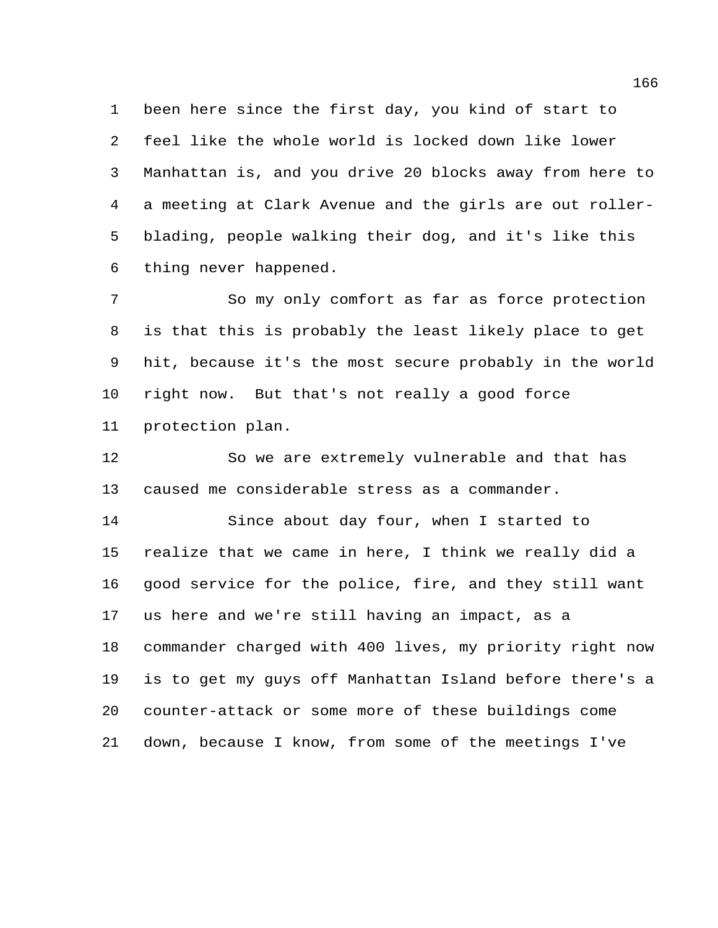been here since the first day, you kind of start to feel like the whole world is locked down like lower Manhattan is, and you drive 20 blocks away from here to a meeting at Clark Avenue and the girls are out roller- blading, people walking their dog, and it's like this thing never happened.

 So my only comfort as far as force protection is that this is probably the least likely place to get hit, because it's the most secure probably in the world right now. But that's not really a good force protection plan.

 So we are extremely vulnerable and that has caused me considerable stress as a commander.

 Since about day four, when I started to realize that we came in here, I think we really did a good service for the police, fire, and they still want us here and we're still having an impact, as a commander charged with 400 lives, my priority right now is to get my guys off Manhattan Island before there's a counter-attack or some more of these buildings come down, because I know, from some of the meetings I've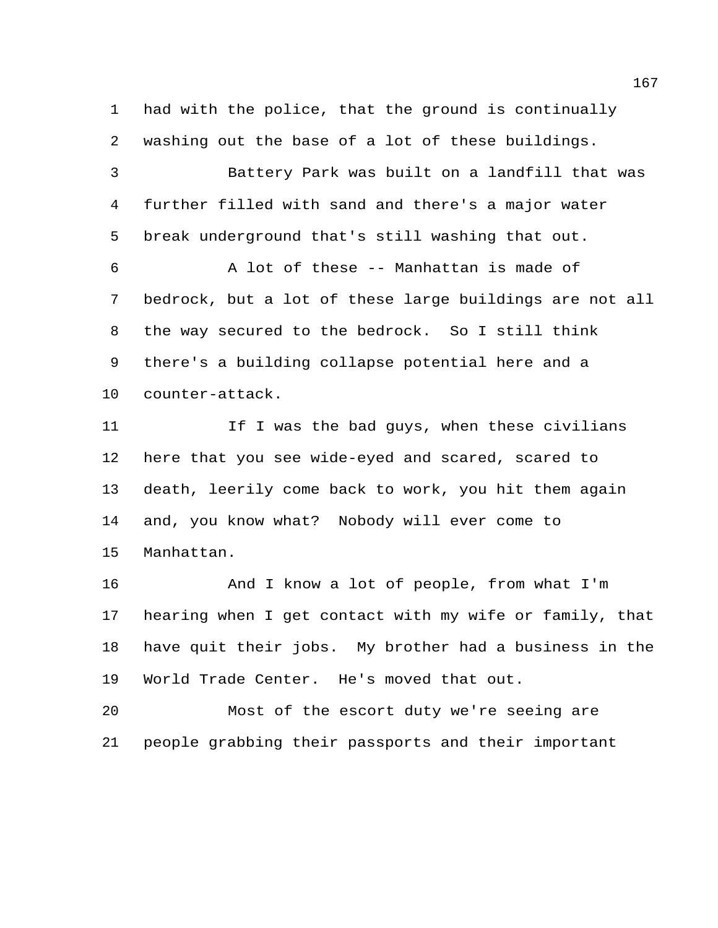had with the police, that the ground is continually washing out the base of a lot of these buildings.

 Battery Park was built on a landfill that was further filled with sand and there's a major water break underground that's still washing that out.

 A lot of these -- Manhattan is made of bedrock, but a lot of these large buildings are not all the way secured to the bedrock. So I still think there's a building collapse potential here and a counter-attack.

 If I was the bad guys, when these civilians here that you see wide-eyed and scared, scared to death, leerily come back to work, you hit them again and, you know what? Nobody will ever come to Manhattan.

 And I know a lot of people, from what I'm hearing when I get contact with my wife or family, that have quit their jobs. My brother had a business in the World Trade Center. He's moved that out.

 Most of the escort duty we're seeing are people grabbing their passports and their important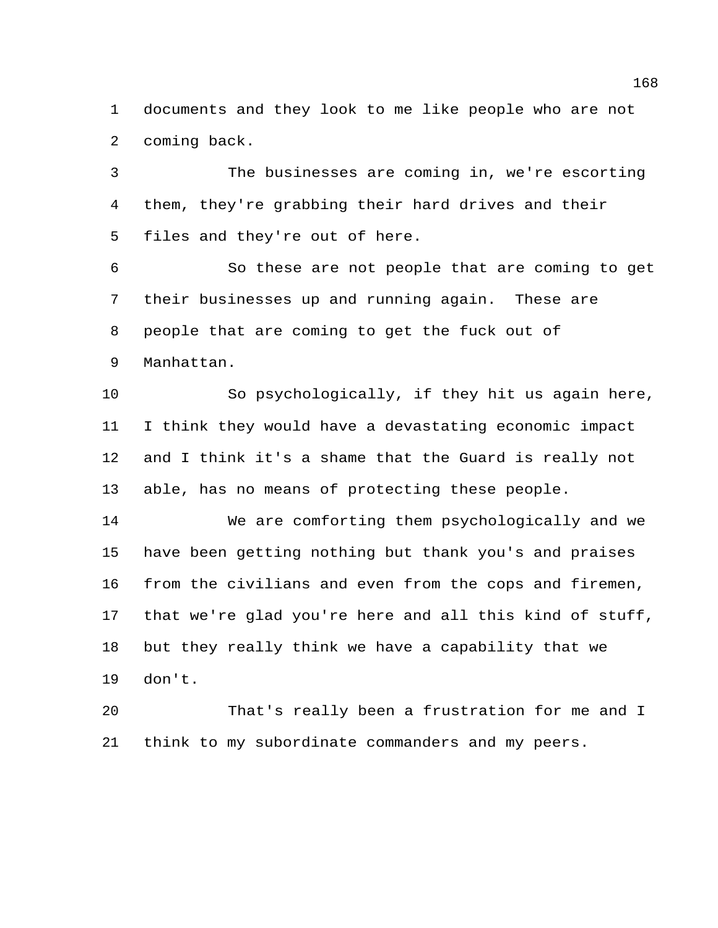documents and they look to me like people who are not coming back.

 The businesses are coming in, we're escorting them, they're grabbing their hard drives and their files and they're out of here.

 So these are not people that are coming to get their businesses up and running again. These are people that are coming to get the fuck out of Manhattan.

 So psychologically, if they hit us again here, I think they would have a devastating economic impact and I think it's a shame that the Guard is really not able, has no means of protecting these people.

 We are comforting them psychologically and we have been getting nothing but thank you's and praises from the civilians and even from the cops and firemen, that we're glad you're here and all this kind of stuff, but they really think we have a capability that we don't.

 That's really been a frustration for me and I think to my subordinate commanders and my peers.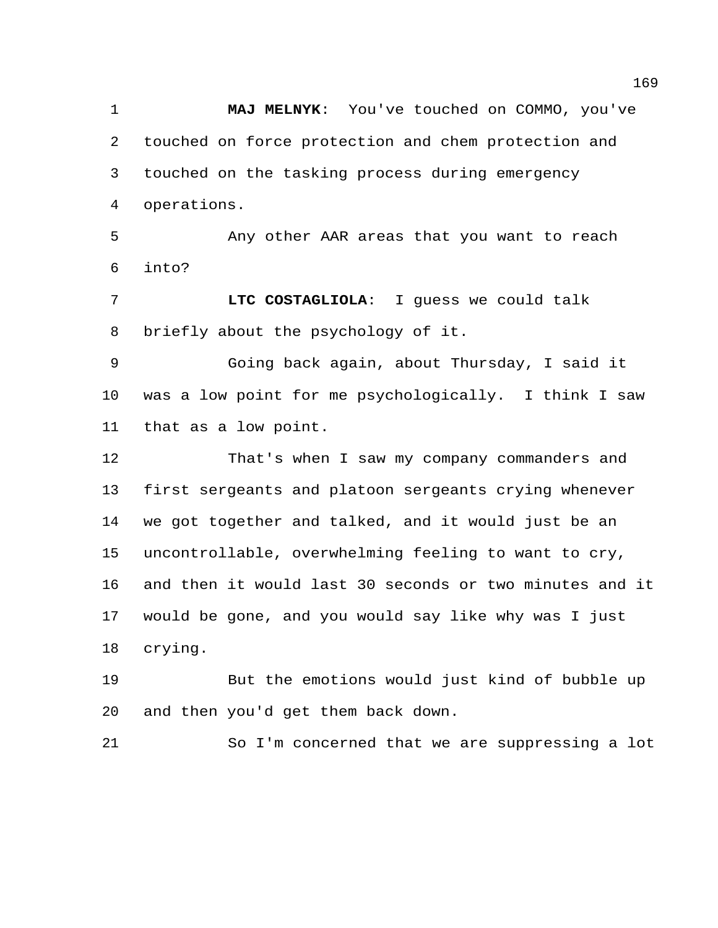**MAJ MELNYK**: You've touched on COMMO, you've touched on force protection and chem protection and touched on the tasking process during emergency operations.

 Any other AAR areas that you want to reach into?

 **LTC COSTAGLIOLA**: I guess we could talk briefly about the psychology of it.

 Going back again, about Thursday, I said it was a low point for me psychologically. I think I saw that as a low point.

 That's when I saw my company commanders and first sergeants and platoon sergeants crying whenever we got together and talked, and it would just be an uncontrollable, overwhelming feeling to want to cry, and then it would last 30 seconds or two minutes and it would be gone, and you would say like why was I just crying.

 But the emotions would just kind of bubble up and then you'd get them back down.

So I'm concerned that we are suppressing a lot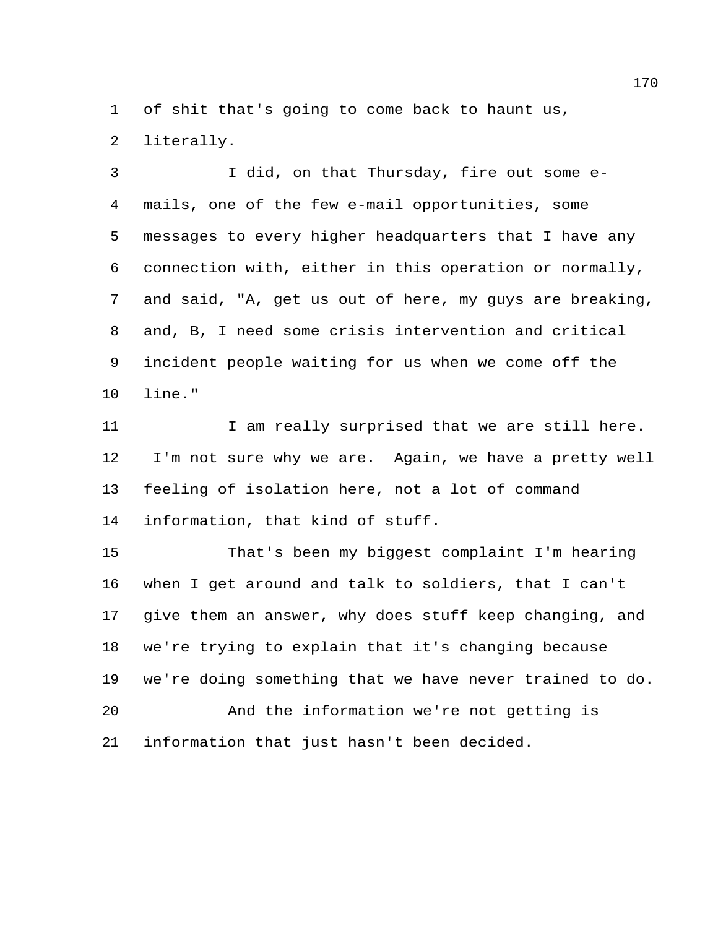of shit that's going to come back to haunt us,

literally.

 I did, on that Thursday, fire out some e- mails, one of the few e-mail opportunities, some messages to every higher headquarters that I have any connection with, either in this operation or normally, and said, "A, get us out of here, my guys are breaking, and, B, I need some crisis intervention and critical incident people waiting for us when we come off the line."

11 I am really surprised that we are still here. I'm not sure why we are. Again, we have a pretty well feeling of isolation here, not a lot of command information, that kind of stuff.

 That's been my biggest complaint I'm hearing when I get around and talk to soldiers, that I can't give them an answer, why does stuff keep changing, and we're trying to explain that it's changing because we're doing something that we have never trained to do. And the information we're not getting is information that just hasn't been decided.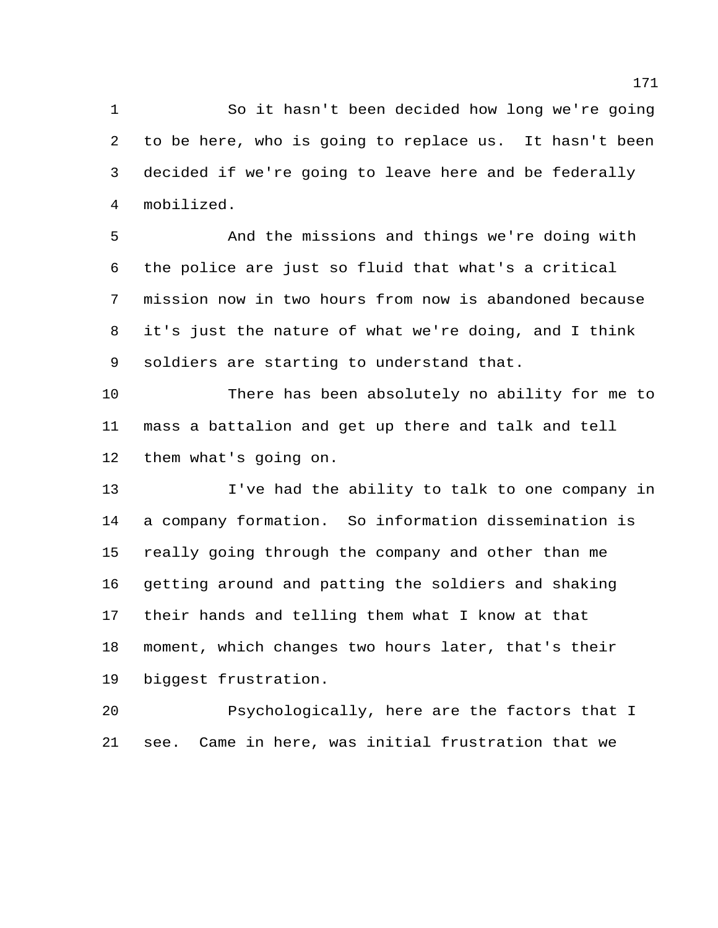So it hasn't been decided how long we're going to be here, who is going to replace us. It hasn't been decided if we're going to leave here and be federally mobilized.

 And the missions and things we're doing with the police are just so fluid that what's a critical mission now in two hours from now is abandoned because it's just the nature of what we're doing, and I think soldiers are starting to understand that.

 There has been absolutely no ability for me to mass a battalion and get up there and talk and tell them what's going on.

 I've had the ability to talk to one company in a company formation. So information dissemination is really going through the company and other than me getting around and patting the soldiers and shaking their hands and telling them what I know at that moment, which changes two hours later, that's their biggest frustration.

 Psychologically, here are the factors that I see. Came in here, was initial frustration that we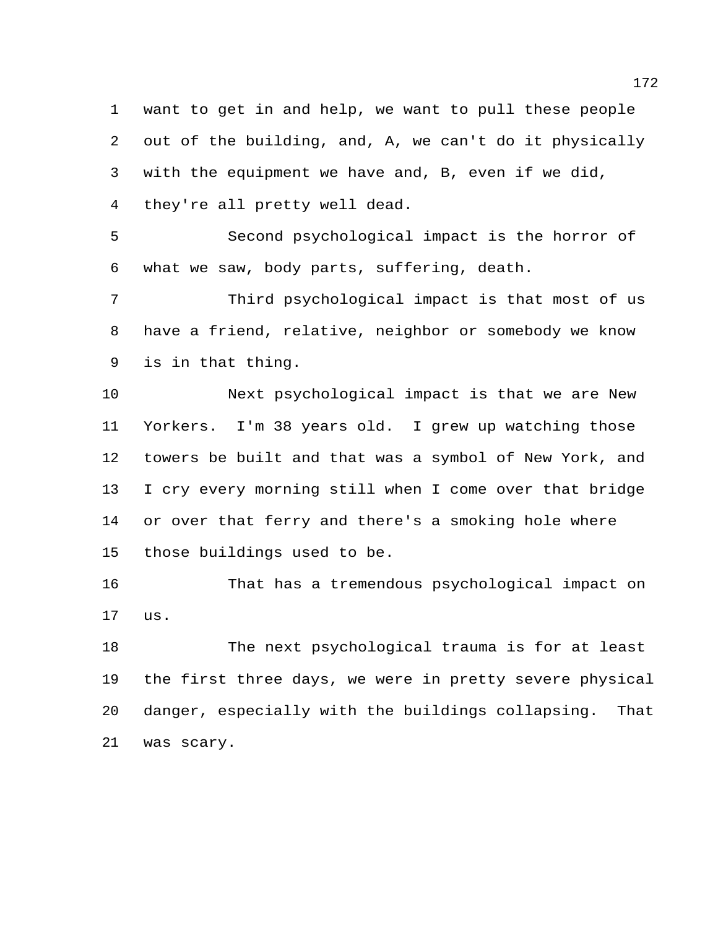want to get in and help, we want to pull these people out of the building, and, A, we can't do it physically with the equipment we have and, B, even if we did, they're all pretty well dead.

 Second psychological impact is the horror of what we saw, body parts, suffering, death.

 Third psychological impact is that most of us have a friend, relative, neighbor or somebody we know is in that thing.

 Next psychological impact is that we are New Yorkers. I'm 38 years old. I grew up watching those towers be built and that was a symbol of New York, and I cry every morning still when I come over that bridge or over that ferry and there's a smoking hole where those buildings used to be.

 That has a tremendous psychological impact on us.

 The next psychological trauma is for at least the first three days, we were in pretty severe physical danger, especially with the buildings collapsing. That was scary.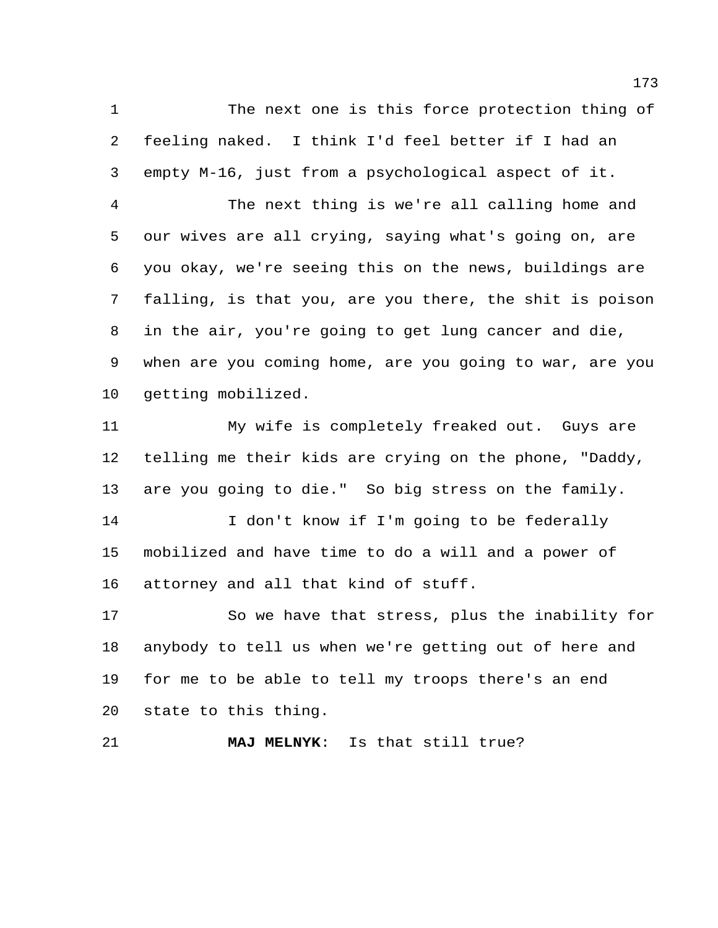The next one is this force protection thing of feeling naked. I think I'd feel better if I had an empty M-16, just from a psychological aspect of it.

 The next thing is we're all calling home and our wives are all crying, saying what's going on, are you okay, we're seeing this on the news, buildings are falling, is that you, are you there, the shit is poison in the air, you're going to get lung cancer and die, when are you coming home, are you going to war, are you getting mobilized.

 My wife is completely freaked out. Guys are telling me their kids are crying on the phone, "Daddy, are you going to die." So big stress on the family.

14 I don't know if I'm going to be federally mobilized and have time to do a will and a power of attorney and all that kind of stuff.

 So we have that stress, plus the inability for anybody to tell us when we're getting out of here and for me to be able to tell my troops there's an end state to this thing.

**MAJ MELNYK**: Is that still true?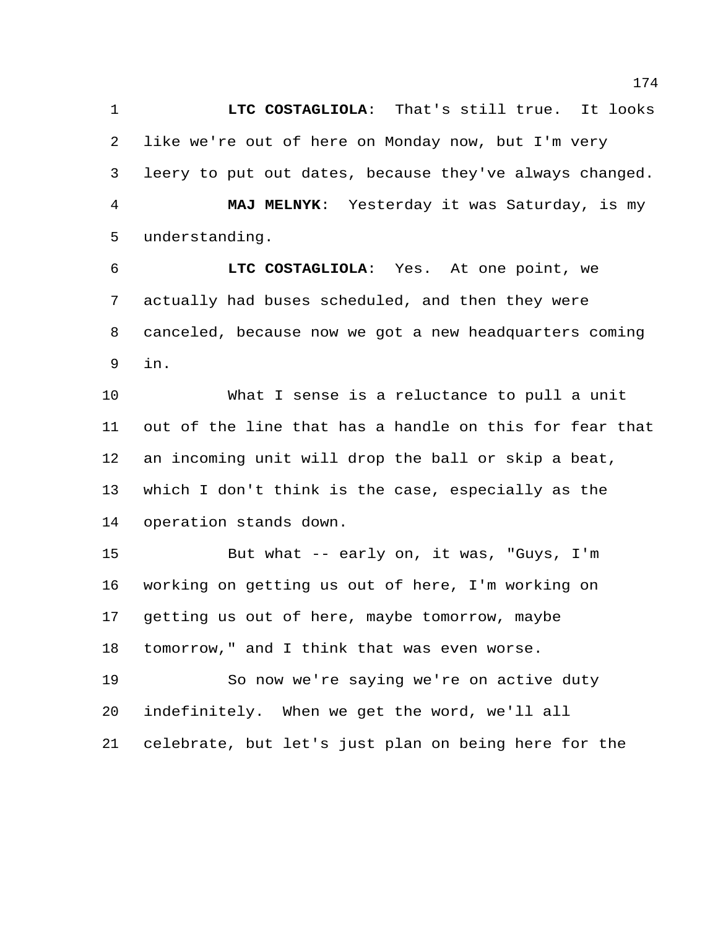**LTC COSTAGLIOLA**: That's still true. It looks like we're out of here on Monday now, but I'm very leery to put out dates, because they've always changed. **MAJ MELNYK**: Yesterday it was Saturday, is my understanding.

 **LTC COSTAGLIOLA**: Yes. At one point, we actually had buses scheduled, and then they were canceled, because now we got a new headquarters coming in.

 What I sense is a reluctance to pull a unit out of the line that has a handle on this for fear that an incoming unit will drop the ball or skip a beat, which I don't think is the case, especially as the operation stands down.

 But what -- early on, it was, "Guys, I'm working on getting us out of here, I'm working on getting us out of here, maybe tomorrow, maybe tomorrow," and I think that was even worse.

 So now we're saying we're on active duty indefinitely. When we get the word, we'll all celebrate, but let's just plan on being here for the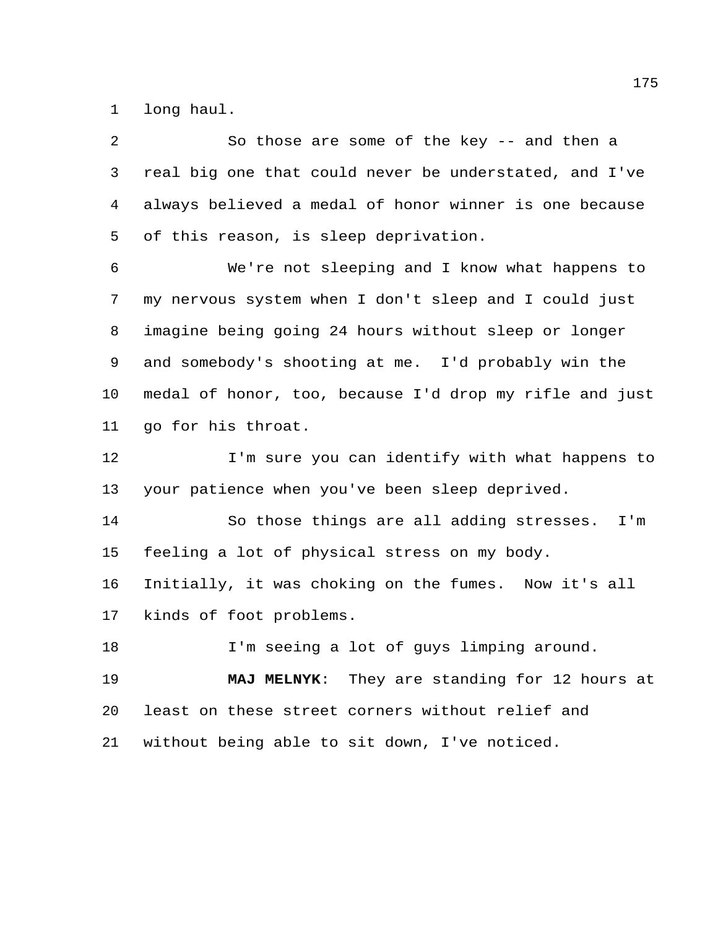long haul.

 So those are some of the key -- and then a real big one that could never be understated, and I've always believed a medal of honor winner is one because of this reason, is sleep deprivation.

 We're not sleeping and I know what happens to my nervous system when I don't sleep and I could just imagine being going 24 hours without sleep or longer and somebody's shooting at me. I'd probably win the medal of honor, too, because I'd drop my rifle and just go for his throat.

12 I'm sure you can identify with what happens to your patience when you've been sleep deprived.

 So those things are all adding stresses. I'm feeling a lot of physical stress on my body.

Initially, it was choking on the fumes. Now it's all

kinds of foot problems.

18 I'm seeing a lot of guys limping around.

 **MAJ MELNYK**: They are standing for 12 hours at least on these street corners without relief and without being able to sit down, I've noticed.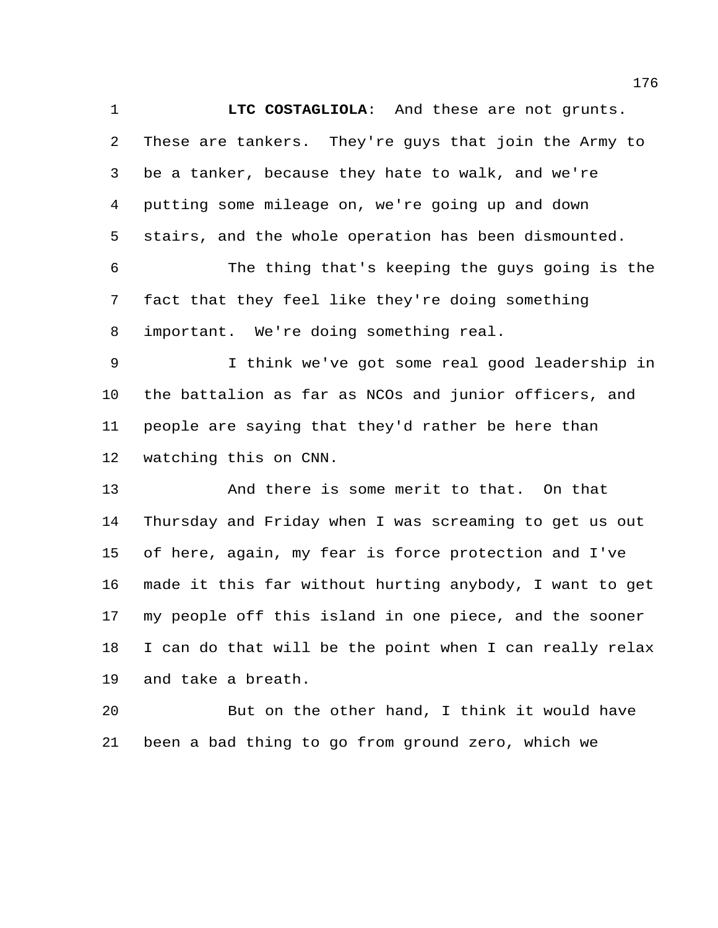**LTC COSTAGLIOLA**: And these are not grunts. These are tankers. They're guys that join the Army to be a tanker, because they hate to walk, and we're putting some mileage on, we're going up and down stairs, and the whole operation has been dismounted. The thing that's keeping the guys going is the fact that they feel like they're doing something important. We're doing something real. I think we've got some real good leadership in the battalion as far as NCOs and junior officers, and people are saying that they'd rather be here than watching this on CNN. And there is some merit to that. On that Thursday and Friday when I was screaming to get us out

 of here, again, my fear is force protection and I've made it this far without hurting anybody, I want to get my people off this island in one piece, and the sooner I can do that will be the point when I can really relax and take a breath.

 But on the other hand, I think it would have been a bad thing to go from ground zero, which we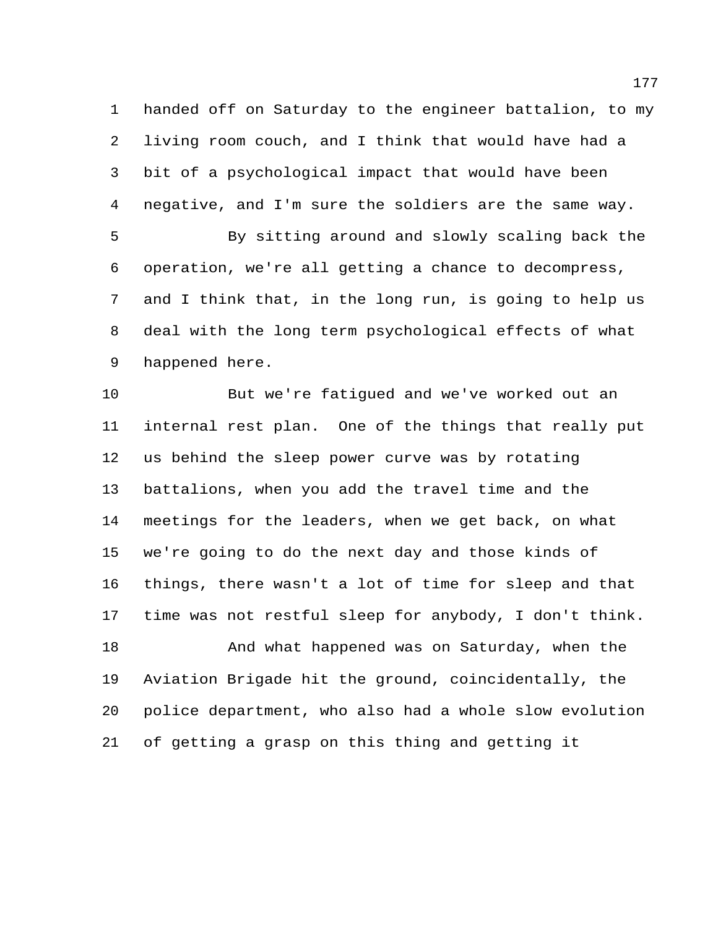handed off on Saturday to the engineer battalion, to my living room couch, and I think that would have had a bit of a psychological impact that would have been negative, and I'm sure the soldiers are the same way.

 By sitting around and slowly scaling back the operation, we're all getting a chance to decompress, and I think that, in the long run, is going to help us deal with the long term psychological effects of what happened here.

 But we're fatigued and we've worked out an internal rest plan. One of the things that really put us behind the sleep power curve was by rotating battalions, when you add the travel time and the meetings for the leaders, when we get back, on what we're going to do the next day and those kinds of things, there wasn't a lot of time for sleep and that time was not restful sleep for anybody, I don't think.

 And what happened was on Saturday, when the Aviation Brigade hit the ground, coincidentally, the police department, who also had a whole slow evolution of getting a grasp on this thing and getting it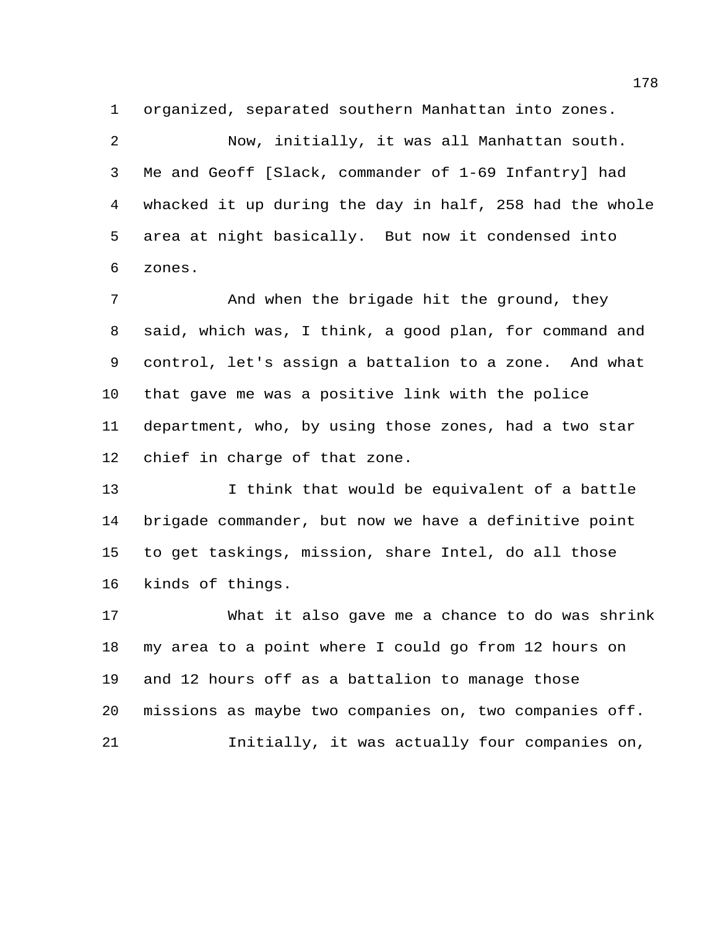organized, separated southern Manhattan into zones.

 Now, initially, it was all Manhattan south. Me and Geoff [Slack, commander of 1-69 Infantry] had whacked it up during the day in half, 258 had the whole area at night basically. But now it condensed into zones.

**And when the brigade hit the ground, they**  said, which was, I think, a good plan, for command and control, let's assign a battalion to a zone. And what that gave me was a positive link with the police department, who, by using those zones, had a two star chief in charge of that zone.

13 I think that would be equivalent of a battle brigade commander, but now we have a definitive point to get taskings, mission, share Intel, do all those kinds of things.

 What it also gave me a chance to do was shrink my area to a point where I could go from 12 hours on and 12 hours off as a battalion to manage those missions as maybe two companies on, two companies off. Initially, it was actually four companies on,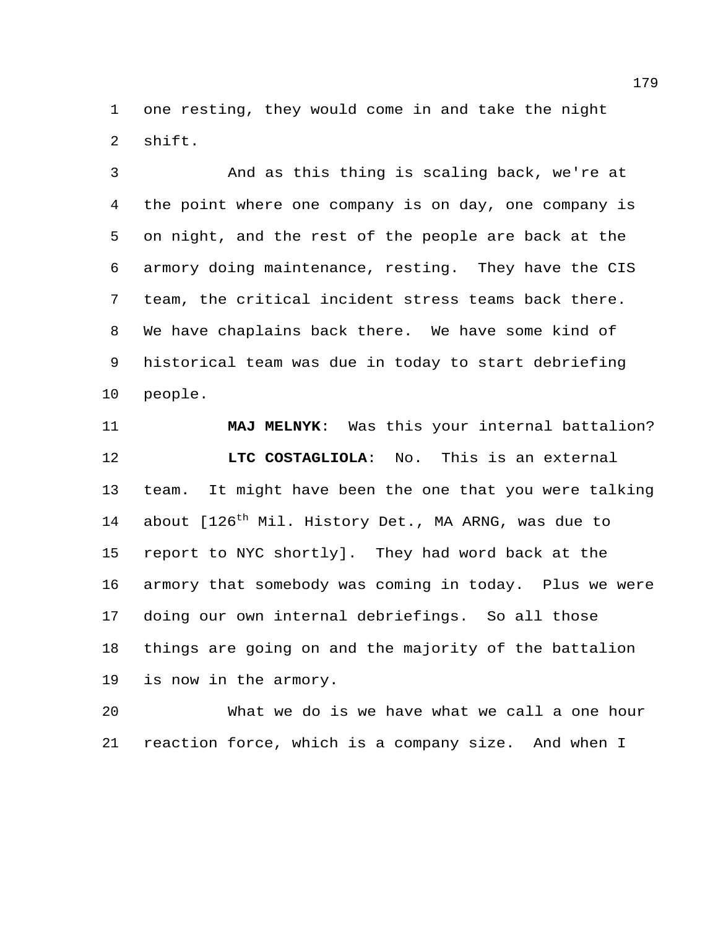one resting, they would come in and take the night shift.

 And as this thing is scaling back, we're at the point where one company is on day, one company is on night, and the rest of the people are back at the armory doing maintenance, resting. They have the CIS team, the critical incident stress teams back there. We have chaplains back there. We have some kind of historical team was due in today to start debriefing people.

 **MAJ MELNYK**: Was this your internal battalion? **LTC COSTAGLIOLA**: No. This is an external team. It might have been the one that you were talking 14 about [126<sup>th</sup> Mil. History Det., MA ARNG, was due to report to NYC shortly]. They had word back at the armory that somebody was coming in today. Plus we were doing our own internal debriefings. So all those things are going on and the majority of the battalion is now in the armory.

 What we do is we have what we call a one hour reaction force, which is a company size. And when I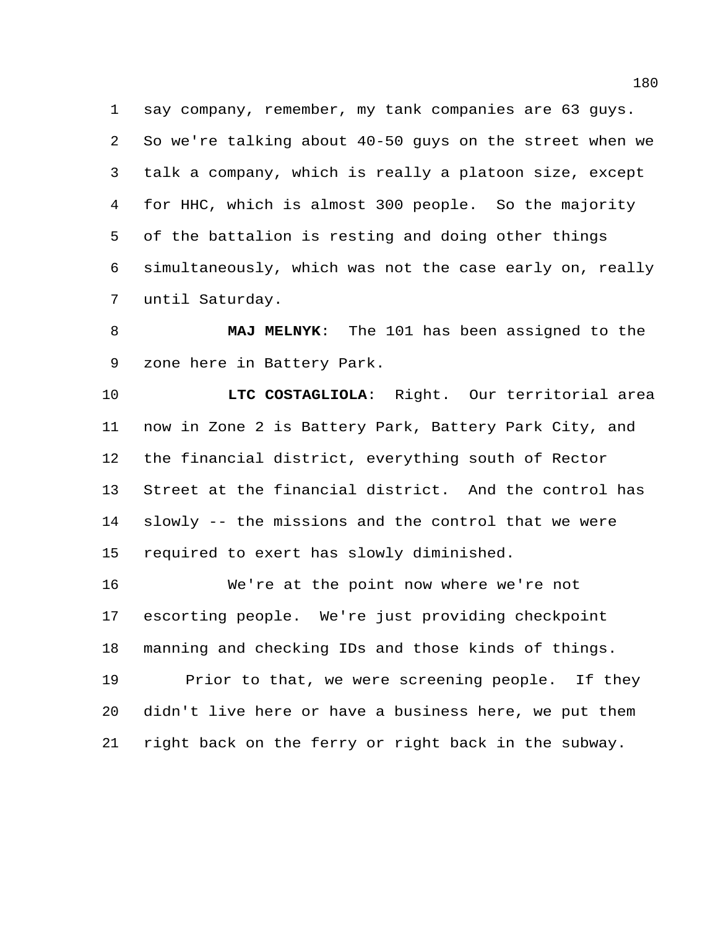say company, remember, my tank companies are 63 guys. So we're talking about 40-50 guys on the street when we talk a company, which is really a platoon size, except for HHC, which is almost 300 people. So the majority of the battalion is resting and doing other things simultaneously, which was not the case early on, really until Saturday.

 **MAJ MELNYK**: The 101 has been assigned to the zone here in Battery Park.

 **LTC COSTAGLIOLA**: Right. Our territorial area now in Zone 2 is Battery Park, Battery Park City, and the financial district, everything south of Rector Street at the financial district. And the control has slowly -- the missions and the control that we were required to exert has slowly diminished.

 We're at the point now where we're not escorting people. We're just providing checkpoint manning and checking IDs and those kinds of things. Prior to that, we were screening people. If they didn't live here or have a business here, we put them right back on the ferry or right back in the subway.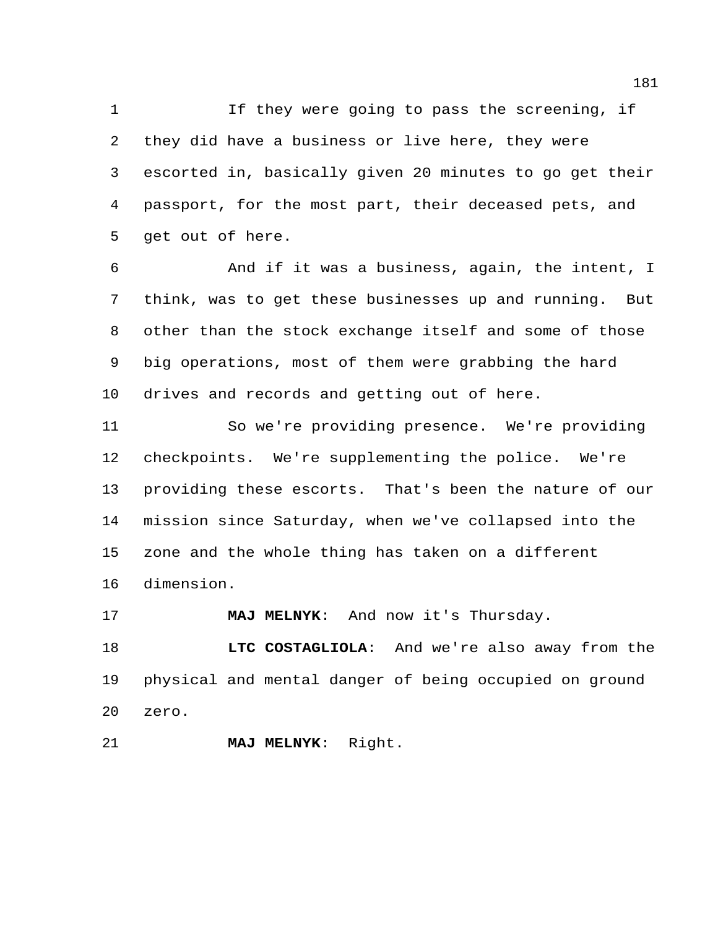1 1 If they were going to pass the screening, if they did have a business or live here, they were escorted in, basically given 20 minutes to go get their passport, for the most part, their deceased pets, and get out of here.

 And if it was a business, again, the intent, I think, was to get these businesses up and running. But other than the stock exchange itself and some of those big operations, most of them were grabbing the hard drives and records and getting out of here.

 So we're providing presence. We're providing checkpoints. We're supplementing the police. We're providing these escorts. That's been the nature of our mission since Saturday, when we've collapsed into the zone and the whole thing has taken on a different dimension.

**MAJ MELNYK**: And now it's Thursday.

 **LTC COSTAGLIOLA**: And we're also away from the physical and mental danger of being occupied on ground zero.

**MAJ MELNYK**: Right.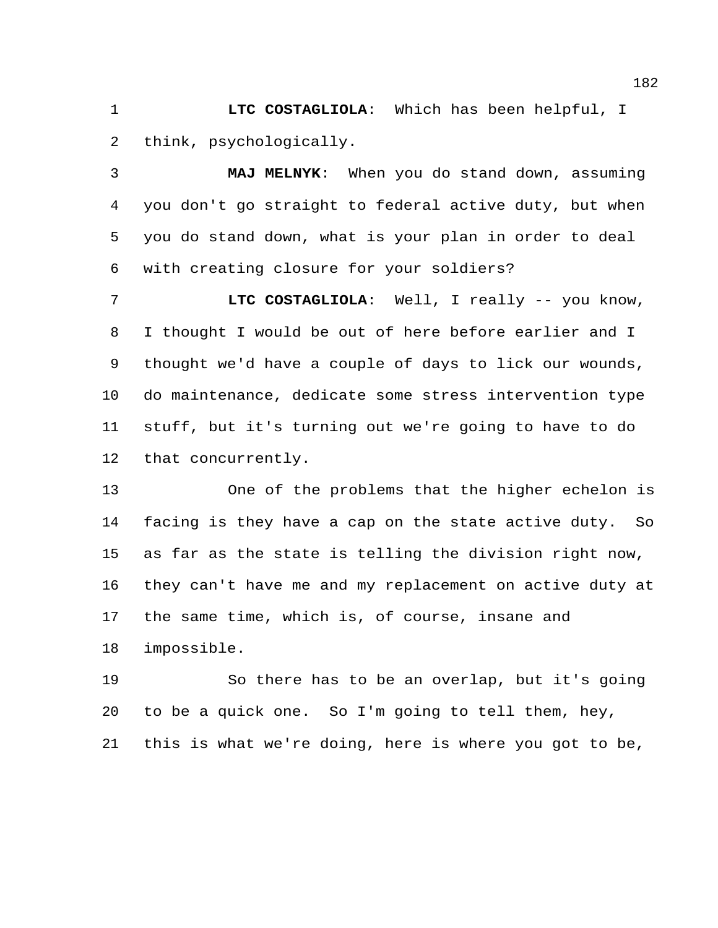**LTC COSTAGLIOLA**: Which has been helpful, I think, psychologically.

 **MAJ MELNYK**: When you do stand down, assuming you don't go straight to federal active duty, but when you do stand down, what is your plan in order to deal with creating closure for your soldiers?

 **LTC COSTAGLIOLA**: Well, I really -- you know, I thought I would be out of here before earlier and I thought we'd have a couple of days to lick our wounds, do maintenance, dedicate some stress intervention type stuff, but it's turning out we're going to have to do that concurrently.

 One of the problems that the higher echelon is facing is they have a cap on the state active duty. So as far as the state is telling the division right now, they can't have me and my replacement on active duty at the same time, which is, of course, insane and impossible.

 So there has to be an overlap, but it's going to be a quick one. So I'm going to tell them, hey, this is what we're doing, here is where you got to be,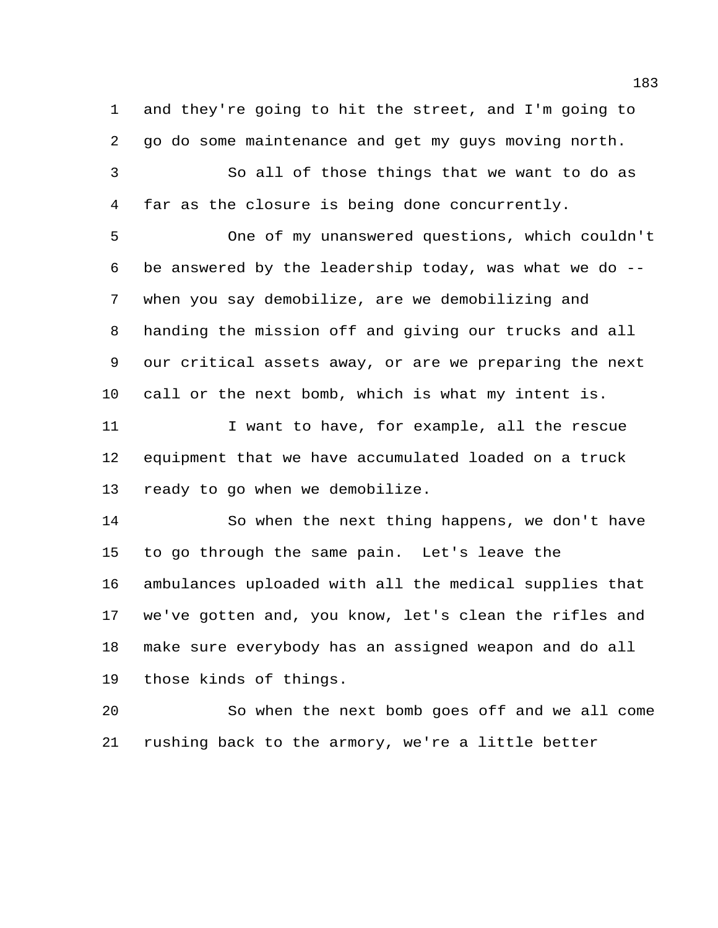and they're going to hit the street, and I'm going to go do some maintenance and get my guys moving north.

 So all of those things that we want to do as far as the closure is being done concurrently.

 One of my unanswered questions, which couldn't be answered by the leadership today, was what we do -- when you say demobilize, are we demobilizing and handing the mission off and giving our trucks and all our critical assets away, or are we preparing the next call or the next bomb, which is what my intent is.

11 I want to have, for example, all the rescue equipment that we have accumulated loaded on a truck ready to go when we demobilize.

 So when the next thing happens, we don't have to go through the same pain. Let's leave the ambulances uploaded with all the medical supplies that we've gotten and, you know, let's clean the rifles and make sure everybody has an assigned weapon and do all those kinds of things.

 So when the next bomb goes off and we all come rushing back to the armory, we're a little better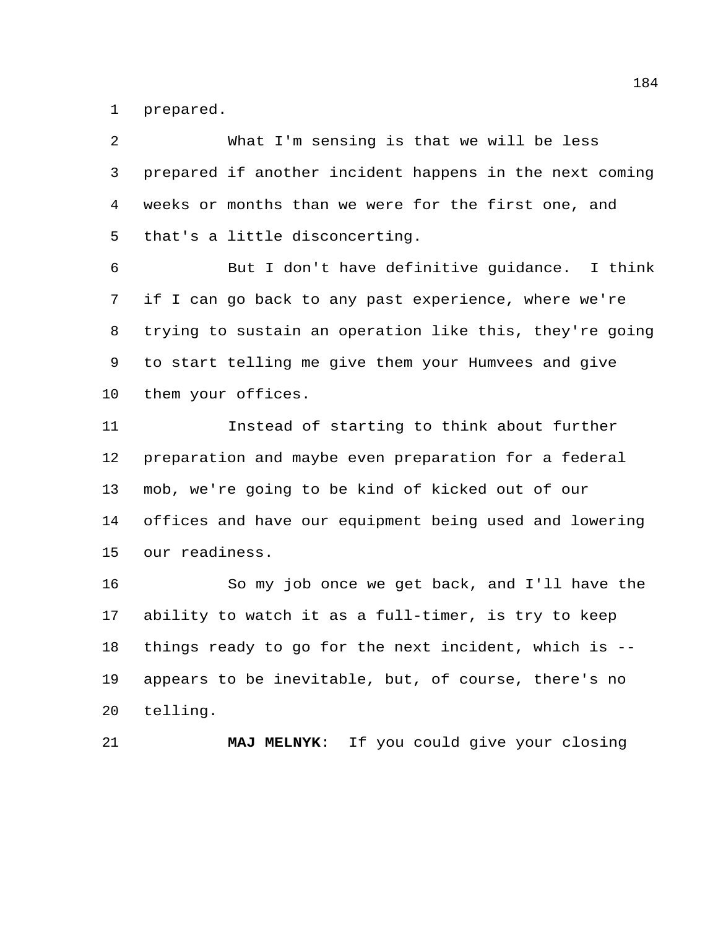prepared.

| 2  | What I'm sensing is that we will be less                |
|----|---------------------------------------------------------|
| 3  | prepared if another incident happens in the next coming |
| 4  | weeks or months than we were for the first one, and     |
| 5  | that's a little disconcerting.                          |
| 6  | But I don't have definitive guidance. I think           |
| 7  | if I can go back to any past experience, where we're    |
| 8  | trying to sustain an operation like this, they're going |
| 9  | to start telling me give them your Humvees and give     |
| 10 | them your offices.                                      |
| 11 | Instead of starting to think about further              |
| 12 | preparation and maybe even preparation for a federal    |
| 13 | mob, we're going to be kind of kicked out of our        |
| 14 | offices and have our equipment being used and lowering  |
| 15 | our readiness.                                          |
| 16 | So my job once we get back, and I'll have the           |
| 17 | ability to watch it as a full-timer, is try to keep     |
| 18 | things ready to go for the next incident, which is --   |
| 19 | appears to be inevitable, but, of course, there's no    |

telling.

**MAJ MELNYK**: If you could give your closing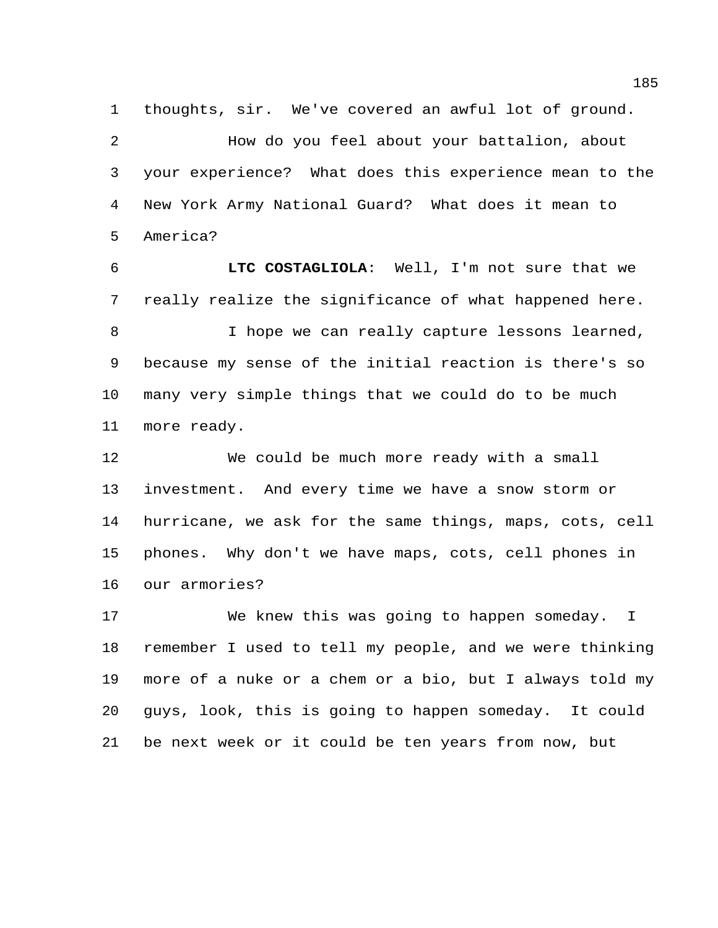thoughts, sir. We've covered an awful lot of ground.

 How do you feel about your battalion, about your experience? What does this experience mean to the New York Army National Guard? What does it mean to America?

 **LTC COSTAGLIOLA**: Well, I'm not sure that we really realize the significance of what happened here. I hope we can really capture lessons learned, because my sense of the initial reaction is there's so many very simple things that we could do to be much more ready.

 We could be much more ready with a small investment. And every time we have a snow storm or hurricane, we ask for the same things, maps, cots, cell phones. Why don't we have maps, cots, cell phones in our armories?

 We knew this was going to happen someday. I remember I used to tell my people, and we were thinking more of a nuke or a chem or a bio, but I always told my guys, look, this is going to happen someday. It could be next week or it could be ten years from now, but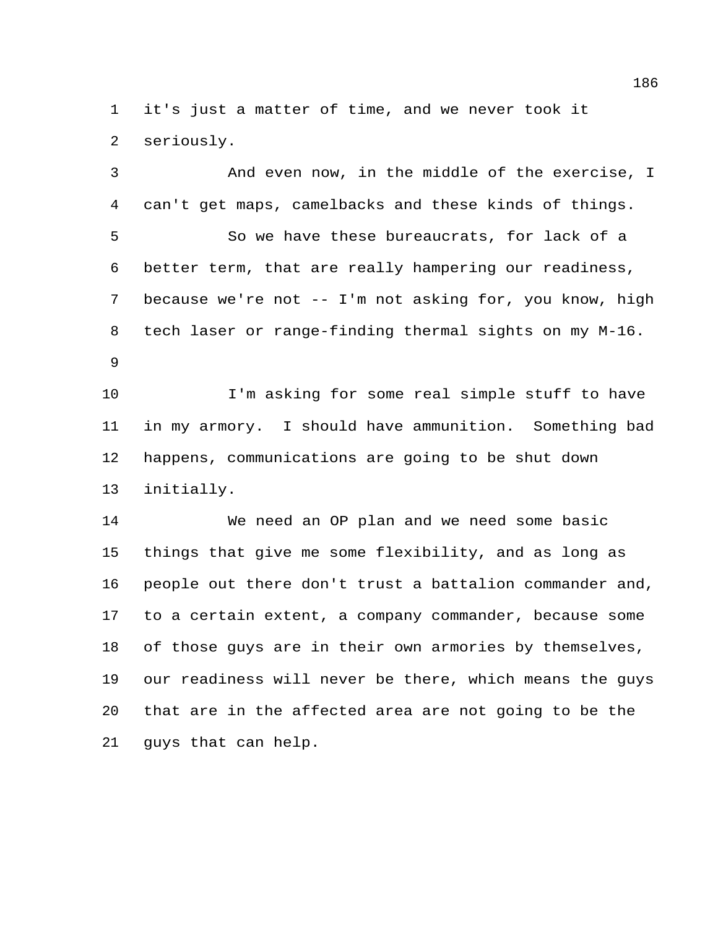it's just a matter of time, and we never took it seriously.

 And even now, in the middle of the exercise, I can't get maps, camelbacks and these kinds of things. So we have these bureaucrats, for lack of a better term, that are really hampering our readiness, because we're not -- I'm not asking for, you know, high tech laser or range-finding thermal sights on my M-16. I'm asking for some real simple stuff to have in my armory. I should have ammunition. Something bad happens, communications are going to be shut down initially.

 We need an OP plan and we need some basic things that give me some flexibility, and as long as people out there don't trust a battalion commander and, to a certain extent, a company commander, because some of those guys are in their own armories by themselves, our readiness will never be there, which means the guys that are in the affected area are not going to be the guys that can help.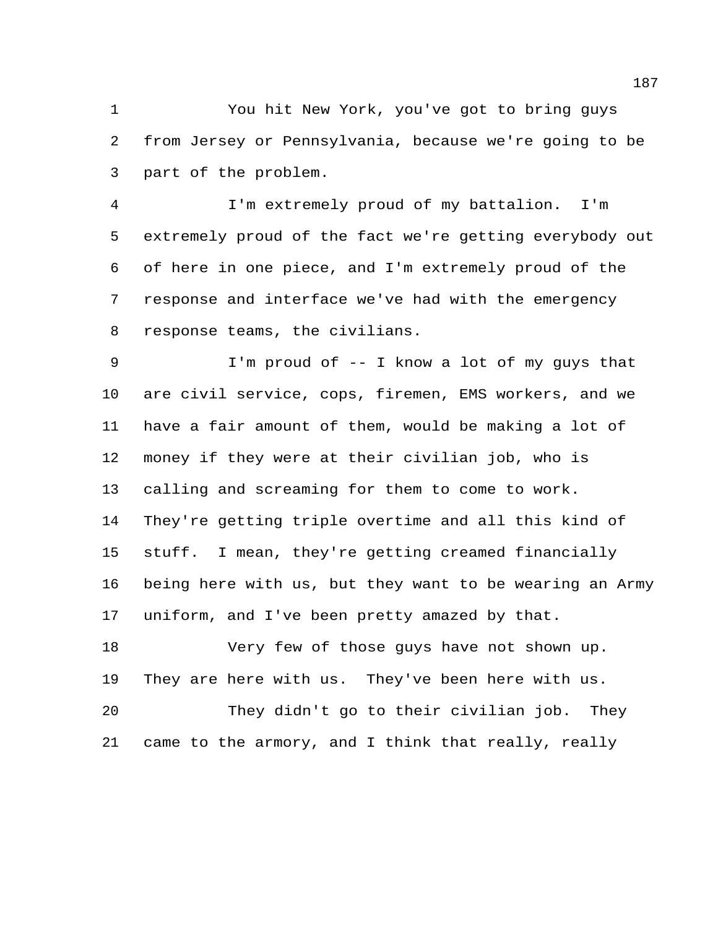You hit New York, you've got to bring guys from Jersey or Pennsylvania, because we're going to be part of the problem.

 I'm extremely proud of my battalion. I'm extremely proud of the fact we're getting everybody out of here in one piece, and I'm extremely proud of the response and interface we've had with the emergency response teams, the civilians.

 I'm proud of -- I know a lot of my guys that are civil service, cops, firemen, EMS workers, and we have a fair amount of them, would be making a lot of money if they were at their civilian job, who is calling and screaming for them to come to work. They're getting triple overtime and all this kind of stuff. I mean, they're getting creamed financially being here with us, but they want to be wearing an Army uniform, and I've been pretty amazed by that.

 Very few of those guys have not shown up. They are here with us. They've been here with us. They didn't go to their civilian job. They came to the armory, and I think that really, really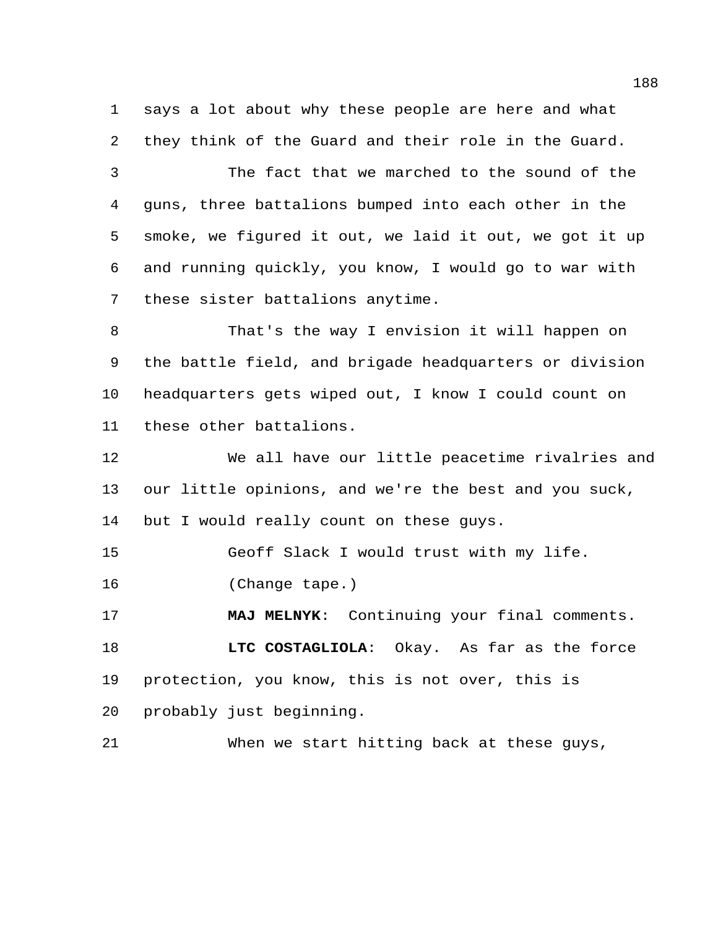says a lot about why these people are here and what they think of the Guard and their role in the Guard.

 The fact that we marched to the sound of the guns, three battalions bumped into each other in the smoke, we figured it out, we laid it out, we got it up and running quickly, you know, I would go to war with these sister battalions anytime.

 That's the way I envision it will happen on the battle field, and brigade headquarters or division headquarters gets wiped out, I know I could count on these other battalions.

 We all have our little peacetime rivalries and our little opinions, and we're the best and you suck, 14 but I would really count on these guys.

Geoff Slack I would trust with my life.

(Change tape.)

 **MAJ MELNYK**: Continuing your final comments. **LTC COSTAGLIOLA**: Okay. As far as the force protection, you know, this is not over, this is probably just beginning.

When we start hitting back at these guys,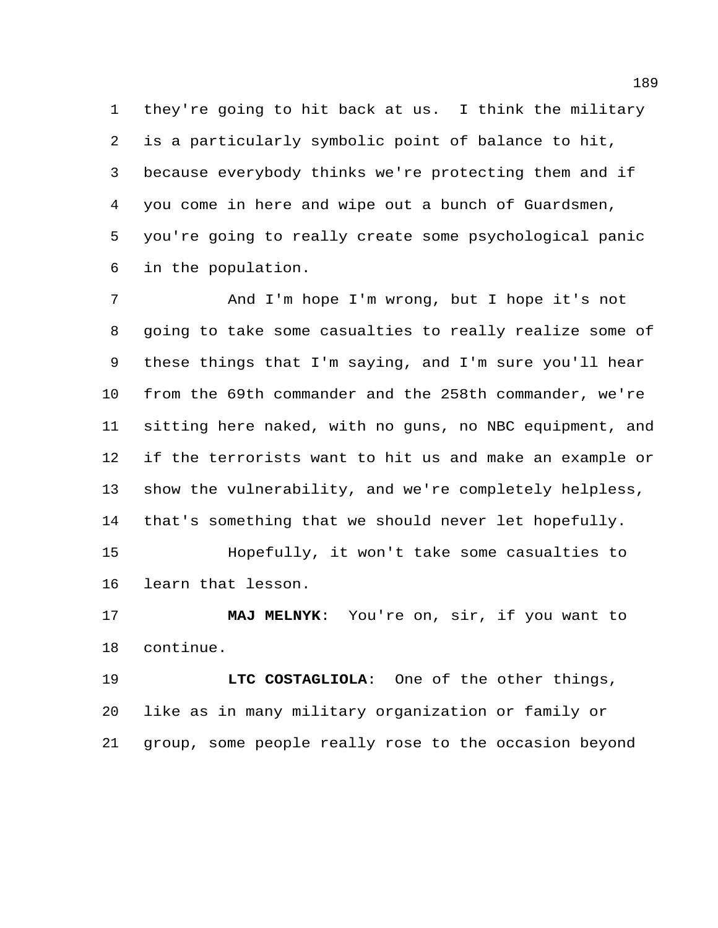they're going to hit back at us. I think the military is a particularly symbolic point of balance to hit, because everybody thinks we're protecting them and if you come in here and wipe out a bunch of Guardsmen, you're going to really create some psychological panic in the population.

 And I'm hope I'm wrong, but I hope it's not going to take some casualties to really realize some of these things that I'm saying, and I'm sure you'll hear from the 69th commander and the 258th commander, we're sitting here naked, with no guns, no NBC equipment, and if the terrorists want to hit us and make an example or show the vulnerability, and we're completely helpless, that's something that we should never let hopefully. Hopefully, it won't take some casualties to learn that lesson.

 **MAJ MELNYK**: You're on, sir, if you want to continue.

 **LTC COSTAGLIOLA**: One of the other things, like as in many military organization or family or group, some people really rose to the occasion beyond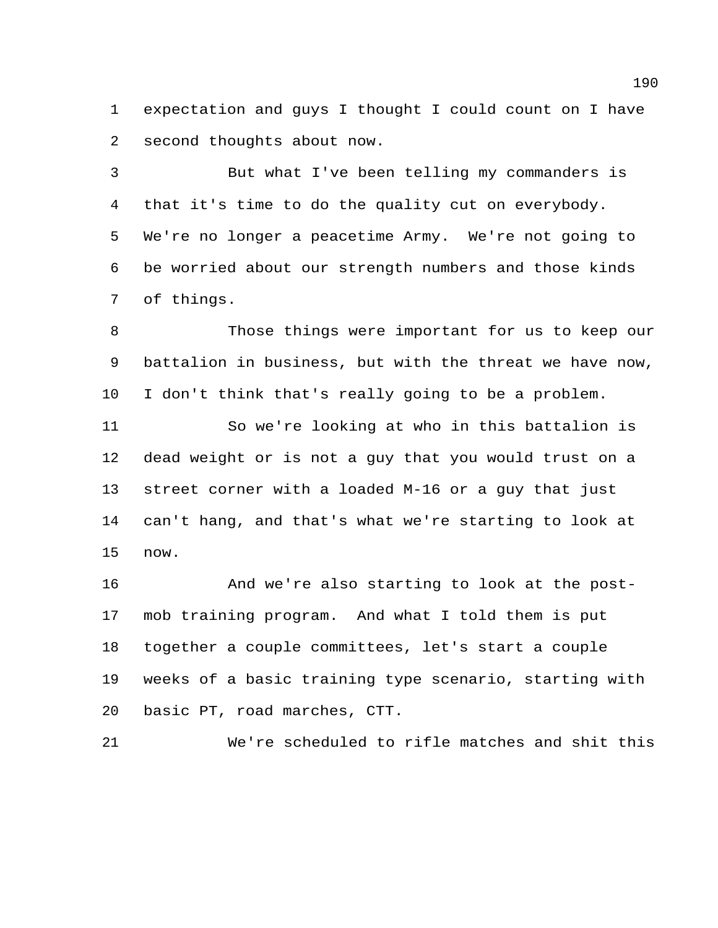expectation and guys I thought I could count on I have second thoughts about now.

 But what I've been telling my commanders is that it's time to do the quality cut on everybody. We're no longer a peacetime Army. We're not going to be worried about our strength numbers and those kinds of things.

 Those things were important for us to keep our battalion in business, but with the threat we have now, I don't think that's really going to be a problem.

 So we're looking at who in this battalion is dead weight or is not a guy that you would trust on a street corner with a loaded M-16 or a guy that just can't hang, and that's what we're starting to look at now.

 And we're also starting to look at the post- mob training program. And what I told them is put together a couple committees, let's start a couple weeks of a basic training type scenario, starting with basic PT, road marches, CTT.

We're scheduled to rifle matches and shit this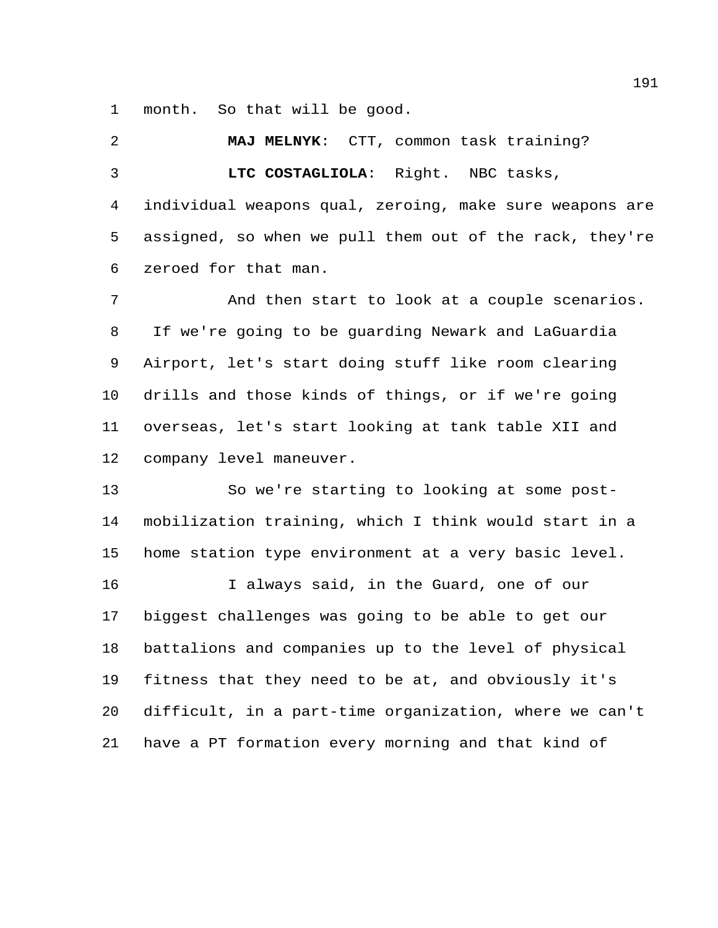month. So that will be good.

 **MAJ MELNYK**: CTT, common task training? **LTC COSTAGLIOLA**: Right. NBC tasks, individual weapons qual, zeroing, make sure weapons are assigned, so when we pull them out of the rack, they're zeroed for that man. And then start to look at a couple scenarios.

 If we're going to be guarding Newark and LaGuardia Airport, let's start doing stuff like room clearing drills and those kinds of things, or if we're going overseas, let's start looking at tank table XII and company level maneuver.

 So we're starting to looking at some post- mobilization training, which I think would start in a home station type environment at a very basic level. I always said, in the Guard, one of our

 biggest challenges was going to be able to get our battalions and companies up to the level of physical fitness that they need to be at, and obviously it's difficult, in a part-time organization, where we can't have a PT formation every morning and that kind of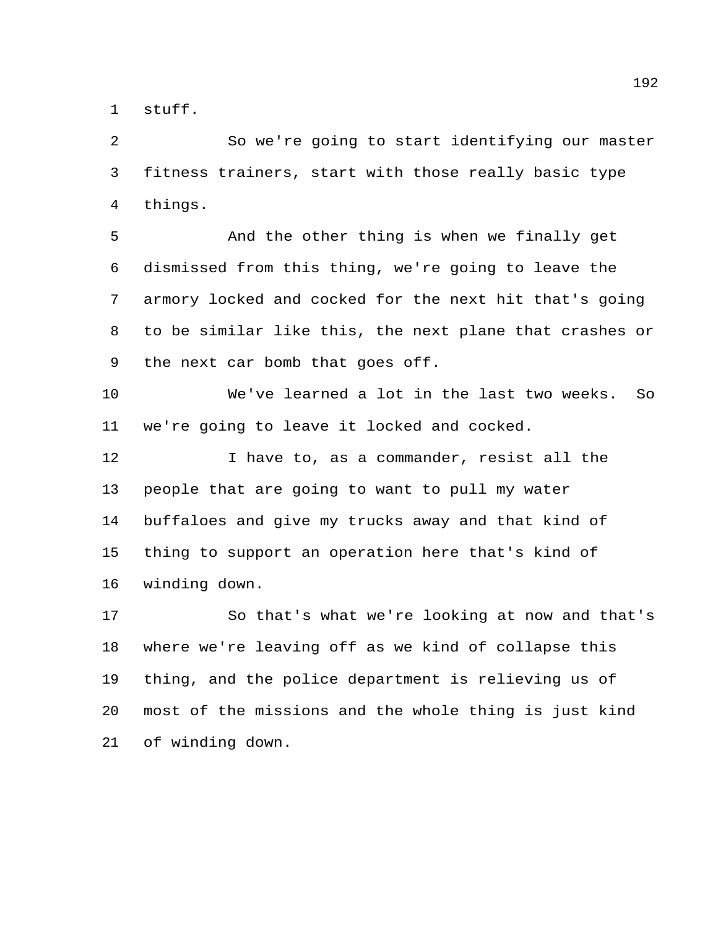stuff.

 So we're going to start identifying our master fitness trainers, start with those really basic type things.

 And the other thing is when we finally get dismissed from this thing, we're going to leave the armory locked and cocked for the next hit that's going to be similar like this, the next plane that crashes or the next car bomb that goes off.

 We've learned a lot in the last two weeks. So we're going to leave it locked and cocked.

 I have to, as a commander, resist all the people that are going to want to pull my water buffaloes and give my trucks away and that kind of thing to support an operation here that's kind of winding down.

 So that's what we're looking at now and that's where we're leaving off as we kind of collapse this thing, and the police department is relieving us of most of the missions and the whole thing is just kind of winding down.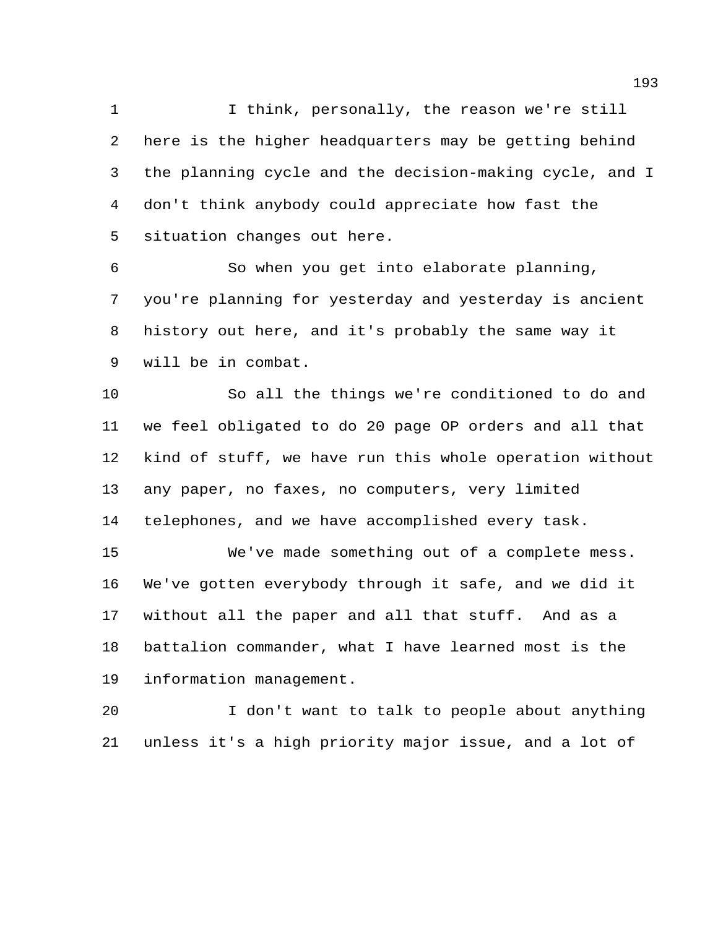I think, personally, the reason we're still here is the higher headquarters may be getting behind the planning cycle and the decision-making cycle, and I don't think anybody could appreciate how fast the situation changes out here.

 So when you get into elaborate planning, you're planning for yesterday and yesterday is ancient history out here, and it's probably the same way it will be in combat.

 So all the things we're conditioned to do and we feel obligated to do 20 page OP orders and all that kind of stuff, we have run this whole operation without any paper, no faxes, no computers, very limited telephones, and we have accomplished every task.

 We've made something out of a complete mess. We've gotten everybody through it safe, and we did it without all the paper and all that stuff. And as a battalion commander, what I have learned most is the information management.

 I don't want to talk to people about anything unless it's a high priority major issue, and a lot of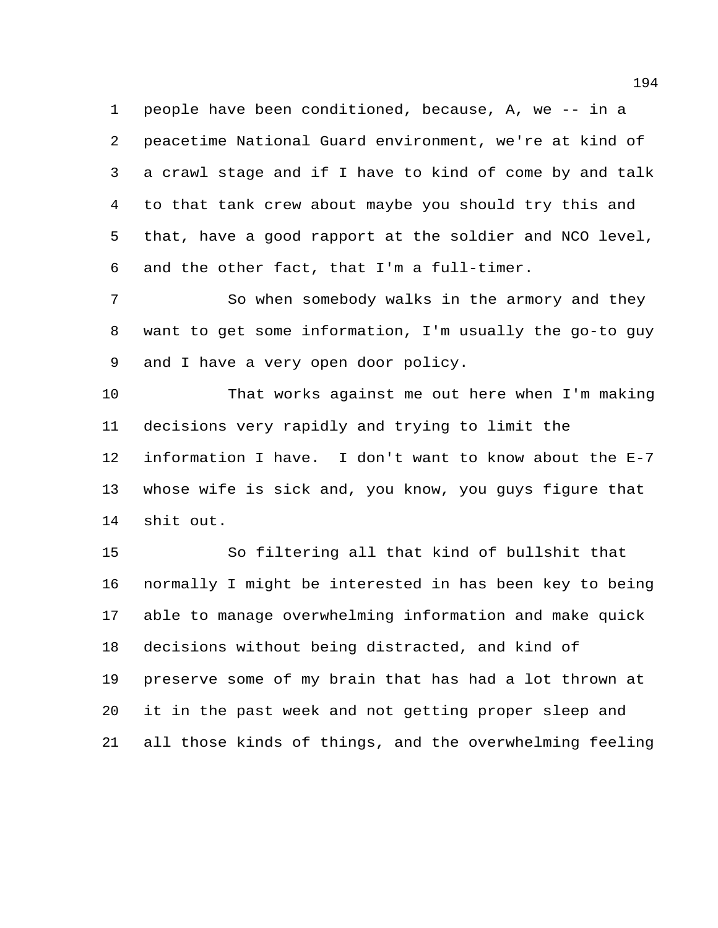people have been conditioned, because, A, we -- in a peacetime National Guard environment, we're at kind of a crawl stage and if I have to kind of come by and talk to that tank crew about maybe you should try this and that, have a good rapport at the soldier and NCO level, and the other fact, that I'm a full-timer.

 So when somebody walks in the armory and they want to get some information, I'm usually the go-to guy and I have a very open door policy.

 That works against me out here when I'm making decisions very rapidly and trying to limit the information I have. I don't want to know about the E-7 whose wife is sick and, you know, you guys figure that shit out.

 So filtering all that kind of bullshit that normally I might be interested in has been key to being able to manage overwhelming information and make quick decisions without being distracted, and kind of preserve some of my brain that has had a lot thrown at it in the past week and not getting proper sleep and all those kinds of things, and the overwhelming feeling